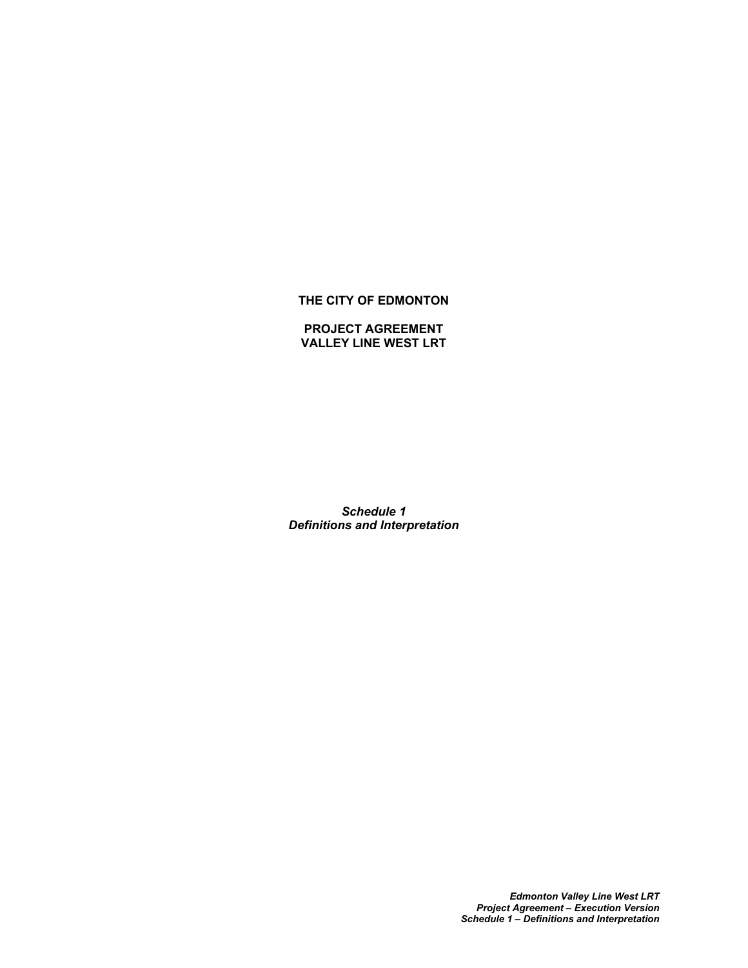## **THE CITY OF EDMONTON**

## **PROJECT AGREEMENT VALLEY LINE WEST LRT**

*Schedule 1 Definitions and Interpretation*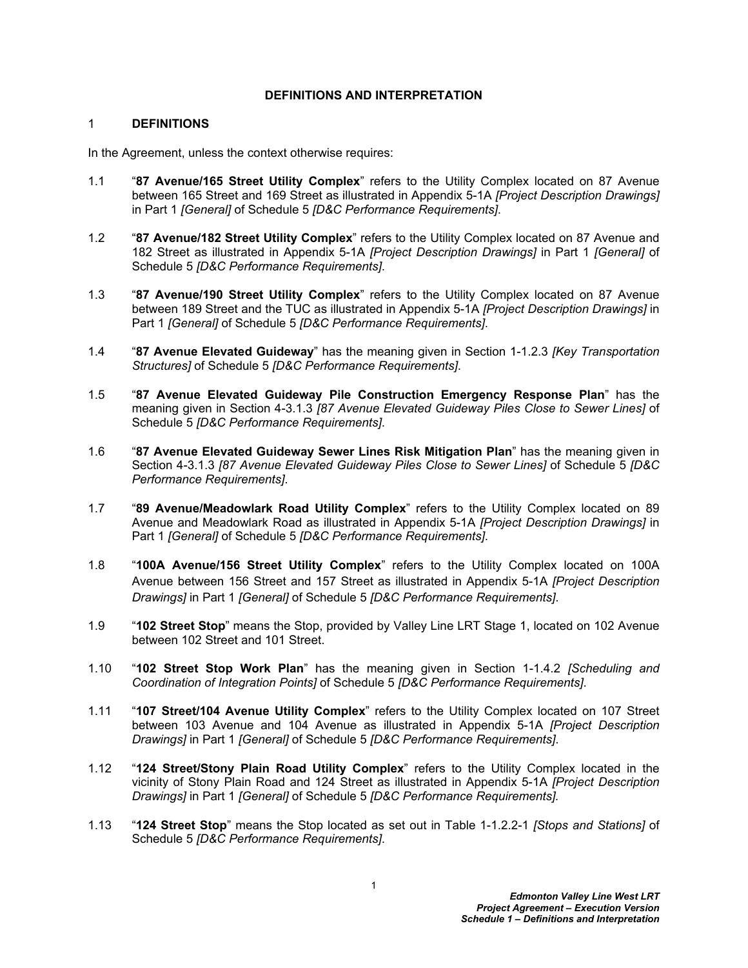## **DEFINITIONS AND INTERPRETATION**

## 1 **DEFINITIONS**

In the Agreement, unless the context otherwise requires:

- 1.1 "**87 Avenue/165 Street Utility Complex**" refers to the Utility Complex located on 87 Avenue between 165 Street and 169 Street as illustrated in Appendix 5-1A *[Project Description Drawings]*  in Part 1 *[General]* of Schedule 5 *[D&C Performance Requirements]*.
- 1.2 "**87 Avenue/182 Street Utility Complex**" refers to the Utility Complex located on 87 Avenue and 182 Street as illustrated in Appendix 5-1A *[Project Description Drawings]* in Part 1 *[General]* of Schedule 5 *[D&C Performance Requirements]*.
- 1.3 "**87 Avenue/190 Street Utility Complex**" refers to the Utility Complex located on 87 Avenue between 189 Street and the TUC as illustrated in Appendix 5-1A *[Project Description Drawings]* in Part 1 *[General]* of Schedule 5 *[D&C Performance Requirements]*.
- 1.4 "**87 Avenue Elevated Guideway**" has the meaning given in Section 1-1.2.3 *[Key Transportation Structures]* of Schedule 5 *[D&C Performance Requirements]*.
- 1.5 "**87 Avenue Elevated Guideway Pile Construction Emergency Response Plan**" has the meaning given in Section 4-3.1.3 *[87 Avenue Elevated Guideway Piles Close to Sewer Lines]* of Schedule 5 *[D&C Performance Requirements]*.
- 1.6 "**87 Avenue Elevated Guideway Sewer Lines Risk Mitigation Plan**" has the meaning given in Section 4-3.1.3 *[87 Avenue Elevated Guideway Piles Close to Sewer Lines]* of Schedule 5 *[D&C Performance Requirements]*.
- 1.7 "**89 Avenue/Meadowlark Road Utility Complex**" refers to the Utility Complex located on 89 Avenue and Meadowlark Road as illustrated in Appendix 5-1A *[Project Description Drawings]* in Part 1 *[General]* of Schedule 5 *[D&C Performance Requirements]*.
- 1.8 "**100A Avenue/156 Street Utility Complex**" refers to the Utility Complex located on 100A Avenue between 156 Street and 157 Street as illustrated in Appendix 5-1A *[Project Description Drawings]* in Part 1 *[General]* of Schedule 5 *[D&C Performance Requirements]*.
- 1.9 "**102 Street Stop**" means the Stop, provided by Valley Line LRT Stage 1, located on 102 Avenue between 102 Street and 101 Street.
- 1.10 "**102 Street Stop Work Plan**" has the meaning given in Section 1-1.4.2 *[Scheduling and Coordination of Integration Points]* of Schedule 5 *[D&C Performance Requirements]*.
- 1.11 "**107 Street/104 Avenue Utility Complex**" refers to the Utility Complex located on 107 Street between 103 Avenue and 104 Avenue as illustrated in Appendix 5-1A *[Project Description Drawings]* in Part 1 *[General]* of Schedule 5 *[D&C Performance Requirements]*.
- 1.12 "**124 Street/Stony Plain Road Utility Complex**" refers to the Utility Complex located in the vicinity of Stony Plain Road and 124 Street as illustrated in Appendix 5-1A *[Project Description Drawings]* in Part 1 *[General]* of Schedule 5 *[D&C Performance Requirements].*
- 1.13 "**124 Street Stop**" means the Stop located as set out in Table 1-1.2.2-1 *[Stops and Stations]* of Schedule 5 *[D&C Performance Requirements]*.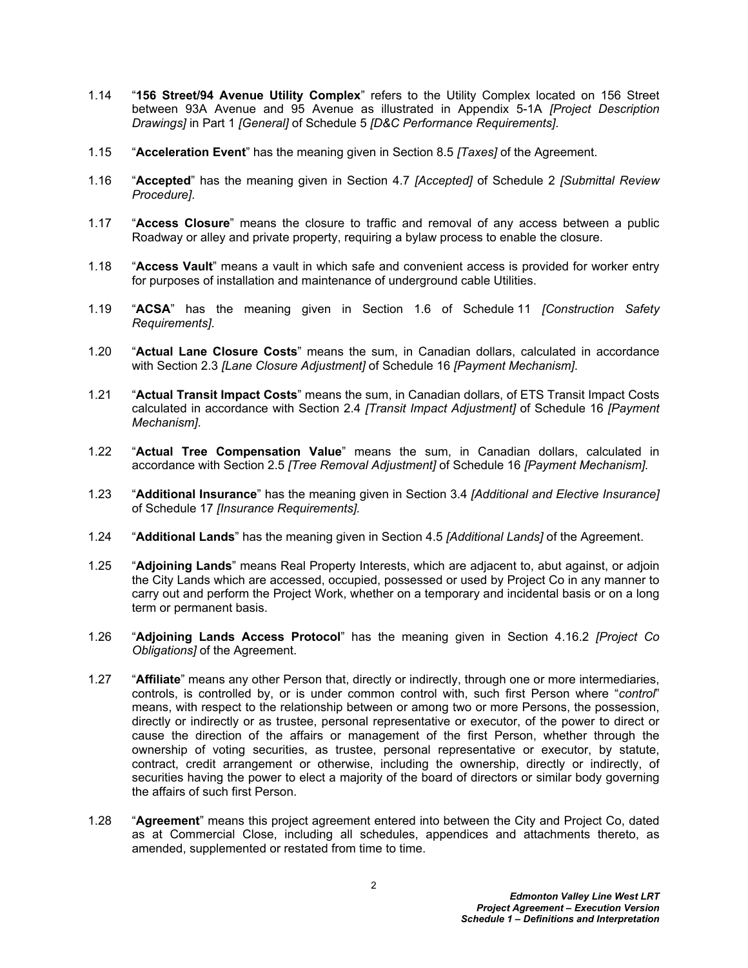- 1.14 "**156 Street/94 Avenue Utility Complex**" refers to the Utility Complex located on 156 Street between 93A Avenue and 95 Avenue as illustrated in Appendix 5-1A *[Project Description Drawings]* in Part 1 *[General]* of Schedule 5 *[D&C Performance Requirements]*.
- 1.15 "**Acceleration Event**" has the meaning given in Section 8.5 *[Taxes]* of the Agreement.
- 1.16 "**Accepted**" has the meaning given in Section 4.7 *[Accepted]* of Schedule 2 *[Submittal Review Procedure]*.
- 1.17 "**Access Closure**" means the closure to traffic and removal of any access between a public Roadway or alley and private property, requiring a bylaw process to enable the closure.
- 1.18 "**Access Vault**" means a vault in which safe and convenient access is provided for worker entry for purposes of installation and maintenance of underground cable Utilities.
- 1.19 "**ACSA**" has the meaning given in Section 1.6 of Schedule 11 *[Construction Safety Requirements]*.
- 1.20 "**Actual Lane Closure Costs**" means the sum, in Canadian dollars, calculated in accordance with Section 2.3 *[Lane Closure Adjustment]* of Schedule 16 *[Payment Mechanism]*.
- 1.21 "**Actual Transit Impact Costs**" means the sum, in Canadian dollars, of ETS Transit Impact Costs calculated in accordance with Section 2.4 *[Transit Impact Adjustment]* of Schedule 16 *[Payment Mechanism]*.
- 1.22 "**Actual Tree Compensation Value**" means the sum, in Canadian dollars, calculated in accordance with Section 2.5 *[Tree Removal Adjustment]* of Schedule 16 *[Payment Mechanism].*
- 1.23 "**Additional Insurance**" has the meaning given in Section 3.4 *[Additional and Elective Insurance]* of Schedule 17 *[Insurance Requirements].*
- 1.24 "**Additional Lands**" has the meaning given in Section 4.5 *[Additional Lands]* of the Agreement.
- 1.25 "**Adjoining Lands**" means Real Property Interests, which are adjacent to, abut against, or adjoin the City Lands which are accessed, occupied, possessed or used by Project Co in any manner to carry out and perform the Project Work, whether on a temporary and incidental basis or on a long term or permanent basis.
- 1.26 "**Adjoining Lands Access Protocol**" has the meaning given in Section 4.16.2 *[Project Co Obligations]* of the Agreement.
- 1.27 "**Affiliate**" means any other Person that, directly or indirectly, through one or more intermediaries, controls, is controlled by, or is under common control with, such first Person where "*control*" means, with respect to the relationship between or among two or more Persons, the possession, directly or indirectly or as trustee, personal representative or executor, of the power to direct or cause the direction of the affairs or management of the first Person, whether through the ownership of voting securities, as trustee, personal representative or executor, by statute, contract, credit arrangement or otherwise, including the ownership, directly or indirectly, of securities having the power to elect a majority of the board of directors or similar body governing the affairs of such first Person.
- 1.28 "**Agreement**" means this project agreement entered into between the City and Project Co, dated as at Commercial Close, including all schedules, appendices and attachments thereto, as amended, supplemented or restated from time to time.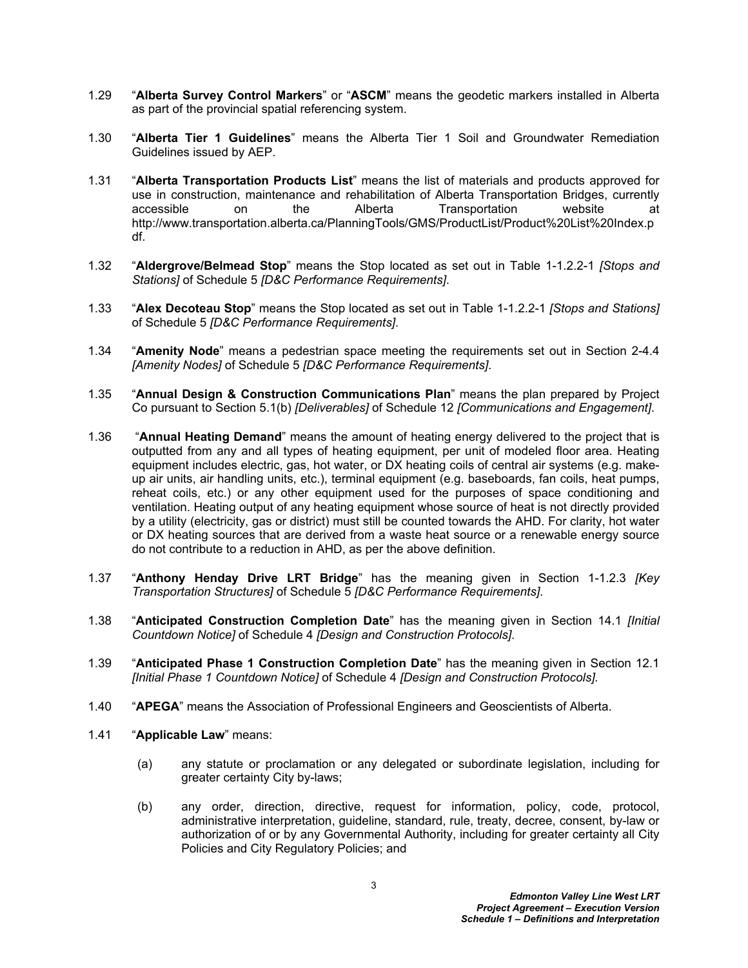- 1.29 "**Alberta Survey Control Markers**" or "**ASCM**" means the geodetic markers installed in Alberta as part of the provincial spatial referencing system.
- 1.30 "**Alberta Tier 1 Guidelines**" means the Alberta Tier 1 Soil and Groundwater Remediation Guidelines issued by AEP.
- 1.31 "**Alberta Transportation Products List**" means the list of materials and products approved for use in construction, maintenance and rehabilitation of Alberta Transportation Bridges, currently accessible on the Alberta Transportation website at http://www.transportation.alberta.ca/PlanningTools/GMS/ProductList/Product%20List%20Index.p df.
- 1.32 "**Aldergrove/Belmead Stop**" means the Stop located as set out in Table 1-1.2.2-1 *[Stops and Stations]* of Schedule 5 *[D&C Performance Requirements]*.
- 1.33 "**Alex Decoteau Stop**" means the Stop located as set out in Table 1-1.2.2-1 *[Stops and Stations]* of Schedule 5 *[D&C Performance Requirements]*.
- 1.34 "**Amenity Node**" means a pedestrian space meeting the requirements set out in Section 2-4.4 *[Amenity Nodes]* of Schedule 5 *[D&C Performance Requirements]*.
- 1.35 "**Annual Design & Construction Communications Plan**" means the plan prepared by Project Co pursuant to Section 5.1(b) *[Deliverables]* of Schedule 12 *[Communications and Engagement]*.
- 1.36 "**Annual Heating Demand**" means the amount of heating energy delivered to the project that is outputted from any and all types of heating equipment, per unit of modeled floor area. Heating equipment includes electric, gas, hot water, or DX heating coils of central air systems (e.g. makeup air units, air handling units, etc.), terminal equipment (e.g. baseboards, fan coils, heat pumps, reheat coils, etc.) or any other equipment used for the purposes of space conditioning and ventilation. Heating output of any heating equipment whose source of heat is not directly provided by a utility (electricity, gas or district) must still be counted towards the AHD. For clarity, hot water or DX heating sources that are derived from a waste heat source or a renewable energy source do not contribute to a reduction in AHD, as per the above definition.
- 1.37 "**Anthony Henday Drive LRT Bridge**" has the meaning given in Section 1-1.2.3 *[Key Transportation Structures]* of Schedule 5 *[D&C Performance Requirements]*.
- 1.38 "**Anticipated Construction Completion Date**" has the meaning given in Section 14.1 *[Initial Countdown Notice]* of Schedule 4 *[Design and Construction Protocols]*.
- 1.39 "**Anticipated Phase 1 Construction Completion Date**" has the meaning given in Section 12.1 *[Initial Phase 1 Countdown Notice]* of Schedule 4 *[Design and Construction Protocols].*
- 1.40 "**APEGA**" means the Association of Professional Engineers and Geoscientists of Alberta.
- 1.41 "**Applicable Law**" means:
	- (a) any statute or proclamation or any delegated or subordinate legislation, including for greater certainty City by-laws;
	- (b) any order, direction, directive, request for information, policy, code, protocol, administrative interpretation, guideline, standard, rule, treaty, decree, consent, by-law or authorization of or by any Governmental Authority, including for greater certainty all City Policies and City Regulatory Policies; and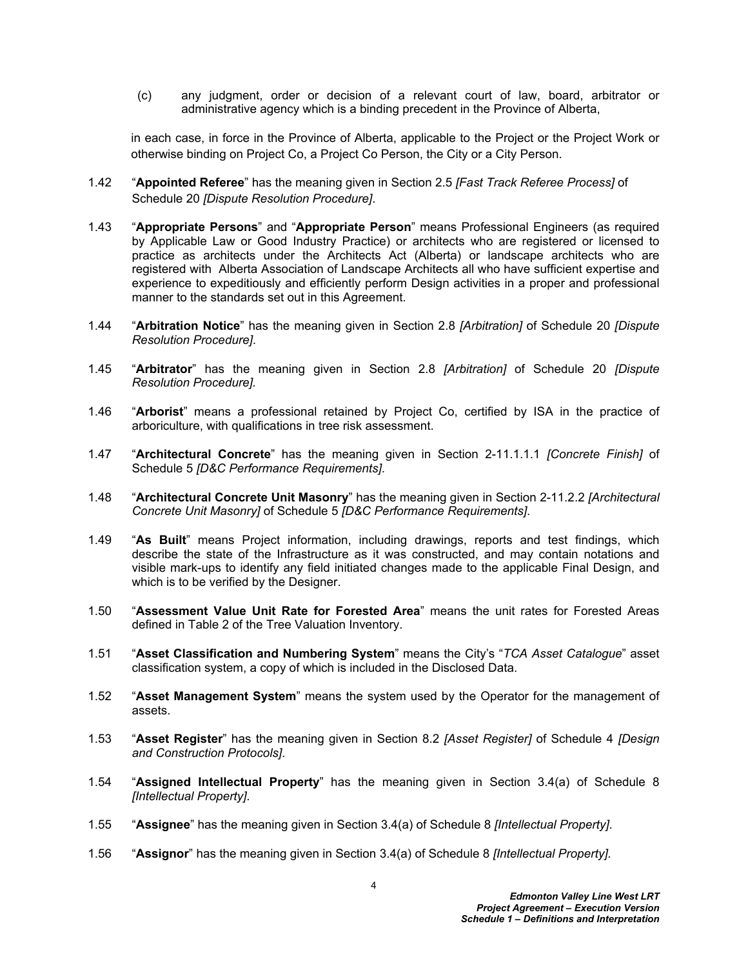(c) any judgment, order or decision of a relevant court of law, board, arbitrator or administrative agency which is a binding precedent in the Province of Alberta,

in each case, in force in the Province of Alberta, applicable to the Project or the Project Work or otherwise binding on Project Co, a Project Co Person, the City or a City Person.

- 1.42 "**Appointed Referee**" has the meaning given in Section 2.5 *[Fast Track Referee Process]* of Schedule 20 *[Dispute Resolution Procedure]*.
- 1.43 "**Appropriate Persons**" and "**Appropriate Person**" means Professional Engineers (as required by Applicable Law or Good Industry Practice) or architects who are registered or licensed to practice as architects under the Architects Act (Alberta) or landscape architects who are registered with Alberta Association of Landscape Architects all who have sufficient expertise and experience to expeditiously and efficiently perform Design activities in a proper and professional manner to the standards set out in this Agreement.
- 1.44 "**Arbitration Notice**" has the meaning given in Section 2.8 *[Arbitration]* of Schedule 20 *[Dispute Resolution Procedure]*.
- 1.45 "**Arbitrator**" has the meaning given in Section 2.8 *[Arbitration]* of Schedule 20 *[Dispute Resolution Procedure].*
- 1.46 "**Arborist**" means a professional retained by Project Co, certified by ISA in the practice of arboriculture, with qualifications in tree risk assessment.
- 1.47 "**Architectural Concrete**" has the meaning given in Section 2-11.1.1.1 *[Concrete Finish]* of Schedule 5 *[D&C Performance Requirements]*.
- 1.48 "**Architectural Concrete Unit Masonry**" has the meaning given in Section 2-11.2.2 *[Architectural Concrete Unit Masonry]* of Schedule 5 *[D&C Performance Requirements]*.
- 1.49 "**As Built**" means Project information, including drawings, reports and test findings, which describe the state of the Infrastructure as it was constructed, and may contain notations and visible mark-ups to identify any field initiated changes made to the applicable Final Design, and which is to be verified by the Designer.
- 1.50 "**Assessment Value Unit Rate for Forested Area**" means the unit rates for Forested Areas defined in Table 2 of the Tree Valuation Inventory.
- 1.51 "**Asset Classification and Numbering System**" means the City's "*TCA Asset Catalogue*" asset classification system, a copy of which is included in the Disclosed Data.
- 1.52 "**Asset Management System**" means the system used by the Operator for the management of assets.
- 1.53 "**Asset Register**" has the meaning given in Section 8.2 *[Asset Register]* of Schedule 4 *[Design and Construction Protocols]*.
- 1.54 "**Assigned Intellectual Property**" has the meaning given in Section 3.4(a) of Schedule 8 *[Intellectual Property]*.
- 1.55 "**Assignee**" has the meaning given in Section 3.4(a) of Schedule 8 *[Intellectual Property]*.
- 1.56 "**Assignor**" has the meaning given in Section 3.4(a) of Schedule 8 *[Intellectual Property]*.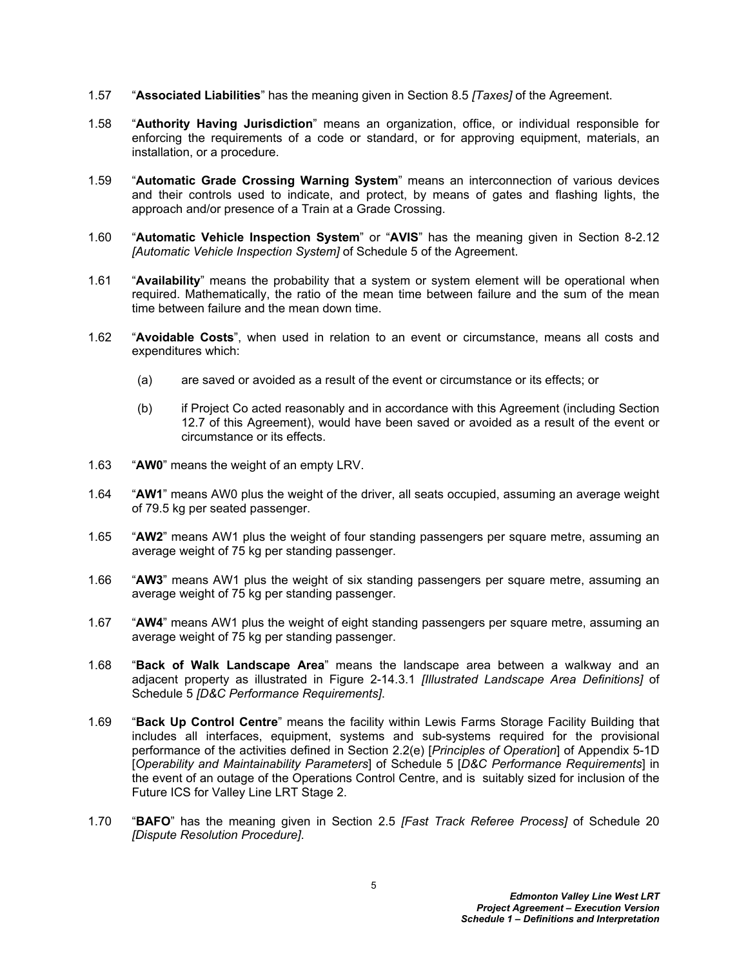- 1.57 "**Associated Liabilities**" has the meaning given in Section 8.5 *[Taxes]* of the Agreement.
- 1.58 "**Authority Having Jurisdiction**" means an organization, office, or individual responsible for enforcing the requirements of a code or standard, or for approving equipment, materials, an installation, or a procedure.
- 1.59 "**Automatic Grade Crossing Warning System**" means an interconnection of various devices and their controls used to indicate, and protect, by means of gates and flashing lights, the approach and/or presence of a Train at a Grade Crossing.
- 1.60 "**Automatic Vehicle Inspection System**" or "**AVIS**" has the meaning given in Section 8-2.12 *[Automatic Vehicle Inspection System]* of Schedule 5 of the Agreement.
- 1.61 "**Availability**" means the probability that a system or system element will be operational when required. Mathematically, the ratio of the mean time between failure and the sum of the mean time between failure and the mean down time.
- 1.62 "**Avoidable Costs**", when used in relation to an event or circumstance, means all costs and expenditures which:
	- (a) are saved or avoided as a result of the event or circumstance or its effects; or
	- (b) if Project Co acted reasonably and in accordance with this Agreement (including Section 12.7 of this Agreement), would have been saved or avoided as a result of the event or circumstance or its effects.
- 1.63 "**AW0**" means the weight of an empty LRV.
- 1.64 "**AW1**" means AW0 plus the weight of the driver, all seats occupied, assuming an average weight of 79.5 kg per seated passenger.
- 1.65 "**AW2**" means AW1 plus the weight of four standing passengers per square metre, assuming an average weight of 75 kg per standing passenger.
- 1.66 "**AW3**" means AW1 plus the weight of six standing passengers per square metre, assuming an average weight of 75 kg per standing passenger.
- 1.67 "**AW4**" means AW1 plus the weight of eight standing passengers per square metre, assuming an average weight of 75 kg per standing passenger.
- 1.68 "**Back of Walk Landscape Area**" means the landscape area between a walkway and an adjacent property as illustrated in Figure 2-14.3.1 *[Illustrated Landscape Area Definitions]* of Schedule 5 *[D&C Performance Requirements]*.
- 1.69 "**Back Up Control Centre**" means the facility within Lewis Farms Storage Facility Building that includes all interfaces, equipment, systems and sub-systems required for the provisional performance of the activities defined in Section 2.2(e) [*Principles of Operation*] of Appendix 5-1D [*Operability and Maintainability Parameters*] of Schedule 5 [*D&C Performance Requirements*] in the event of an outage of the Operations Control Centre, and is suitably sized for inclusion of the Future ICS for Valley Line LRT Stage 2.
- 1.70 "**BAFO**" has the meaning given in Section 2.5 *[Fast Track Referee Process]* of Schedule 20 *[Dispute Resolution Procedure]*.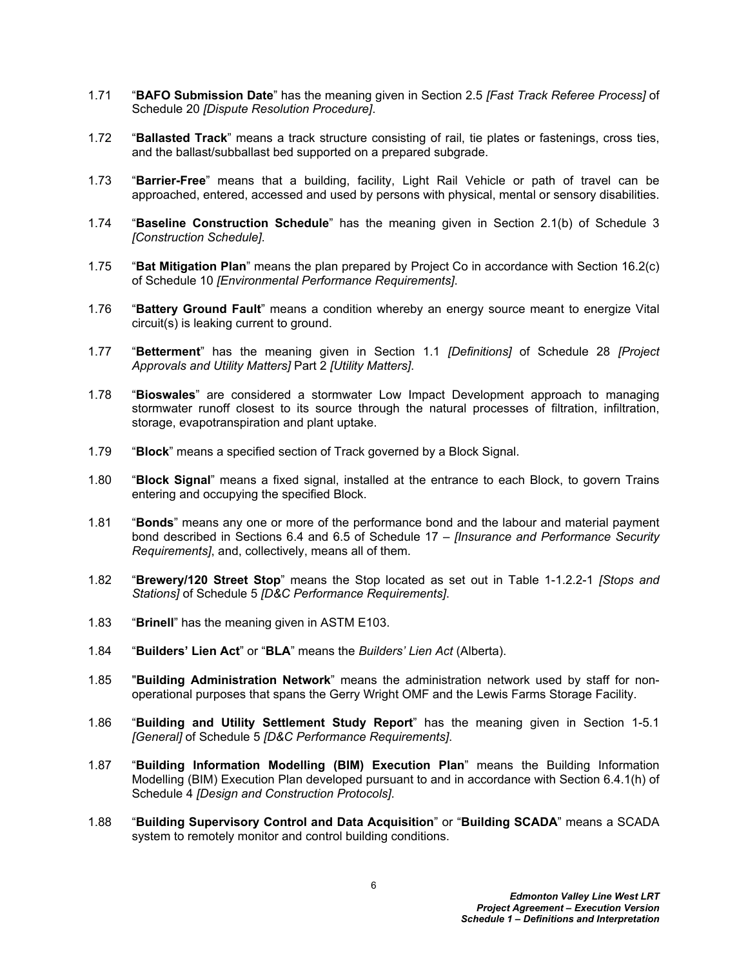- 1.71 "**BAFO Submission Date**" has the meaning given in Section 2.5 *[Fast Track Referee Process]* of Schedule 20 *[Dispute Resolution Procedure]*.
- 1.72 "**Ballasted Track**" means a track structure consisting of rail, tie plates or fastenings, cross ties, and the ballast/subballast bed supported on a prepared subgrade.
- 1.73 "**Barrier-Free**" means that a building, facility, Light Rail Vehicle or path of travel can be approached, entered, accessed and used by persons with physical, mental or sensory disabilities.
- 1.74 "**Baseline Construction Schedule**" has the meaning given in Section 2.1(b) of Schedule 3 *[Construction Schedule]*.
- 1.75 "**Bat Mitigation Plan**" means the plan prepared by Project Co in accordance with Section 16.2(c) of Schedule 10 *[Environmental Performance Requirements]*.
- 1.76 "**Battery Ground Fault**" means a condition whereby an energy source meant to energize Vital circuit(s) is leaking current to ground.
- 1.77 "**Betterment**" has the meaning given in Section 1.1 *[Definitions]* of Schedule 28 *[Project Approvals and Utility Matters]* Part 2 *[Utility Matters]*.
- 1.78 "**Bioswales**" are considered a stormwater Low Impact Development approach to managing stormwater runoff closest to its source through the natural processes of filtration, infiltration, storage, evapotranspiration and plant uptake.
- 1.79 "**Block**" means a specified section of Track governed by a Block Signal.
- 1.80 "**Block Signal**" means a fixed signal, installed at the entrance to each Block, to govern Trains entering and occupying the specified Block.
- 1.81 "**Bonds**" means any one or more of the performance bond and the labour and material payment bond described in Sections 6.4 and 6.5 of Schedule 17 – *[Insurance and Performance Security Requirements]*, and, collectively, means all of them.
- 1.82 "**Brewery/120 Street Stop**" means the Stop located as set out in Table 1-1.2.2-1 *[Stops and Stations]* of Schedule 5 *[D&C Performance Requirements]*.
- 1.83 "**Brinell**" has the meaning given in ASTM E103.
- 1.84 "**Builders' Lien Act**" or "**BLA**" means the *Builders' Lien Act* (Alberta).
- 1.85 "**Building Administration Network**" means the administration network used by staff for nonoperational purposes that spans the Gerry Wright OMF and the Lewis Farms Storage Facility.
- 1.86 "**Building and Utility Settlement Study Report**" has the meaning given in Section 1-5.1 *[General]* of Schedule 5 *[D&C Performance Requirements]*.
- 1.87 "**Building Information Modelling (BIM) Execution Plan**" means the Building Information Modelling (BIM) Execution Plan developed pursuant to and in accordance with Section 6.4.1(h) of Schedule 4 *[Design and Construction Protocols]*.
- 1.88 "**Building Supervisory Control and Data Acquisition**" or "**Building SCADA**" means a SCADA system to remotely monitor and control building conditions.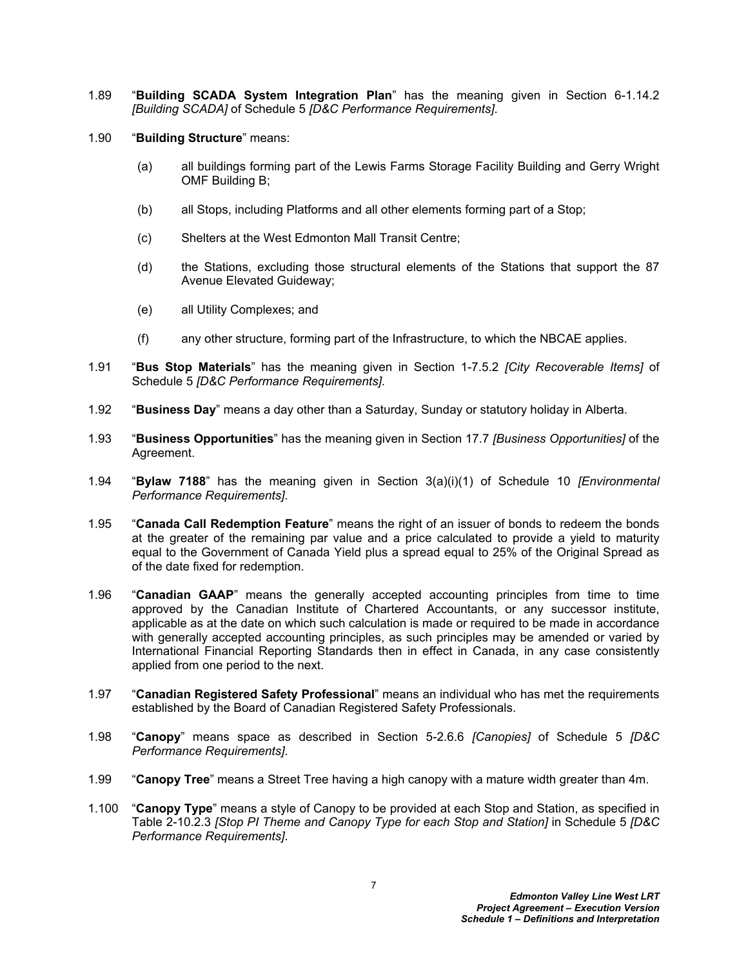- 1.89 "**Building SCADA System Integration Plan**" has the meaning given in Section 6-1.14.2 *[Building SCADA]* of Schedule 5 *[D&C Performance Requirements]*.
- 1.90 "**Building Structure**" means:
	- (a) all buildings forming part of the Lewis Farms Storage Facility Building and Gerry Wright OMF Building B;
	- (b) all Stops, including Platforms and all other elements forming part of a Stop;
	- (c) Shelters at the West Edmonton Mall Transit Centre;
	- (d) the Stations, excluding those structural elements of the Stations that support the 87 Avenue Elevated Guideway;
	- (e) all Utility Complexes; and
	- (f) any other structure, forming part of the Infrastructure, to which the NBCAE applies.
- 1.91 "**Bus Stop Materials**" has the meaning given in Section 1-7.5.2 *[City Recoverable Items]* of Schedule 5 *[D&C Performance Requirements]*.
- 1.92 "**Business Day**" means a day other than a Saturday, Sunday or statutory holiday in Alberta.
- 1.93 "**Business Opportunities**" has the meaning given in Section 17.7 *[Business Opportunities]* of the Agreement.
- 1.94 "**Bylaw 7188**" has the meaning given in Section 3(a)(i)(1) of Schedule 10 *[Environmental Performance Requirements]*.
- 1.95 "**Canada Call Redemption Feature**" means the right of an issuer of bonds to redeem the bonds at the greater of the remaining par value and a price calculated to provide a yield to maturity equal to the Government of Canada Yield plus a spread equal to 25% of the Original Spread as of the date fixed for redemption.
- 1.96 "**Canadian GAAP**" means the generally accepted accounting principles from time to time approved by the Canadian Institute of Chartered Accountants, or any successor institute, applicable as at the date on which such calculation is made or required to be made in accordance with generally accepted accounting principles, as such principles may be amended or varied by International Financial Reporting Standards then in effect in Canada, in any case consistently applied from one period to the next.
- 1.97 "**Canadian Registered Safety Professional**" means an individual who has met the requirements established by the Board of Canadian Registered Safety Professionals.
- 1.98 "**Canopy**" means space as described in Section 5-2.6.6 *[Canopies]* of Schedule 5 *[D&C Performance Requirements]*.
- 1.99 "**Canopy Tree**" means a Street Tree having a high canopy with a mature width greater than 4m.
- 1.100 "**Canopy Type**" means a style of Canopy to be provided at each Stop and Station, as specified in Table 2-10.2.3 *[Stop PI Theme and Canopy Type for each Stop and Station]* in Schedule 5 *[D&C Performance Requirements]*.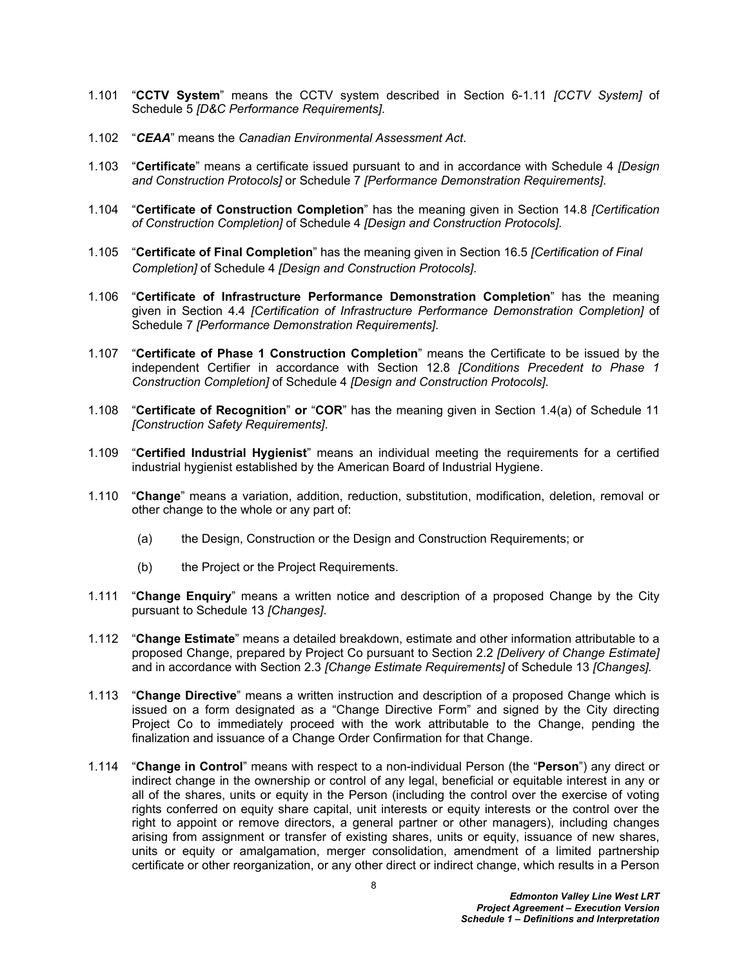- 1.101 "**CCTV System**" means the CCTV system described in Section 6-1.11 *[CCTV System]* of Schedule 5 *[D&C Performance Requirements]*.
- 1.102 "*CEAA*" means the *Canadian Environmental Assessment Act*.
- 1.103 "**Certificate**" means a certificate issued pursuant to and in accordance with Schedule 4 *[Design and Construction Protocols]* or Schedule 7 *[Performance Demonstration Requirements]*.
- 1.104 "**Certificate of Construction Completion**" has the meaning given in Section 14.8 *[Certification of Construction Completion]* of Schedule 4 *[Design and Construction Protocols].*
- 1.105 "**Certificate of Final Completion**" has the meaning given in Section 16.5 *[Certification of Final Completion]* of Schedule 4 *[Design and Construction Protocols]*.
- 1.106 "**Certificate of Infrastructure Performance Demonstration Completion**" has the meaning given in Section 4.4 *[Certification of Infrastructure Performance Demonstration Completion]* of Schedule 7 *[Performance Demonstration Requirements]*.
- 1.107 "**Certificate of Phase 1 Construction Completion**" means the Certificate to be issued by the independent Certifier in accordance with Section 12.8 *[Conditions Precedent to Phase 1 Construction Completion]* of Schedule 4 *[Design and Construction Protocols]*.
- 1.108 "**Certificate of Recognition**" **or** "**COR**" has the meaning given in Section 1.4(a) of Schedule 11 *[Construction Safety Requirements]*.
- 1.109 "**Certified Industrial Hygienist**" means an individual meeting the requirements for a certified industrial hygienist established by the American Board of Industrial Hygiene.
- 1.110 "**Change**" means a variation, addition, reduction, substitution, modification, deletion, removal or other change to the whole or any part of:
	- (a) the Design, Construction or the Design and Construction Requirements; or
	- (b) the Project or the Project Requirements.
- 1.111 "**Change Enquiry**" means a written notice and description of a proposed Change by the City pursuant to Schedule 13 *[Changes]*.
- 1.112 "**Change Estimate**" means a detailed breakdown, estimate and other information attributable to a proposed Change, prepared by Project Co pursuant to Section 2.2 *[Delivery of Change Estimate]*  and in accordance with Section 2.3 *[Change Estimate Requirements]* of Schedule 13 *[Changes].*
- 1.113 "**Change Directive**" means a written instruction and description of a proposed Change which is issued on a form designated as a "Change Directive Form" and signed by the City directing Project Co to immediately proceed with the work attributable to the Change, pending the finalization and issuance of a Change Order Confirmation for that Change.
- 1.114 "**Change in Control**" means with respect to a non-individual Person (the "**Person**") any direct or indirect change in the ownership or control of any legal, beneficial or equitable interest in any or all of the shares, units or equity in the Person (including the control over the exercise of voting rights conferred on equity share capital, unit interests or equity interests or the control over the right to appoint or remove directors, a general partner or other managers), including changes arising from assignment or transfer of existing shares, units or equity, issuance of new shares, units or equity or amalgamation, merger consolidation, amendment of a limited partnership certificate or other reorganization, or any other direct or indirect change, which results in a Person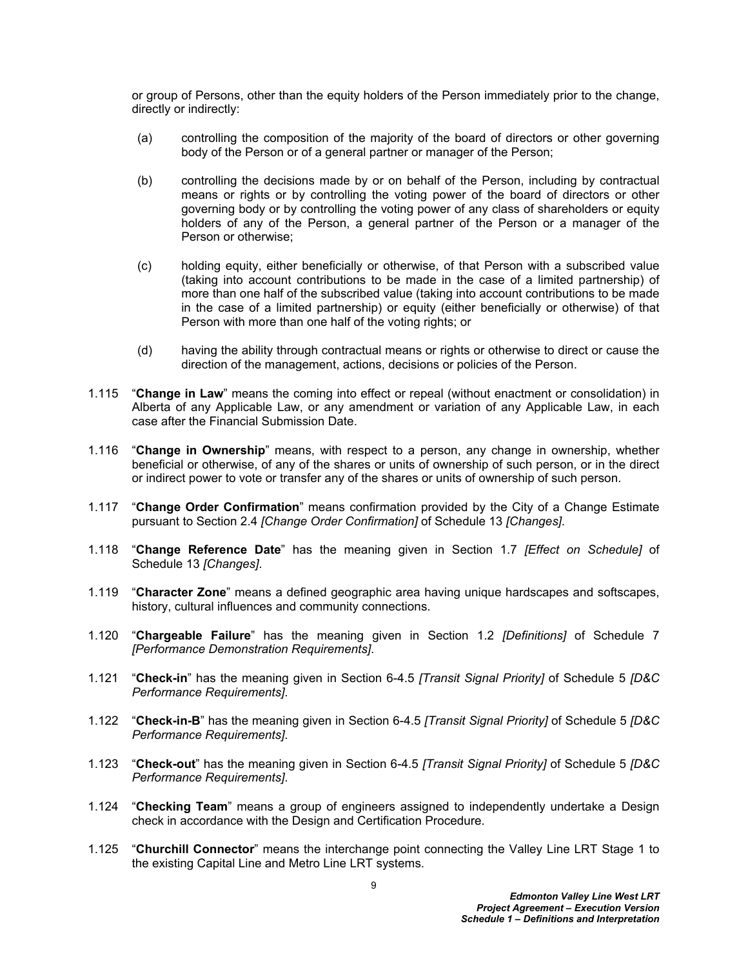or group of Persons, other than the equity holders of the Person immediately prior to the change, directly or indirectly:

- (a) controlling the composition of the majority of the board of directors or other governing body of the Person or of a general partner or manager of the Person;
- (b) controlling the decisions made by or on behalf of the Person, including by contractual means or rights or by controlling the voting power of the board of directors or other governing body or by controlling the voting power of any class of shareholders or equity holders of any of the Person, a general partner of the Person or a manager of the Person or otherwise;
- (c) holding equity, either beneficially or otherwise, of that Person with a subscribed value (taking into account contributions to be made in the case of a limited partnership) of more than one half of the subscribed value (taking into account contributions to be made in the case of a limited partnership) or equity (either beneficially or otherwise) of that Person with more than one half of the voting rights; or
- (d) having the ability through contractual means or rights or otherwise to direct or cause the direction of the management, actions, decisions or policies of the Person.
- 1.115 "**Change in Law**" means the coming into effect or repeal (without enactment or consolidation) in Alberta of any Applicable Law, or any amendment or variation of any Applicable Law, in each case after the Financial Submission Date.
- 1.116 "**Change in Ownership**" means, with respect to a person, any change in ownership, whether beneficial or otherwise, of any of the shares or units of ownership of such person, or in the direct or indirect power to vote or transfer any of the shares or units of ownership of such person.
- 1.117 "**Change Order Confirmation**" means confirmation provided by the City of a Change Estimate pursuant to Section 2.4 *[Change Order Confirmation]* of Schedule 13 *[Changes]*.
- 1.118 "**Change Reference Date**" has the meaning given in Section 1.7 *[Effect on Schedule]* of Schedule 13 *[Changes]*.
- 1.119 "**Character Zone**" means a defined geographic area having unique hardscapes and softscapes, history, cultural influences and community connections.
- 1.120 "**Chargeable Failure**" has the meaning given in Section 1.2 *[Definitions]* of Schedule 7 *[Performance Demonstration Requirements]*.
- 1.121 "**Check-in**" has the meaning given in Section 6-4.5 *[Transit Signal Priority]* of Schedule 5 *[D&C Performance Requirements]*.
- 1.122 "**Check-in-B**" has the meaning given in Section 6-4.5 *[Transit Signal Priority]* of Schedule 5 *[D&C Performance Requirements]*.
- 1.123 "**Check-out**" has the meaning given in Section 6-4.5 *[Transit Signal Priority]* of Schedule 5 *[D&C Performance Requirements]*.
- 1.124 "**Checking Team**" means a group of engineers assigned to independently undertake a Design check in accordance with the Design and Certification Procedure.
- 1.125 "**Churchill Connector**" means the interchange point connecting the Valley Line LRT Stage 1 to the existing Capital Line and Metro Line LRT systems.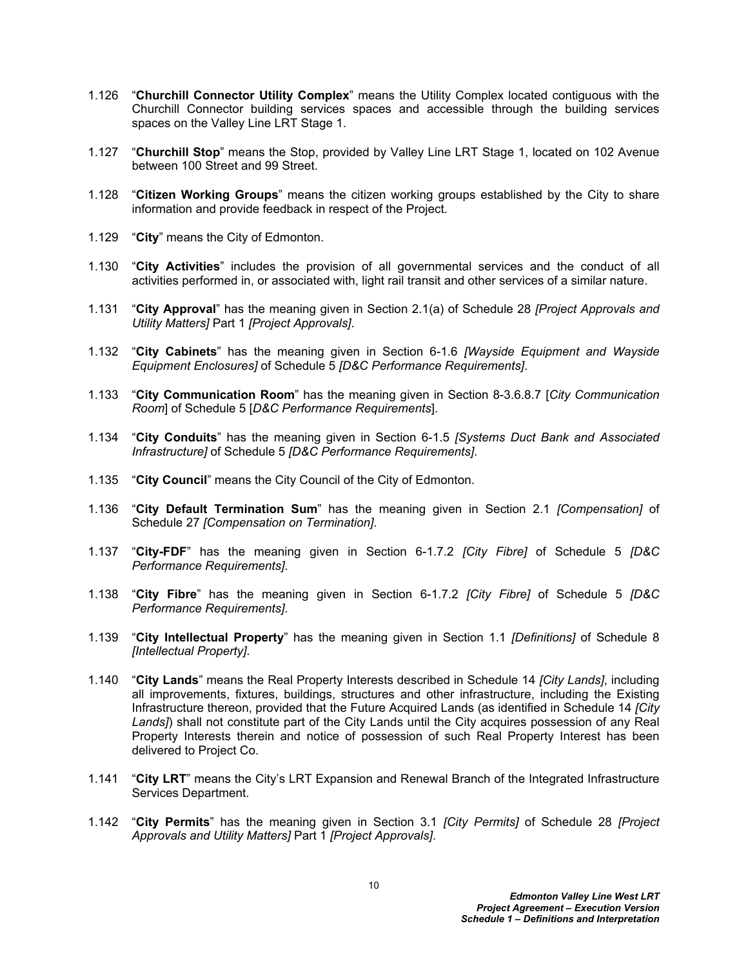- 1.126 "**Churchill Connector Utility Complex**" means the Utility Complex located contiguous with the Churchill Connector building services spaces and accessible through the building services spaces on the Valley Line LRT Stage 1.
- 1.127 "**Churchill Stop**" means the Stop, provided by Valley Line LRT Stage 1, located on 102 Avenue between 100 Street and 99 Street.
- 1.128 "**Citizen Working Groups**" means the citizen working groups established by the City to share information and provide feedback in respect of the Project.
- 1.129 "**City**" means the City of Edmonton.
- 1.130 "**City Activities**" includes the provision of all governmental services and the conduct of all activities performed in, or associated with, light rail transit and other services of a similar nature.
- 1.131 "**City Approval**" has the meaning given in Section 2.1(a) of Schedule 28 *[Project Approvals and Utility Matters]* Part 1 *[Project Approvals]*.
- 1.132 "**City Cabinets**" has the meaning given in Section 6-1.6 *[Wayside Equipment and Wayside Equipment Enclosures]* of Schedule 5 *[D&C Performance Requirements]*.
- 1.133 "**City Communication Room**" has the meaning given in Section 8-3.6.8.7 [*City Communication Room*] of Schedule 5 [*D&C Performance Requirements*].
- 1.134 "**City Conduits**" has the meaning given in Section 6-1.5 *[Systems Duct Bank and Associated Infrastructure]* of Schedule 5 *[D&C Performance Requirements]*.
- 1.135 "**City Council**" means the City Council of the City of Edmonton.
- 1.136 "**City Default Termination Sum**" has the meaning given in Section 2.1 *[Compensation]* of Schedule 27 *[Compensation on Termination]*.
- 1.137 "**City-FDF**" has the meaning given in Section 6-1.7.2 *[City Fibre]* of Schedule 5 *[D&C Performance Requirements]*.
- 1.138 "**City Fibre**" has the meaning given in Section 6-1.7.2 *[City Fibre]* of Schedule 5 *[D&C Performance Requirements]*.
- 1.139 "**City Intellectual Property**" has the meaning given in Section 1.1 *[Definitions]* of Schedule 8 *[Intellectual Property]*.
- 1.140 "**City Lands**" means the Real Property Interests described in Schedule 14 *[City Lands]*, including all improvements, fixtures, buildings, structures and other infrastructure, including the Existing Infrastructure thereon, provided that the Future Acquired Lands (as identified in Schedule 14 *[City Lands]*) shall not constitute part of the City Lands until the City acquires possession of any Real Property Interests therein and notice of possession of such Real Property Interest has been delivered to Project Co.
- 1.141 "**City LRT**" means the City's LRT Expansion and Renewal Branch of the Integrated Infrastructure Services Department.
- 1.142 "**City Permits**" has the meaning given in Section 3.1 *[City Permits]* of Schedule 28 *[Project Approvals and Utility Matters]* Part 1 *[Project Approvals]*.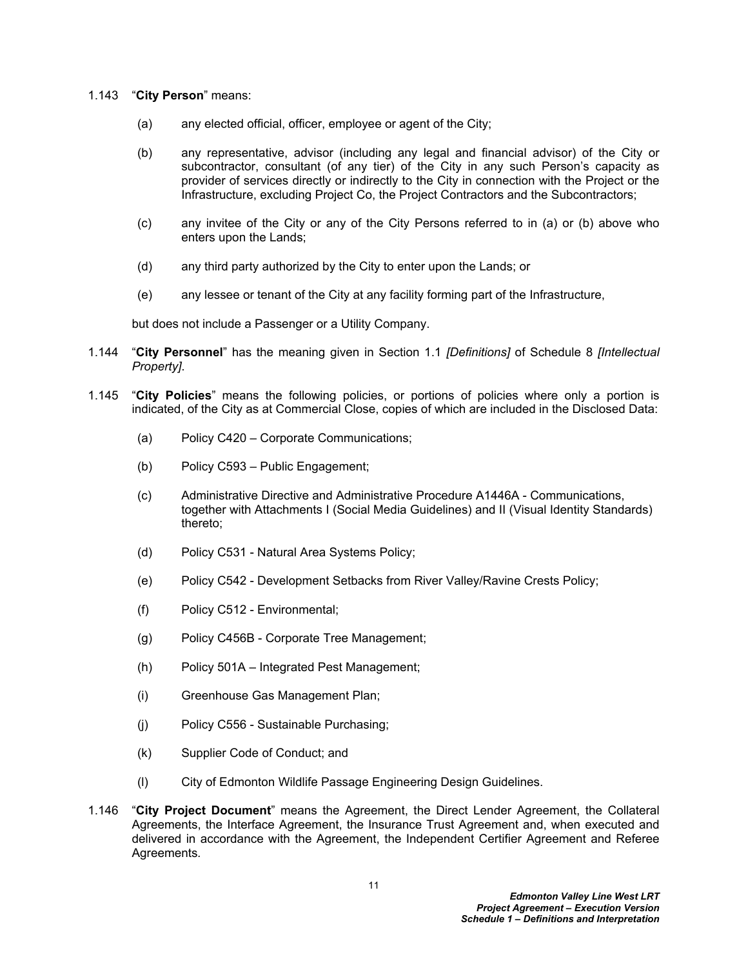- 1.143 "**City Person**" means:
	- (a) any elected official, officer, employee or agent of the City;
	- (b) any representative, advisor (including any legal and financial advisor) of the City or subcontractor, consultant (of any tier) of the City in any such Person's capacity as provider of services directly or indirectly to the City in connection with the Project or the Infrastructure, excluding Project Co, the Project Contractors and the Subcontractors;
	- (c) any invitee of the City or any of the City Persons referred to in (a) or (b) above who enters upon the Lands;
	- (d) any third party authorized by the City to enter upon the Lands; or
	- (e) any lessee or tenant of the City at any facility forming part of the Infrastructure,

but does not include a Passenger or a Utility Company.

- 1.144 "**City Personnel**" has the meaning given in Section 1.1 *[Definitions]* of Schedule 8 *[Intellectual Property]*.
- 1.145 "**City Policies**" means the following policies, or portions of policies where only a portion is indicated, of the City as at Commercial Close, copies of which are included in the Disclosed Data:
	- (a) Policy C420 Corporate Communications;
	- (b) Policy C593 Public Engagement;
	- (c) Administrative Directive and Administrative Procedure A1446A Communications, together with Attachments I (Social Media Guidelines) and II (Visual Identity Standards) thereto;
	- (d) Policy C531 Natural Area Systems Policy;
	- (e) Policy C542 Development Setbacks from River Valley/Ravine Crests Policy;
	- (f) Policy C512 Environmental;
	- (g) Policy C456B Corporate Tree Management;
	- (h) Policy 501A Integrated Pest Management;
	- (i) Greenhouse Gas Management Plan;
	- (j) Policy C556 Sustainable Purchasing;
	- (k) Supplier Code of Conduct; and
	- (l) City of Edmonton Wildlife Passage Engineering Design Guidelines.
- 1.146 "**City Project Document**" means the Agreement, the Direct Lender Agreement, the Collateral Agreements, the Interface Agreement, the Insurance Trust Agreement and, when executed and delivered in accordance with the Agreement, the Independent Certifier Agreement and Referee Agreements*.*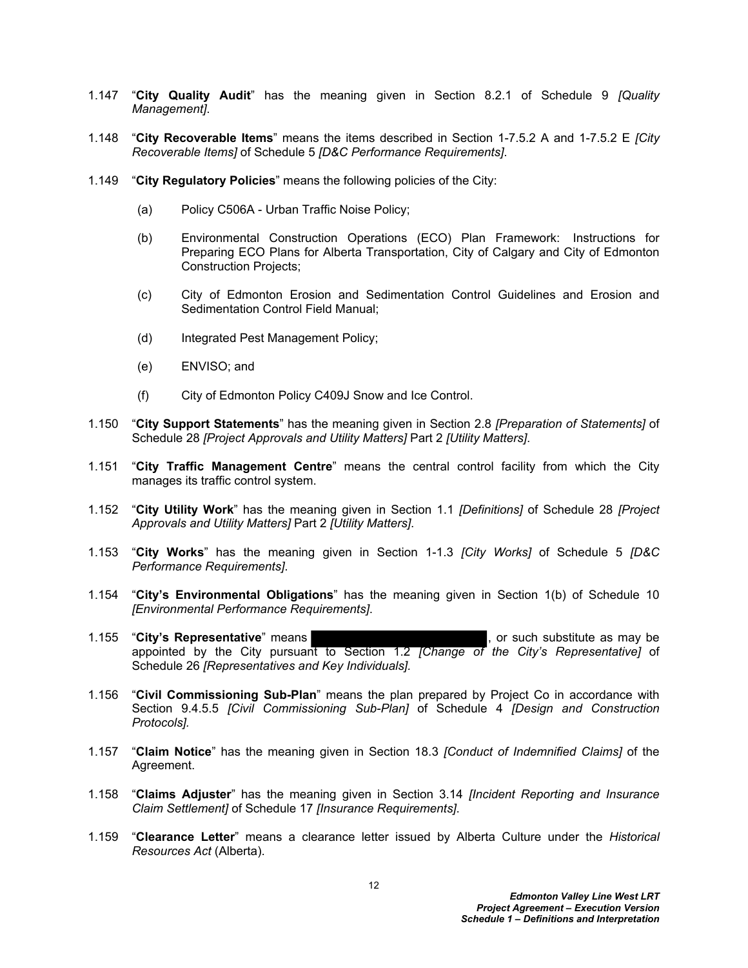- 1.147 "**City Quality Audit**" has the meaning given in Section 8.2.1 of Schedule 9 *[Quality Management]*.
- 1.148 "**City Recoverable Items**" means the items described in Section 1-7.5.2 A and 1-7.5.2 E *[City Recoverable Items]* of Schedule 5 *[D&C Performance Requirements]*.
- 1.149 "**City Regulatory Policies**" means the following policies of the City:
	- (a) Policy C506A Urban Traffic Noise Policy;
	- (b) Environmental Construction Operations (ECO) Plan Framework: Instructions for Preparing ECO Plans for Alberta Transportation, City of Calgary and City of Edmonton Construction Projects;
	- (c) City of Edmonton Erosion and Sedimentation Control Guidelines and Erosion and Sedimentation Control Field Manual;
	- (d) Integrated Pest Management Policy;
	- (e) ENVISO; and
	- (f) City of Edmonton Policy C409J Snow and Ice Control.
- 1.150 "**City Support Statements**" has the meaning given in Section 2.8 *[Preparation of Statements]* of Schedule 28 *[Project Approvals and Utility Matters]* Part 2 *[Utility Matters]*.
- 1.151 "**City Traffic Management Centre**" means the central control facility from which the City manages its traffic control system.
- 1.152 "**City Utility Work**" has the meaning given in Section 1.1 *[Definitions]* of Schedule 28 *[Project Approvals and Utility Matters]* Part 2 *[Utility Matters]*.
- 1.153 "**City Works**" has the meaning given in Section 1-1.3 *[City Works]* of Schedule 5 *[D&C Performance Requirements]*.
- 1.154 "**City's Environmental Obligations**" has the meaning given in Section 1(b) of Schedule 10 *[Environmental Performance Requirements]*.
- 1.155 "City's Representative" means **the substitute as may be set of the Strate** as may be appointed by the City pursuant to Section 1.2 *[Change of the City's Representative]* of Schedule 26 *[Representatives and Key Individuals].*
- 1.156 "**Civil Commissioning Sub-Plan**" means the plan prepared by Project Co in accordance with Section 9.4.5.5 *[Civil Commissioning Sub-Plan]* of Schedule 4 *[Design and Construction Protocols].*
- 1.157 "**Claim Notice**" has the meaning given in Section 18.3 *[Conduct of Indemnified Claims]* of the Agreement.
- 1.158 "**Claims Adjuster**" has the meaning given in Section 3.14 *[Incident Reporting and Insurance Claim Settlement]* of Schedule 17 *[Insurance Requirements]*.
- 1.159 "**Clearance Letter**" means a clearance letter issued by Alberta Culture under the *Historical Resources Act* (Alberta).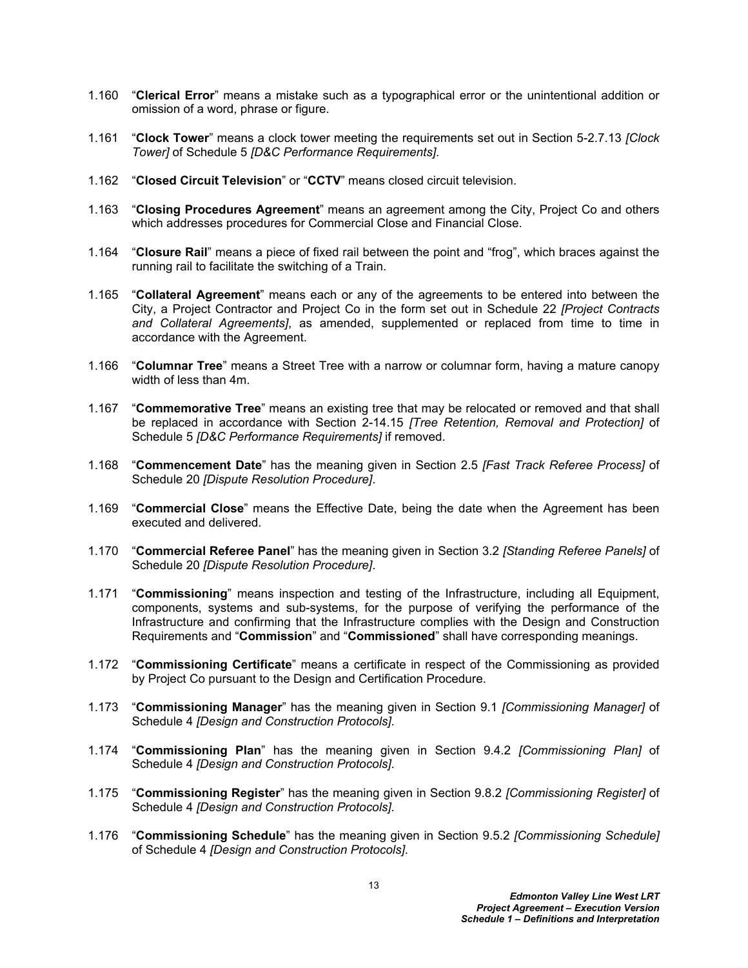- 1.160 "**Clerical Error**" means a mistake such as a typographical error or the unintentional addition or omission of a word, phrase or figure.
- 1.161 "**Clock Tower**" means a clock tower meeting the requirements set out in Section 5-2.7.13 *[Clock Tower]* of Schedule 5 *[D&C Performance Requirements]*.
- 1.162 "**Closed Circuit Television**" or "**CCTV**" means closed circuit television.
- 1.163 "**Closing Procedures Agreement**" means an agreement among the City, Project Co and others which addresses procedures for Commercial Close and Financial Close.
- 1.164 "**Closure Rail**" means a piece of fixed rail between the point and "frog", which braces against the running rail to facilitate the switching of a Train.
- 1.165 "**Collateral Agreement**" means each or any of the agreements to be entered into between the City, a Project Contractor and Project Co in the form set out in Schedule 22 *[Project Contracts and Collateral Agreements]*, as amended, supplemented or replaced from time to time in accordance with the Agreement.
- 1.166 "**Columnar Tree**" means a Street Tree with a narrow or columnar form, having a mature canopy width of less than 4m.
- 1.167 "**Commemorative Tree**" means an existing tree that may be relocated or removed and that shall be replaced in accordance with Section 2-14.15 *[Tree Retention, Removal and Protection]* of Schedule 5 *[D&C Performance Requirements]* if removed.
- 1.168 "**Commencement Date**" has the meaning given in Section 2.5 *[Fast Track Referee Process]* of Schedule 20 *[Dispute Resolution Procedure]*.
- 1.169 "**Commercial Close**" means the Effective Date, being the date when the Agreement has been executed and delivered.
- 1.170 "**Commercial Referee Panel**" has the meaning given in Section 3.2 *[Standing Referee Panels]* of Schedule 20 *[Dispute Resolution Procedure]*.
- 1.171 "**Commissioning**" means inspection and testing of the Infrastructure, including all Equipment, components, systems and sub-systems, for the purpose of verifying the performance of the Infrastructure and confirming that the Infrastructure complies with the Design and Construction Requirements and "**Commission**" and "**Commissioned**" shall have corresponding meanings.
- 1.172 "**Commissioning Certificate**" means a certificate in respect of the Commissioning as provided by Project Co pursuant to the Design and Certification Procedure.
- 1.173 "**Commissioning Manager**" has the meaning given in Section 9.1 *[Commissioning Manager]* of Schedule 4 *[Design and Construction Protocols]*.
- 1.174 "**Commissioning Plan**" has the meaning given in Section 9.4.2 *[Commissioning Plan]* of Schedule 4 *[Design and Construction Protocols]*.
- 1.175 "**Commissioning Register**" has the meaning given in Section 9.8.2 *[Commissioning Register]* of Schedule 4 *[Design and Construction Protocols]*.
- 1.176 "**Commissioning Schedule**" has the meaning given in Section 9.5.2 *[Commissioning Schedule]* of Schedule 4 *[Design and Construction Protocols]*.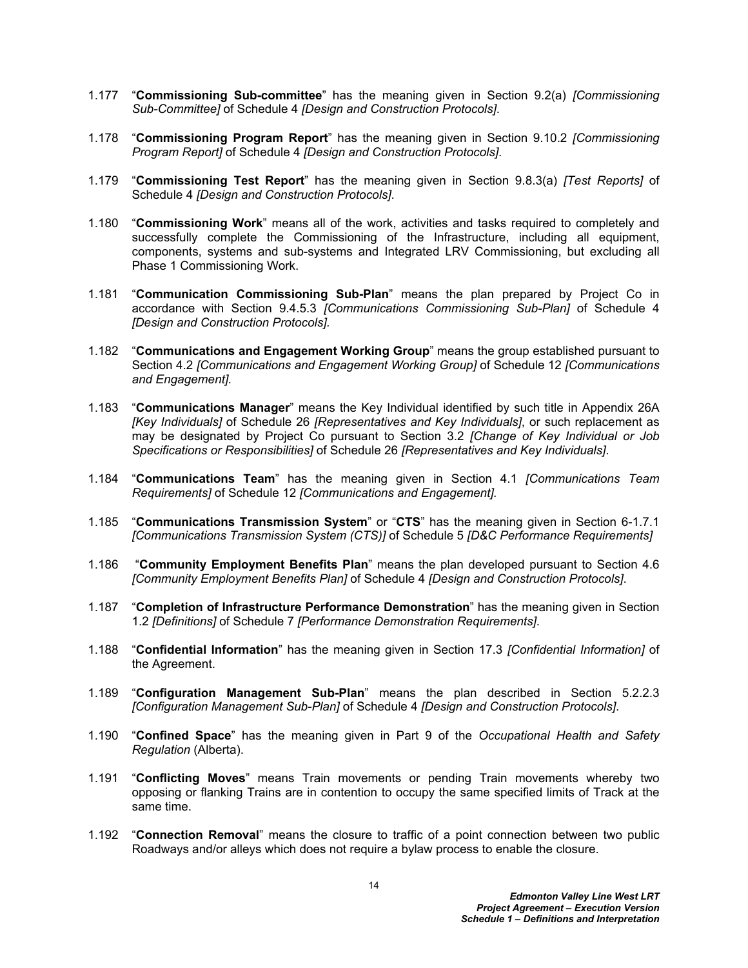- 1.177 "**Commissioning Sub-committee**" has the meaning given in Section 9.2(a) *[Commissioning Sub-Committee]* of Schedule 4 *[Design and Construction Protocols]*.
- 1.178 "**Commissioning Program Report**" has the meaning given in Section 9.10.2 *[Commissioning Program Report]* of Schedule 4 *[Design and Construction Protocols]*.
- 1.179 "**Commissioning Test Report**" has the meaning given in Section 9.8.3(a) *[Test Reports]* of Schedule 4 *[Design and Construction Protocols]*.
- 1.180 "**Commissioning Work**" means all of the work, activities and tasks required to completely and successfully complete the Commissioning of the Infrastructure, including all equipment, components, systems and sub-systems and Integrated LRV Commissioning, but excluding all Phase 1 Commissioning Work.
- 1.181 "**Communication Commissioning Sub-Plan**" means the plan prepared by Project Co in accordance with Section 9.4.5.3 *[Communications Commissioning Sub-Plan]* of Schedule 4 *[Design and Construction Protocols].*
- 1.182 "**Communications and Engagement Working Group**" means the group established pursuant to Section 4.2 *[Communications and Engagement Working Group]* of Schedule 12 *[Communications and Engagement].*
- 1.183 "**Communications Manager**" means the Key Individual identified by such title in Appendix 26A *[Key Individuals]* of Schedule 26 *[Representatives and Key Individuals]*, or such replacement as may be designated by Project Co pursuant to Section 3.2 *[Change of Key Individual or Job Specifications or Responsibilities]* of Schedule 26 *[Representatives and Key Individuals]*.
- 1.184 "**Communications Team**" has the meaning given in Section 4.1 *[Communications Team Requirements]* of Schedule 12 *[Communications and Engagement].*
- 1.185 "**Communications Transmission System**" or "**CTS**" has the meaning given in Section 6-1.7.1 *[Communications Transmission System (CTS)]* of Schedule 5 *[D&C Performance Requirements]*
- 1.186 "**Community Employment Benefits Plan**" means the plan developed pursuant to Section 4.6 *[Community Employment Benefits Plan]* of Schedule 4 *[Design and Construction Protocols]*.
- 1.187 "**Completion of Infrastructure Performance Demonstration**" has the meaning given in Section 1.2 *[Definitions]* of Schedule 7 *[Performance Demonstration Requirements]*.
- 1.188 "**Confidential Information**" has the meaning given in Section 17.3 *[Confidential Information]* of the Agreement.
- 1.189 "**Configuration Management Sub-Plan**" means the plan described in Section 5.2.2.3 *[Configuration Management Sub-Plan]* of Schedule 4 *[Design and Construction Protocols]*.
- 1.190 "**Confined Space**" has the meaning given in Part 9 of the *Occupational Health and Safety Regulation* (Alberta).
- 1.191 "**Conflicting Moves**" means Train movements or pending Train movements whereby two opposing or flanking Trains are in contention to occupy the same specified limits of Track at the same time.
- 1.192 "**Connection Removal**" means the closure to traffic of a point connection between two public Roadways and/or alleys which does not require a bylaw process to enable the closure.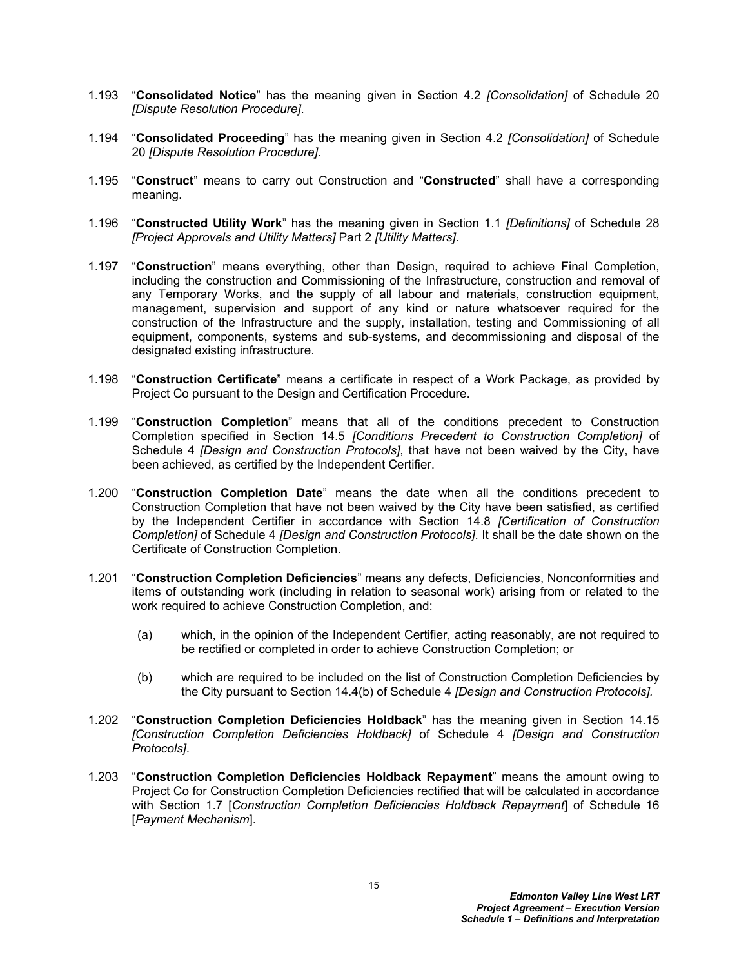- 1.193 "**Consolidated Notice**" has the meaning given in Section 4.2 *[Consolidation]* of Schedule 20 *[Dispute Resolution Procedure]*.
- 1.194 "**Consolidated Proceeding**" has the meaning given in Section 4.2 *[Consolidation]* of Schedule 20 *[Dispute Resolution Procedure]*.
- 1.195 "**Construct**" means to carry out Construction and "**Constructed**" shall have a corresponding meaning.
- 1.196 "**Constructed Utility Work**" has the meaning given in Section 1.1 *[Definitions]* of Schedule 28 *[Project Approvals and Utility Matters]* Part 2 *[Utility Matters]*.
- 1.197 "**Construction**" means everything, other than Design, required to achieve Final Completion, including the construction and Commissioning of the Infrastructure, construction and removal of any Temporary Works, and the supply of all labour and materials, construction equipment, management, supervision and support of any kind or nature whatsoever required for the construction of the Infrastructure and the supply, installation, testing and Commissioning of all equipment, components, systems and sub-systems, and decommissioning and disposal of the designated existing infrastructure.
- 1.198 "**Construction Certificate**" means a certificate in respect of a Work Package, as provided by Project Co pursuant to the Design and Certification Procedure.
- 1.199 "**Construction Completion**" means that all of the conditions precedent to Construction Completion specified in Section 14.5 *[Conditions Precedent to Construction Completion]* of Schedule 4 *[Design and Construction Protocols]*, that have not been waived by the City, have been achieved, as certified by the Independent Certifier.
- 1.200 "**Construction Completion Date**" means the date when all the conditions precedent to Construction Completion that have not been waived by the City have been satisfied, as certified by the Independent Certifier in accordance with Section 14.8 *[Certification of Construction Completion]* of Schedule 4 *[Design and Construction Protocols]*. It shall be the date shown on the Certificate of Construction Completion.
- 1.201 "**Construction Completion Deficiencies**" means any defects, Deficiencies, Nonconformities and items of outstanding work (including in relation to seasonal work) arising from or related to the work required to achieve Construction Completion, and:
	- (a) which, in the opinion of the Independent Certifier, acting reasonably, are not required to be rectified or completed in order to achieve Construction Completion; or
	- (b) which are required to be included on the list of Construction Completion Deficiencies by the City pursuant to Section 14.4(b) of Schedule 4 *[Design and Construction Protocols].*
- 1.202 "**Construction Completion Deficiencies Holdback**" has the meaning given in Section 14.15 *[Construction Completion Deficiencies Holdback]* of Schedule 4 *[Design and Construction Protocols]*.
- 1.203 "**Construction Completion Deficiencies Holdback Repayment**" means the amount owing to Project Co for Construction Completion Deficiencies rectified that will be calculated in accordance with Section 1.7 [*Construction Completion Deficiencies Holdback Repayment*] of Schedule 16 [*Payment Mechanism*].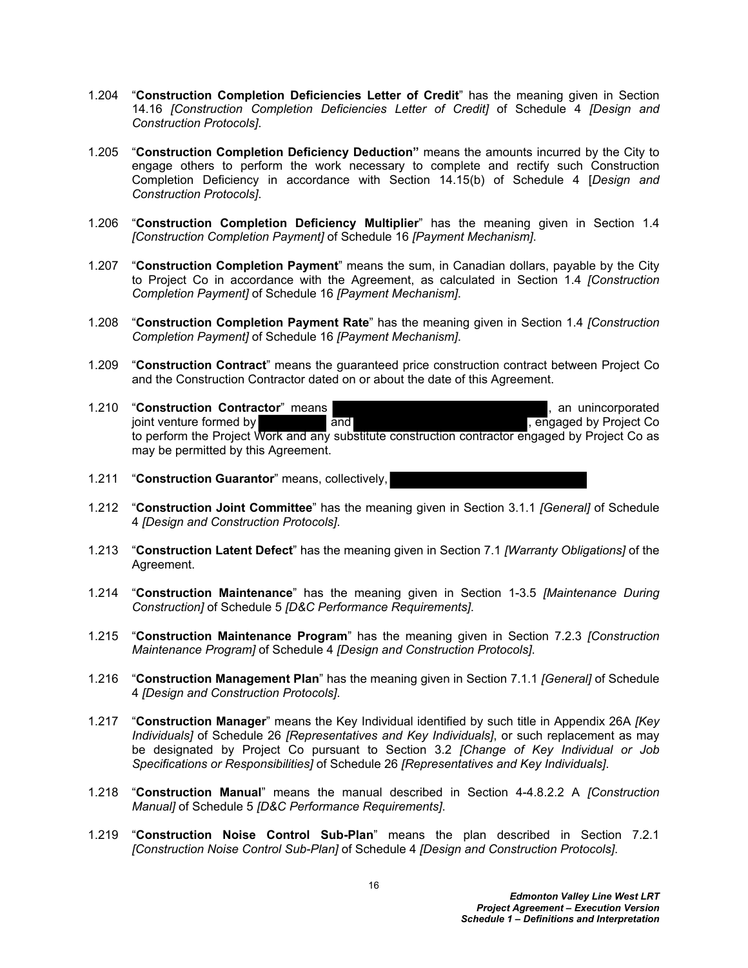- 1.204 "**Construction Completion Deficiencies Letter of Credit**" has the meaning given in Section 14.16 *[Construction Completion Deficiencies Letter of Credit]* of Schedule 4 *[Design and Construction Protocols]*.
- 1.205 "**Construction Completion Deficiency Deduction"** means the amounts incurred by the City to engage others to perform the work necessary to complete and rectify such Construction Completion Deficiency in accordance with Section 14.15(b) of Schedule 4 [*Design and Construction Protocols]*.
- 1.206 "**Construction Completion Deficiency Multiplier**" has the meaning given in Section 1.4 *[Construction Completion Payment]* of Schedule 16 *[Payment Mechanism]*.
- 1.207 "**Construction Completion Payment**" means the sum, in Canadian dollars, payable by the City to Project Co in accordance with the Agreement, as calculated in Section 1.4 *[Construction Completion Payment]* of Schedule 16 *[Payment Mechanism]*.
- 1.208 "**Construction Completion Payment Rate**" has the meaning given in Section 1.4 *[Construction Completion Payment]* of Schedule 16 *[Payment Mechanism]*.
- 1.209 "**Construction Contract**" means the guaranteed price construction contract between Project Co and the Construction Contractor dated on or about the date of this Agreement.
- 1.210 "Construction Contractor" means **and all and all and all and all and all and all and all and all and all a** an unincorporated joint venture formed by and and state and the set of the set of the set of the set of the set of the set of the set of the set of the set of the set of the set of the set of the set of the set of the set of the set of the to perform the Project Work and any substitute construction contractor engaged by Project Co as may be permitted by this Agreement.
- 1.211 "**Construction Guarantor**" means, collectively,
- 1.212 "**Construction Joint Committee**" has the meaning given in Section 3.1.1 *[General]* of Schedule 4 *[Design and Construction Protocols]*.
- 1.213 "**Construction Latent Defect**" has the meaning given in Section 7.1 *[Warranty Obligations]* of the Agreement.
- 1.214 "**Construction Maintenance**" has the meaning given in Section 1-3.5 *[Maintenance During Construction]* of Schedule 5 *[D&C Performance Requirements]*.
- 1.215 "**Construction Maintenance Program**" has the meaning given in Section 7.2.3 *[Construction Maintenance Program]* of Schedule 4 *[Design and Construction Protocols]*.
- 1.216 "**Construction Management Plan**" has the meaning given in Section 7.1.1 *[General]* of Schedule 4 *[Design and Construction Protocols]*.
- 1.217 "**Construction Manager**" means the Key Individual identified by such title in Appendix 26A *[Key Individuals]* of Schedule 26 *[Representatives and Key Individuals]*, or such replacement as may be designated by Project Co pursuant to Section 3.2 *[Change of Key Individual or Job Specifications or Responsibilities]* of Schedule 26 *[Representatives and Key Individuals]*.
- 1.218 "**Construction Manual**" means the manual described in Section 4-4.8.2.2 A *[Construction Manual]* of Schedule 5 *[D&C Performance Requirements]*.
- 1.219 "**Construction Noise Control Sub-Plan**" means the plan described in Section 7.2.1 *[Construction Noise Control Sub-Plan]* of Schedule 4 *[Design and Construction Protocols]*.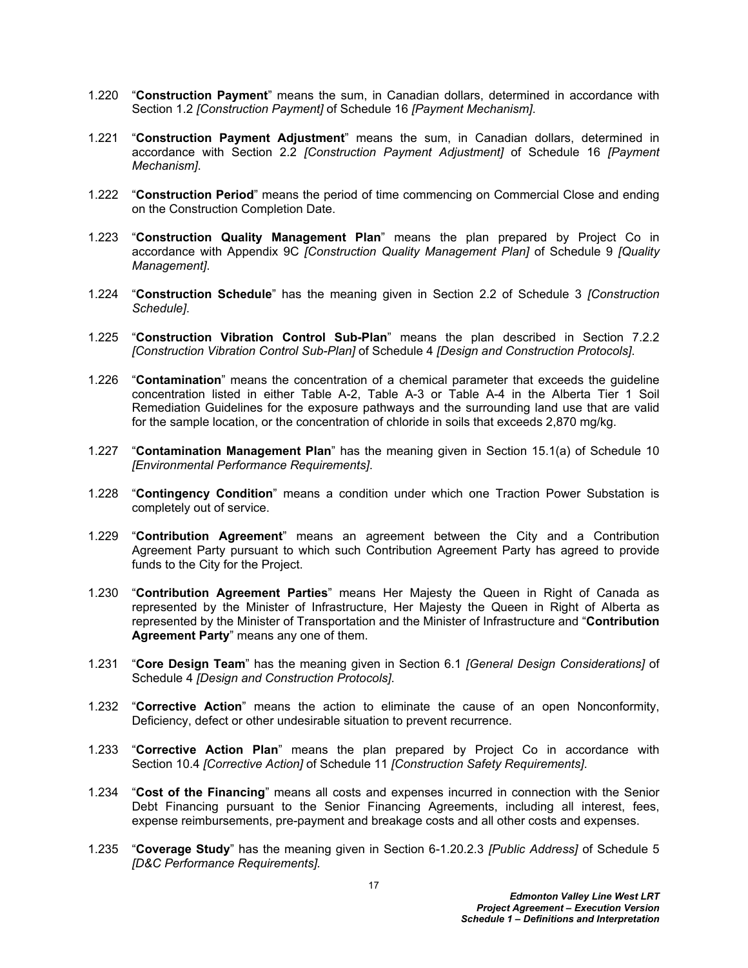- 1.220 "**Construction Payment**" means the sum, in Canadian dollars, determined in accordance with Section 1.2 *[Construction Payment]* of Schedule 16 *[Payment Mechanism]*.
- 1.221 "**Construction Payment Adjustment**" means the sum, in Canadian dollars, determined in accordance with Section 2.2 *[Construction Payment Adjustment]* of Schedule 16 *[Payment Mechanism]*.
- 1.222 "**Construction Period**" means the period of time commencing on Commercial Close and ending on the Construction Completion Date.
- 1.223 "**Construction Quality Management Plan**" means the plan prepared by Project Co in accordance with Appendix 9C *[Construction Quality Management Plan]* of Schedule 9 *[Quality Management]*.
- 1.224 "**Construction Schedule**" has the meaning given in Section 2.2 of Schedule 3 *[Construction Schedule]*.
- 1.225 "**Construction Vibration Control Sub-Plan**" means the plan described in Section 7.2.2 *[Construction Vibration Control Sub-Plan]* of Schedule 4 *[Design and Construction Protocols]*.
- 1.226 "**Contamination**" means the concentration of a chemical parameter that exceeds the guideline concentration listed in either Table A-2, Table A-3 or Table A-4 in the Alberta Tier 1 Soil Remediation Guidelines for the exposure pathways and the surrounding land use that are valid for the sample location, or the concentration of chloride in soils that exceeds 2,870 mg/kg.
- 1.227 "**Contamination Management Plan**" has the meaning given in Section 15.1(a) of Schedule 10 *[Environmental Performance Requirements]*.
- 1.228 "**Contingency Condition**" means a condition under which one Traction Power Substation is completely out of service.
- 1.229 "**Contribution Agreement**" means an agreement between the City and a Contribution Agreement Party pursuant to which such Contribution Agreement Party has agreed to provide funds to the City for the Project.
- 1.230 "**Contribution Agreement Parties**" means Her Majesty the Queen in Right of Canada as represented by the Minister of Infrastructure, Her Majesty the Queen in Right of Alberta as represented by the Minister of Transportation and the Minister of Infrastructure and "**Contribution Agreement Party**" means any one of them.
- 1.231 "**Core Design Team**" has the meaning given in Section 6.1 *[General Design Considerations]* of Schedule 4 *[Design and Construction Protocols]*.
- 1.232 "**Corrective Action**" means the action to eliminate the cause of an open Nonconformity, Deficiency, defect or other undesirable situation to prevent recurrence.
- 1.233 "**Corrective Action Plan**" means the plan prepared by Project Co in accordance with Section 10.4 *[Corrective Action]* of Schedule 11 *[Construction Safety Requirements]*.
- 1.234 "**Cost of the Financing**" means all costs and expenses incurred in connection with the Senior Debt Financing pursuant to the Senior Financing Agreements, including all interest, fees, expense reimbursements, pre-payment and breakage costs and all other costs and expenses.
- 1.235 "**Coverage Study**" has the meaning given in Section 6-1.20.2.3 *[Public Address]* of Schedule 5 *[D&C Performance Requirements].*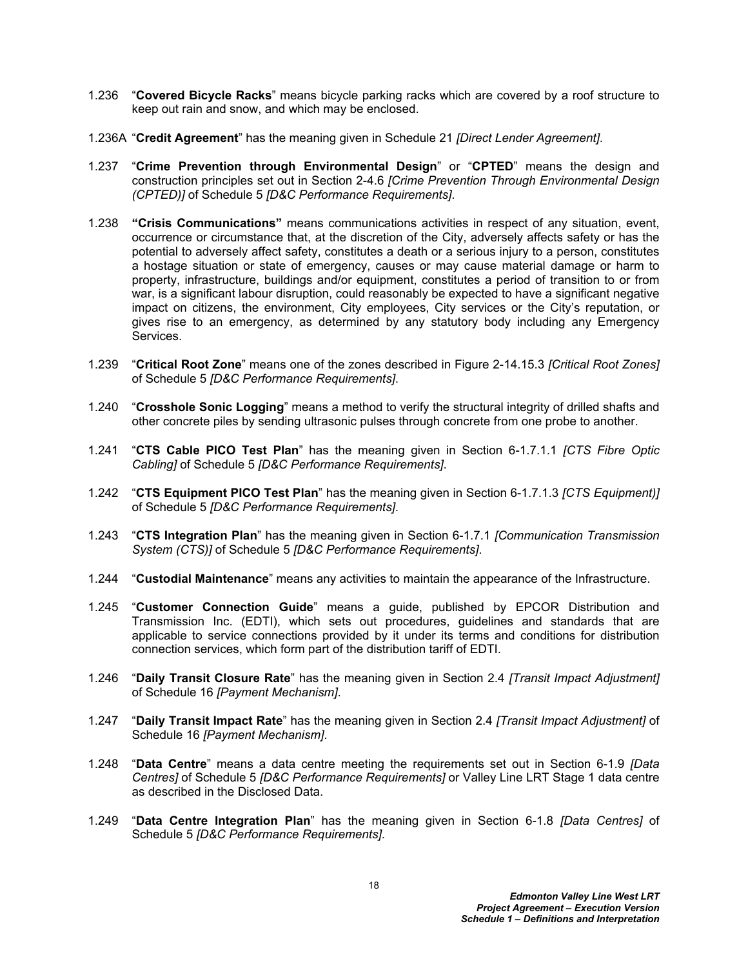- 1.236 "**Covered Bicycle Racks**" means bicycle parking racks which are covered by a roof structure to keep out rain and snow, and which may be enclosed.
- 1.236A "**Credit Agreement**" has the meaning given in Schedule 21 *[Direct Lender Agreement]*.
- 1.237 "**Crime Prevention through Environmental Design**" or "**CPTED**" means the design and construction principles set out in Section 2-4.6 *[Crime Prevention Through Environmental Design (CPTED)]* of Schedule 5 *[D&C Performance Requirements]*.
- 1.238 **"Crisis Communications"** means communications activities in respect of any situation, event, occurrence or circumstance that, at the discretion of the City, adversely affects safety or has the potential to adversely affect safety, constitutes a death or a serious injury to a person, constitutes a hostage situation or state of emergency, causes or may cause material damage or harm to property, infrastructure, buildings and/or equipment, constitutes a period of transition to or from war, is a significant labour disruption, could reasonably be expected to have a significant negative impact on citizens, the environment, City employees, City services or the City's reputation, or gives rise to an emergency, as determined by any statutory body including any Emergency Services.
- 1.239 "**Critical Root Zone**" means one of the zones described in Figure 2-14.15.3 *[Critical Root Zones]* of Schedule 5 *[D&C Performance Requirements]*.
- 1.240 "**Crosshole Sonic Logging**" means a method to verify the structural integrity of drilled shafts and other concrete piles by sending ultrasonic pulses through concrete from one probe to another.
- 1.241 "**CTS Cable PICO Test Plan**" has the meaning given in Section 6-1.7.1.1 *[CTS Fibre Optic Cabling]* of Schedule 5 *[D&C Performance Requirements]*.
- 1.242 "**CTS Equipment PICO Test Plan**" has the meaning given in Section 6-1.7.1.3 *[CTS Equipment)]*  of Schedule 5 *[D&C Performance Requirements]*.
- 1.243 "**CTS Integration Plan**" has the meaning given in Section 6-1.7.1 *[Communication Transmission System (CTS)]* of Schedule 5 *[D&C Performance Requirements]*.
- 1.244 "**Custodial Maintenance**" means any activities to maintain the appearance of the Infrastructure.
- 1.245 "**Customer Connection Guide**" means a guide, published by EPCOR Distribution and Transmission Inc. (EDTI), which sets out procedures, guidelines and standards that are applicable to service connections provided by it under its terms and conditions for distribution connection services, which form part of the distribution tariff of EDTI.
- 1.246 "**Daily Transit Closure Rate**" has the meaning given in Section 2.4 *[Transit Impact Adjustment]* of Schedule 16 *[Payment Mechanism]*.
- 1.247 "**Daily Transit Impact Rate**" has the meaning given in Section 2.4 *[Transit Impact Adjustment]* of Schedule 16 *[Payment Mechanism]*.
- 1.248 "**Data Centre**" means a data centre meeting the requirements set out in Section 6-1.9 *[Data Centres]* of Schedule 5 *[D&C Performance Requirements]* or Valley Line LRT Stage 1 data centre as described in the Disclosed Data.
- 1.249 "**Data Centre Integration Plan**" has the meaning given in Section 6-1.8 *[Data Centres]* of Schedule 5 *[D&C Performance Requirements]*.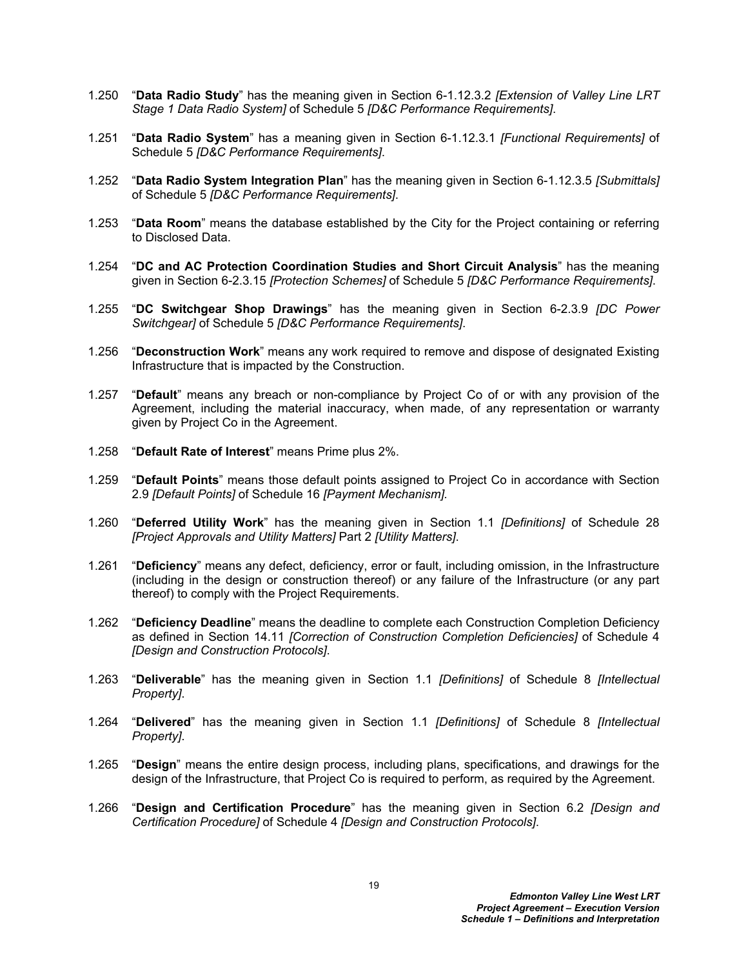- 1.250 "**Data Radio Study**" has the meaning given in Section 6-1.12.3.2 *[Extension of Valley Line LRT Stage 1 Data Radio System]* of Schedule 5 *[D&C Performance Requirements]*.
- 1.251 "**Data Radio System**" has a meaning given in Section 6-1.12.3.1 *[Functional Requirements]* of Schedule 5 *[D&C Performance Requirements]*.
- 1.252 "**Data Radio System Integration Plan**" has the meaning given in Section 6-1.12.3.5 *[Submittals]*  of Schedule 5 *[D&C Performance Requirements]*.
- 1.253 "**Data Room**" means the database established by the City for the Project containing or referring to Disclosed Data.
- 1.254 "**DC and AC Protection Coordination Studies and Short Circuit Analysis**" has the meaning given in Section 6-2.3.15 *[Protection Schemes]* of Schedule 5 *[D&C Performance Requirements]*.
- 1.255 "**DC Switchgear Shop Drawings**" has the meaning given in Section 6-2.3.9 *[DC Power Switchgear]* of Schedule 5 *[D&C Performance Requirements]*.
- 1.256 "**Deconstruction Work**" means any work required to remove and dispose of designated Existing Infrastructure that is impacted by the Construction.
- 1.257 "**Default**" means any breach or non-compliance by Project Co of or with any provision of the Agreement, including the material inaccuracy, when made, of any representation or warranty given by Project Co in the Agreement.
- 1.258 "**Default Rate of Interest**" means Prime plus 2%.
- 1.259 "**Default Points**" means those default points assigned to Project Co in accordance with Section 2.9 *[Default Points]* of Schedule 16 *[Payment Mechanism].*
- 1.260 "**Deferred Utility Work**" has the meaning given in Section 1.1 *[Definitions]* of Schedule 28 *[Project Approvals and Utility Matters]* Part 2 *[Utility Matters]*.
- 1.261 "**Deficiency**" means any defect, deficiency, error or fault, including omission, in the Infrastructure (including in the design or construction thereof) or any failure of the Infrastructure (or any part thereof) to comply with the Project Requirements.
- 1.262 "**Deficiency Deadline**" means the deadline to complete each Construction Completion Deficiency as defined in Section 14.11 *[Correction of Construction Completion Deficiencies]* of Schedule 4 *[Design and Construction Protocols]*.
- 1.263 "**Deliverable**" has the meaning given in Section 1.1 *[Definitions]* of Schedule 8 *[Intellectual Property]*.
- 1.264 "**Delivered**" has the meaning given in Section 1.1 *[Definitions]* of Schedule 8 *[Intellectual Property]*.
- 1.265 "**Design**" means the entire design process, including plans, specifications, and drawings for the design of the Infrastructure, that Project Co is required to perform, as required by the Agreement.
- 1.266 "**Design and Certification Procedure**" has the meaning given in Section 6.2 *[Design and Certification Procedure]* of Schedule 4 *[Design and Construction Protocols]*.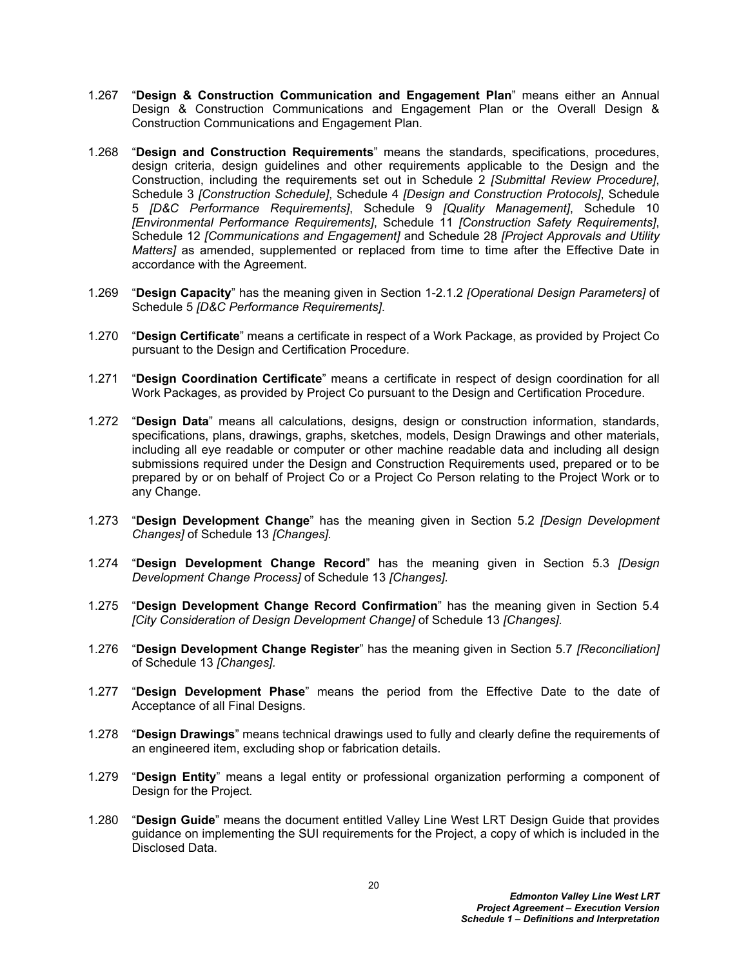- 1.267 "**Design & Construction Communication and Engagement Plan**" means either an Annual Design & Construction Communications and Engagement Plan or the Overall Design & Construction Communications and Engagement Plan.
- 1.268 "**Design and Construction Requirements**" means the standards, specifications, procedures, design criteria, design guidelines and other requirements applicable to the Design and the Construction, including the requirements set out in Schedule 2 *[Submittal Review Procedure]*, Schedule 3 *[Construction Schedule]*, Schedule 4 *[Design and Construction Protocols]*, Schedule 5 *[D&C Performance Requirements]*, Schedule 9 *[Quality Management]*, Schedule 10 *[Environmental Performance Requirements]*, Schedule 11 *[Construction Safety Requirements]*, Schedule 12 *[Communications and Engagement]* and Schedule 28 *[Project Approvals and Utility Matters]* as amended, supplemented or replaced from time to time after the Effective Date in accordance with the Agreement.
- 1.269 "**Design Capacity**" has the meaning given in Section 1-2.1.2 *[Operational Design Parameters]* of Schedule 5 *[D&C Performance Requirements]*.
- 1.270 "**Design Certificate**" means a certificate in respect of a Work Package, as provided by Project Co pursuant to the Design and Certification Procedure.
- 1.271 "**Design Coordination Certificate**" means a certificate in respect of design coordination for all Work Packages, as provided by Project Co pursuant to the Design and Certification Procedure.
- 1.272 "**Design Data**" means all calculations, designs, design or construction information, standards, specifications, plans, drawings, graphs, sketches, models, Design Drawings and other materials, including all eye readable or computer or other machine readable data and including all design submissions required under the Design and Construction Requirements used, prepared or to be prepared by or on behalf of Project Co or a Project Co Person relating to the Project Work or to any Change.
- 1.273 "**Design Development Change**" has the meaning given in Section 5.2 *[Design Development Changes]* of Schedule 13 *[Changes].*
- 1.274 "**Design Development Change Record**" has the meaning given in Section 5.3 *[Design Development Change Process]* of Schedule 13 *[Changes].*
- 1.275 "**Design Development Change Record Confirmation**" has the meaning given in Section 5.4 *[City Consideration of Design Development Change]* of Schedule 13 *[Changes].*
- 1.276 "**Design Development Change Register**" has the meaning given in Section 5.7 *[Reconciliation]* of Schedule 13 *[Changes].*
- 1.277 "**Design Development Phase**" means the period from the Effective Date to the date of Acceptance of all Final Designs.
- 1.278 "**Design Drawings**" means technical drawings used to fully and clearly define the requirements of an engineered item, excluding shop or fabrication details.
- 1.279 "**Design Entity**" means a legal entity or professional organization performing a component of Design for the Project*.*
- 1.280 "**Design Guide**" means the document entitled Valley Line West LRT Design Guide that provides guidance on implementing the SUI requirements for the Project, a copy of which is included in the Disclosed Data.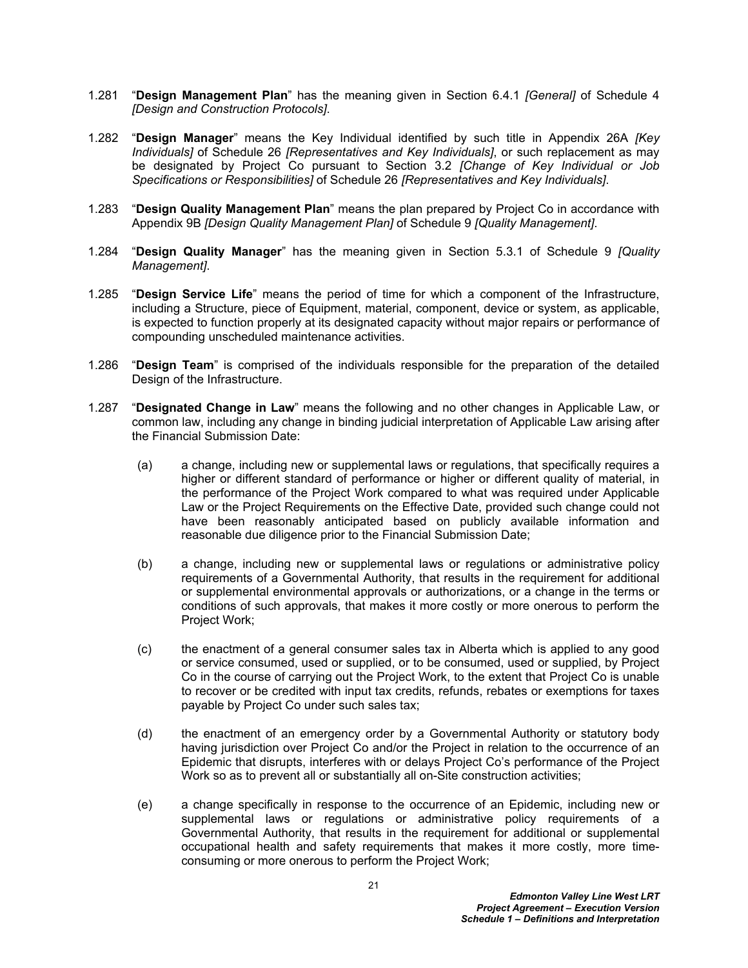- 1.281 "**Design Management Plan**" has the meaning given in Section 6.4.1 *[General]* of Schedule 4 *[Design and Construction Protocols]*.
- 1.282 "**Design Manager**" means the Key Individual identified by such title in Appendix 26A *[Key Individuals]* of Schedule 26 *[Representatives and Key Individuals]*, or such replacement as may be designated by Project Co pursuant to Section 3.2 *[Change of Key Individual or Job Specifications or Responsibilities]* of Schedule 26 *[Representatives and Key Individuals]*.
- 1.283 "**Design Quality Management Plan**" means the plan prepared by Project Co in accordance with Appendix 9B *[Design Quality Management Plan]* of Schedule 9 *[Quality Management]*.
- 1.284 "**Design Quality Manager**" has the meaning given in Section 5.3.1 of Schedule 9 *[Quality Management]*.
- 1.285 "**Design Service Life**" means the period of time for which a component of the Infrastructure, including a Structure, piece of Equipment, material, component, device or system, as applicable, is expected to function properly at its designated capacity without major repairs or performance of compounding unscheduled maintenance activities.
- 1.286 "**Design Team**" is comprised of the individuals responsible for the preparation of the detailed Design of the Infrastructure.
- <span id="page-21-1"></span><span id="page-21-0"></span>1.287 "**Designated Change in Law**" means the following and no other changes in Applicable Law, or common law, including any change in binding judicial interpretation of Applicable Law arising after the Financial Submission Date:
	- (a) a change, including new or supplemental laws or regulations, that specifically requires a higher or different standard of performance or higher or different quality of material, in the performance of the Project Work compared to what was required under Applicable Law or the Project Requirements on the Effective Date, provided such change could not have been reasonably anticipated based on publicly available information and reasonable due diligence prior to the Financial Submission Date;
	- (b) a change, including new or supplemental laws or regulations or administrative policy requirements of a Governmental Authority, that results in the requirement for additional or supplemental environmental approvals or authorizations, or a change in the terms or conditions of such approvals, that makes it more costly or more onerous to perform the Project Work;
	- (c) the enactment of a general consumer sales tax in Alberta which is applied to any good or service consumed, used or supplied, or to be consumed, used or supplied, by Project Co in the course of carrying out the Project Work, to the extent that Project Co is unable to recover or be credited with input tax credits, refunds, rebates or exemptions for taxes payable by Project Co under such sales tax;
	- (d) the enactment of an emergency order by a Governmental Authority or statutory body having jurisdiction over Project Co and/or the Project in relation to the occurrence of an Epidemic that disrupts, interferes with or delays Project Co's performance of the Project Work so as to prevent all or substantially all on-Site construction activities;
	- (e) a change specifically in response to the occurrence of an Epidemic, including new or supplemental laws or regulations or administrative policy requirements of a Governmental Authority, that results in the requirement for additional or supplemental occupational health and safety requirements that makes it more costly, more timeconsuming or more onerous to perform the Project Work;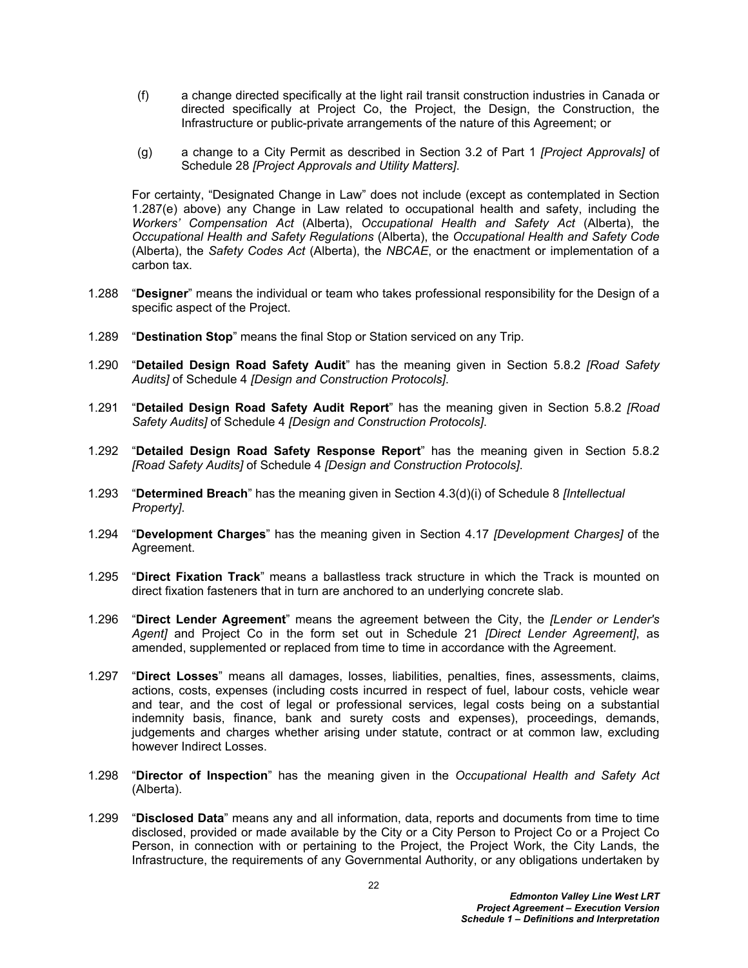- (f) a change directed specifically at the light rail transit construction industries in Canada or directed specifically at Project Co, the Project, the Design, the Construction, the Infrastructure or public-private arrangements of the nature of this Agreement; or
- (g) a change to a City Permit as described in Section 3.2 of Part 1 *[Project Approvals]* of Schedule 28 *[Project Approvals and Utility Matters]*.

For certainty, "Designated Change in Law" does not include (except as contemplated in Section [1.287](#page-21-0)[\(e\)](#page-21-1) above) any Change in Law related to occupational health and safety, including the *Workers' Compensation Act* (Alberta), *Occupational Health and Safety Act* (Alberta), the *Occupational Health and Safety Regulations* (Alberta), the *Occupational Health and Safety Code* (Alberta), the *Safety Codes Act* (Alberta), the *NBCAE*, or the enactment or implementation of a carbon tax.

- 1.288 "**Designer**" means the individual or team who takes professional responsibility for the Design of a specific aspect of the Project.
- 1.289 "**Destination Stop**" means the final Stop or Station serviced on any Trip.
- 1.290 "**Detailed Design Road Safety Audit**" has the meaning given in Section 5.8.2 *[Road Safety Audits]* of Schedule 4 *[Design and Construction Protocols]*.
- 1.291 "**Detailed Design Road Safety Audit Report**" has the meaning given in Section 5.8.2 *[Road Safety Audits]* of Schedule 4 *[Design and Construction Protocols]*.
- 1.292 "**Detailed Design Road Safety Response Report**" has the meaning given in Section 5.8.2 *[Road Safety Audits]* of Schedule 4 *[Design and Construction Protocols]*.
- 1.293 "**Determined Breach**" has the meaning given in Section 4.3(d)(i) of Schedule 8 *[Intellectual Property]*.
- 1.294 "**Development Charges**" has the meaning given in Section 4.17 *[Development Charges]* of the Agreement.
- 1.295 "**Direct Fixation Track**" means a ballastless track structure in which the Track is mounted on direct fixation fasteners that in turn are anchored to an underlying concrete slab.
- 1.296 "**Direct Lender Agreement**" means the agreement between the City, the *[Lender or Lender's Agent]* and Project Co in the form set out in Schedule 21 *[Direct Lender Agreement]*, as amended, supplemented or replaced from time to time in accordance with the Agreement.
- 1.297 "**Direct Losses**" means all damages, losses, liabilities, penalties, fines, assessments, claims, actions, costs, expenses (including costs incurred in respect of fuel, labour costs, vehicle wear and tear, and the cost of legal or professional services, legal costs being on a substantial indemnity basis, finance, bank and surety costs and expenses), proceedings, demands, judgements and charges whether arising under statute, contract or at common law, excluding however Indirect Losses.
- 1.298 "**Director of Inspection**" has the meaning given in the *Occupational Health and Safety Act* (Alberta).
- 1.299 "**Disclosed Data**" means any and all information, data, reports and documents from time to time disclosed, provided or made available by the City or a City Person to Project Co or a Project Co Person, in connection with or pertaining to the Project, the Project Work, the City Lands, the Infrastructure, the requirements of any Governmental Authority, or any obligations undertaken by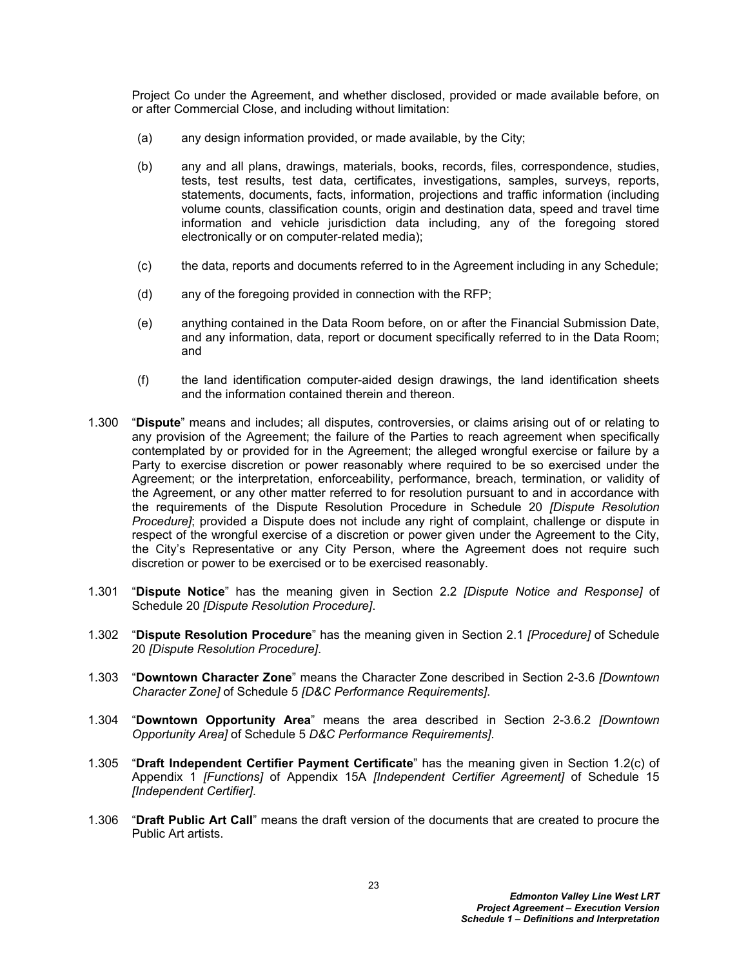Project Co under the Agreement, and whether disclosed, provided or made available before, on or after Commercial Close, and including without limitation:

- (a) any design information provided, or made available, by the City;
- (b) any and all plans, drawings, materials, books, records, files, correspondence, studies, tests, test results, test data, certificates, investigations, samples, surveys, reports, statements, documents, facts, information, projections and traffic information (including volume counts, classification counts, origin and destination data, speed and travel time information and vehicle jurisdiction data including, any of the foregoing stored electronically or on computer-related media);
- (c) the data, reports and documents referred to in the Agreement including in any Schedule;
- (d) any of the foregoing provided in connection with the RFP;
- (e) anything contained in the Data Room before, on or after the Financial Submission Date, and any information, data, report or document specifically referred to in the Data Room; and
- (f) the land identification computer-aided design drawings, the land identification sheets and the information contained therein and thereon.
- 1.300 "**Dispute**" means and includes; all disputes, controversies, or claims arising out of or relating to any provision of the Agreement; the failure of the Parties to reach agreement when specifically contemplated by or provided for in the Agreement; the alleged wrongful exercise or failure by a Party to exercise discretion or power reasonably where required to be so exercised under the Agreement; or the interpretation, enforceability, performance, breach, termination, or validity of the Agreement, or any other matter referred to for resolution pursuant to and in accordance with the requirements of the Dispute Resolution Procedure in Schedule 20 *[Dispute Resolution Procedure]*; provided a Dispute does not include any right of complaint, challenge or dispute in respect of the wrongful exercise of a discretion or power given under the Agreement to the City, the City's Representative or any City Person, where the Agreement does not require such discretion or power to be exercised or to be exercised reasonably.
- 1.301 "**Dispute Notice**" has the meaning given in Section 2.2 *[Dispute Notice and Response]* of Schedule 20 *[Dispute Resolution Procedure]*.
- 1.302 "**Dispute Resolution Procedure**" has the meaning given in Section 2.1 *[Procedure]* of Schedule 20 *[Dispute Resolution Procedure]*.
- 1.303 "**Downtown Character Zone**" means the Character Zone described in Section 2-3.6 *[Downtown Character Zone]* of Schedule 5 *[D&C Performance Requirements]*.
- 1.304 "**Downtown Opportunity Area**" means the area described in Section 2-3.6.2 *[Downtown Opportunity Area]* of Schedule 5 *D&C Performance Requirements]*.
- 1.305 "**Draft Independent Certifier Payment Certificate**" has the meaning given in Section 1.2(c) of Appendix 1 *[Functions]* of Appendix 15A *[Independent Certifier Agreement]* of Schedule 15 *[Independent Certifier]*.
- 1.306 "**Draft Public Art Call**" means the draft version of the documents that are created to procure the Public Art artists.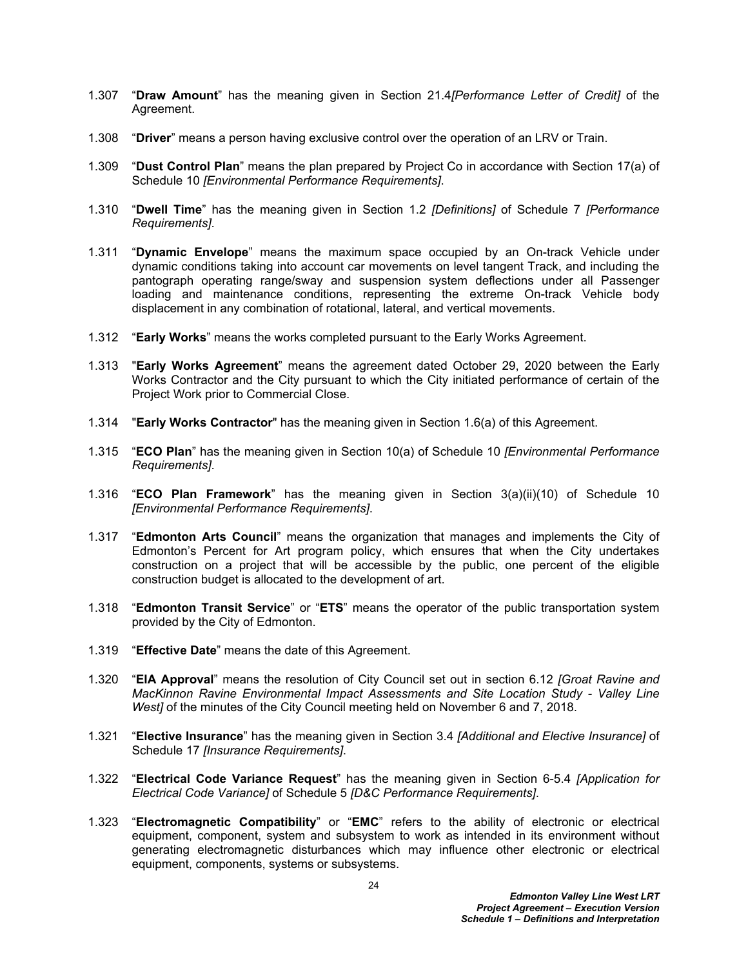- 1.307 "**Draw Amount**" has the meaning given in Section 21.4*[Performance Letter of Credit]* of the Agreement.
- 1.308 "**Driver**" means a person having exclusive control over the operation of an LRV or Train.
- 1.309 "**Dust Control Plan**" means the plan prepared by Project Co in accordance with Section 17(a) of Schedule 10 *[Environmental Performance Requirements]*.
- 1.310 "**Dwell Time**" has the meaning given in Section 1.2 *[Definitions]* of Schedule 7 *[Performance Requirements]*.
- 1.311 "**Dynamic Envelope**" means the maximum space occupied by an On-track Vehicle under dynamic conditions taking into account car movements on level tangent Track, and including the pantograph operating range/sway and suspension system deflections under all Passenger loading and maintenance conditions, representing the extreme On-track Vehicle body displacement in any combination of rotational, lateral, and vertical movements.
- 1.312 "**Early Works**" means the works completed pursuant to the Early Works Agreement.
- 1.313 "**Early Works Agreement**" means the agreement dated October 29, 2020 between the Early Works Contractor and the City pursuant to which the City initiated performance of certain of the Project Work prior to Commercial Close.
- 1.314 "**Early Works Contractor**" has the meaning given in Section 1.6(a) of this Agreement.
- 1.315 "**ECO Plan**" has the meaning given in Section 10(a) of Schedule 10 *[Environmental Performance Requirements]*.
- 1.316 "**ECO Plan Framework**" has the meaning given in Section 3(a)(ii)(10) of Schedule 10 *[Environmental Performance Requirements]*.
- 1.317 "**Edmonton Arts Council**" means the organization that manages and implements the City of Edmonton's Percent for Art program policy, which ensures that when the City undertakes construction on a project that will be accessible by the public, one percent of the eligible construction budget is allocated to the development of art.
- 1.318 "**Edmonton Transit Service**" or "**ETS**" means the operator of the public transportation system provided by the City of Edmonton.
- 1.319 "**Effective Date**" means the date of this Agreement.
- 1.320 "**EIA Approval**" means the resolution of City Council set out in section 6.12 *[[Groat Ravine and](http://sirepub.edmonton.ca/sirepub/agdocs.aspx?doctype=agenda&itemid=71721)  [MacKinnon Ravine Environmental Impact Assessments and Site Location Study - Valley Line](http://sirepub.edmonton.ca/sirepub/agdocs.aspx?doctype=agenda&itemid=71721)  [West\]](http://sirepub.edmonton.ca/sirepub/agdocs.aspx?doctype=agenda&itemid=71721)* of the minutes of the City Council meeting held on November 6 and 7, 2018.
- 1.321 "**Elective Insurance**" has the meaning given in Section 3.4 *[Additional and Elective Insurance]* of Schedule 17 *[Insurance Requirements]*.
- 1.322 "**Electrical Code Variance Request**" has the meaning given in Section 6-5.4 *[Application for Electrical Code Variance]* of Schedule 5 *[D&C Performance Requirements]*.
- 1.323 "**Electromagnetic Compatibility**" or "**EMC**" refers to the ability of electronic or electrical equipment, component, system and subsystem to work as intended in its environment without generating electromagnetic disturbances which may influence other electronic or electrical equipment, components, systems or subsystems.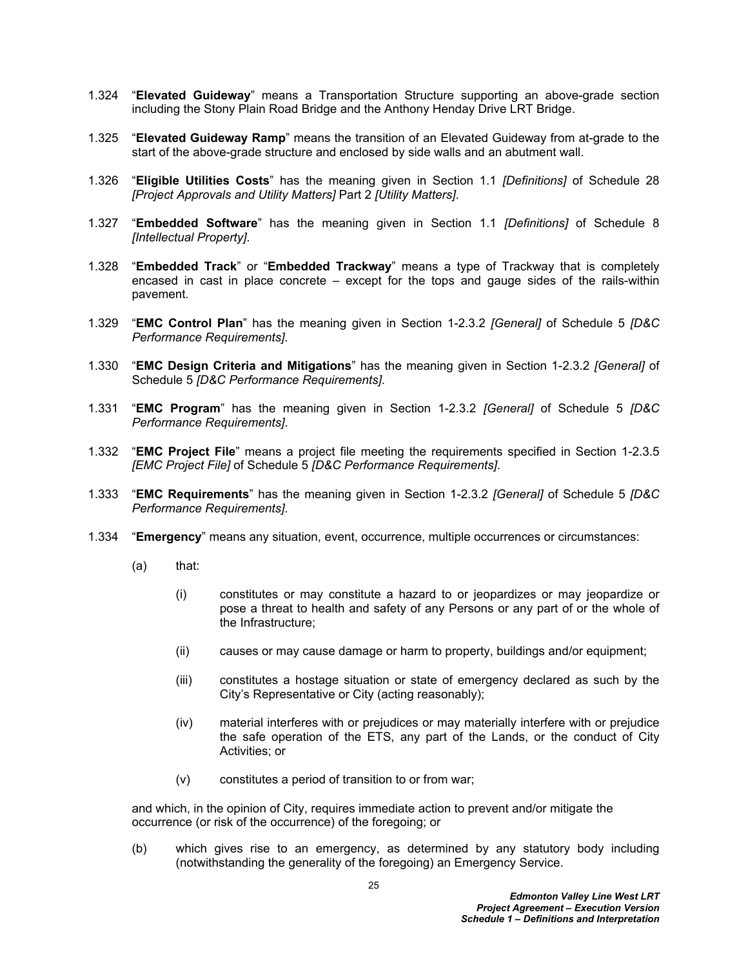- 1.324 "**Elevated Guideway**" means a Transportation Structure supporting an above-grade section including the Stony Plain Road Bridge and the Anthony Henday Drive LRT Bridge.
- 1.325 "**Elevated Guideway Ramp**" means the transition of an Elevated Guideway from at-grade to the start of the above-grade structure and enclosed by side walls and an abutment wall.
- 1.326 "**Eligible Utilities Costs**" has the meaning given in Section 1.1 *[Definitions]* of Schedule 28 *[Project Approvals and Utility Matters]* Part 2 *[Utility Matters]*.
- 1.327 "**Embedded Software**" has the meaning given in Section 1.1 *[Definitions]* of Schedule 8 *[Intellectual Property]*.
- 1.328 "**Embedded Track**" or "**Embedded Trackway**" means a type of Trackway that is completely encased in cast in place concrete – except for the tops and gauge sides of the rails-within pavement.
- 1.329 "**EMC Control Plan**" has the meaning given in Section 1-2.3.2 *[General]* of Schedule 5 *[D&C Performance Requirements]*.
- 1.330 "**EMC Design Criteria and Mitigations**" has the meaning given in Section 1-2.3.2 *[General]* of Schedule 5 *[D&C Performance Requirements]*.
- 1.331 "**EMC Program**" has the meaning given in Section 1-2.3.2 *[General]* of Schedule 5 *[D&C Performance Requirements]*.
- 1.332 "**EMC Project File**" means a project file meeting the requirements specified in Section 1-2.3.5 *[EMC Project File]* of Schedule 5 *[D&C Performance Requirements]*.
- 1.333 "**EMC Requirements**" has the meaning given in Section 1-2.3.2 *[General]* of Schedule 5 *[D&C Performance Requirements]*.
- 1.334 "**Emergency**" means any situation, event, occurrence, multiple occurrences or circumstances:
	- (a) that:
		- (i) constitutes or may constitute a hazard to or jeopardizes or may jeopardize or pose a threat to health and safety of any Persons or any part of or the whole of the Infrastructure;
		- (ii) causes or may cause damage or harm to property, buildings and/or equipment;
		- (iii) constitutes a hostage situation or state of emergency declared as such by the City's Representative or City (acting reasonably);
		- (iv) material interferes with or prejudices or may materially interfere with or prejudice the safe operation of the ETS, any part of the Lands, or the conduct of City Activities; or
		- (v) constitutes a period of transition to or from war;

and which, in the opinion of City, requires immediate action to prevent and/or mitigate the occurrence (or risk of the occurrence) of the foregoing; or

(b) which gives rise to an emergency, as determined by any statutory body including (notwithstanding the generality of the foregoing) an Emergency Service.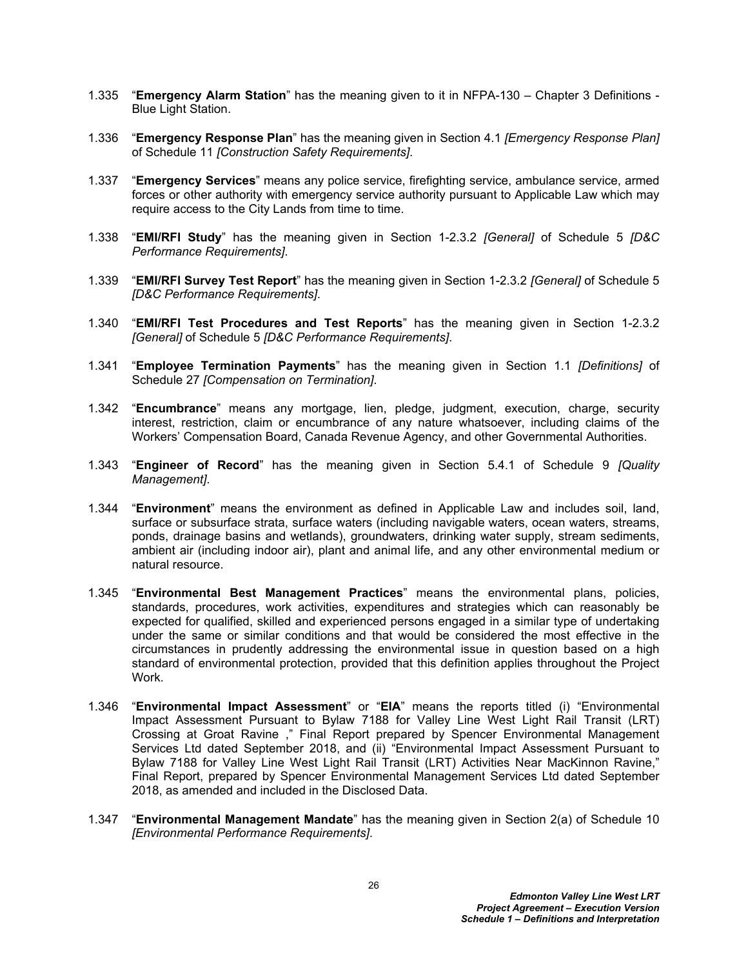- 1.335 "**Emergency Alarm Station**" has the meaning given to it in NFPA-130 Chapter 3 Definitions Blue Light Station.
- 1.336 "**Emergency Response Plan**" has the meaning given in Section 4.1 *[Emergency Response Plan]*  of Schedule 11 *[Construction Safety Requirements]*.
- 1.337 "**Emergency Services**" means any police service, firefighting service, ambulance service, armed forces or other authority with emergency service authority pursuant to Applicable Law which may require access to the City Lands from time to time.
- 1.338 "**EMI/RFI Study**" has the meaning given in Section 1-2.3.2 *[General]* of Schedule 5 *[D&C Performance Requirements]*.
- 1.339 "**EMI/RFI Survey Test Report**" has the meaning given in Section 1-2.3.2 *[General]* of Schedule 5 *[D&C Performance Requirements]*.
- 1.340 "**EMI/RFI Test Procedures and Test Reports**" has the meaning given in Section 1-2.3.2 *[General]* of Schedule 5 *[D&C Performance Requirements]*.
- 1.341 "**Employee Termination Payments**" has the meaning given in Section 1.1 *[Definitions]* of Schedule 27 *[Compensation on Termination]*.
- 1.342 "**Encumbrance**" means any mortgage, lien, pledge, judgment, execution, charge, security interest, restriction, claim or encumbrance of any nature whatsoever, including claims of the Workers' Compensation Board, Canada Revenue Agency, and other Governmental Authorities.
- 1.343 "**Engineer of Record**" has the meaning given in Section 5.4.1 of Schedule 9 *[Quality Management]*.
- 1.344 "**Environment**" means the environment as defined in Applicable Law and includes soil, land, surface or subsurface strata, surface waters (including navigable waters, ocean waters, streams, ponds, drainage basins and wetlands), groundwaters, drinking water supply, stream sediments, ambient air (including indoor air), plant and animal life, and any other environmental medium or natural resource.
- 1.345 "**Environmental Best Management Practices**" means the environmental plans, policies, standards, procedures, work activities, expenditures and strategies which can reasonably be expected for qualified, skilled and experienced persons engaged in a similar type of undertaking under the same or similar conditions and that would be considered the most effective in the circumstances in prudently addressing the environmental issue in question based on a high standard of environmental protection, provided that this definition applies throughout the Project Work.
- 1.346 "**Environmental Impact Assessment**" or "**EIA**" means the reports titled (i) "Environmental Impact Assessment Pursuant to Bylaw 7188 for Valley Line West Light Rail Transit (LRT) Crossing at Groat Ravine ," Final Report prepared by Spencer Environmental Management Services Ltd dated September 2018, and (ii) "Environmental Impact Assessment Pursuant to Bylaw 7188 for Valley Line West Light Rail Transit (LRT) Activities Near MacKinnon Ravine," Final Report, prepared by Spencer Environmental Management Services Ltd dated September 2018, as amended and included in the Disclosed Data.
- 1.347 "**Environmental Management Mandate**" has the meaning given in Section 2(a) of Schedule 10 *[Environmental Performance Requirements]*.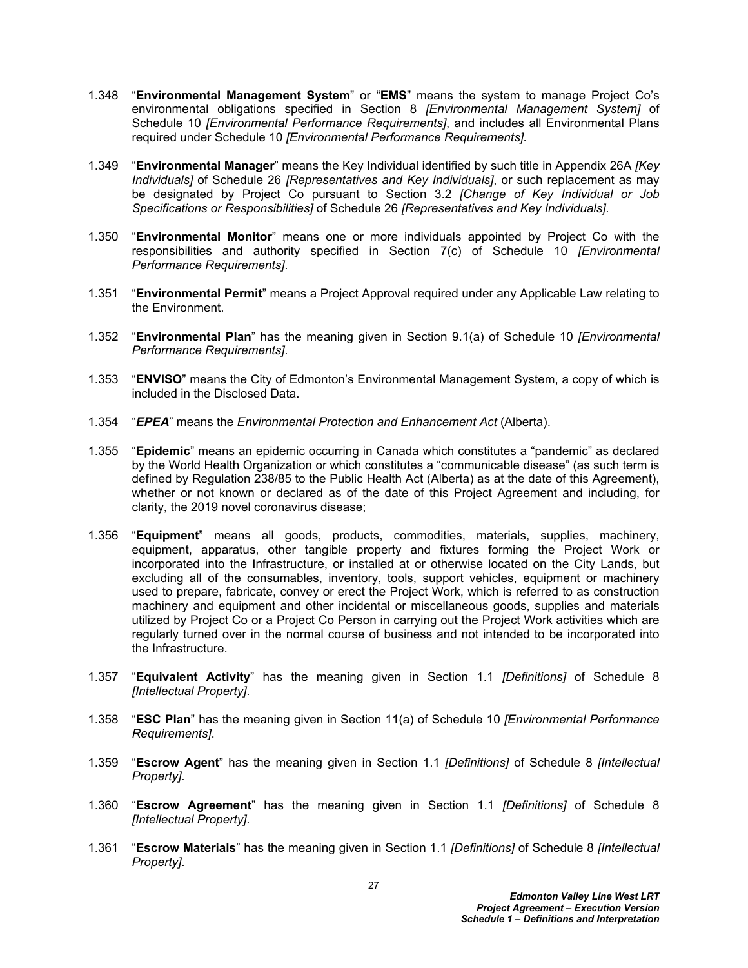- 1.348 "**Environmental Management System**" or "**EMS**" means the system to manage Project Co's environmental obligations specified in Section 8 *[Environmental Management System]* of Schedule 10 *[Environmental Performance Requirements]*, and includes all Environmental Plans required under Schedule 10 *[Environmental Performance Requirements].*
- 1.349 "**Environmental Manager**" means the Key Individual identified by such title in Appendix 26A *[Key Individuals]* of Schedule 26 *[Representatives and Key Individuals]*, or such replacement as may be designated by Project Co pursuant to Section 3.2 *[Change of Key Individual or Job Specifications or Responsibilities]* of Schedule 26 *[Representatives and Key Individuals]*.
- 1.350 "**Environmental Monitor**" means one or more individuals appointed by Project Co with the responsibilities and authority specified in Section 7(c) of Schedule 10 *[Environmental Performance Requirements]*.
- 1.351 "**Environmental Permit**" means a Project Approval required under any Applicable Law relating to the Environment.
- 1.352 "**Environmental Plan**" has the meaning given in Section 9.1(a) of Schedule 10 *[Environmental Performance Requirements]*.
- 1.353 "**ENVISO**" means the City of Edmonton's Environmental Management System, a copy of which is included in the Disclosed Data.
- 1.354 "*EPEA*" means the *Environmental Protection and Enhancement Act* (Alberta).
- 1.355 "**Epidemic**" means an epidemic occurring in Canada which constitutes a "pandemic" as declared by the World Health Organization or which constitutes a "communicable disease" (as such term is defined by Regulation 238/85 to the Public Health Act (Alberta) as at the date of this Agreement), whether or not known or declared as of the date of this Project Agreement and including, for clarity, the 2019 novel coronavirus disease;
- 1.356 "**Equipment**" means all goods, products, commodities, materials, supplies, machinery, equipment, apparatus, other tangible property and fixtures forming the Project Work or incorporated into the Infrastructure, or installed at or otherwise located on the City Lands, but excluding all of the consumables, inventory, tools, support vehicles, equipment or machinery used to prepare, fabricate, convey or erect the Project Work, which is referred to as construction machinery and equipment and other incidental or miscellaneous goods, supplies and materials utilized by Project Co or a Project Co Person in carrying out the Project Work activities which are regularly turned over in the normal course of business and not intended to be incorporated into the Infrastructure.
- 1.357 "**Equivalent Activity**" has the meaning given in Section 1.1 *[Definitions]* of Schedule 8 *[Intellectual Property]*.
- 1.358 "**ESC Plan**" has the meaning given in Section 11(a) of Schedule 10 *[Environmental Performance Requirements]*.
- 1.359 "**Escrow Agent**" has the meaning given in Section 1.1 *[Definitions]* of Schedule 8 *[Intellectual Property]*.
- 1.360 "**Escrow Agreement**" has the meaning given in Section 1.1 *[Definitions]* of Schedule 8 *[Intellectual Property]*.
- 1.361 "**Escrow Materials**" has the meaning given in Section 1.1 *[Definitions]* of Schedule 8 *[Intellectual Property]*.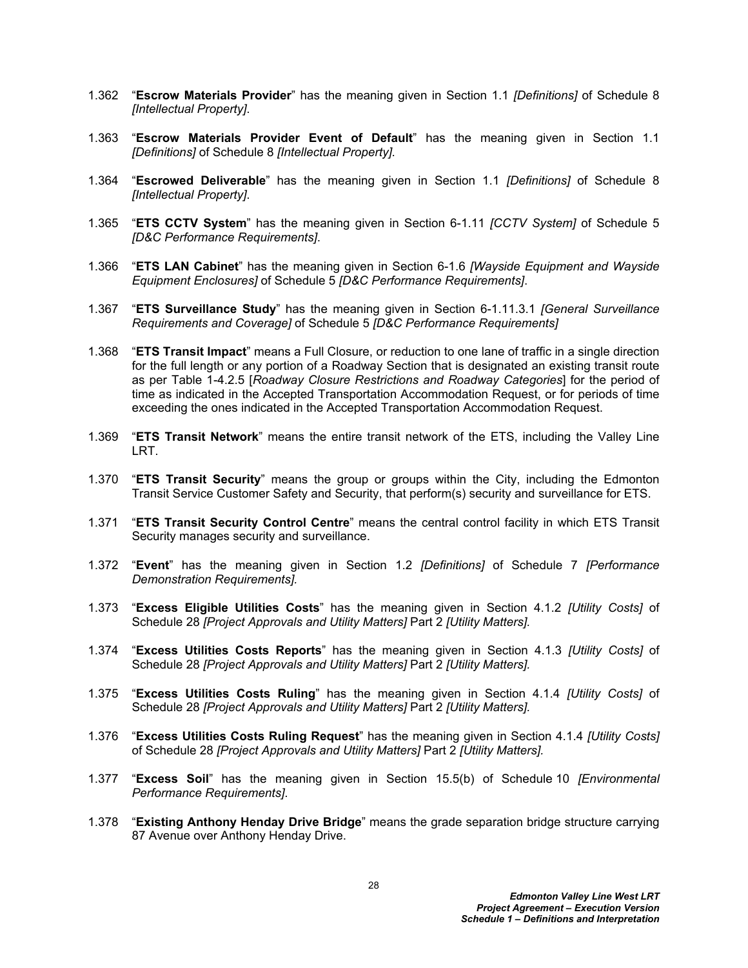- 1.362 "**Escrow Materials Provider**" has the meaning given in Section 1.1 *[Definitions]* of Schedule 8 *[Intellectual Property]*.
- 1.363 "**Escrow Materials Provider Event of Default**" has the meaning given in Section 1.1 *[Definitions]* of Schedule 8 *[Intellectual Property]*.
- 1.364 "**Escrowed Deliverable**" has the meaning given in Section 1.1 *[Definitions]* of Schedule 8 *[Intellectual Property]*.
- 1.365 "**ETS CCTV System**" has the meaning given in Section 6-1.11 *[CCTV System]* of Schedule 5 *[D&C Performance Requirements]*.
- 1.366 "**ETS LAN Cabinet**" has the meaning given in Section 6-1.6 *[Wayside Equipment and Wayside Equipment Enclosures]* of Schedule 5 *[D&C Performance Requirements]*.
- 1.367 "**ETS Surveillance Study**" has the meaning given in Section 6-1.11.3.1 *[General Surveillance Requirements and Coverage]* of Schedule 5 *[D&C Performance Requirements]*
- 1.368 "**ETS Transit Impact**" means a Full Closure, or reduction to one lane of traffic in a single direction for the full length or any portion of a Roadway Section that is designated an existing transit route as per Table 1-4.2.5 [*Roadway Closure Restrictions and Roadway Categories*] for the period of time as indicated in the Accepted Transportation Accommodation Request, or for periods of time exceeding the ones indicated in the Accepted Transportation Accommodation Request.
- 1.369 "**ETS Transit Network**" means the entire transit network of the ETS, including the Valley Line LRT.
- 1.370 "**ETS Transit Security**" means the group or groups within the City, including the Edmonton Transit Service Customer Safety and Security, that perform(s) security and surveillance for ETS.
- 1.371 "**ETS Transit Security Control Centre**" means the central control facility in which ETS Transit Security manages security and surveillance.
- 1.372 "**Event**" has the meaning given in Section 1.2 *[Definitions]* of Schedule 7 *[Performance Demonstration Requirements].*
- 1.373 "**Excess Eligible Utilities Costs**" has the meaning given in Section 4.1.2 *[Utility Costs]* of Schedule 28 *[Project Approvals and Utility Matters]* Part 2 *[Utility Matters].*
- 1.374 "**Excess Utilities Costs Reports**" has the meaning given in Section 4.1.3 *[Utility Costs]* of Schedule 28 *[Project Approvals and Utility Matters]* Part 2 *[Utility Matters].*
- 1.375 "**Excess Utilities Costs Ruling**" has the meaning given in Section 4.1.4 *[Utility Costs]* of Schedule 28 *[Project Approvals and Utility Matters]* Part 2 *[Utility Matters].*
- 1.376 "**Excess Utilities Costs Ruling Request**" has the meaning given in Section 4.1.4 *[Utility Costs]*  of Schedule 28 *[Project Approvals and Utility Matters]* Part 2 *[Utility Matters].*
- 1.377 "**Excess Soil**" has the meaning given in Section 15.5(b) of Schedule 10 *[Environmental Performance Requirements]*.
- 1.378 "**Existing Anthony Henday Drive Bridge**" means the grade separation bridge structure carrying 87 Avenue over Anthony Henday Drive.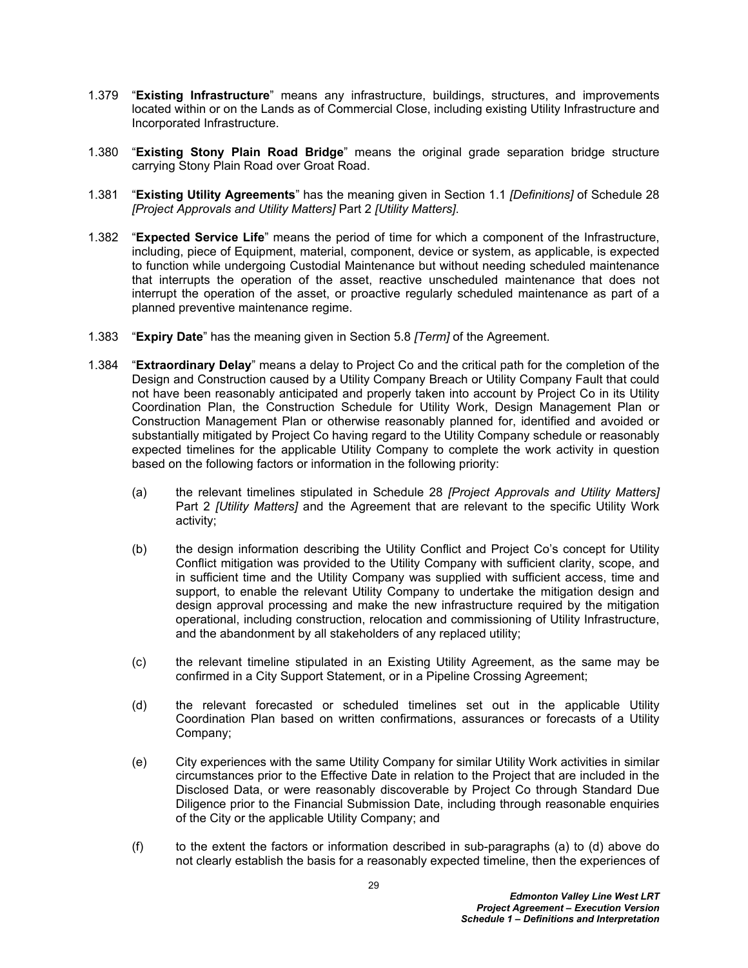- 1.379 "**Existing Infrastructure**" means any infrastructure, buildings, structures, and improvements located within or on the Lands as of Commercial Close, including existing Utility Infrastructure and Incorporated Infrastructure.
- 1.380 "**Existing Stony Plain Road Bridge**" means the original grade separation bridge structure carrying Stony Plain Road over Groat Road.
- 1.381 "**Existing Utility Agreements**" has the meaning given in Section 1.1 *[Definitions]* of Schedule 28 *[Project Approvals and Utility Matters]* Part 2 *[Utility Matters]*.
- 1.382 "**Expected Service Life**" means the period of time for which a component of the Infrastructure, including, piece of Equipment, material, component, device or system, as applicable, is expected to function while undergoing Custodial Maintenance but without needing scheduled maintenance that interrupts the operation of the asset, reactive unscheduled maintenance that does not interrupt the operation of the asset, or proactive regularly scheduled maintenance as part of a planned preventive maintenance regime.
- 1.383 "**Expiry Date**" has the meaning given in Section 5.8 *[Term]* of the Agreement.
- <span id="page-29-1"></span><span id="page-29-0"></span>1.384 "**Extraordinary Delay**" means a delay to Project Co and the critical path for the completion of the Design and Construction caused by a Utility Company Breach or Utility Company Fault that could not have been reasonably anticipated and properly taken into account by Project Co in its Utility Coordination Plan, the Construction Schedule for Utility Work, Design Management Plan or Construction Management Plan or otherwise reasonably planned for, identified and avoided or substantially mitigated by Project Co having regard to the Utility Company schedule or reasonably expected timelines for the applicable Utility Company to complete the work activity in question based on the following factors or information in the following priority:
	- (a) the relevant timelines stipulated in Schedule 28 *[Project Approvals and Utility Matters]* Part 2 *[Utility Matters]* and the Agreement that are relevant to the specific Utility Work activity;
	- (b) the design information describing the Utility Conflict and Project Co's concept for Utility Conflict mitigation was provided to the Utility Company with sufficient clarity, scope, and in sufficient time and the Utility Company was supplied with sufficient access, time and support, to enable the relevant Utility Company to undertake the mitigation design and design approval processing and make the new infrastructure required by the mitigation operational, including construction, relocation and commissioning of Utility Infrastructure, and the abandonment by all stakeholders of any replaced utility;
	- (c) the relevant timeline stipulated in an Existing Utility Agreement, as the same may be confirmed in a City Support Statement, or in a Pipeline Crossing Agreement;
	- (d) the relevant forecasted or scheduled timelines set out in the applicable Utility Coordination Plan based on written confirmations, assurances or forecasts of a Utility Company;
	- (e) City experiences with the same Utility Company for similar Utility Work activities in similar circumstances prior to the Effective Date in relation to the Project that are included in the Disclosed Data, or were reasonably discoverable by Project Co through Standard Due Diligence prior to the Financial Submission Date, including through reasonable enquiries of the City or the applicable Utility Company; and
	- (f) to the extent the factors or information described in sub-paragraphs [\(a\)](#page-29-0) to [\(d\)](#page-29-1) above do not clearly establish the basis for a reasonably expected timeline, then the experiences of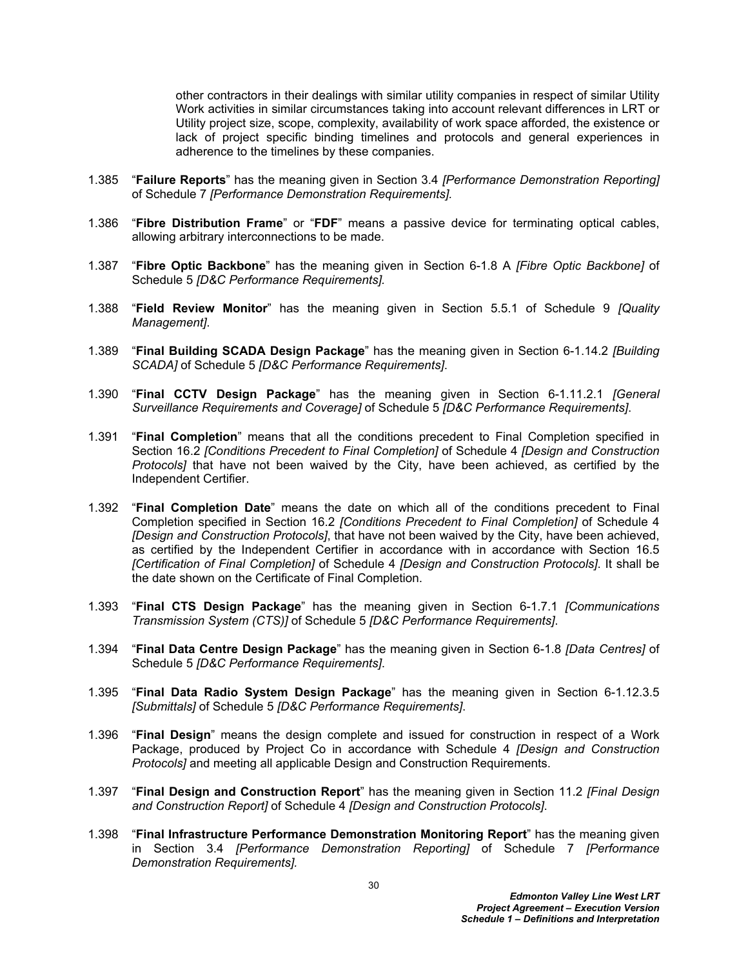other contractors in their dealings with similar utility companies in respect of similar Utility Work activities in similar circumstances taking into account relevant differences in LRT or Utility project size, scope, complexity, availability of work space afforded, the existence or lack of project specific binding timelines and protocols and general experiences in adherence to the timelines by these companies.

- 1.385 "**Failure Reports**" has the meaning given in Section 3.4 *[Performance Demonstration Reporting]* of Schedule 7 *[Performance Demonstration Requirements].*
- 1.386 "**Fibre Distribution Frame**" or "**FDF**" means a passive device for terminating optical cables, allowing arbitrary interconnections to be made.
- 1.387 "**Fibre Optic Backbone**" has the meaning given in Section 6-1.8 A *[Fibre Optic Backbone]* of Schedule 5 *[D&C Performance Requirements].*
- 1.388 "**Field Review Monitor**" has the meaning given in Section 5.5.1 of Schedule 9 *[Quality Management]*.
- 1.389 "**Final Building SCADA Design Package**" has the meaning given in Section 6-1.14.2 *[Building SCADA]* of Schedule 5 *[D&C Performance Requirements]*.
- 1.390 "**Final CCTV Design Package**" has the meaning given in Section 6-1.11.2.1 *[General Surveillance Requirements and Coverage]* of Schedule 5 *[D&C Performance Requirements]*.
- 1.391 "**Final Completion**" means that all the conditions precedent to Final Completion specified in Section 16.2 *[Conditions Precedent to Final Completion]* of Schedule 4 *[Design and Construction Protocols]* that have not been waived by the City, have been achieved, as certified by the Independent Certifier.
- 1.392 "**Final Completion Date**" means the date on which all of the conditions precedent to Final Completion specified in Section 16.2 *[Conditions Precedent to Final Completion]* of Schedule 4 *[Design and Construction Protocols]*, that have not been waived by the City, have been achieved, as certified by the Independent Certifier in accordance with in accordance with Section 16.5 *[Certification of Final Completion]* of Schedule 4 *[Design and Construction Protocols]*. It shall be the date shown on the Certificate of Final Completion.
- 1.393 "**Final CTS Design Package**" has the meaning given in Section 6-1.7.1 *[Communications Transmission System (CTS)]* of Schedule 5 *[D&C Performance Requirements]*.
- 1.394 "**Final Data Centre Design Package**" has the meaning given in Section 6-1.8 *[Data Centres]* of Schedule 5 *[D&C Performance Requirements]*.
- 1.395 "**Final Data Radio System Design Package**" has the meaning given in Section 6-1.12.3.5 *[Submittals]* of Schedule 5 *[D&C Performance Requirements]*.
- 1.396 "**Final Design**" means the design complete and issued for construction in respect of a Work Package, produced by Project Co in accordance with Schedule 4 *[Design and Construction Protocols]* and meeting all applicable Design and Construction Requirements.
- 1.397 "**Final Design and Construction Report**" has the meaning given in Section 11.2 *[Final Design and Construction Report]* of Schedule 4 *[Design and Construction Protocols]*.
- 1.398 "**Final Infrastructure Performance Demonstration Monitoring Report**" has the meaning given in Section 3.4 *[Performance Demonstration Reporting]* of Schedule 7 *[Performance Demonstration Requirements].*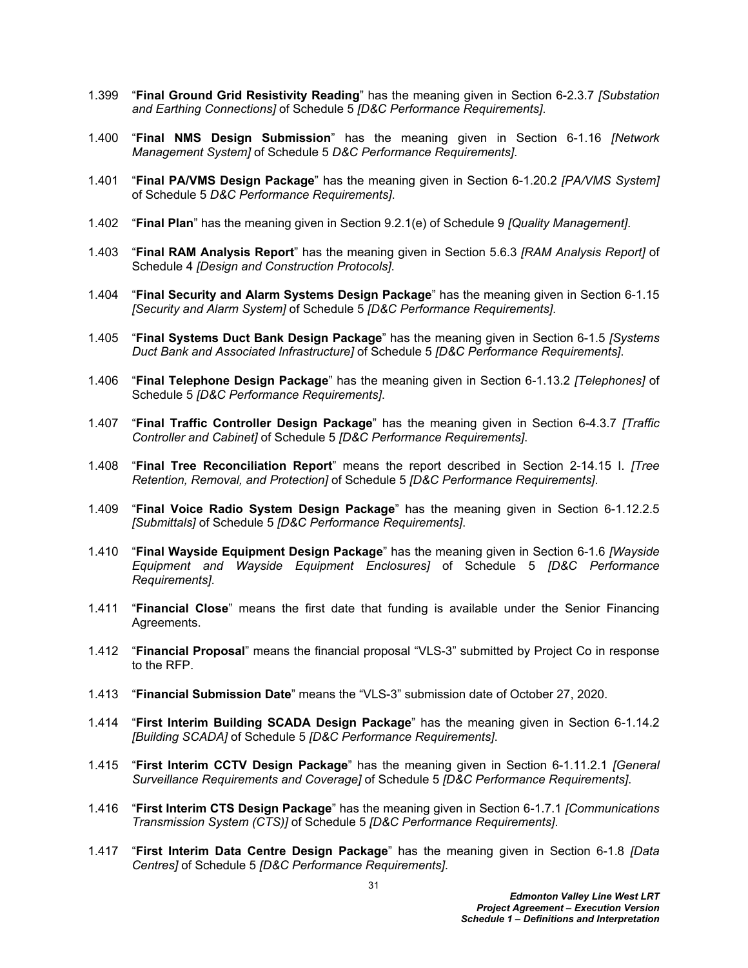- 1.399 "**Final Ground Grid Resistivity Reading**" has the meaning given in Section 6-2.3.7 *[Substation and Earthing Connections]* of Schedule 5 *[D&C Performance Requirements]*.
- 1.400 "**Final NMS Design Submission**" has the meaning given in Section 6-1.16 *[Network Management System]* of Schedule 5 *D&C Performance Requirements]*.
- 1.401 "**Final PA/VMS Design Package**" has the meaning given in Section 6-1.20.2 *[PA/VMS System]*  of Schedule 5 *D&C Performance Requirements]*.
- 1.402 "**Final Plan**" has the meaning given in Section 9.2.1(e) of Schedule 9 *[Quality Management]*.
- 1.403 "**Final RAM Analysis Report**" has the meaning given in Section 5.6.3 *[RAM Analysis Report]* of Schedule 4 *[Design and Construction Protocols]*.
- 1.404 "**Final Security and Alarm Systems Design Package**" has the meaning given in Section 6-1.15 *[Security and Alarm System]* of Schedule 5 *[D&C Performance Requirements]*.
- 1.405 "**Final Systems Duct Bank Design Package**" has the meaning given in Section 6-1.5 *[Systems Duct Bank and Associated Infrastructure]* of Schedule 5 *[D&C Performance Requirements]*.
- 1.406 "**Final Telephone Design Package**" has the meaning given in Section 6-1.13.2 *[Telephones]* of Schedule 5 *[D&C Performance Requirements]*.
- 1.407 "**Final Traffic Controller Design Package**" has the meaning given in Section 6-4.3.7 *[Traffic Controller and Cabinet]* of Schedule 5 *[D&C Performance Requirements]*.
- 1.408 "**Final Tree Reconciliation Report**" means the report described in Section 2-14.15 I. *[Tree Retention, Removal, and Protection]* of Schedule 5 *[D&C Performance Requirements]*.
- 1.409 "**Final Voice Radio System Design Package**" has the meaning given in Section 6-1.12.2.5 *[Submittals]* of Schedule 5 *[D&C Performance Requirements]*.
- 1.410 "**Final Wayside Equipment Design Package**" has the meaning given in Section 6-1.6 *[Wayside Equipment and Wayside Equipment Enclosures]* of Schedule 5 *[D&C Performance Requirements]*.
- 1.411 "**Financial Close**" means the first date that funding is available under the Senior Financing Agreements.
- 1.412 "**Financial Proposal**" means the financial proposal "VLS-3" submitted by Project Co in response to the RFP.
- 1.413 "**Financial Submission Date**" means the "VLS-3" submission date of October 27, 2020.
- 1.414 "**First Interim Building SCADA Design Package**" has the meaning given in Section 6-1.14.2 *[Building SCADA]* of Schedule 5 *[D&C Performance Requirements]*.
- 1.415 "**First Interim CCTV Design Package**" has the meaning given in Section 6-1.11.2.1 *[General Surveillance Requirements and Coverage]* of Schedule 5 *[D&C Performance Requirements]*.
- 1.416 "**First Interim CTS Design Package**" has the meaning given in Section 6-1.7.1 *[Communications Transmission System (CTS)]* of Schedule 5 *[D&C Performance Requirements]*.
- 1.417 "**First Interim Data Centre Design Package**" has the meaning given in Section 6-1.8 *[Data Centres]* of Schedule 5 *[D&C Performance Requirements]*.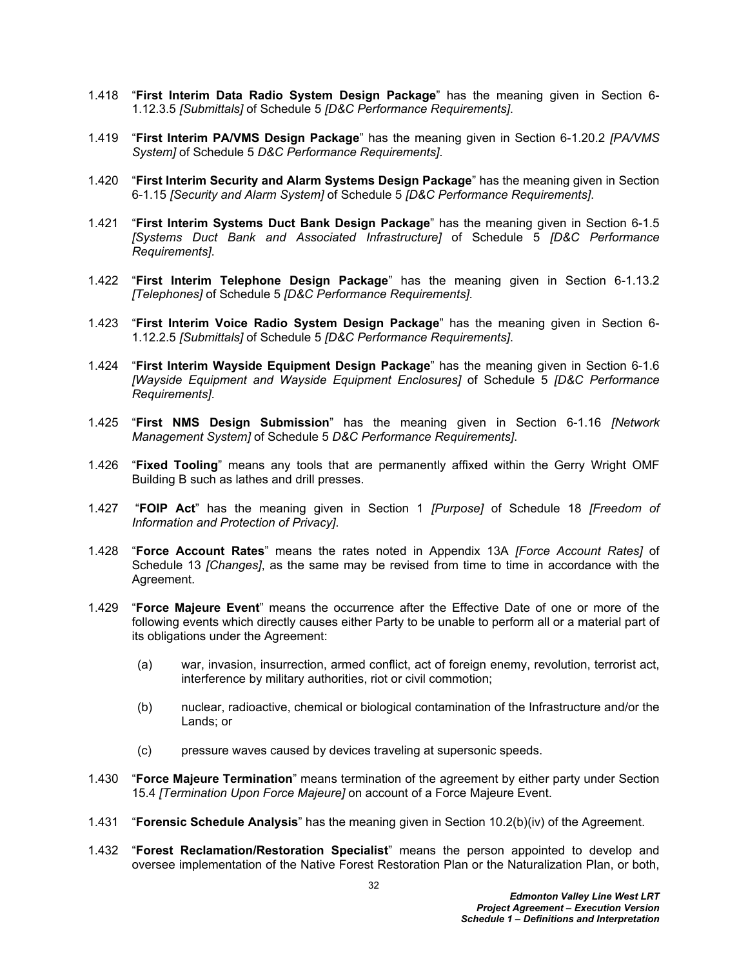- 1.418 "**First Interim Data Radio System Design Package**" has the meaning given in Section 6- 1.12.3.5 *[Submittals]* of Schedule 5 *[D&C Performance Requirements]*.
- 1.419 "**First Interim PA/VMS Design Package**" has the meaning given in Section 6-1.20.2 *[PA/VMS System]* of Schedule 5 *D&C Performance Requirements]*.
- 1.420 "**First Interim Security and Alarm Systems Design Package**" has the meaning given in Section 6-1.15 *[Security and Alarm System]* of Schedule 5 *[D&C Performance Requirements]*.
- 1.421 "**First Interim Systems Duct Bank Design Package**" has the meaning given in Section 6-1.5 *[Systems Duct Bank and Associated Infrastructure]* of Schedule 5 *[D&C Performance Requirements]*.
- 1.422 "**First Interim Telephone Design Package**" has the meaning given in Section 6-1.13.2 *[Telephones]* of Schedule 5 *[D&C Performance Requirements]*.
- 1.423 "**First Interim Voice Radio System Design Package**" has the meaning given in Section 6- 1.12.2.5 *[Submittals]* of Schedule 5 *[D&C Performance Requirements]*.
- 1.424 "**First Interim Wayside Equipment Design Package**" has the meaning given in Section 6-1.6 *[Wayside Equipment and Wayside Equipment Enclosures]* of Schedule 5 *[D&C Performance Requirements]*.
- 1.425 "**First NMS Design Submission**" has the meaning given in Section 6-1.16 *[Network Management System]* of Schedule 5 *D&C Performance Requirements]*.
- 1.426 "**Fixed Tooling**" means any tools that are permanently affixed within the Gerry Wright OMF Building B such as lathes and drill presses.
- 1.427 "**FOIP Act**" has the meaning given in Section 1 *[Purpose]* of Schedule 18 *[Freedom of Information and Protection of Privacy]*.
- 1.428 "**Force Account Rates**" means the rates noted in Appendix 13A *[Force Account Rates]* of Schedule 13 *[Changes]*, as the same may be revised from time to time in accordance with the Agreement.
- 1.429 "**Force Majeure Event**" means the occurrence after the Effective Date of one or more of the following events which directly causes either Party to be unable to perform all or a material part of its obligations under the Agreement:
	- (a) war, invasion, insurrection, armed conflict, act of foreign enemy, revolution, terrorist act, interference by military authorities, riot or civil commotion;
	- (b) nuclear, radioactive, chemical or biological contamination of the Infrastructure and/or the Lands; or
	- (c) pressure waves caused by devices traveling at supersonic speeds.
- 1.430 "**Force Majeure Termination**" means termination of the agreement by either party under Section 15.4 *[Termination Upon Force Majeure]* on account of a Force Majeure Event.
- 1.431 "**Forensic Schedule Analysis**" has the meaning given in Section 10.2(b)(iv) of the Agreement.
- 1.432 "**Forest Reclamation/Restoration Specialist**" means the person appointed to develop and oversee implementation of the Native Forest Restoration Plan or the Naturalization Plan, or both,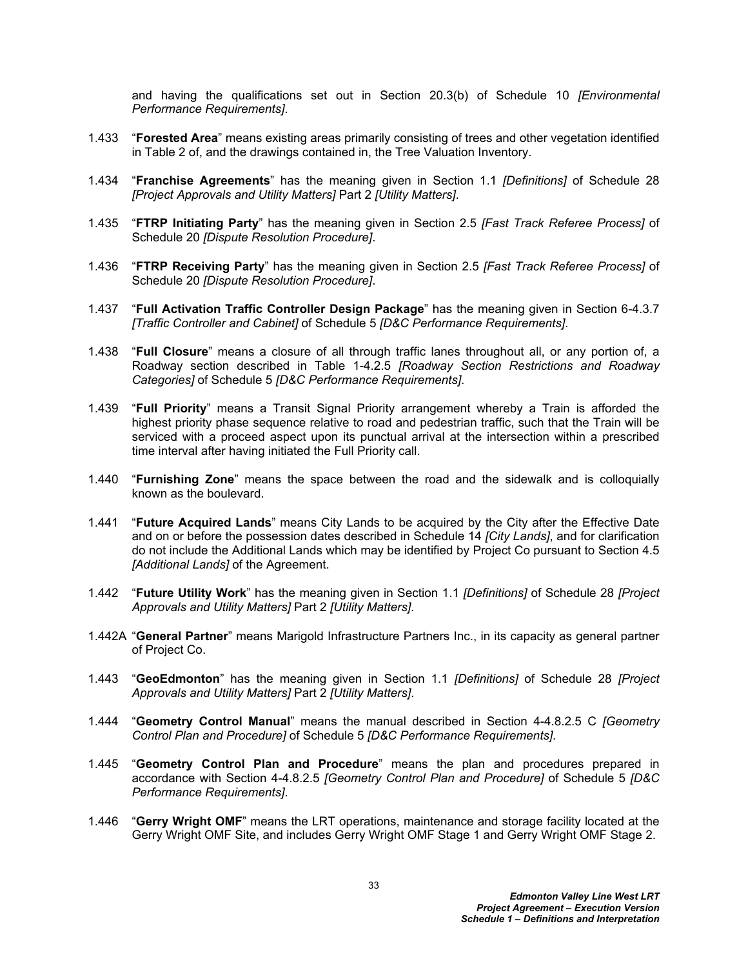and having the qualifications set out in Section 20.3(b) of Schedule 10 *[Environmental Performance Requirements]*.

- 1.433 "**Forested Area**" means existing areas primarily consisting of trees and other vegetation identified in Table 2 of, and the drawings contained in, the Tree Valuation Inventory.
- 1.434 "**Franchise Agreements**" has the meaning given in Section 1.1 *[Definitions]* of Schedule 28 *[Project Approvals and Utility Matters]* Part 2 *[Utility Matters]*.
- 1.435 "**FTRP Initiating Party**" has the meaning given in Section 2.5 *[Fast Track Referee Process]* of Schedule 20 *[Dispute Resolution Procedure]*.
- 1.436 "**FTRP Receiving Party**" has the meaning given in Section 2.5 *[Fast Track Referee Process]* of Schedule 20 *[Dispute Resolution Procedure]*.
- 1.437 "**Full Activation Traffic Controller Design Package**" has the meaning given in Section 6-4.3.7 *[Traffic Controller and Cabinet]* of Schedule 5 *[D&C Performance Requirements]*.
- 1.438 "**Full Closure**" means a closure of all through traffic lanes throughout all, or any portion of, a Roadway section described in Table 1-4.2.5 *[Roadway Section Restrictions and Roadway Categories]* of Schedule 5 *[D&C Performance Requirements]*.
- 1.439 "**Full Priority**" means a Transit Signal Priority arrangement whereby a Train is afforded the highest priority phase sequence relative to road and pedestrian traffic, such that the Train will be serviced with a proceed aspect upon its punctual arrival at the intersection within a prescribed time interval after having initiated the Full Priority call.
- 1.440 "**Furnishing Zone**" means the space between the road and the sidewalk and is colloquially known as the boulevard.
- 1.441 "**Future Acquired Lands**" means City Lands to be acquired by the City after the Effective Date and on or before the possession dates described in Schedule 14 *[City Lands]*, and for clarification do not include the Additional Lands which may be identified by Project Co pursuant to Section 4.5 *[Additional Lands]* of the Agreement.
- 1.442 "**Future Utility Work**" has the meaning given in Section 1.1 *[Definitions]* of Schedule 28 *[Project Approvals and Utility Matters]* Part 2 *[Utility Matters]*.
- 1.442A "**General Partner**" means Marigold Infrastructure Partners Inc., in its capacity as general partner of Project Co.
- 1.443 "**GeoEdmonton**" has the meaning given in Section 1.1 *[Definitions]* of Schedule 28 *[Project Approvals and Utility Matters]* Part 2 *[Utility Matters]*.
- 1.444 "**Geometry Control Manual**" means the manual described in Section 4-4.8.2.5 C *[Geometry Control Plan and Procedure]* of Schedule 5 *[D&C Performance Requirements]*.
- 1.445 "**Geometry Control Plan and Procedure**" means the plan and procedures prepared in accordance with Section 4-4.8.2.5 *[Geometry Control Plan and Procedure]* of Schedule 5 *[D&C Performance Requirements]*.
- 1.446 "**Gerry Wright OMF**" means the LRT operations, maintenance and storage facility located at the Gerry Wright OMF Site, and includes Gerry Wright OMF Stage 1 and Gerry Wright OMF Stage 2.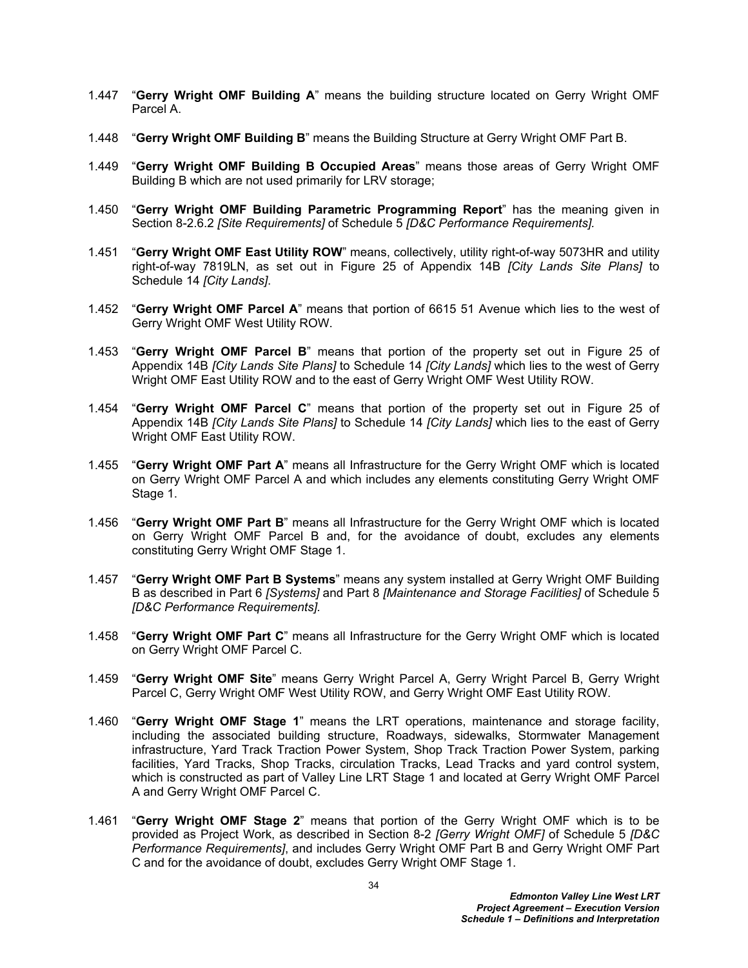- 1.447 "**Gerry Wright OMF Building A**" means the building structure located on Gerry Wright OMF Parcel A.
- 1.448 "**Gerry Wright OMF Building B**" means the Building Structure at Gerry Wright OMF Part B.
- 1.449 "**Gerry Wright OMF Building B Occupied Areas**" means those areas of Gerry Wright OMF Building B which are not used primarily for LRV storage;
- 1.450 "**Gerry Wright OMF Building Parametric Programming Report**" has the meaning given in Section 8-2.6.2 *[Site Requirements]* of Schedule 5 *[D&C Performance Requirements].*
- 1.451 "**Gerry Wright OMF East Utility ROW**" means, collectively, utility right-of-way 5073HR and utility right-of-way 7819LN, as set out in Figure 25 of Appendix 14B *[City Lands Site Plans]* to Schedule 14 *[City Lands]*.
- 1.452 "**Gerry Wright OMF Parcel A**" means that portion of 6615 51 Avenue which lies to the west of Gerry Wright OMF West Utility ROW.
- 1.453 "**Gerry Wright OMF Parcel B**" means that portion of the property set out in Figure 25 of Appendix 14B *[City Lands Site Plans]* to Schedule 14 *[City Lands]* which lies to the west of Gerry Wright OMF East Utility ROW and to the east of Gerry Wright OMF West Utility ROW.
- 1.454 "**Gerry Wright OMF Parcel C**" means that portion of the property set out in Figure 25 of Appendix 14B *[City Lands Site Plans]* to Schedule 14 *[City Lands]* which lies to the east of Gerry Wright OMF East Utility ROW.
- 1.455 "**Gerry Wright OMF Part A**" means all Infrastructure for the Gerry Wright OMF which is located on Gerry Wright OMF Parcel A and which includes any elements constituting Gerry Wright OMF Stage 1.
- 1.456 "**Gerry Wright OMF Part B**" means all Infrastructure for the Gerry Wright OMF which is located on Gerry Wright OMF Parcel B and, for the avoidance of doubt, excludes any elements constituting Gerry Wright OMF Stage 1.
- 1.457 "**Gerry Wright OMF Part B Systems**" means any system installed at Gerry Wright OMF Building B as described in Part 6 *[Systems]* and Part 8 *[Maintenance and Storage Facilities]* of Schedule 5 *[D&C Performance Requirements].*
- 1.458 "**Gerry Wright OMF Part C**" means all Infrastructure for the Gerry Wright OMF which is located on Gerry Wright OMF Parcel C.
- 1.459 "**Gerry Wright OMF Site**" means Gerry Wright Parcel A, Gerry Wright Parcel B, Gerry Wright Parcel C, Gerry Wright OMF West Utility ROW, and Gerry Wright OMF East Utility ROW.
- 1.460 "**Gerry Wright OMF Stage 1**" means the LRT operations, maintenance and storage facility, including the associated building structure, Roadways, sidewalks, Stormwater Management infrastructure, Yard Track Traction Power System, Shop Track Traction Power System, parking facilities, Yard Tracks, Shop Tracks, circulation Tracks, Lead Tracks and yard control system, which is constructed as part of Valley Line LRT Stage 1 and located at Gerry Wright OMF Parcel A and Gerry Wright OMF Parcel C.
- 1.461 "**Gerry Wright OMF Stage 2**" means that portion of the Gerry Wright OMF which is to be provided as Project Work, as described in Section 8-2 *[Gerry Wright OMF]* of Schedule 5 *[D&C Performance Requirements]*, and includes Gerry Wright OMF Part B and Gerry Wright OMF Part C and for the avoidance of doubt, excludes Gerry Wright OMF Stage 1.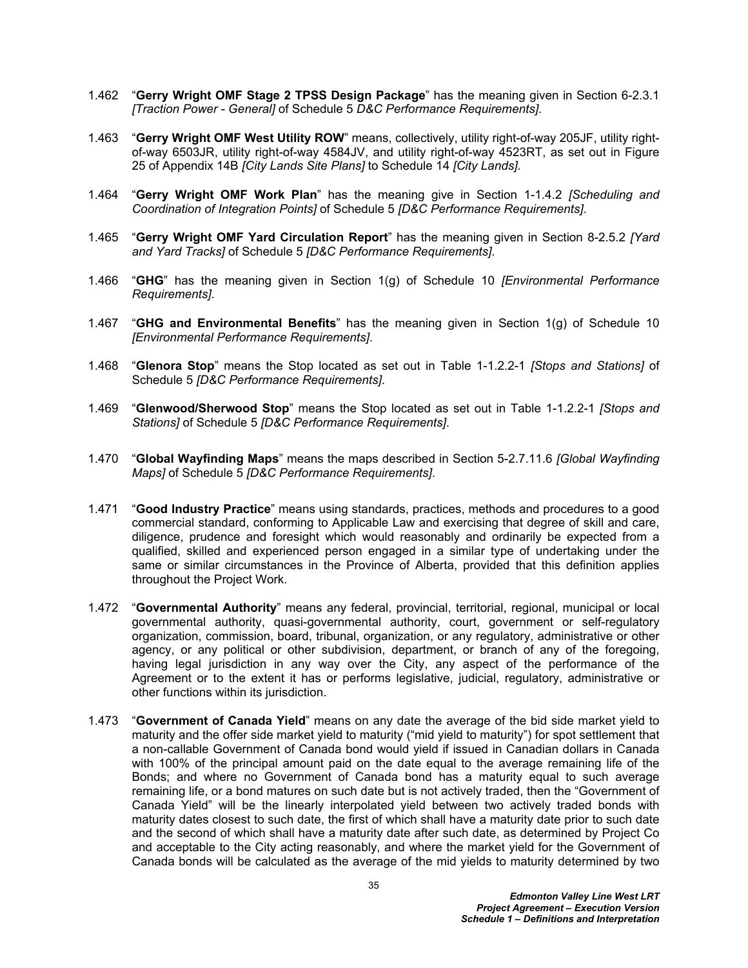- 1.462 "**Gerry Wright OMF Stage 2 TPSS Design Package**" has the meaning given in Section 6-2.3.1 *[Traction Power - General]* of Schedule 5 *D&C Performance Requirements]*.
- 1.463 "**Gerry Wright OMF West Utility ROW**" means, collectively, utility right-of-way 205JF, utility rightof-way 6503JR, utility right-of-way 4584JV, and utility right-of-way 4523RT, as set out in Figure 25 of Appendix 14B *[City Lands Site Plans]* to Schedule 14 *[City Lands]*.
- 1.464 "**Gerry Wright OMF Work Plan**" has the meaning give in Section 1-1.4.2 *[Scheduling and Coordination of Integration Points]* of Schedule 5 *[D&C Performance Requirements]*.
- 1.465 "**Gerry Wright OMF Yard Circulation Report**" has the meaning given in Section 8-2.5.2 *[Yard and Yard Tracks]* of Schedule 5 *[D&C Performance Requirements]*.
- 1.466 "**GHG**" has the meaning given in Section 1(g) of Schedule 10 *[Environmental Performance Requirements]*.
- 1.467 "**GHG and Environmental Benefits**" has the meaning given in Section 1(g) of Schedule 10 *[Environmental Performance Requirements]*.
- 1.468 "**Glenora Stop**" means the Stop located as set out in Table 1-1.2.2-1 *[Stops and Stations]* of Schedule 5 *[D&C Performance Requirements]*.
- 1.469 "**Glenwood/Sherwood Stop**" means the Stop located as set out in Table 1-1.2.2-1 *[Stops and Stations]* of Schedule 5 *[D&C Performance Requirements]*.
- 1.470 "**Global Wayfinding Maps**" means the maps described in Section 5-2.7.11.6 *[Global Wayfinding Maps]* of Schedule 5 *[D&C Performance Requirements]*.
- 1.471 "**Good Industry Practice**" means using standards, practices, methods and procedures to a good commercial standard, conforming to Applicable Law and exercising that degree of skill and care, diligence, prudence and foresight which would reasonably and ordinarily be expected from a qualified, skilled and experienced person engaged in a similar type of undertaking under the same or similar circumstances in the Province of Alberta, provided that this definition applies throughout the Project Work.
- 1.472 "**Governmental Authority**" means any federal, provincial, territorial, regional, municipal or local governmental authority, quasi-governmental authority, court, government or self-regulatory organization, commission, board, tribunal, organization, or any regulatory, administrative or other agency, or any political or other subdivision, department, or branch of any of the foregoing, having legal jurisdiction in any way over the City, any aspect of the performance of the Agreement or to the extent it has or performs legislative, judicial, regulatory, administrative or other functions within its jurisdiction.
- 1.473 "**Government of Canada Yield**" means on any date the average of the bid side market yield to maturity and the offer side market yield to maturity ("mid yield to maturity") for spot settlement that a non-callable Government of Canada bond would yield if issued in Canadian dollars in Canada with 100% of the principal amount paid on the date equal to the average remaining life of the Bonds; and where no Government of Canada bond has a maturity equal to such average remaining life, or a bond matures on such date but is not actively traded, then the "Government of Canada Yield" will be the linearly interpolated yield between two actively traded bonds with maturity dates closest to such date, the first of which shall have a maturity date prior to such date and the second of which shall have a maturity date after such date, as determined by Project Co and acceptable to the City acting reasonably, and where the market yield for the Government of Canada bonds will be calculated as the average of the mid yields to maturity determined by two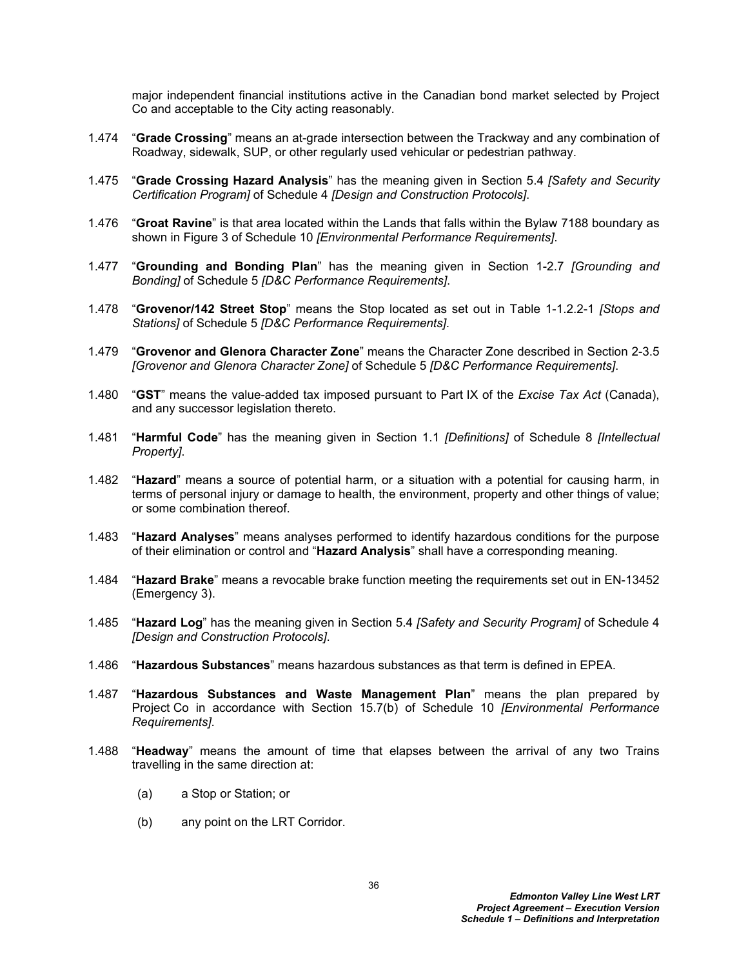major independent financial institutions active in the Canadian bond market selected by Project Co and acceptable to the City acting reasonably.

- 1.474 "**Grade Crossing**" means an at-grade intersection between the Trackway and any combination of Roadway, sidewalk, SUP, or other regularly used vehicular or pedestrian pathway.
- 1.475 "**Grade Crossing Hazard Analysis**" has the meaning given in Section 5.4 *[Safety and Security Certification Program]* of Schedule 4 *[Design and Construction Protocols]*.
- 1.476 "**Groat Ravine**" is that area located within the Lands that falls within the Bylaw 7188 boundary as shown in Figure 3 of Schedule 10 *[Environmental Performance Requirements]*.
- 1.477 "**Grounding and Bonding Plan**" has the meaning given in Section 1-2.7 *[Grounding and Bonding]* of Schedule 5 *[D&C Performance Requirements]*.
- 1.478 "**Grovenor/142 Street Stop**" means the Stop located as set out in Table 1-1.2.2-1 *[Stops and Stations]* of Schedule 5 *[D&C Performance Requirements]*.
- 1.479 "**Grovenor and Glenora Character Zone**" means the Character Zone described in Section 2-3.5 *[Grovenor and Glenora Character Zone]* of Schedule 5 *[D&C Performance Requirements]*.
- 1.480 "**GST**" means the value-added tax imposed pursuant to Part IX of the *Excise Tax Act* (Canada), and any successor legislation thereto.
- 1.481 "**Harmful Code**" has the meaning given in Section 1.1 *[Definitions]* of Schedule 8 *[Intellectual Property]*.
- 1.482 "**Hazard**" means a source of potential harm, or a situation with a potential for causing harm, in terms of personal injury or damage to health, the environment, property and other things of value; or some combination thereof.
- 1.483 "**Hazard Analyses**" means analyses performed to identify hazardous conditions for the purpose of their elimination or control and "**Hazard Analysis**" shall have a corresponding meaning.
- 1.484 "**Hazard Brake**" means a revocable brake function meeting the requirements set out in EN-13452 (Emergency 3).
- 1.485 "**Hazard Log**" has the meaning given in Section 5.4 *[Safety and Security Program]* of Schedule 4 *[Design and Construction Protocols]*.
- 1.486 "**Hazardous Substances**" means hazardous substances as that term is defined in EPEA.
- 1.487 "**Hazardous Substances and Waste Management Plan**" means the plan prepared by Project Co in accordance with Section 15.7(b) of Schedule 10 *[Environmental Performance Requirements]*.
- 1.488 "**Headway**" means the amount of time that elapses between the arrival of any two Trains travelling in the same direction at:
	- (a) a Stop or Station; or
	- (b) any point on the LRT Corridor.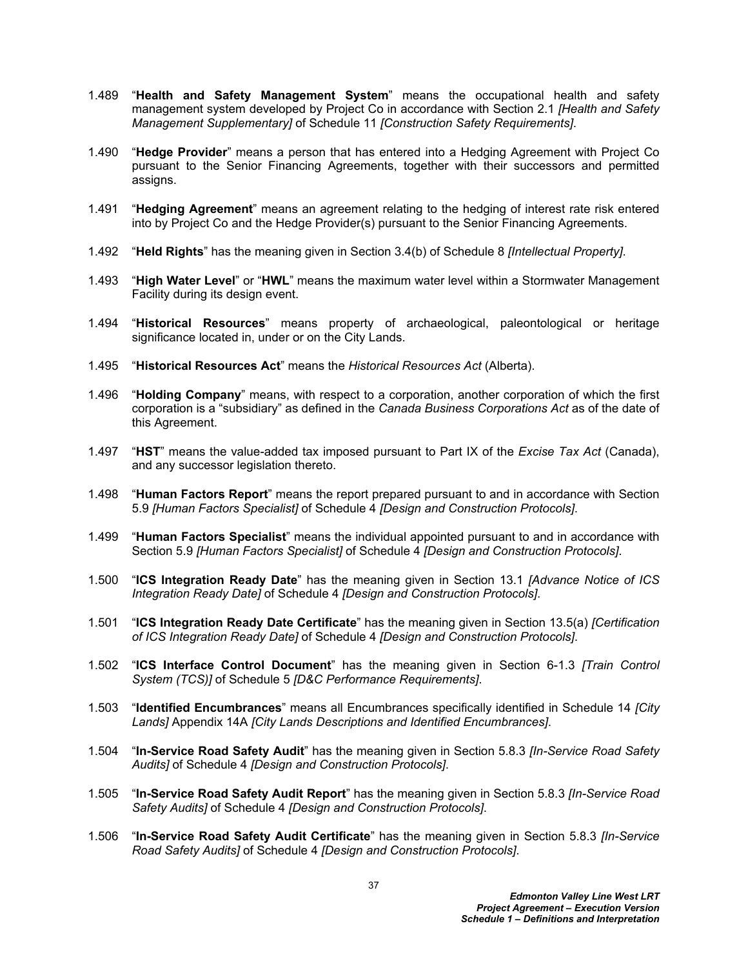- 1.489 "**Health and Safety Management System**" means the occupational health and safety management system developed by Project Co in accordance with Section 2.1 *[Health and Safety Management Supplementary]* of Schedule 11 *[Construction Safety Requirements]*.
- 1.490 "**Hedge Provider**" means a person that has entered into a Hedging Agreement with Project Co pursuant to the Senior Financing Agreements, together with their successors and permitted assigns.
- 1.491 "**Hedging Agreement**" means an agreement relating to the hedging of interest rate risk entered into by Project Co and the Hedge Provider(s) pursuant to the Senior Financing Agreements.
- 1.492 "**Held Rights**" has the meaning given in Section 3.4(b) of Schedule 8 *[Intellectual Property]*.
- 1.493 "**High Water Level**" or "**HWL**" means the maximum water level within a Stormwater Management Facility during its design event.
- 1.494 "**Historical Resources**" means property of archaeological, paleontological or heritage significance located in, under or on the City Lands.
- 1.495 "**Historical Resources Act**" means the *Historical Resources Act* (Alberta).
- 1.496 "**Holding Company**" means, with respect to a corporation, another corporation of which the first corporation is a "subsidiary" as defined in the *Canada Business Corporations Act* as of the date of this Agreement.
- 1.497 "**HST**" means the value-added tax imposed pursuant to Part IX of the *Excise Tax Act* (Canada), and any successor legislation thereto.
- 1.498 "**Human Factors Report**" means the report prepared pursuant to and in accordance with Section 5.9 *[Human Factors Specialist]* of Schedule 4 *[Design and Construction Protocols]*.
- 1.499 "**Human Factors Specialist**" means the individual appointed pursuant to and in accordance with Section 5.9 *[Human Factors Specialist]* of Schedule 4 *[Design and Construction Protocols]*.
- 1.500 "**ICS Integration Ready Date**" has the meaning given in Section 13.1 *[Advance Notice of ICS Integration Ready Date]* of Schedule 4 *[Design and Construction Protocols]*.
- 1.501 "**ICS Integration Ready Date Certificate**" has the meaning given in Section 13.5(a) *[Certification of ICS Integration Ready Date]* of Schedule 4 *[Design and Construction Protocols]*.
- 1.502 "**ICS Interface Control Document**" has the meaning given in Section 6-1.3 *[Train Control System (TCS)]* of Schedule 5 *[D&C Performance Requirements]*.
- 1.503 "**Identified Encumbrances**" means all Encumbrances specifically identified in Schedule 14 *[City Lands]* Appendix 14A *[City Lands Descriptions and Identified Encumbrances]*.
- 1.504 "**In-Service Road Safety Audit**" has the meaning given in Section 5.8.3 *[In-Service Road Safety Audits]* of Schedule 4 *[Design and Construction Protocols]*.
- 1.505 "**In-Service Road Safety Audit Report**" has the meaning given in Section 5.8.3 *[In-Service Road Safety Audits]* of Schedule 4 *[Design and Construction Protocols]*.
- 1.506 "**In-Service Road Safety Audit Certificate**" has the meaning given in Section 5.8.3 *[In-Service Road Safety Audits]* of Schedule 4 *[Design and Construction Protocols]*.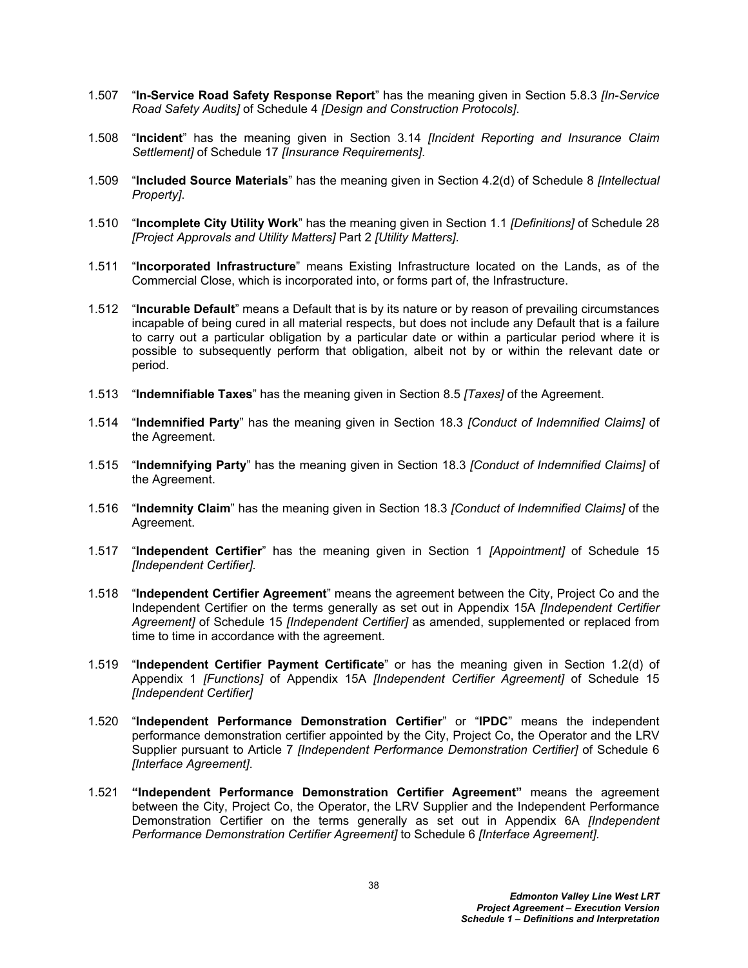- 1.507 "**In-Service Road Safety Response Report**" has the meaning given in Section 5.8.3 *[In-Service Road Safety Audits]* of Schedule 4 *[Design and Construction Protocols]*.
- 1.508 "**Incident**" has the meaning given in Section 3.14 *[Incident Reporting and Insurance Claim Settlement]* of Schedule 17 *[Insurance Requirements]*.
- 1.509 "**Included Source Materials**" has the meaning given in Section 4.2(d) of Schedule 8 *[Intellectual Property]*.
- 1.510 "**Incomplete City Utility Work**" has the meaning given in Section 1.1 *[Definitions]* of Schedule 28 *[Project Approvals and Utility Matters]* Part 2 *[Utility Matters]*.
- 1.511 "**Incorporated Infrastructure**" means Existing Infrastructure located on the Lands, as of the Commercial Close, which is incorporated into, or forms part of, the Infrastructure.
- 1.512 "**Incurable Default**" means a Default that is by its nature or by reason of prevailing circumstances incapable of being cured in all material respects, but does not include any Default that is a failure to carry out a particular obligation by a particular date or within a particular period where it is possible to subsequently perform that obligation, albeit not by or within the relevant date or period.
- 1.513 "**Indemnifiable Taxes**" has the meaning given in Section 8.5 *[Taxes]* of the Agreement.
- 1.514 "**Indemnified Party**" has the meaning given in Section 18.3 *[Conduct of Indemnified Claims]* of the Agreement.
- 1.515 "**Indemnifying Party**" has the meaning given in Section 18.3 *[Conduct of Indemnified Claims]* of the Agreement.
- 1.516 "**Indemnity Claim**" has the meaning given in Section 18.3 *[Conduct of Indemnified Claims]* of the Agreement.
- 1.517 "**Independent Certifier**" has the meaning given in Section 1 *[Appointment]* of Schedule 15 *[Independent Certifier].*
- 1.518 "**Independent Certifier Agreement**" means the agreement between the City, Project Co and the Independent Certifier on the terms generally as set out in Appendix 15A *[Independent Certifier Agreement]* of Schedule 15 *[Independent Certifier]* as amended, supplemented or replaced from time to time in accordance with the agreement.
- 1.519 "**Independent Certifier Payment Certificate**" or has the meaning given in Section 1.2(d) of Appendix 1 *[Functions]* of Appendix 15A *[Independent Certifier Agreement]* of Schedule 15 *[Independent Certifier]*
- 1.520 "**Independent Performance Demonstration Certifier**" or "**IPDC**" means the independent performance demonstration certifier appointed by the City, Project Co, the Operator and the LRV Supplier pursuant to Article 7 *[Independent Performance Demonstration Certifier]* of Schedule 6 *[Interface Agreement]*.
- 1.521 **"Independent Performance Demonstration Certifier Agreement"** means the agreement between the City, Project Co, the Operator, the LRV Supplier and the Independent Performance Demonstration Certifier on the terms generally as set out in Appendix 6A *[Independent Performance Demonstration Certifier Agreement]* to Schedule 6 *[Interface Agreement].*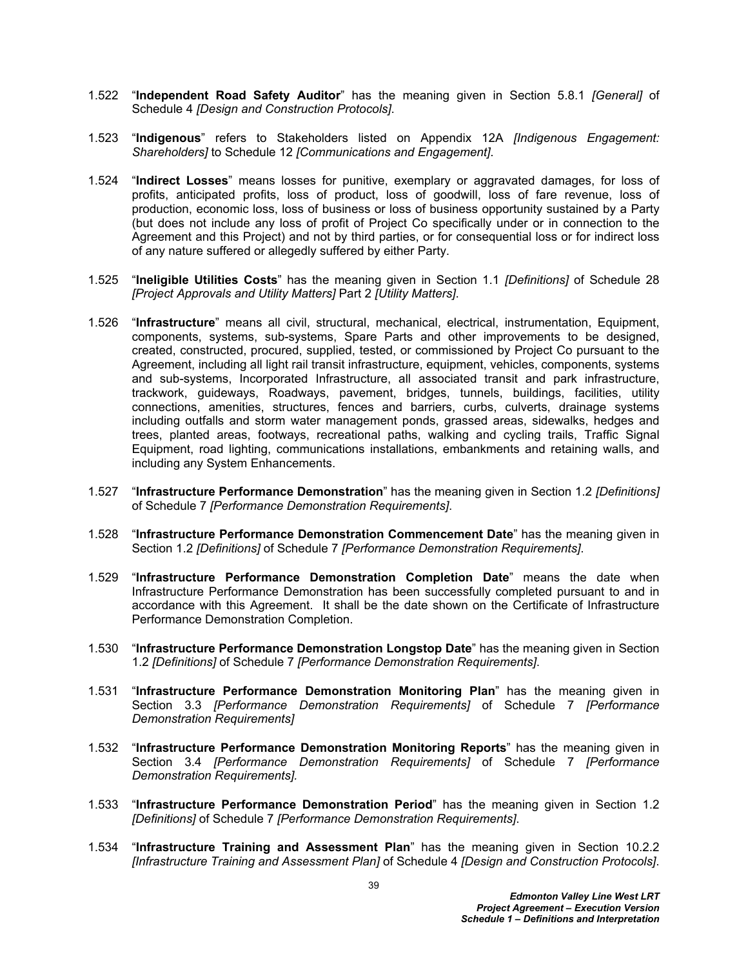- 1.522 "**Independent Road Safety Auditor**" has the meaning given in Section 5.8.1 *[General]* of Schedule 4 *[Design and Construction Protocols]*.
- 1.523 "**Indigenous**" refers to Stakeholders listed on Appendix 12A *[Indigenous Engagement: Shareholders]* to Schedule 12 *[Communications and Engagement]*.
- 1.524 "**Indirect Losses**" means losses for punitive, exemplary or aggravated damages, for loss of profits, anticipated profits, loss of product, loss of goodwill, loss of fare revenue, loss of production, economic loss, loss of business or loss of business opportunity sustained by a Party (but does not include any loss of profit of Project Co specifically under or in connection to the Agreement and this Project) and not by third parties, or for consequential loss or for indirect loss of any nature suffered or allegedly suffered by either Party.
- 1.525 "**Ineligible Utilities Costs**" has the meaning given in Section 1.1 *[Definitions]* of Schedule 28 *[Project Approvals and Utility Matters]* Part 2 *[Utility Matters]*.
- 1.526 "**Infrastructure**" means all civil, structural, mechanical, electrical, instrumentation, Equipment, components, systems, sub-systems, Spare Parts and other improvements to be designed, created, constructed, procured, supplied, tested, or commissioned by Project Co pursuant to the Agreement, including all light rail transit infrastructure, equipment, vehicles, components, systems and sub-systems, Incorporated Infrastructure, all associated transit and park infrastructure, trackwork, guideways, Roadways, pavement, bridges, tunnels, buildings, facilities, utility connections, amenities, structures, fences and barriers, curbs, culverts, drainage systems including outfalls and storm water management ponds, grassed areas, sidewalks, hedges and trees, planted areas, footways, recreational paths, walking and cycling trails, Traffic Signal Equipment, road lighting, communications installations, embankments and retaining walls, and including any System Enhancements.
- 1.527 "**Infrastructure Performance Demonstration**" has the meaning given in Section 1.2 *[Definitions]*  of Schedule 7 *[Performance Demonstration Requirements]*.
- 1.528 "**Infrastructure Performance Demonstration Commencement Date**" has the meaning given in Section 1.2 *[Definitions]* of Schedule 7 *[Performance Demonstration Requirements]*.
- 1.529 "**Infrastructure Performance Demonstration Completion Date**" means the date when Infrastructure Performance Demonstration has been successfully completed pursuant to and in accordance with this Agreement. It shall be the date shown on the Certificate of Infrastructure Performance Demonstration Completion.
- 1.530 "**Infrastructure Performance Demonstration Longstop Date**" has the meaning given in Section 1.2 *[Definitions]* of Schedule 7 *[Performance Demonstration Requirements]*.
- 1.531 "**Infrastructure Performance Demonstration Monitoring Plan**" has the meaning given in Section 3.3 *[Performance Demonstration Requirements]* of Schedule 7 *[Performance Demonstration Requirements]*
- 1.532 "**Infrastructure Performance Demonstration Monitoring Reports**" has the meaning given in Section 3.4 *[Performance Demonstration Requirements]* of Schedule 7 *[Performance Demonstration Requirements].*
- 1.533 "**Infrastructure Performance Demonstration Period**" has the meaning given in Section 1.2 *[Definitions]* of Schedule 7 *[Performance Demonstration Requirements]*.
- 1.534 "**Infrastructure Training and Assessment Plan**" has the meaning given in Section 10.2.2 *[Infrastructure Training and Assessment Plan]* of Schedule 4 *[Design and Construction Protocols]*.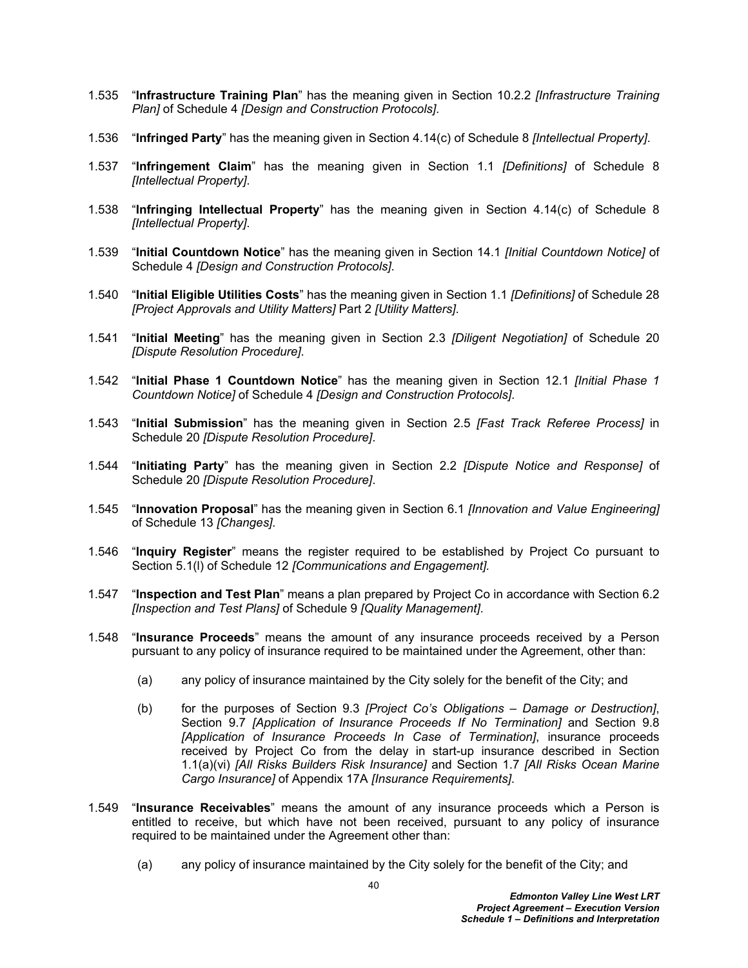- 1.535 "**Infrastructure Training Plan**" has the meaning given in Section 10.2.2 *[Infrastructure Training Plan]* of Schedule 4 *[Design and Construction Protocols]*.
- 1.536 "**Infringed Party**" has the meaning given in Section 4.14(c) of Schedule 8 *[Intellectual Property]*.
- 1.537 "**Infringement Claim**" has the meaning given in Section 1.1 *[Definitions]* of Schedule 8 *[Intellectual Property]*.
- 1.538 "**Infringing Intellectual Property**" has the meaning given in Section 4.14(c) of Schedule 8 *[Intellectual Property]*.
- 1.539 "**Initial Countdown Notice**" has the meaning given in Section 14.1 *[Initial Countdown Notice]* of Schedule 4 *[Design and Construction Protocols]*.
- 1.540 "**Initial Eligible Utilities Costs**" has the meaning given in Section 1.1 *[Definitions]* of Schedule 28 *[Project Approvals and Utility Matters]* Part 2 *[Utility Matters]*.
- 1.541 "**Initial Meeting**" has the meaning given in Section 2.3 *[Diligent Negotiation]* of Schedule 20 *[Dispute Resolution Procedure]*.
- 1.542 "**Initial Phase 1 Countdown Notice**" has the meaning given in Section 12.1 *[Initial Phase 1 Countdown Notice]* of Schedule 4 *[Design and Construction Protocols]*.
- 1.543 "**Initial Submission**" has the meaning given in Section 2.5 *[Fast Track Referee Process]* in Schedule 20 *[Dispute Resolution Procedure]*.
- 1.544 "**Initiating Party**" has the meaning given in Section 2.2 *[Dispute Notice and Response]* of Schedule 20 *[Dispute Resolution Procedure]*.
- 1.545 "**Innovation Proposal**" has the meaning given in Section 6.1 *[Innovation and Value Engineering]* of Schedule 13 *[Changes].*
- 1.546 "**Inquiry Register**" means the register required to be established by Project Co pursuant to Section 5.1(l) of Schedule 12 *[Communications and Engagement].*
- 1.547 "**Inspection and Test Plan**" means a plan prepared by Project Co in accordance with Section 6.2 *[Inspection and Test Plans]* of Schedule 9 *[Quality Management]*.
- 1.548 "**Insurance Proceeds**" means the amount of any insurance proceeds received by a Person pursuant to any policy of insurance required to be maintained under the Agreement, other than:
	- (a) any policy of insurance maintained by the City solely for the benefit of the City; and
	- (b) for the purposes of Section 9.3 *[Project Co's Obligations Damage or Destruction]*, Section 9.7 *[Application of Insurance Proceeds If No Termination]* and Section 9.8 *[Application of Insurance Proceeds In Case of Termination]*, insurance proceeds received by Project Co from the delay in start-up insurance described in Section 1.1(a)(vi) *[All Risks Builders Risk Insurance]* and Section 1.7 *[All Risks Ocean Marine Cargo Insurance]* of Appendix 17A *[Insurance Requirements]*.
- 1.549 "**Insurance Receivables**" means the amount of any insurance proceeds which a Person is entitled to receive, but which have not been received, pursuant to any policy of insurance required to be maintained under the Agreement other than:
	- (a) any policy of insurance maintained by the City solely for the benefit of the City; and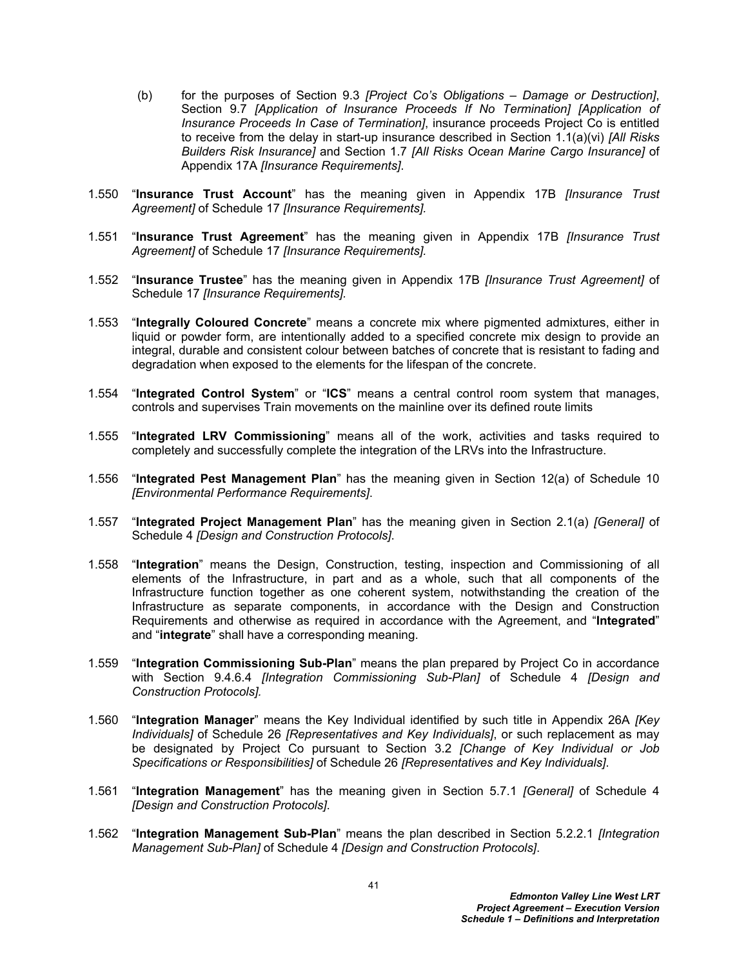- (b) for the purposes of Section 9.3 *[Project Co's Obligations Damage or Destruction]*, Section 9.7 *[Application of Insurance Proceeds If No Termination] [Application of Insurance Proceeds In Case of Termination]*, insurance proceeds Project Co is entitled to receive from the delay in start-up insurance described in Section 1.1(a)(vi) *[All Risks Builders Risk Insurance]* and Section 1.7 *[All Risks Ocean Marine Cargo Insurance]* of Appendix 17A *[Insurance Requirements]*.
- 1.550 "**Insurance Trust Account**" has the meaning given in Appendix 17B *[Insurance Trust Agreement]* of Schedule 17 *[Insurance Requirements].*
- 1.551 "**Insurance Trust Agreement**" has the meaning given in Appendix 17B *[Insurance Trust Agreement]* of Schedule 17 *[Insurance Requirements].*
- 1.552 "**Insurance Trustee**" has the meaning given in Appendix 17B *[Insurance Trust Agreement]* of Schedule 17 *[Insurance Requirements].*
- 1.553 "**Integrally Coloured Concrete**" means a concrete mix where pigmented admixtures, either in liquid or powder form, are intentionally added to a specified concrete mix design to provide an integral, durable and consistent colour between batches of concrete that is resistant to fading and degradation when exposed to the elements for the lifespan of the concrete.
- 1.554 "**Integrated Control System**" or "**ICS**" means a central control room system that manages, controls and supervises Train movements on the mainline over its defined route limits
- 1.555 "**Integrated LRV Commissioning**" means all of the work, activities and tasks required to completely and successfully complete the integration of the LRVs into the Infrastructure.
- 1.556 "**Integrated Pest Management Plan**" has the meaning given in Section 12(a) of Schedule 10 *[Environmental Performance Requirements]*.
- 1.557 "**Integrated Project Management Plan**" has the meaning given in Section 2.1(a) *[General]* of Schedule 4 *[Design and Construction Protocols]*.
- 1.558 "**Integration**" means the Design, Construction, testing, inspection and Commissioning of all elements of the Infrastructure, in part and as a whole, such that all components of the Infrastructure function together as one coherent system, notwithstanding the creation of the Infrastructure as separate components, in accordance with the Design and Construction Requirements and otherwise as required in accordance with the Agreement, and "**Integrated**" and "**integrate**" shall have a corresponding meaning.
- 1.559 "**Integration Commissioning Sub-Plan**" means the plan prepared by Project Co in accordance with Section 9.4.6.4 *[Integration Commissioning Sub-Plan]* of Schedule 4 *[Design and Construction Protocols].*
- 1.560 "**Integration Manager**" means the Key Individual identified by such title in Appendix 26A *[Key Individuals]* of Schedule 26 *[Representatives and Key Individuals]*, or such replacement as may be designated by Project Co pursuant to Section 3.2 *[Change of Key Individual or Job Specifications or Responsibilities]* of Schedule 26 *[Representatives and Key Individuals]*.
- 1.561 "**Integration Management**" has the meaning given in Section 5.7.1 *[General]* of Schedule 4 *[Design and Construction Protocols]*.
- 1.562 "**Integration Management Sub-Plan**" means the plan described in Section 5.2.2.1 *[Integration Management Sub-Plan]* of Schedule 4 *[Design and Construction Protocols]*.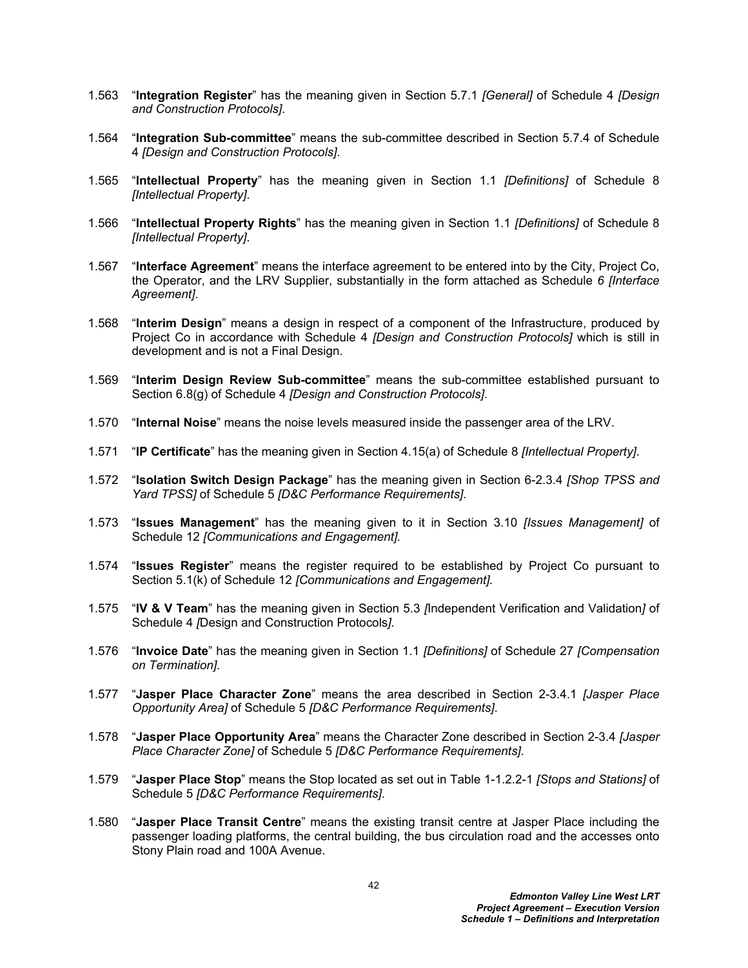- 1.563 "**Integration Register**" has the meaning given in Section 5.7.1 *[General]* of Schedule 4 *[Design and Construction Protocols]*.
- 1.564 "**Integration Sub-committee**" means the sub-committee described in Section 5.7.4 of Schedule 4 *[Design and Construction Protocols]*.
- 1.565 "**Intellectual Property**" has the meaning given in Section 1.1 *[Definitions]* of Schedule 8 *[Intellectual Property]*.
- 1.566 "**Intellectual Property Rights**" has the meaning given in Section 1.1 *[Definitions]* of Schedule 8 *[Intellectual Property]*.
- 1.567 "**Interface Agreement**" means the interface agreement to be entered into by the City, Project Co, the Operator, and the LRV Supplier, substantially in the form attached as Schedule *6 [Interface Agreement]*.
- 1.568 "**Interim Design**" means a design in respect of a component of the Infrastructure, produced by Project Co in accordance with Schedule 4 *[Design and Construction Protocols]* which is still in development and is not a Final Design.
- 1.569 "**Interim Design Review Sub-committee**" means the sub-committee established pursuant to Section 6.8(g) of Schedule 4 *[Design and Construction Protocols]*.
- 1.570 "**Internal Noise**" means the noise levels measured inside the passenger area of the LRV.
- 1.571 "**IP Certificate**" has the meaning given in Section 4.15(a) of Schedule 8 *[Intellectual Property]*.
- 1.572 "**Isolation Switch Design Package**" has the meaning given in Section 6-2.3.4 *[Shop TPSS and Yard TPSS]* of Schedule 5 *[D&C Performance Requirements]*.
- 1.573 "**Issues Management**" has the meaning given to it in Section 3.10 *[Issues Management]* of Schedule 12 *[Communications and Engagement].*
- 1.574 "**Issues Register**" means the register required to be established by Project Co pursuant to Section 5.1(k) of Schedule 12 *[Communications and Engagement].*
- 1.575 "**IV & V Team**" has the meaning given in Section 5.3 *[*Independent Verification and Validation*]* of Schedule 4 *[*Design and Construction Protocols*]*.
- 1.576 "**Invoice Date**" has the meaning given in Section 1.1 *[Definitions]* of Schedule 27 *[Compensation on Termination]*.
- 1.577 "**Jasper Place Character Zone**" means the area described in Section 2-3.4.1 *[Jasper Place Opportunity Area]* of Schedule 5 *[D&C Performance Requirements]*.
- 1.578 "**Jasper Place Opportunity Area**" means the Character Zone described in Section 2-3.4 *[Jasper Place Character Zone]* of Schedule 5 *[D&C Performance Requirements]*.
- 1.579 "**Jasper Place Stop**" means the Stop located as set out in Table 1-1.2.2-1 *[Stops and Stations]* of Schedule 5 *[D&C Performance Requirements]*.
- 1.580 "**Jasper Place Transit Centre**" means the existing transit centre at Jasper Place including the passenger loading platforms, the central building, the bus circulation road and the accesses onto Stony Plain road and 100A Avenue.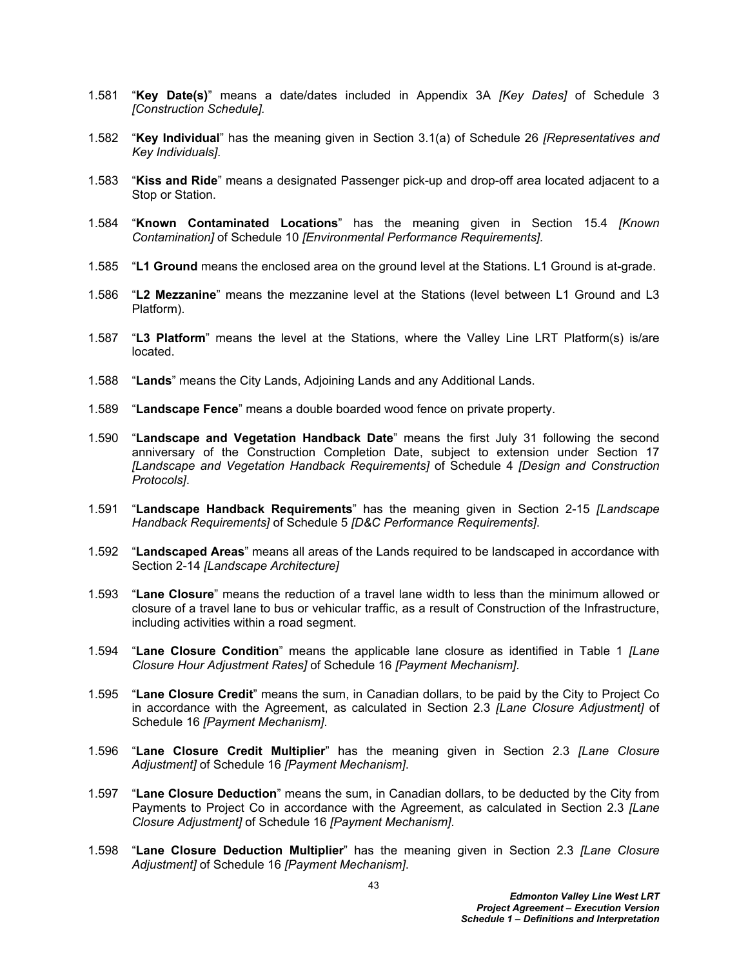- 1.581 "**Key Date(s)**" means a date/dates included in Appendix 3A *[Key Dates]* of Schedule 3 *[Construction Schedule].*
- 1.582 "**Key Individual**" has the meaning given in Section 3.1(a) of Schedule 26 *[Representatives and Key Individuals]*.
- 1.583 "**Kiss and Ride**" means a designated Passenger pick-up and drop-off area located adjacent to a Stop or Station.
- 1.584 "**Known Contaminated Locations**" has the meaning given in Section 15.4 *[Known Contamination]* of Schedule 10 *[Environmental Performance Requirements].*
- 1.585 "**L1 Ground** means the enclosed area on the ground level at the Stations. L1 Ground is at-grade.
- 1.586 "**L2 Mezzanine**" means the mezzanine level at the Stations (level between L1 Ground and L3 Platform).
- 1.587 "**L3 Platform**" means the level at the Stations, where the Valley Line LRT Platform(s) is/are located.
- 1.588 "**Lands**" means the City Lands, Adjoining Lands and any Additional Lands.
- 1.589 "**Landscape Fence**" means a double boarded wood fence on private property.
- 1.590 "**Landscape and Vegetation Handback Date**" means the first July 31 following the second anniversary of the Construction Completion Date, subject to extension under Section 17 *[Landscape and Vegetation Handback Requirements]* of Schedule 4 *[Design and Construction Protocols]*.
- 1.591 "**Landscape Handback Requirements**" has the meaning given in Section 2-15 *[Landscape Handback Requirements]* of Schedule 5 *[D&C Performance Requirements]*.
- 1.592 "**Landscaped Areas**" means all areas of the Lands required to be landscaped in accordance with Section 2-14 *[Landscape Architecture]*
- 1.593 "**Lane Closure**" means the reduction of a travel lane width to less than the minimum allowed or closure of a travel lane to bus or vehicular traffic, as a result of Construction of the Infrastructure, including activities within a road segment.
- 1.594 "**Lane Closure Condition**" means the applicable lane closure as identified in Table 1 *[Lane Closure Hour Adjustment Rates]* of Schedule 16 *[Payment Mechanism]*.
- 1.595 "**Lane Closure Credit**" means the sum, in Canadian dollars, to be paid by the City to Project Co in accordance with the Agreement, as calculated in Section 2.3 *[Lane Closure Adjustment]* of Schedule 16 *[Payment Mechanism]*.
- 1.596 "**Lane Closure Credit Multiplier**" has the meaning given in Section 2.3 *[Lane Closure Adjustment]* of Schedule 16 *[Payment Mechanism]*.
- 1.597 "**Lane Closure Deduction**" means the sum, in Canadian dollars, to be deducted by the City from Payments to Project Co in accordance with the Agreement, as calculated in Section 2.3 *[Lane Closure Adjustment]* of Schedule 16 *[Payment Mechanism]*.
- 1.598 "**Lane Closure Deduction Multiplier**" has the meaning given in Section 2.3 *[Lane Closure Adjustment]* of Schedule 16 *[Payment Mechanism]*.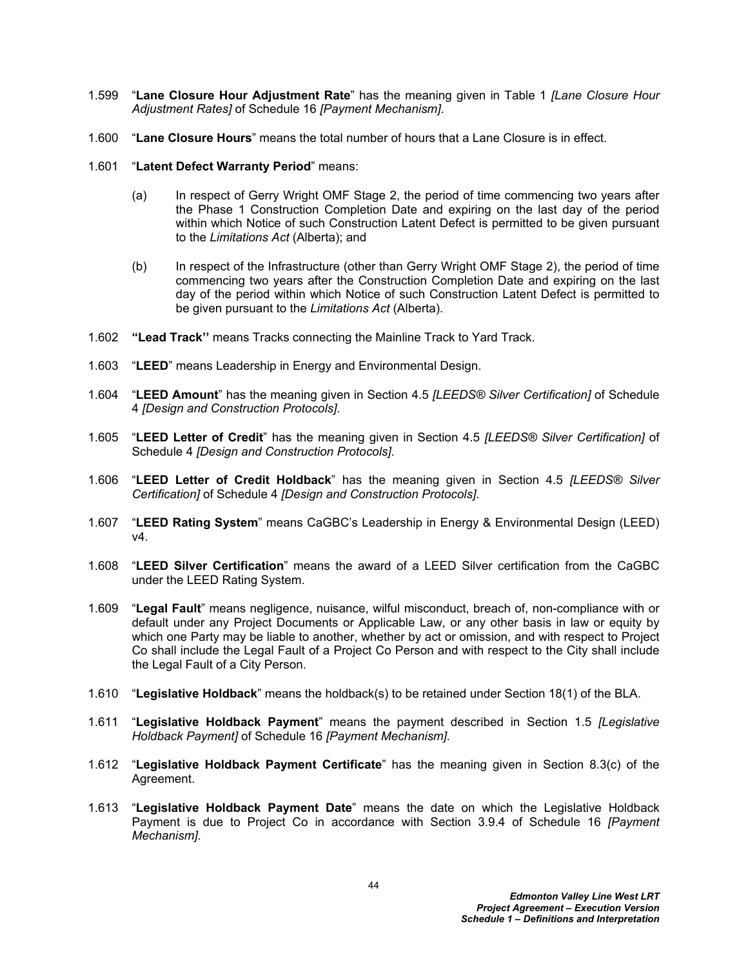- 1.599 "**Lane Closure Hour Adjustment Rate**" has the meaning given in Table 1 *[Lane Closure Hour Adjustment Rates]* of Schedule 16 *[Payment Mechanism]*.
- 1.600 "**Lane Closure Hours**" means the total number of hours that a Lane Closure is in effect.
- 1.601 "**Latent Defect Warranty Period**" means:
	- (a) In respect of Gerry Wright OMF Stage 2, the period of time commencing two years after the Phase 1 Construction Completion Date and expiring on the last day of the period within which Notice of such Construction Latent Defect is permitted to be given pursuant to the *Limitations Act* (Alberta); and
	- (b) In respect of the Infrastructure (other than Gerry Wright OMF Stage 2), the period of time commencing two years after the Construction Completion Date and expiring on the last day of the period within which Notice of such Construction Latent Defect is permitted to be given pursuant to the *Limitations Act* (Alberta).
- 1.602 **"Lead Track''** means Tracks connecting the Mainline Track to Yard Track.
- 1.603 "**LEED**" means Leadership in Energy and Environmental Design.
- 1.604 "**LEED Amount**" has the meaning given in Section 4.5 *[LEEDS® Silver Certification]* of Schedule 4 *[Design and Construction Protocols]*.
- 1.605 "**LEED Letter of Credit**" has the meaning given in Section 4.5 *[LEEDS® Silver Certification]* of Schedule 4 *[Design and Construction Protocols]*.
- 1.606 "**LEED Letter of Credit Holdback**" has the meaning given in Section 4.5 *[LEEDS® Silver Certification]* of Schedule 4 *[Design and Construction Protocols]*.
- 1.607 "**LEED Rating System**" means CaGBC's Leadership in Energy & Environmental Design (LEED) v4.
- 1.608 "**LEED Silver Certification**" means the award of a LEED Silver certification from the CaGBC under the LEED Rating System.
- 1.609 "**Legal Fault**" means negligence, nuisance, wilful misconduct, breach of, non-compliance with or default under any Project Documents or Applicable Law, or any other basis in law or equity by which one Party may be liable to another, whether by act or omission, and with respect to Project Co shall include the Legal Fault of a Project Co Person and with respect to the City shall include the Legal Fault of a City Person.
- 1.610 "**Legislative Holdback**" means the holdback(s) to be retained under Section 18(1) of the BLA.
- 1.611 "**Legislative Holdback Payment**" means the payment described in Section 1.5 *[Legislative Holdback Payment]* of Schedule 16 *[Payment Mechanism].*
- 1.612 "**Legislative Holdback Payment Certificate**" has the meaning given in Section 8.3(c) of the Agreement.
- 1.613 "**Legislative Holdback Payment Date**" means the date on which the Legislative Holdback Payment is due to Project Co in accordance with Section 3.9.4 of Schedule 16 *[Payment Mechanism]*.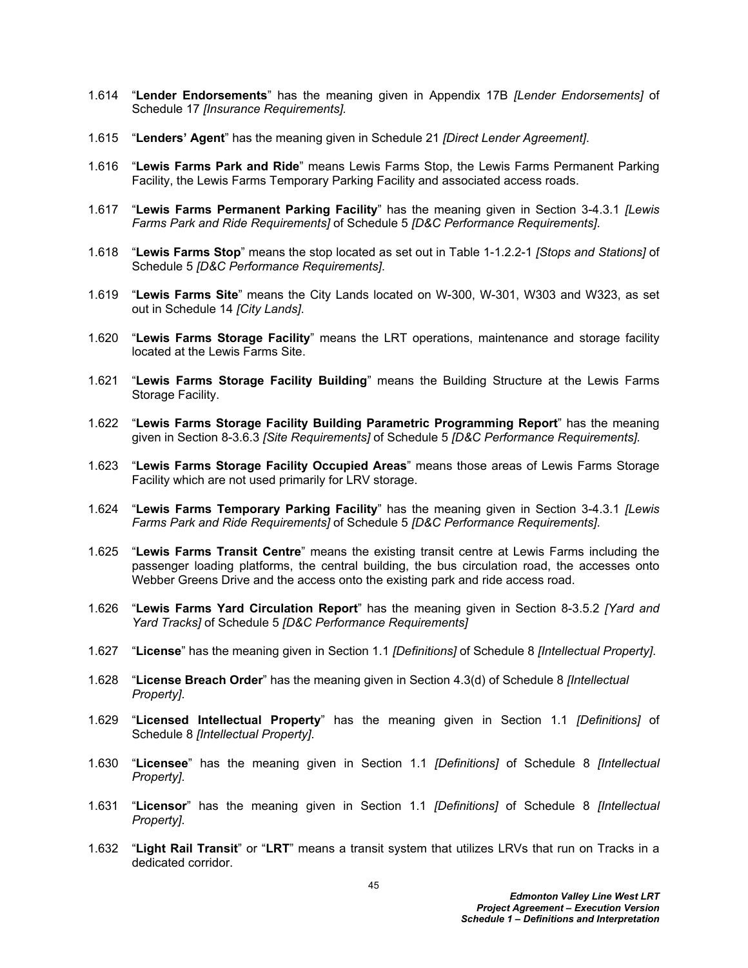- 1.614 "**Lender Endorsements**" has the meaning given in Appendix 17B *[Lender Endorsements]* of Schedule 17 *[Insurance Requirements].*
- 1.615 "**Lenders' Agent**" has the meaning given in Schedule 21 *[Direct Lender Agreement]*.
- 1.616 "**Lewis Farms Park and Ride**" means Lewis Farms Stop, the Lewis Farms Permanent Parking Facility, the Lewis Farms Temporary Parking Facility and associated access roads.
- 1.617 "**Lewis Farms Permanent Parking Facility**" has the meaning given in Section 3-4.3.1 *[Lewis Farms Park and Ride Requirements]* of Schedule 5 *[D&C Performance Requirements]*.
- 1.618 "**Lewis Farms Stop**" means the stop located as set out in Table 1-1.2.2-1 *[Stops and Stations]* of Schedule 5 *[D&C Performance Requirements]*.
- 1.619 "**Lewis Farms Site**" means the City Lands located on W-300, W-301, W303 and W323, as set out in Schedule 14 *[City Lands]*.
- 1.620 "**Lewis Farms Storage Facility**" means the LRT operations, maintenance and storage facility located at the Lewis Farms Site.
- 1.621 "**Lewis Farms Storage Facility Building**" means the Building Structure at the Lewis Farms Storage Facility.
- 1.622 "**Lewis Farms Storage Facility Building Parametric Programming Report**" has the meaning given in Section 8-3.6.3 *[Site Requirements]* of Schedule 5 *[D&C Performance Requirements].*
- 1.623 "**Lewis Farms Storage Facility Occupied Areas**" means those areas of Lewis Farms Storage Facility which are not used primarily for LRV storage.
- 1.624 "**Lewis Farms Temporary Parking Facility**" has the meaning given in Section 3-4.3.1 *[Lewis Farms Park and Ride Requirements]* of Schedule 5 *[D&C Performance Requirements]*.
- 1.625 "**Lewis Farms Transit Centre**" means the existing transit centre at Lewis Farms including the passenger loading platforms, the central building, the bus circulation road, the accesses onto Webber Greens Drive and the access onto the existing park and ride access road.
- 1.626 "**Lewis Farms Yard Circulation Report**" has the meaning given in Section 8-3.5.2 *[Yard and Yard Tracks]* of Schedule 5 *[D&C Performance Requirements]*
- 1.627 "**License**" has the meaning given in Section 1.1 *[Definitions]* of Schedule 8 *[Intellectual Property]*.
- 1.628 "**License Breach Order**" has the meaning given in Section 4.3(d) of Schedule 8 *[Intellectual Property]*.
- 1.629 "**Licensed Intellectual Property**" has the meaning given in Section 1.1 *[Definitions]* of Schedule 8 *[Intellectual Property]*.
- 1.630 "**Licensee**" has the meaning given in Section 1.1 *[Definitions]* of Schedule 8 *[Intellectual Property]*.
- 1.631 "**Licensor**" has the meaning given in Section 1.1 *[Definitions]* of Schedule 8 *[Intellectual Property]*.
- 1.632 "**Light Rail Transit**" or "**LRT**" means a transit system that utilizes LRVs that run on Tracks in a dedicated corridor.

45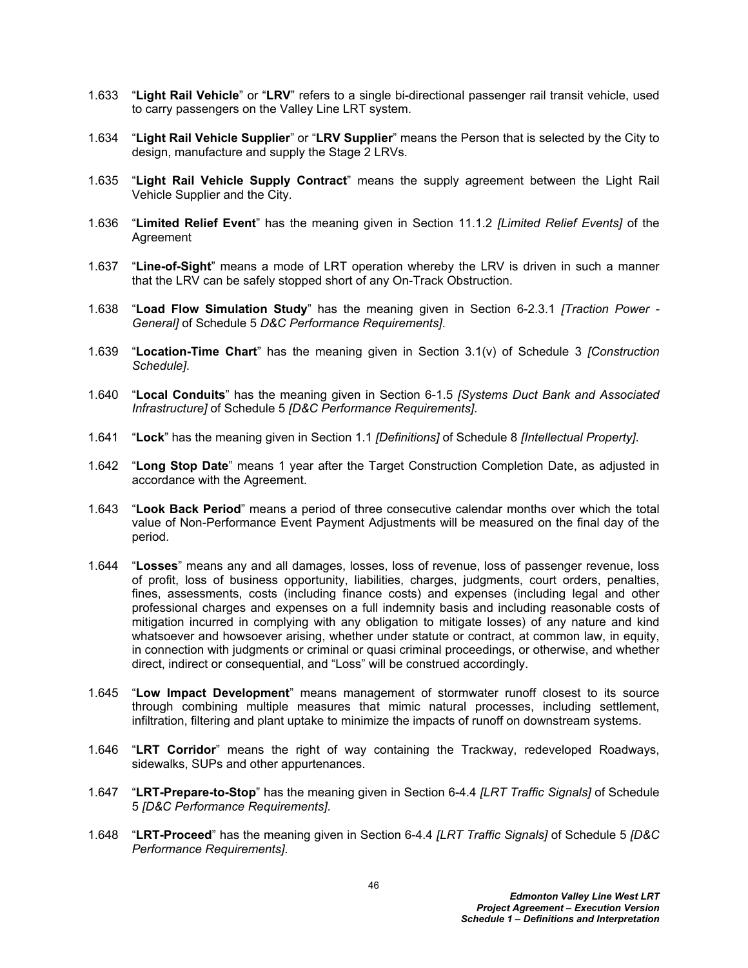- 1.633 "**Light Rail Vehicle**" or "**LRV**" refers to a single bi-directional passenger rail transit vehicle, used to carry passengers on the Valley Line LRT system.
- 1.634 "**Light Rail Vehicle Supplier**" or "**LRV Supplier**" means the Person that is selected by the City to design, manufacture and supply the Stage 2 LRVs.
- 1.635 "**Light Rail Vehicle Supply Contract**" means the supply agreement between the Light Rail Vehicle Supplier and the City.
- 1.636 "**Limited Relief Event**" has the meaning given in Section 11.1.2 *[Limited Relief Events]* of the **Agreement**
- 1.637 "**Line-of-Sight**" means a mode of LRT operation whereby the LRV is driven in such a manner that the LRV can be safely stopped short of any On-Track Obstruction.
- 1.638 "**Load Flow Simulation Study**" has the meaning given in Section 6-2.3.1 *[Traction Power General]* of Schedule 5 *D&C Performance Requirements]*.
- 1.639 "**Location-Time Chart**" has the meaning given in Section 3.1(v) of Schedule 3 *[Construction Schedule]*.
- 1.640 "**Local Conduits**" has the meaning given in Section 6-1.5 *[Systems Duct Bank and Associated Infrastructure]* of Schedule 5 *[D&C Performance Requirements]*.
- 1.641 "**Lock**" has the meaning given in Section 1.1 *[Definitions]* of Schedule 8 *[Intellectual Property]*.
- 1.642 "**Long Stop Date**" means 1 year after the Target Construction Completion Date, as adjusted in accordance with the Agreement.
- 1.643 "**Look Back Period**" means a period of three consecutive calendar months over which the total value of Non-Performance Event Payment Adjustments will be measured on the final day of the period.
- 1.644 "**Losses**" means any and all damages, losses, loss of revenue, loss of passenger revenue, loss of profit, loss of business opportunity, liabilities, charges, judgments, court orders, penalties, fines, assessments, costs (including finance costs) and expenses (including legal and other professional charges and expenses on a full indemnity basis and including reasonable costs of mitigation incurred in complying with any obligation to mitigate losses) of any nature and kind whatsoever and howsoever arising, whether under statute or contract, at common law, in equity, in connection with judgments or criminal or quasi criminal proceedings, or otherwise, and whether direct, indirect or consequential, and "Loss" will be construed accordingly.
- 1.645 "**Low Impact Development**" means management of stormwater runoff closest to its source through combining multiple measures that mimic natural processes, including settlement, infiltration, filtering and plant uptake to minimize the impacts of runoff on downstream systems.
- 1.646 "**LRT Corridor**" means the right of way containing the Trackway, redeveloped Roadways, sidewalks, SUPs and other appurtenances.
- 1.647 "**LRT-Prepare-to-Stop**" has the meaning given in Section 6-4.4 *[LRT Traffic Signals]* of Schedule 5 *[D&C Performance Requirements]*.
- 1.648 "**LRT-Proceed**" has the meaning given in Section 6-4.4 *[LRT Traffic Signals]* of Schedule 5 *[D&C Performance Requirements]*.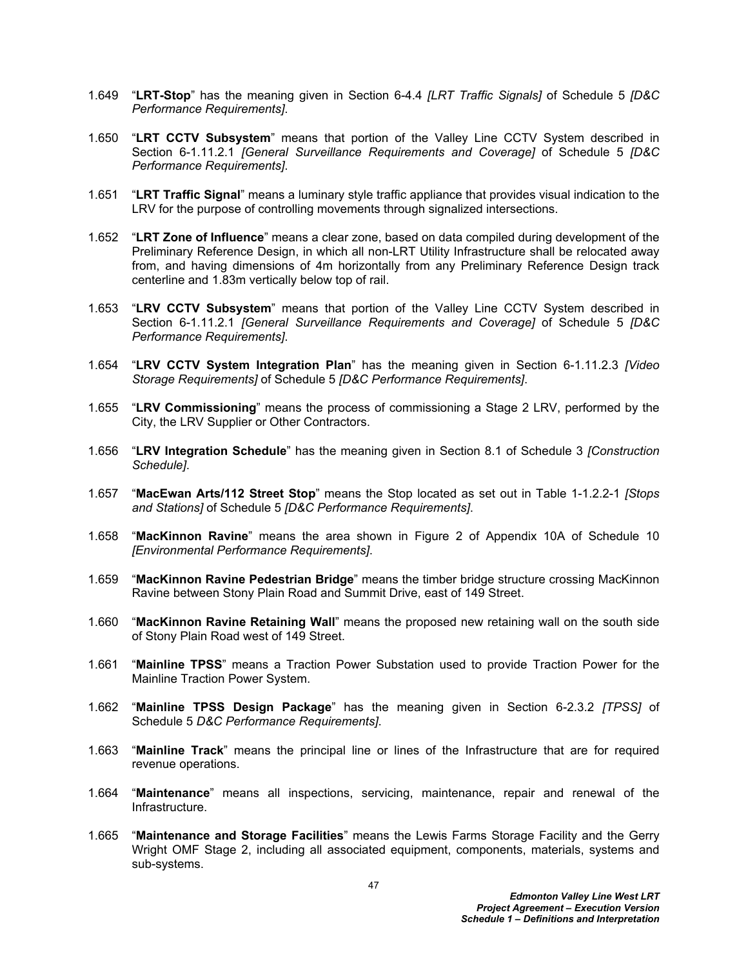- 1.649 "**LRT-Stop**" has the meaning given in Section 6-4.4 *[LRT Traffic Signals]* of Schedule 5 *[D&C Performance Requirements]*.
- 1.650 "**LRT CCTV Subsystem**" means that portion of the Valley Line CCTV System described in Section 6-1.11.2.1 *[General Surveillance Requirements and Coverage]* of Schedule 5 *[D&C Performance Requirements]*.
- 1.651 "**LRT Traffic Signal**" means a luminary style traffic appliance that provides visual indication to the LRV for the purpose of controlling movements through signalized intersections.
- 1.652 "**LRT Zone of Influence**" means a clear zone, based on data compiled during development of the Preliminary Reference Design, in which all non-LRT Utility Infrastructure shall be relocated away from, and having dimensions of 4m horizontally from any Preliminary Reference Design track centerline and 1.83m vertically below top of rail.
- 1.653 "**LRV CCTV Subsystem**" means that portion of the Valley Line CCTV System described in Section 6-1.11.2.1 *[General Surveillance Requirements and Coverage]* of Schedule 5 *[D&C Performance Requirements]*.
- 1.654 "**LRV CCTV System Integration Plan**" has the meaning given in Section 6-1.11.2.3 *[Video Storage Requirements]* of Schedule 5 *[D&C Performance Requirements]*.
- 1.655 "**LRV Commissioning**" means the process of commissioning a Stage 2 LRV, performed by the City, the LRV Supplier or Other Contractors.
- 1.656 "**LRV Integration Schedule**" has the meaning given in Section 8.1 of Schedule 3 *[Construction Schedule]*.
- 1.657 "**MacEwan Arts/112 Street Stop**" means the Stop located as set out in Table 1-1.2.2-1 *[Stops and Stations]* of Schedule 5 *[D&C Performance Requirements]*.
- 1.658 "**MacKinnon Ravine**" means the area shown in Figure 2 of Appendix 10A of Schedule 10 *[Environmental Performance Requirements]*.
- 1.659 "**MacKinnon Ravine Pedestrian Bridge**" means the timber bridge structure crossing MacKinnon Ravine between Stony Plain Road and Summit Drive, east of 149 Street.
- 1.660 "**MacKinnon Ravine Retaining Wall**" means the proposed new retaining wall on the south side of Stony Plain Road west of 149 Street.
- 1.661 "**Mainline TPSS**" means a Traction Power Substation used to provide Traction Power for the Mainline Traction Power System.
- 1.662 "**Mainline TPSS Design Package**" has the meaning given in Section 6-2.3.2 *[TPSS]* of Schedule 5 *D&C Performance Requirements]*.
- 1.663 "**Mainline Track**" means the principal line or lines of the Infrastructure that are for required revenue operations.
- 1.664 "**Maintenance**" means all inspections, servicing, maintenance, repair and renewal of the Infrastructure.
- 1.665 "**Maintenance and Storage Facilities**" means the Lewis Farms Storage Facility and the Gerry Wright OMF Stage 2, including all associated equipment, components, materials, systems and sub-systems.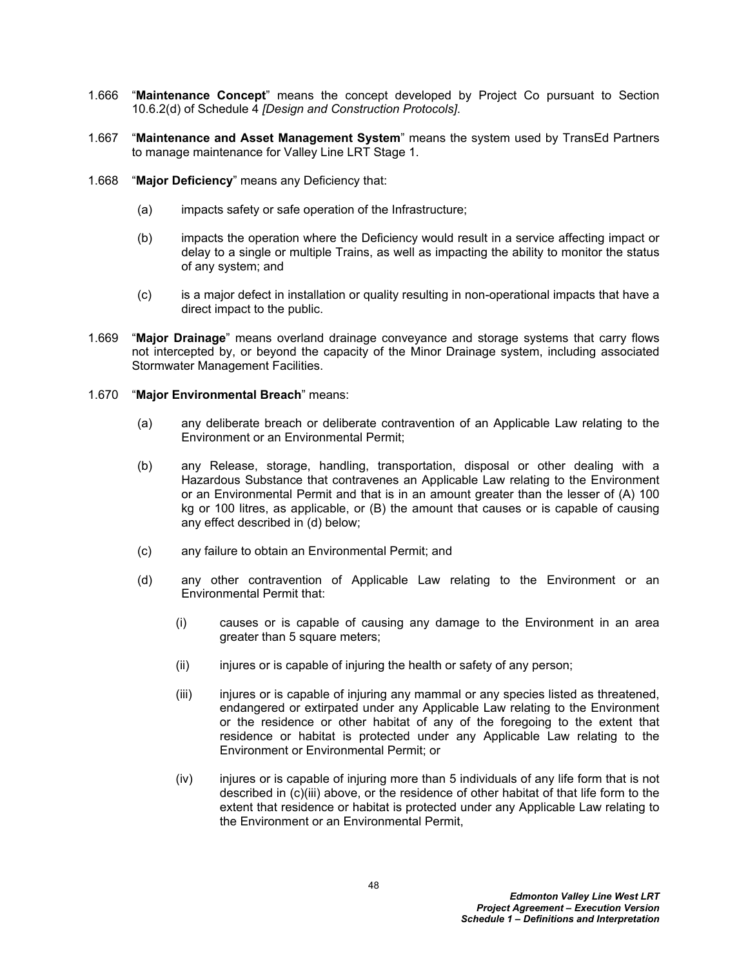- 1.666 "**Maintenance Concept**" means the concept developed by Project Co pursuant to Section 10.6.2(d) of Schedule 4 *[Design and Construction Protocols]*.
- 1.667 "**Maintenance and Asset Management System**" means the system used by TransEd Partners to manage maintenance for Valley Line LRT Stage 1.
- 1.668 "**Major Deficiency**" means any Deficiency that:
	- (a) impacts safety or safe operation of the Infrastructure;
	- (b) impacts the operation where the Deficiency would result in a service affecting impact or delay to a single or multiple Trains, as well as impacting the ability to monitor the status of any system; and
	- (c) is a major defect in installation or quality resulting in non-operational impacts that have a direct impact to the public.
- 1.669 "**Major Drainage**" means overland drainage conveyance and storage systems that carry flows not intercepted by, or beyond the capacity of the Minor Drainage system, including associated Stormwater Management Facilities.
- 1.670 "**Major Environmental Breach**" means:
	- (a) any deliberate breach or deliberate contravention of an Applicable Law relating to the Environment or an Environmental Permit;
	- (b) any Release, storage, handling, transportation, disposal or other dealing with a Hazardous Substance that contravenes an Applicable Law relating to the Environment or an Environmental Permit and that is in an amount greater than the lesser of (A) 100 kg or 100 litres, as applicable, or (B) the amount that causes or is capable of causing any effect described in (d) below;
	- (c) any failure to obtain an Environmental Permit; and
	- (d) any other contravention of Applicable Law relating to the Environment or an Environmental Permit that:
		- (i) causes or is capable of causing any damage to the Environment in an area greater than 5 square meters;
		- (ii) injures or is capable of injuring the health or safety of any person;
		- (iii) injures or is capable of injuring any mammal or any species listed as threatened, endangered or extirpated under any Applicable Law relating to the Environment or the residence or other habitat of any of the foregoing to the extent that residence or habitat is protected under any Applicable Law relating to the Environment or Environmental Permit; or
		- (iv) injures or is capable of injuring more than 5 individuals of any life form that is not described in (c)(iii) above, or the residence of other habitat of that life form to the extent that residence or habitat is protected under any Applicable Law relating to the Environment or an Environmental Permit,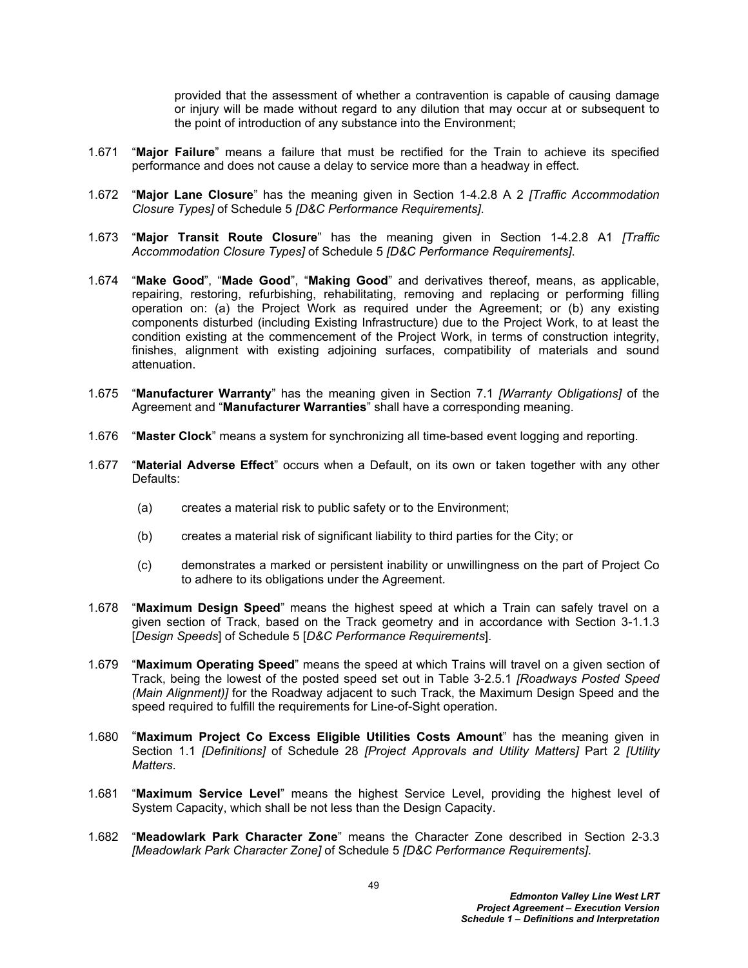provided that the assessment of whether a contravention is capable of causing damage or injury will be made without regard to any dilution that may occur at or subsequent to the point of introduction of any substance into the Environment;

- 1.671 "**Major Failure**" means a failure that must be rectified for the Train to achieve its specified performance and does not cause a delay to service more than a headway in effect.
- 1.672 "**Major Lane Closure**" has the meaning given in Section 1-4.2.8 A 2 *[Traffic Accommodation Closure Types]* of Schedule 5 *[D&C Performance Requirements]*.
- 1.673 "**Major Transit Route Closure**" has the meaning given in Section 1-4.2.8 A1 *[Traffic Accommodation Closure Types]* of Schedule 5 *[D&C Performance Requirements]*.
- 1.674 "**Make Good**", "**Made Good**", "**Making Good**" and derivatives thereof, means, as applicable, repairing, restoring, refurbishing, rehabilitating, removing and replacing or performing filling operation on: (a) the Project Work as required under the Agreement; or (b) any existing components disturbed (including Existing Infrastructure) due to the Project Work, to at least the condition existing at the commencement of the Project Work, in terms of construction integrity, finishes, alignment with existing adjoining surfaces, compatibility of materials and sound attenuation.
- 1.675 "**Manufacturer Warranty**" has the meaning given in Section 7.1 *[Warranty Obligations]* of the Agreement and "**Manufacturer Warranties**" shall have a corresponding meaning.
- 1.676 "**Master Clock**" means a system for synchronizing all time-based event logging and reporting.
- 1.677 "**Material Adverse Effect**" occurs when a Default, on its own or taken together with any other Defaults:
	- (a) creates a material risk to public safety or to the Environment;
	- (b) creates a material risk of significant liability to third parties for the City; or
	- (c) demonstrates a marked or persistent inability or unwillingness on the part of Project Co to adhere to its obligations under the Agreement.
- 1.678 "**Maximum Design Speed**" means the highest speed at which a Train can safely travel on a given section of Track, based on the Track geometry and in accordance with Section 3-1.1.3 [*Design Speeds*] of Schedule 5 [*D&C Performance Requirements*].
- 1.679 "**Maximum Operating Speed**" means the speed at which Trains will travel on a given section of Track, being the lowest of the posted speed set out in Table 3-2.5.1 *[Roadways Posted Speed (Main Alignment)]* for the Roadway adjacent to such Track, the Maximum Design Speed and the speed required to fulfill the requirements for Line-of-Sight operation.
- 1.680 "**Maximum Project Co Excess Eligible Utilities Costs Amount**" has the meaning given in Section 1.1 *[Definitions]* of Schedule 28 *[Project Approvals and Utility Matters]* Part 2 *[Utility Matters*.
- 1.681 "**Maximum Service Level**" means the highest Service Level, providing the highest level of System Capacity, which shall be not less than the Design Capacity.
- 1.682 "**Meadowlark Park Character Zone**" means the Character Zone described in Section 2-3.3 *[Meadowlark Park Character Zone]* of Schedule 5 *[D&C Performance Requirements]*.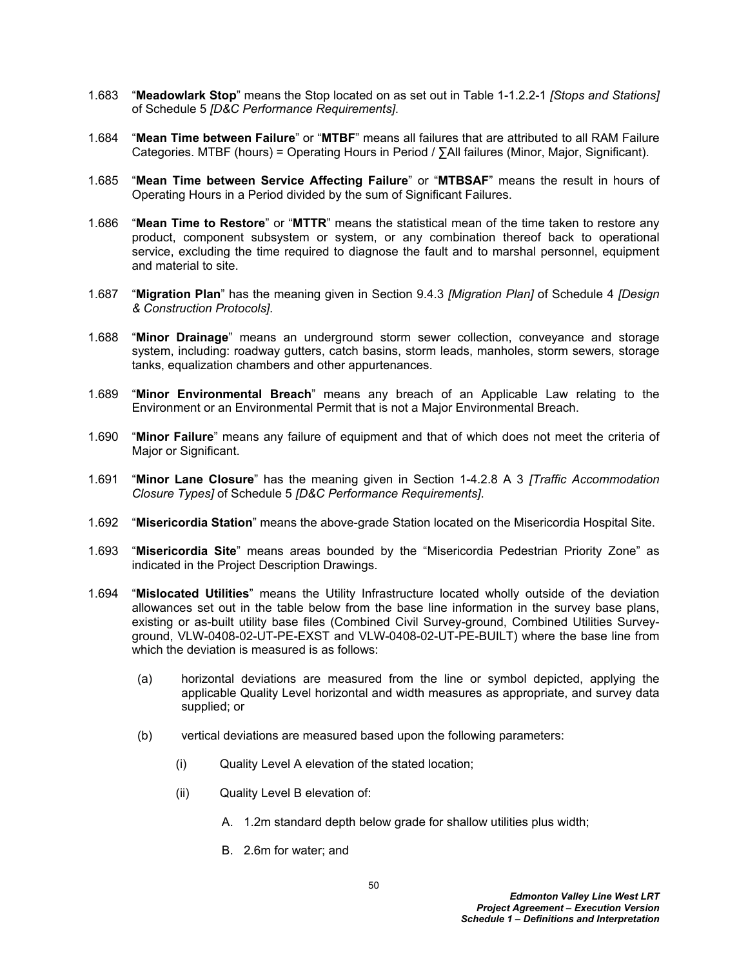- 1.683 "**Meadowlark Stop**" means the Stop located on as set out in Table 1-1.2.2-1 *[Stops and Stations]* of Schedule 5 *[D&C Performance Requirements]*.
- 1.684 "**Mean Time between Failure**" or "**MTBF**" means all failures that are attributed to all RAM Failure Categories. MTBF (hours) = Operating Hours in Period / ∑All failures (Minor, Major, Significant).
- 1.685 "**Mean Time between Service Affecting Failure**" or "**MTBSAF**" means the result in hours of Operating Hours in a Period divided by the sum of Significant Failures.
- 1.686 "**Mean Time to Restore**" or "**MTTR**" means the statistical mean of the time taken to restore any product, component subsystem or system, or any combination thereof back to operational service, excluding the time required to diagnose the fault and to marshal personnel, equipment and material to site.
- 1.687 "**Migration Plan**" has the meaning given in Section 9.4.3 *[Migration Plan]* of Schedule 4 *[Design & Construction Protocols]*.
- 1.688 "**Minor Drainage**" means an underground storm sewer collection, conveyance and storage system, including: roadway gutters, catch basins, storm leads, manholes, storm sewers, storage tanks, equalization chambers and other appurtenances.
- 1.689 "**Minor Environmental Breach**" means any breach of an Applicable Law relating to the Environment or an Environmental Permit that is not a Major Environmental Breach.
- 1.690 "**Minor Failure**" means any failure of equipment and that of which does not meet the criteria of Major or Significant.
- 1.691 "**Minor Lane Closure**" has the meaning given in Section 1-4.2.8 A 3 *[Traffic Accommodation Closure Types]* of Schedule 5 *[D&C Performance Requirements]*.
- 1.692 "**Misericordia Station**" means the above-grade Station located on the Misericordia Hospital Site.
- 1.693 "**Misericordia Site**" means areas bounded by the "Misericordia Pedestrian Priority Zone" as indicated in the Project Description Drawings.
- 1.694 "**Mislocated Utilities**" means the Utility Infrastructure located wholly outside of the deviation allowances set out in the table below from the base line information in the survey base plans, existing or as-built utility base files (Combined Civil Survey-ground, Combined Utilities Surveyground, VLW-0408-02-UT-PE-EXST and VLW-0408-02-UT-PE-BUILT) where the base line from which the deviation is measured is as follows:
	- (a) horizontal deviations are measured from the line or symbol depicted, applying the applicable Quality Level horizontal and width measures as appropriate, and survey data supplied; or
	- (b) vertical deviations are measured based upon the following parameters:
		- (i) Quality Level A elevation of the stated location;
		- (ii) Quality Level B elevation of:
			- A. 1.2m standard depth below grade for shallow utilities plus width;
			- B. 2.6m for water; and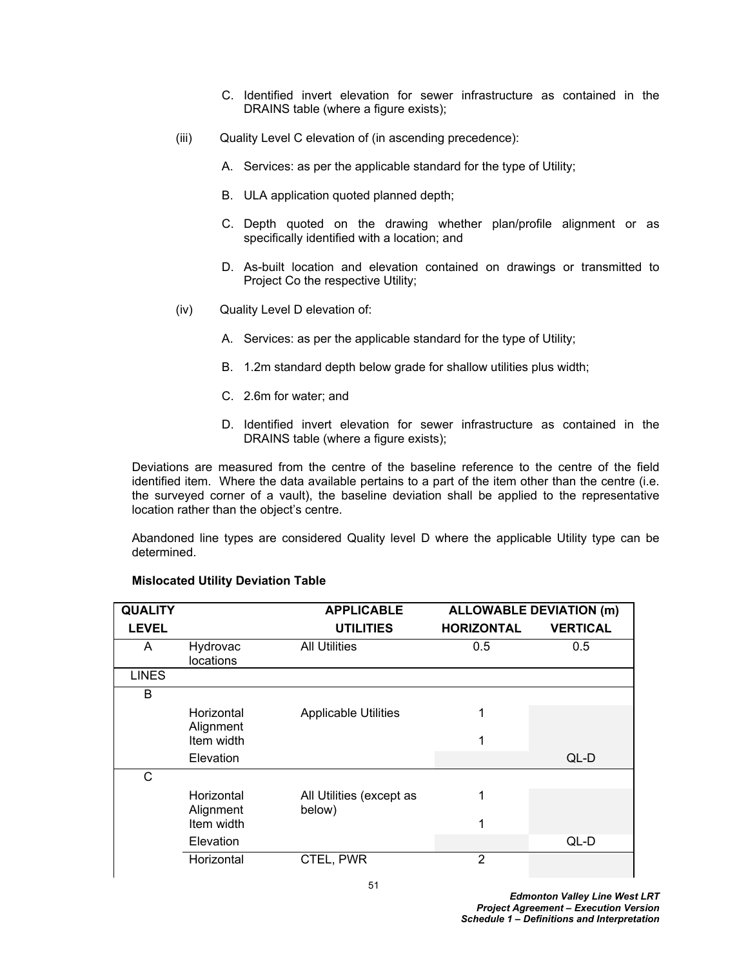- C. Identified invert elevation for sewer infrastructure as contained in the DRAINS table (where a figure exists);
- (iii) Quality Level C elevation of (in ascending precedence):
	- A. Services: as per the applicable standard for the type of Utility;
	- B. ULA application quoted planned depth;
	- C. Depth quoted on the drawing whether plan/profile alignment or as specifically identified with a location; and
	- D. As-built location and elevation contained on drawings or transmitted to Project Co the respective Utility;
- (iv) Quality Level D elevation of:
	- A. Services: as per the applicable standard for the type of Utility;
	- B. 1.2m standard depth below grade for shallow utilities plus width;
	- C. 2.6m for water; and
	- D. Identified invert elevation for sewer infrastructure as contained in the DRAINS table (where a figure exists);

Deviations are measured from the centre of the baseline reference to the centre of the field identified item. Where the data available pertains to a part of the item other than the centre (i.e. the surveyed corner of a vault), the baseline deviation shall be applied to the representative location rather than the object's centre.

Abandoned line types are considered Quality level D where the applicable Utility type can be determined.

| <b>QUALITY</b> |                         | <b>APPLICABLE</b>                  | <b>ALLOWABLE DEVIATION (m)</b> |                 |
|----------------|-------------------------|------------------------------------|--------------------------------|-----------------|
| <b>LEVEL</b>   |                         | <b>UTILITIES</b>                   | <b>HORIZONTAL</b>              | <b>VERTICAL</b> |
| A              | Hydrovac<br>locations   | <b>All Utilities</b>               | 0.5                            | 0.5             |
| <b>LINES</b>   |                         |                                    |                                |                 |
| B              |                         |                                    |                                |                 |
|                | Horizontal<br>Alignment | <b>Applicable Utilities</b>        | 1                              |                 |
|                | Item width              |                                    | 1                              |                 |
|                | Elevation               |                                    |                                | QL-D            |
| C              |                         |                                    |                                |                 |
|                | Horizontal<br>Alignment | All Utilities (except as<br>below) | 1                              |                 |
|                | Item width              |                                    | 1                              |                 |
|                | Elevation               |                                    |                                | QL-D            |
|                | Horizontal              | CTEL, PWR                          | $\overline{2}$                 |                 |

## **Mislocated Utility Deviation Table**

*Edmonton Valley Line West LRT Project Agreement – Execution Version Schedule 1 – Definitions and Interpretation*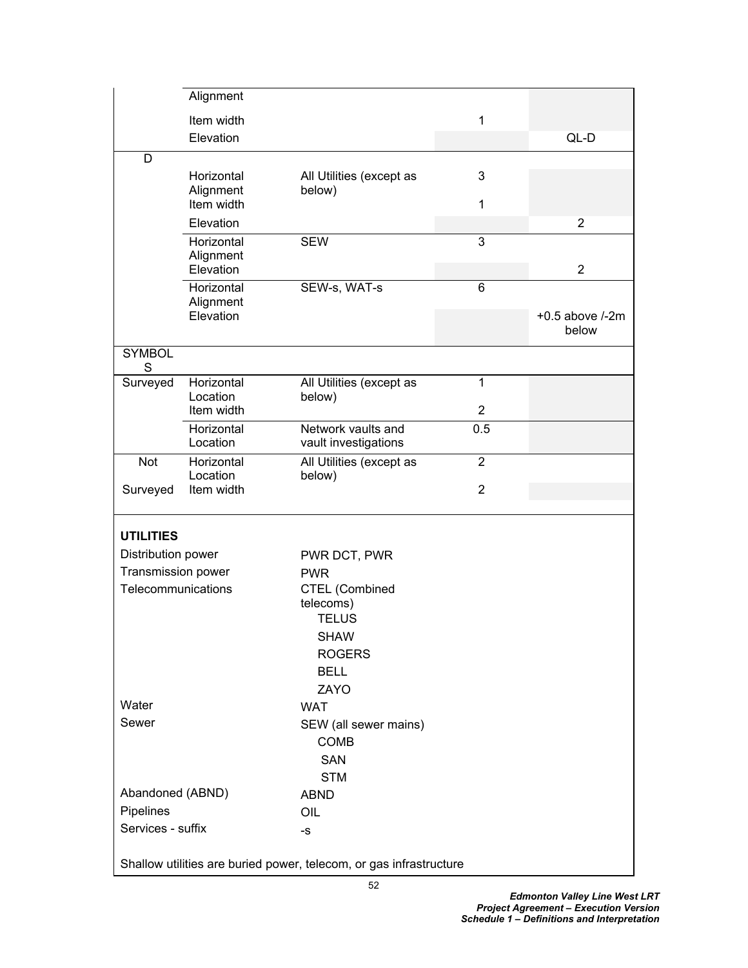|                                                                    | Alignment               |                                            |                |                              |  |  |  |
|--------------------------------------------------------------------|-------------------------|--------------------------------------------|----------------|------------------------------|--|--|--|
|                                                                    | Item width              |                                            | 1              |                              |  |  |  |
|                                                                    | Elevation               |                                            |                | QL-D                         |  |  |  |
| D                                                                  |                         |                                            |                |                              |  |  |  |
|                                                                    | Horizontal              | All Utilities (except as                   | 3              |                              |  |  |  |
|                                                                    | Alignment               | below)                                     |                |                              |  |  |  |
|                                                                    | Item width              |                                            | 1              |                              |  |  |  |
|                                                                    | Elevation               |                                            |                | $\overline{2}$               |  |  |  |
|                                                                    | Horizontal<br>Alignment | <b>SEW</b>                                 | 3              |                              |  |  |  |
|                                                                    | Elevation               |                                            |                | $\overline{2}$               |  |  |  |
|                                                                    | Horizontal              | SEW-s, WAT-s                               | $6\phantom{1}$ |                              |  |  |  |
|                                                                    | Alignment               |                                            |                |                              |  |  |  |
|                                                                    | Elevation               |                                            |                | $+0.5$ above $/-2m$<br>below |  |  |  |
| <b>SYMBOL</b>                                                      |                         |                                            |                |                              |  |  |  |
| S                                                                  |                         |                                            |                |                              |  |  |  |
| Surveyed                                                           | Horizontal              | All Utilities (except as                   | 1              |                              |  |  |  |
|                                                                    | Location                | below)                                     |                |                              |  |  |  |
|                                                                    | Item width              |                                            | $\overline{2}$ |                              |  |  |  |
|                                                                    | Horizontal<br>Location  | Network vaults and<br>vault investigations | 0.5            |                              |  |  |  |
| Not                                                                | Horizontal              | All Utilities (except as                   | $\overline{2}$ |                              |  |  |  |
| Surveyed                                                           | Location<br>Item width  | below)                                     | $\overline{2}$ |                              |  |  |  |
|                                                                    |                         |                                            |                |                              |  |  |  |
| <b>UTILITIES</b>                                                   |                         |                                            |                |                              |  |  |  |
| Distribution power                                                 |                         | PWR DCT, PWR                               |                |                              |  |  |  |
| Transmission power                                                 |                         | <b>PWR</b>                                 |                |                              |  |  |  |
| Telecommunications                                                 |                         | CTEL (Combined                             |                |                              |  |  |  |
|                                                                    |                         | telecoms)                                  |                |                              |  |  |  |
|                                                                    |                         | <b>TELUS</b>                               |                |                              |  |  |  |
|                                                                    |                         | <b>SHAW</b>                                |                |                              |  |  |  |
|                                                                    |                         | <b>ROGERS</b>                              |                |                              |  |  |  |
|                                                                    |                         | <b>BELL</b><br>ZAYO                        |                |                              |  |  |  |
| Water                                                              |                         | <b>WAT</b>                                 |                |                              |  |  |  |
| Sewer                                                              |                         | SEW (all sewer mains)                      |                |                              |  |  |  |
|                                                                    |                         | COMB                                       |                |                              |  |  |  |
|                                                                    |                         | <b>SAN</b>                                 |                |                              |  |  |  |
|                                                                    |                         | <b>STM</b>                                 |                |                              |  |  |  |
| Abandoned (ABND)                                                   |                         | <b>ABND</b>                                |                |                              |  |  |  |
| Pipelines                                                          |                         | OIL                                        |                |                              |  |  |  |
| Services - suffix                                                  |                         | -S                                         |                |                              |  |  |  |
| Shallow utilities are buried power, telecom, or gas infrastructure |                         |                                            |                |                              |  |  |  |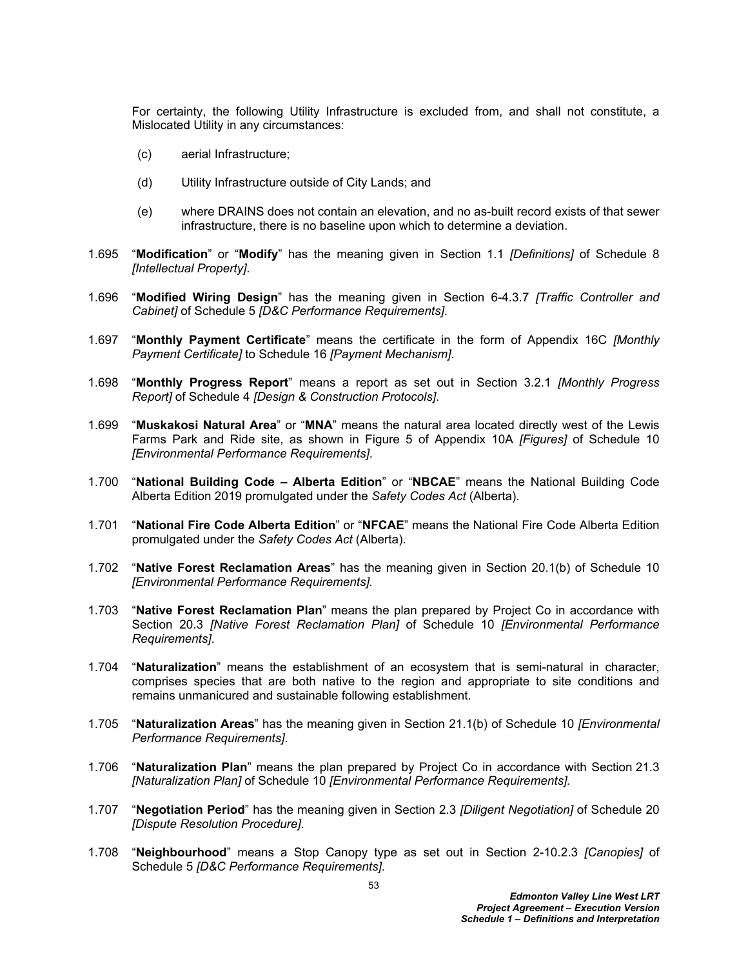For certainty, the following Utility Infrastructure is excluded from, and shall not constitute, a Mislocated Utility in any circumstances:

- (c) aerial Infrastructure;
- (d) Utility Infrastructure outside of City Lands; and
- (e) where DRAINS does not contain an elevation, and no as-built record exists of that sewer infrastructure, there is no baseline upon which to determine a deviation.
- 1.695 "**Modification**" or "**Modify**" has the meaning given in Section 1.1 *[Definitions]* of Schedule 8 *[Intellectual Property]*.
- 1.696 "**Modified Wiring Design**" has the meaning given in Section 6-4.3.7 *[Traffic Controller and Cabinet]* of Schedule 5 *[D&C Performance Requirements]*.
- 1.697 "**Monthly Payment Certificate**" means the certificate in the form of Appendix 16C *[Monthly Payment Certificate]* to Schedule 16 *[Payment Mechanism]*.
- 1.698 "**Monthly Progress Report**" means a report as set out in Section 3.2.1 *[Monthly Progress Report]* of Schedule 4 *[Design & Construction Protocols]*.
- 1.699 "**Muskakosi Natural Area**" or "**MNA**" means the natural area located directly west of the Lewis Farms Park and Ride site, as shown in Figure 5 of Appendix 10A *[Figures]* of Schedule 10 *[Environmental Performance Requirements]*.
- 1.700 "**National Building Code Alberta Edition**" or "**NBCAE**" means the National Building Code Alberta Edition 2019 promulgated under the *Safety Codes Act* (Alberta).
- 1.701 "**National Fire Code Alberta Edition**" or "**NFCAE**" means the National Fire Code Alberta Edition promulgated under the *Safety Codes Act* (Alberta).
- 1.702 "**Native Forest Reclamation Areas**" has the meaning given in Section 20.1(b) of Schedule 10 *[Environmental Performance Requirements].*
- 1.703 "**Native Forest Reclamation Plan**" means the plan prepared by Project Co in accordance with Section 20.3 *[Native Forest Reclamation Plan]* of Schedule 10 *[Environmental Performance Requirements]*.
- 1.704 "**Naturalization**" means the establishment of an ecosystem that is semi-natural in character, comprises species that are both native to the region and appropriate to site conditions and remains unmanicured and sustainable following establishment.
- 1.705 "**Naturalization Areas**" has the meaning given in Section 21.1(b) of Schedule 10 *[Environmental Performance Requirements]*.
- 1.706 "**Naturalization Plan**" means the plan prepared by Project Co in accordance with Section 21.3 *[Naturalization Plan]* of Schedule 10 *[Environmental Performance Requirements].*
- 1.707 "**Negotiation Period**" has the meaning given in Section 2.3 *[Diligent Negotiation]* of Schedule 20 *[Dispute Resolution Procedure]*.
- 1.708 "**Neighbourhood**" means a Stop Canopy type as set out in Section 2-10.2.3 *[Canopies]* of Schedule 5 *[D&C Performance Requirements]*.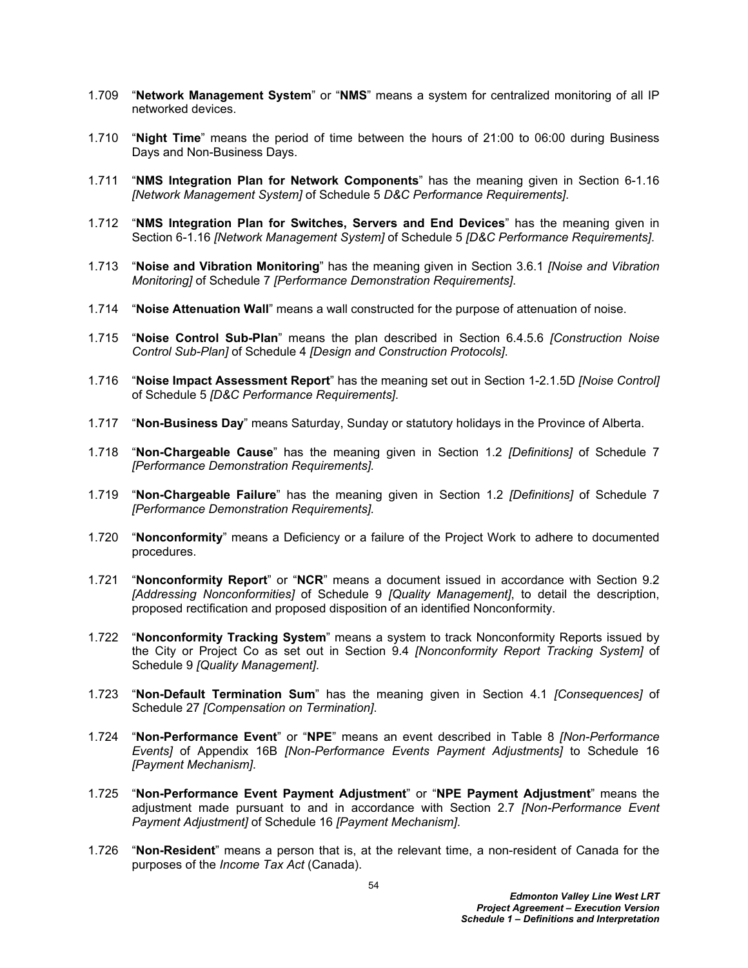- 1.709 "**Network Management System**" or "**NMS**" means a system for centralized monitoring of all IP networked devices.
- 1.710 "**Night Time**" means the period of time between the hours of 21:00 to 06:00 during Business Days and Non-Business Days.
- 1.711 "**NMS Integration Plan for Network Components**" has the meaning given in Section 6-1.16 *[Network Management System]* of Schedule 5 *D&C Performance Requirements]*.
- 1.712 "**NMS Integration Plan for Switches, Servers and End Devices**" has the meaning given in Section 6-1.16 *[Network Management System]* of Schedule 5 *[D&C Performance Requirements]*.
- 1.713 "**Noise and Vibration Monitoring**" has the meaning given in Section 3.6.1 *[Noise and Vibration Monitoring]* of Schedule 7 *[Performance Demonstration Requirements]*.
- 1.714 "**Noise Attenuation Wall**" means a wall constructed for the purpose of attenuation of noise.
- 1.715 "**Noise Control Sub-Plan**" means the plan described in Section 6.4.5.6 *[Construction Noise Control Sub-Plan]* of Schedule 4 *[Design and Construction Protocols]*.
- 1.716 "**Noise Impact Assessment Report**" has the meaning set out in Section 1-2.1.5D *[Noise Control]* of Schedule 5 *[D&C Performance Requirements]*.
- 1.717 "**Non-Business Day**" means Saturday, Sunday or statutory holidays in the Province of Alberta.
- 1.718 "**Non-Chargeable Cause**" has the meaning given in Section 1.2 *[Definitions]* of Schedule 7 *[Performance Demonstration Requirements].*
- 1.719 "**Non-Chargeable Failure**" has the meaning given in Section 1.2 *[Definitions]* of Schedule 7 *[Performance Demonstration Requirements].*
- 1.720 "**Nonconformity**" means a Deficiency or a failure of the Project Work to adhere to documented procedures.
- 1.721 "**Nonconformity Report**" or "**NCR**" means a document issued in accordance with Section 9.2 *[Addressing Nonconformities]* of Schedule 9 *[Quality Management]*, to detail the description, proposed rectification and proposed disposition of an identified Nonconformity.
- 1.722 "**Nonconformity Tracking System**" means a system to track Nonconformity Reports issued by the City or Project Co as set out in Section 9.4 *[Nonconformity Report Tracking System]* of Schedule 9 *[Quality Management]*.
- 1.723 "**Non-Default Termination Sum**" has the meaning given in Section 4.1 *[Consequences]* of Schedule 27 *[Compensation on Termination]*.
- 1.724 "**Non-Performance Event**" or "**NPE**" means an event described in Table 8 *[Non-Performance Events]* of Appendix 16B *[Non-Performance Events Payment Adjustments]* to Schedule 16 *[Payment Mechanism]*.
- 1.725 "**Non-Performance Event Payment Adjustment**" or "**NPE Payment Adjustment**" means the adjustment made pursuant to and in accordance with Section 2.7 *[Non-Performance Event Payment Adjustment]* of Schedule 16 *[Payment Mechanism]*.
- 1.726 "**Non-Resident**" means a person that is, at the relevant time, a non-resident of Canada for the purposes of the *Income Tax Act* (Canada).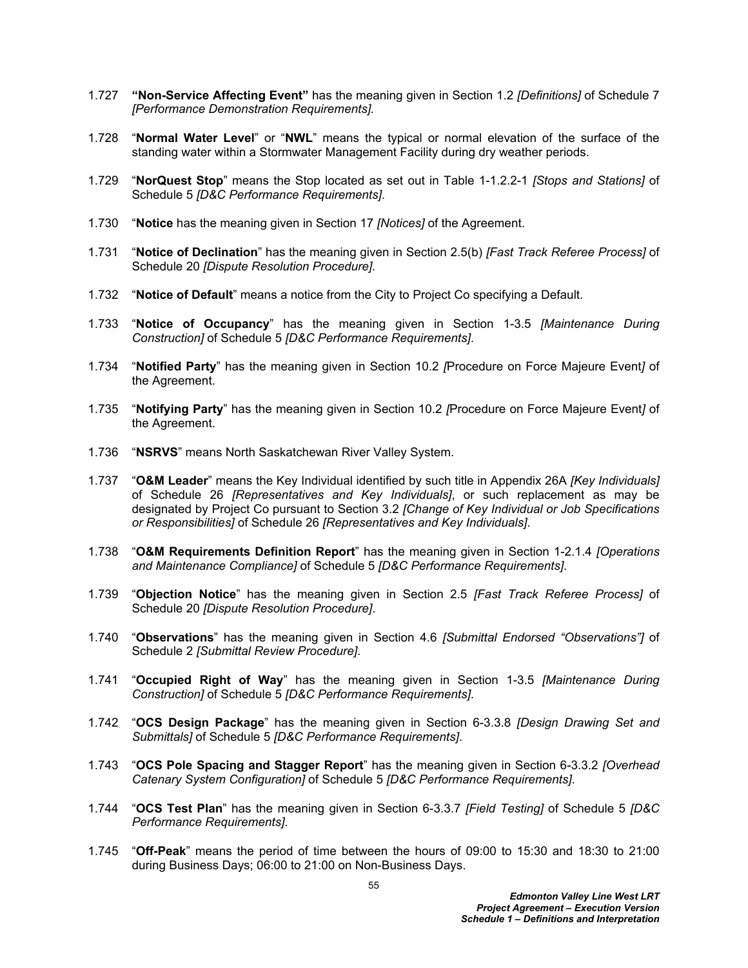- 1.727 **"Non-Service Affecting Event"** has the meaning given in Section 1.2 *[Definitions]* of Schedule 7 *[Performance Demonstration Requirements].*
- 1.728 "**Normal Water Level**" or "**NWL**" means the typical or normal elevation of the surface of the standing water within a Stormwater Management Facility during dry weather periods.
- 1.729 "**NorQuest Stop**" means the Stop located as set out in Table 1-1.2.2-1 *[Stops and Stations]* of Schedule 5 *[D&C Performance Requirements]*.
- 1.730 "**Notice** has the meaning given in Section 17 *[Notices]* of the Agreement.
- 1.731 "**Notice of Declination**" has the meaning given in Section 2.5(b) *[Fast Track Referee Process]* of Schedule 20 *[Dispute Resolution Procedure].*
- 1.732 "**Notice of Default**" means a notice from the City to Project Co specifying a Default.
- 1.733 "**Notice of Occupancy**" has the meaning given in Section 1-3.5 *[Maintenance During Construction]* of Schedule 5 *[D&C Performance Requirements]*.
- 1.734 "**Notified Party**" has the meaning given in Section 10.2 *[*Procedure on Force Majeure Event*]* of the Agreement.
- 1.735 "**Notifying Party**" has the meaning given in Section 10.2 *[*Procedure on Force Majeure Event*]* of the Agreement.
- 1.736 "**NSRVS**" means North Saskatchewan River Valley System.
- 1.737 "**O&M Leader**" means the Key Individual identified by such title in Appendix 26A *[Key Individuals]*  of Schedule 26 *[Representatives and Key Individuals]*, or such replacement as may be designated by Project Co pursuant to Section 3.2 *[Change of Key Individual or Job Specifications or Responsibilities]* of Schedule 26 *[Representatives and Key Individuals]*.
- 1.738 "**O&M Requirements Definition Report**" has the meaning given in Section 1-2.1.4 *[Operations and Maintenance Compliance]* of Schedule 5 *[D&C Performance Requirements]*.
- 1.739 "**Objection Notice**" has the meaning given in Section 2.5 *[Fast Track Referee Process]* of Schedule 20 *[Dispute Resolution Procedure]*.
- 1.740 "**Observations**" has the meaning given in Section 4.6 *[Submittal Endorsed "Observations"]* of Schedule 2 *[Submittal Review Procedure]*.
- 1.741 "**Occupied Right of Way**" has the meaning given in Section 1-3.5 *[Maintenance During Construction]* of Schedule 5 *[D&C Performance Requirements]*.
- 1.742 "**OCS Design Package**" has the meaning given in Section 6-3.3.8 *[Design Drawing Set and Submittals]* of Schedule 5 *[D&C Performance Requirements]*.
- 1.743 "**OCS Pole Spacing and Stagger Report**" has the meaning given in Section 6-3.3.2 *[Overhead Catenary System Configuration]* of Schedule 5 *[D&C Performance Requirements]*.
- 1.744 "**OCS Test Plan**" has the meaning given in Section 6-3.3.7 *[Field Testing]* of Schedule 5 *[D&C Performance Requirements]*.
- 1.745 "**Off-Peak**" means the period of time between the hours of 09:00 to 15:30 and 18:30 to 21:00 during Business Days; 06:00 to 21:00 on Non-Business Days.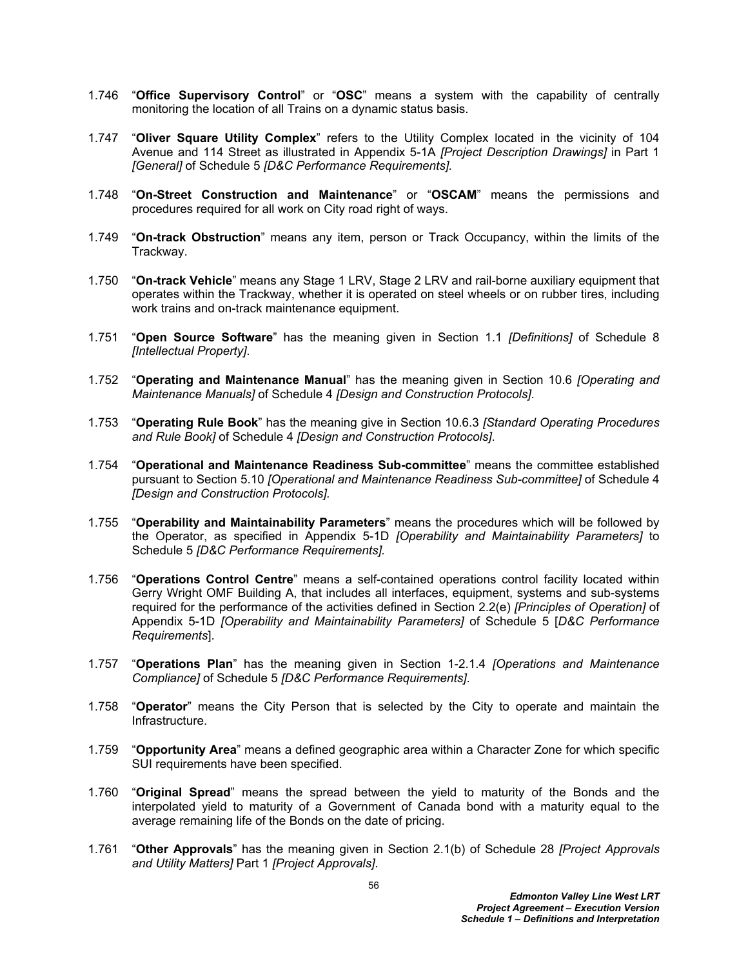- 1.746 "**Office Supervisory Control**" or "**OSC**" means a system with the capability of centrally monitoring the location of all Trains on a dynamic status basis.
- 1.747 "**Oliver Square Utility Complex**" refers to the Utility Complex located in the vicinity of 104 Avenue and 114 Street as illustrated in Appendix 5-1A *[Project Description Drawings]* in Part 1 *[General]* of Schedule 5 *[D&C Performance Requirements].*
- 1.748 "**On-Street Construction and Maintenance**" or "**OSCAM**" means the permissions and procedures required for all work on City road right of ways.
- 1.749 "**On-track Obstruction**" means any item, person or Track Occupancy, within the limits of the Trackway.
- 1.750 "**On-track Vehicle**" means any Stage 1 LRV, Stage 2 LRV and rail-borne auxiliary equipment that operates within the Trackway, whether it is operated on steel wheels or on rubber tires, including work trains and on-track maintenance equipment.
- 1.751 "**Open Source Software**" has the meaning given in Section 1.1 *[Definitions]* of Schedule 8 *[Intellectual Property]*.
- 1.752 "**Operating and Maintenance Manual**" has the meaning given in Section 10.6 *[Operating and Maintenance Manuals]* of Schedule 4 *[Design and Construction Protocols]*.
- 1.753 "**Operating Rule Book**" has the meaning give in Section 10.6.3 *[Standard Operating Procedures and Rule Book]* of Schedule 4 *[Design and Construction Protocols]*.
- 1.754 "**Operational and Maintenance Readiness Sub-committee**" means the committee established pursuant to Section 5.10 *[Operational and Maintenance Readiness Sub-committee]* of Schedule 4 *[Design and Construction Protocols].*
- 1.755 "**Operability and Maintainability Parameters**" means the procedures which will be followed by the Operator, as specified in Appendix 5-1D *[Operability and Maintainability Parameters]* to Schedule 5 *[D&C Performance Requirements].*
- 1.756 "**Operations Control Centre**" means a self-contained operations control facility located within Gerry Wright OMF Building A, that includes all interfaces, equipment, systems and sub-systems required for the performance of the activities defined in Section 2.2(e) *[Principles of Operation]* of Appendix 5-1D *[Operability and Maintainability Parameters]* of Schedule 5 [*D&C Performance Requirements*].
- 1.757 "**Operations Plan**" has the meaning given in Section 1-2.1.4 *[Operations and Maintenance Compliance]* of Schedule 5 *[D&C Performance Requirements]*.
- 1.758 "**Operator**" means the City Person that is selected by the City to operate and maintain the Infrastructure.
- 1.759 "**Opportunity Area**" means a defined geographic area within a Character Zone for which specific SUI requirements have been specified.
- 1.760 "**Original Spread**" means the spread between the yield to maturity of the Bonds and the interpolated yield to maturity of a Government of Canada bond with a maturity equal to the average remaining life of the Bonds on the date of pricing.
- 1.761 "**Other Approvals**" has the meaning given in Section 2.1(b) of Schedule 28 *[Project Approvals and Utility Matters]* Part 1 *[Project Approvals]*.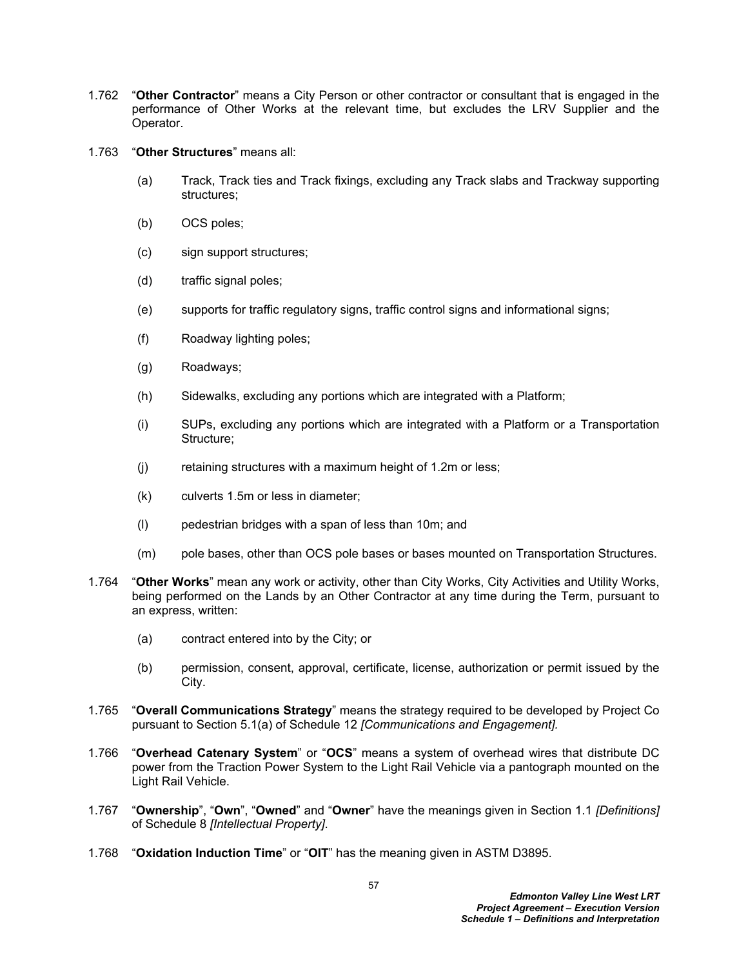- 1.762 "**Other Contractor**" means a City Person or other contractor or consultant that is engaged in the performance of Other Works at the relevant time, but excludes the LRV Supplier and the Operator.
- 1.763 "**Other Structures**" means all:
	- (a) Track, Track ties and Track fixings, excluding any Track slabs and Trackway supporting structures;
	- (b) OCS poles;
	- (c) sign support structures;
	- (d) traffic signal poles;
	- (e) supports for traffic regulatory signs, traffic control signs and informational signs;
	- (f) Roadway lighting poles;
	- (g) Roadways;
	- (h) Sidewalks, excluding any portions which are integrated with a Platform;
	- (i) SUPs, excluding any portions which are integrated with a Platform or a Transportation Structure;
	- (j) retaining structures with a maximum height of 1.2m or less;
	- (k) culverts 1.5m or less in diameter;
	- (l) pedestrian bridges with a span of less than 10m; and
	- (m) pole bases, other than OCS pole bases or bases mounted on Transportation Structures.
- 1.764 "**Other Works**" mean any work or activity, other than City Works, City Activities and Utility Works, being performed on the Lands by an Other Contractor at any time during the Term, pursuant to an express, written:
	- (a) contract entered into by the City; or
	- (b) permission, consent, approval, certificate, license, authorization or permit issued by the City.
- 1.765 "**Overall Communications Strategy**" means the strategy required to be developed by Project Co pursuant to Section 5.1(a) of Schedule 12 *[Communications and Engagement].*
- 1.766 "**Overhead Catenary System**" or "**OCS**" means a system of overhead wires that distribute DC power from the Traction Power System to the Light Rail Vehicle via a pantograph mounted on the Light Rail Vehicle.
- 1.767 "**Ownership**", "**Own**", "**Owned**" and "**Owner**" have the meanings given in Section 1.1 *[Definitions]* of Schedule 8 *[Intellectual Property]*.
- 1.768 "**Oxidation Induction Time**" or "**OIT**" has the meaning given in ASTM D3895.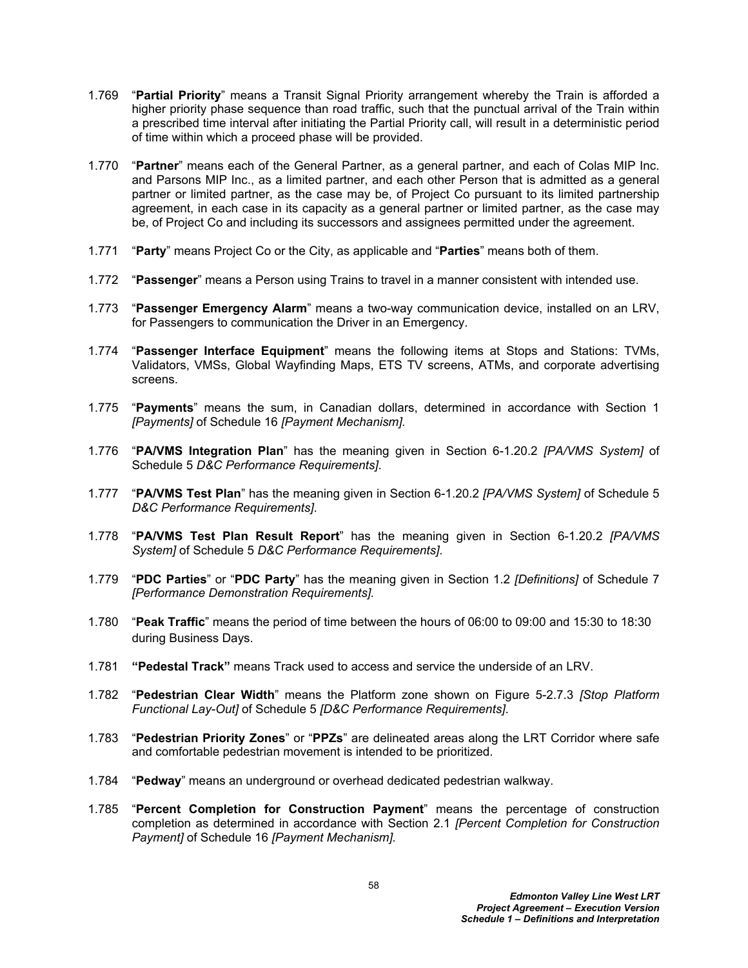- 1.769 "**Partial Priority**" means a Transit Signal Priority arrangement whereby the Train is afforded a higher priority phase sequence than road traffic, such that the punctual arrival of the Train within a prescribed time interval after initiating the Partial Priority call, will result in a deterministic period of time within which a proceed phase will be provided.
- 1.770 "**Partner**" means each of the General Partner, as a general partner, and each of Colas MIP Inc. and Parsons MIP Inc., as a limited partner, and each other Person that is admitted as a general partner or limited partner, as the case may be, of Project Co pursuant to its limited partnership agreement, in each case in its capacity as a general partner or limited partner, as the case may be, of Project Co and including its successors and assignees permitted under the agreement.
- 1.771 "**Party**" means Project Co or the City, as applicable and "**Parties**" means both of them.
- 1.772 "**Passenger**" means a Person using Trains to travel in a manner consistent with intended use.
- 1.773 "**Passenger Emergency Alarm**" means a two-way communication device, installed on an LRV, for Passengers to communication the Driver in an Emergency.
- 1.774 "**Passenger Interface Equipment**" means the following items at Stops and Stations: TVMs, Validators, VMSs, Global Wayfinding Maps, ETS TV screens, ATMs, and corporate advertising screens.
- 1.775 "**Payments**" means the sum, in Canadian dollars, determined in accordance with Section 1 *[Payments]* of Schedule 16 *[Payment Mechanism].*
- 1.776 "**PA/VMS Integration Plan**" has the meaning given in Section 6-1.20.2 *[PA/VMS System]* of Schedule 5 *D&C Performance Requirements]*.
- 1.777 "**PA/VMS Test Plan**" has the meaning given in Section 6-1.20.2 *[PA/VMS System]* of Schedule 5 *D&C Performance Requirements]*.
- 1.778 "**PA/VMS Test Plan Result Report**" has the meaning given in Section 6-1.20.2 *[PA/VMS System]* of Schedule 5 *D&C Performance Requirements]*.
- 1.779 "**PDC Parties**" or "**PDC Party**" has the meaning given in Section 1.2 *[Definitions]* of Schedule 7 *[Performance Demonstration Requirements].*
- 1.780 "**Peak Traffic**" means the period of time between the hours of 06:00 to 09:00 and 15:30 to 18:30 during Business Days.
- 1.781 **"Pedestal Track"** means Track used to access and service the underside of an LRV.
- 1.782 "**Pedestrian Clear Width**" means the Platform zone shown on Figure 5-2.7.3 *[Stop Platform Functional Lay-Out]* of Schedule 5 *[D&C Performance Requirements]*.
- 1.783 "**Pedestrian Priority Zones**" or "**PPZs**" are delineated areas along the LRT Corridor where safe and comfortable pedestrian movement is intended to be prioritized.
- 1.784 "**Pedway**" means an underground or overhead dedicated pedestrian walkway.
- 1.785 "**Percent Completion for Construction Payment**" means the percentage of construction completion as determined in accordance with Section 2.1 *[Percent Completion for Construction Payment]* of Schedule 16 *[Payment Mechanism].*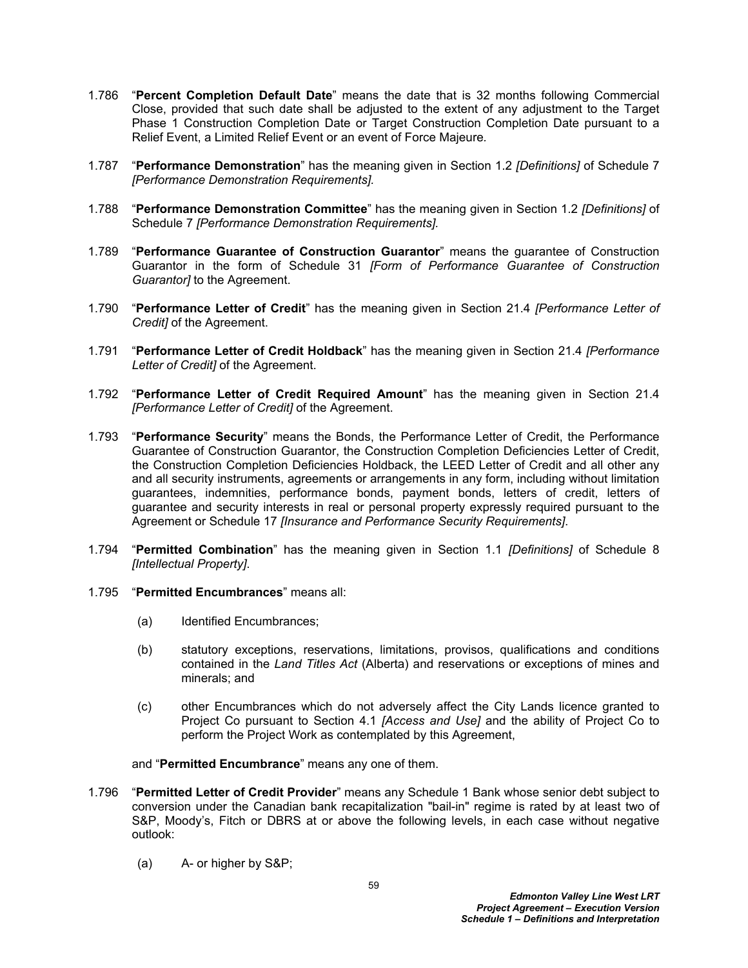- 1.786 "**Percent Completion Default Date**" means the date that is 32 months following Commercial Close, provided that such date shall be adjusted to the extent of any adjustment to the Target Phase 1 Construction Completion Date or Target Construction Completion Date pursuant to a Relief Event, a Limited Relief Event or an event of Force Majeure*.*
- 1.787 "**Performance Demonstration**" has the meaning given in Section 1.2 *[Definitions]* of Schedule 7 *[Performance Demonstration Requirements].*
- 1.788 "**Performance Demonstration Committee**" has the meaning given in Section 1.2 *[Definitions]* of Schedule 7 *[Performance Demonstration Requirements].*
- 1.789 "**Performance Guarantee of Construction Guarantor**" means the guarantee of Construction Guarantor in the form of Schedule 31 *[Form of Performance Guarantee of Construction Guarantor]* to the Agreement.
- 1.790 "**Performance Letter of Credit**" has the meaning given in Section 21.4 *[Performance Letter of Credit]* of the Agreement.
- 1.791 "**Performance Letter of Credit Holdback**" has the meaning given in Section 21.4 *[Performance Letter of Credit]* of the Agreement.
- 1.792 "**Performance Letter of Credit Required Amount**" has the meaning given in Section 21.4 *[Performance Letter of Credit]* of the Agreement.
- 1.793 "**Performance Security**" means the Bonds, the Performance Letter of Credit, the Performance Guarantee of Construction Guarantor, the Construction Completion Deficiencies Letter of Credit, the Construction Completion Deficiencies Holdback, the LEED Letter of Credit and all other any and all security instruments, agreements or arrangements in any form, including without limitation guarantees, indemnities, performance bonds, payment bonds, letters of credit, letters of guarantee and security interests in real or personal property expressly required pursuant to the Agreement or Schedule 17 *[Insurance and Performance Security Requirements]*.
- 1.794 "**Permitted Combination**" has the meaning given in Section 1.1 *[Definitions]* of Schedule 8 *[Intellectual Property]*.
- 1.795 "**Permitted Encumbrances**" means all:
	- (a) Identified Encumbrances;
	- (b) statutory exceptions, reservations, limitations, provisos, qualifications and conditions contained in the *Land Titles Act* (Alberta) and reservations or exceptions of mines and minerals; and
	- (c) other Encumbrances which do not adversely affect the City Lands licence granted to Project Co pursuant to Section 4.1 *[Access and Use]* and the ability of Project Co to perform the Project Work as contemplated by this Agreement,
	- and "**Permitted Encumbrance**" means any one of them.
- 1.796 "**Permitted Letter of Credit Provider**" means any Schedule 1 Bank whose senior debt subject to conversion under the Canadian bank recapitalization "bail-in" regime is rated by at least two of S&P, Moody's, Fitch or DBRS at or above the following levels, in each case without negative outlook:
	- (a) A- or higher by S&P;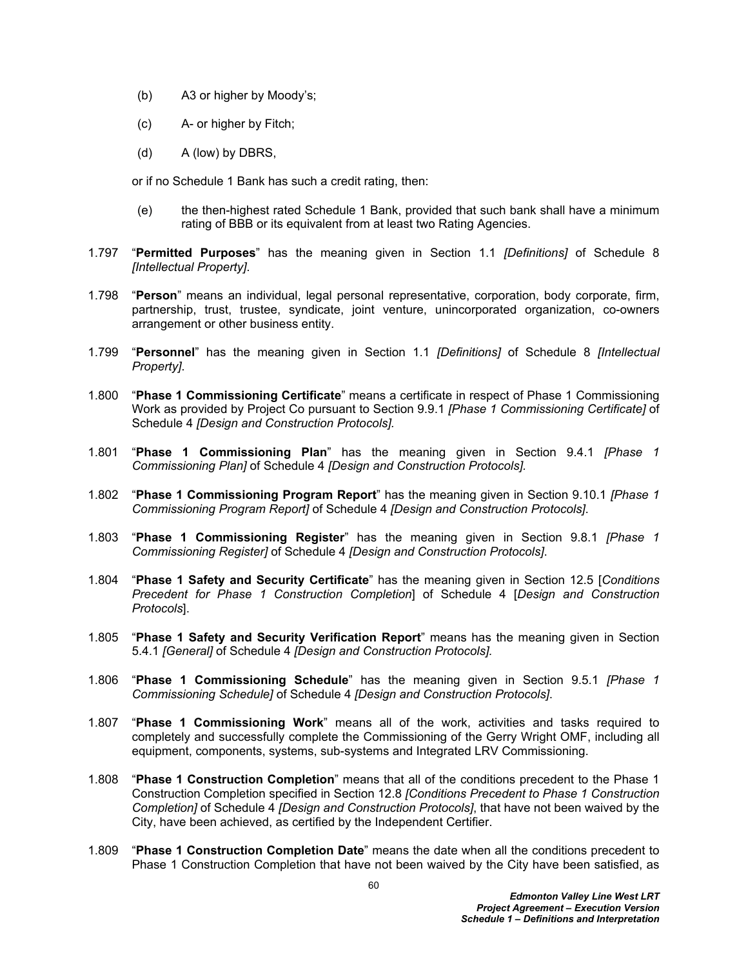- (b) A3 or higher by Moody's;
- (c) A- or higher by Fitch;
- (d) A (low) by DBRS,

or if no Schedule 1 Bank has such a credit rating, then:

- (e) the then-highest rated Schedule 1 Bank, provided that such bank shall have a minimum rating of BBB or its equivalent from at least two Rating Agencies.
- 1.797 "**Permitted Purposes**" has the meaning given in Section 1.1 *[Definitions]* of Schedule 8 *[Intellectual Property]*.
- 1.798 "**Person**" means an individual, legal personal representative, corporation, body corporate, firm, partnership, trust, trustee, syndicate, joint venture, unincorporated organization, co-owners arrangement or other business entity.
- 1.799 "**Personnel**" has the meaning given in Section 1.1 *[Definitions]* of Schedule 8 *[Intellectual Property]*.
- 1.800 "**Phase 1 Commissioning Certificate**" means a certificate in respect of Phase 1 Commissioning Work as provided by Project Co pursuant to Section 9.9.1 *[Phase 1 Commissioning Certificate]* of Schedule 4 *[Design and Construction Protocols].*
- 1.801 "**Phase 1 Commissioning Plan**" has the meaning given in Section 9.4.1 *[Phase 1 Commissioning Plan]* of Schedule 4 *[Design and Construction Protocols].*
- 1.802 "**Phase 1 Commissioning Program Report**" has the meaning given in Section 9.10.1 *[Phase 1 Commissioning Program Report]* of Schedule 4 *[Design and Construction Protocols]*.
- 1.803 "**Phase 1 Commissioning Register**" has the meaning given in Section 9.8.1 *[Phase 1 Commissioning Register]* of Schedule 4 *[Design and Construction Protocols]*.
- 1.804 "**Phase 1 Safety and Security Certificate**" has the meaning given in Section 12.5 [*Conditions Precedent for Phase 1 Construction Completion*] of Schedule 4 [*Design and Construction Protocols*].
- 1.805 "**Phase 1 Safety and Security Verification Report**" means has the meaning given in Section 5.4.1 *[General]* of Schedule 4 *[Design and Construction Protocols].*
- 1.806 "**Phase 1 Commissioning Schedule**" has the meaning given in Section 9.5.1 *[Phase 1 Commissioning Schedule]* of Schedule 4 *[Design and Construction Protocols]*.
- 1.807 "**Phase 1 Commissioning Work**" means all of the work, activities and tasks required to completely and successfully complete the Commissioning of the Gerry Wright OMF, including all equipment, components, systems, sub-systems and Integrated LRV Commissioning.
- 1.808 "**Phase 1 Construction Completion**" means that all of the conditions precedent to the Phase 1 Construction Completion specified in Section 12.8 *[Conditions Precedent to Phase 1 Construction Completion]* of Schedule 4 *[Design and Construction Protocols]*, that have not been waived by the City, have been achieved, as certified by the Independent Certifier.
- 1.809 "**Phase 1 Construction Completion Date**" means the date when all the conditions precedent to Phase 1 Construction Completion that have not been waived by the City have been satisfied, as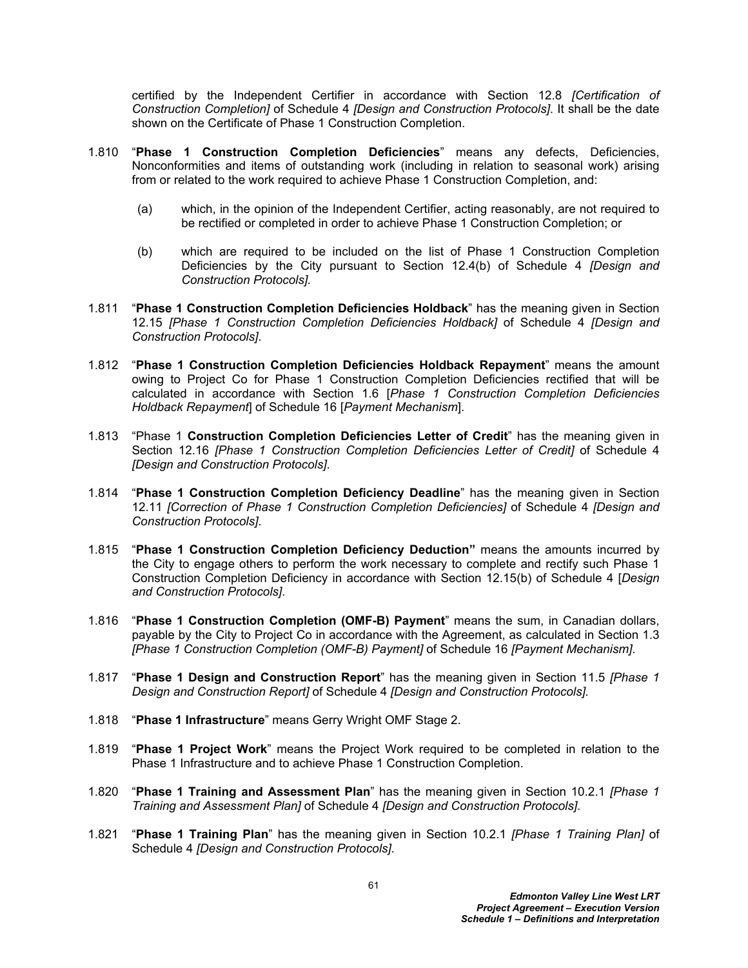certified by the Independent Certifier in accordance with Section 12.8 *[Certification of Construction Completion]* of Schedule 4 *[Design and Construction Protocols]*. It shall be the date shown on the Certificate of Phase 1 Construction Completion.

- 1.810 "**Phase 1 Construction Completion Deficiencies**" means any defects, Deficiencies, Nonconformities and items of outstanding work (including in relation to seasonal work) arising from or related to the work required to achieve Phase 1 Construction Completion, and:
	- (a) which, in the opinion of the Independent Certifier, acting reasonably, are not required to be rectified or completed in order to achieve Phase 1 Construction Completion; or
	- (b) which are required to be included on the list of Phase 1 Construction Completion Deficiencies by the City pursuant to Section 12.4(b) of Schedule 4 *[Design and Construction Protocols].*
- 1.811 "**Phase 1 Construction Completion Deficiencies Holdback**" has the meaning given in Section 12.15 *[Phase 1 Construction Completion Deficiencies Holdback]* of Schedule 4 *[Design and Construction Protocols]*.
- 1.812 "**Phase 1 Construction Completion Deficiencies Holdback Repayment**" means the amount owing to Project Co for Phase 1 Construction Completion Deficiencies rectified that will be calculated in accordance with Section 1.6 [*Phase 1 Construction Completion Deficiencies Holdback Repayment*] of Schedule 16 [*Payment Mechanism*].
- 1.813 "Phase 1 **Construction Completion Deficiencies Letter of Credit**" has the meaning given in Section 12.16 *[Phase 1 Construction Completion Deficiencies Letter of Credit]* of Schedule 4 *[Design and Construction Protocols]*.
- 1.814 "**Phase 1 Construction Completion Deficiency Deadline**" has the meaning given in Section 12.11 *[Correction of Phase 1 Construction Completion Deficiencies]* of Schedule 4 *[Design and Construction Protocols]*.
- 1.815 "**Phase 1 Construction Completion Deficiency Deduction"** means the amounts incurred by the City to engage others to perform the work necessary to complete and rectify such Phase 1 Construction Completion Deficiency in accordance with Section 12.15(b) of Schedule 4 [*Design and Construction Protocols]*.
- 1.816 "**Phase 1 Construction Completion (OMF-B) Payment**" means the sum, in Canadian dollars, payable by the City to Project Co in accordance with the Agreement, as calculated in Section 1.3 *[Phase 1 Construction Completion (OMF-B) Payment]* of Schedule 16 *[Payment Mechanism]*.
- 1.817 "**Phase 1 Design and Construction Report**" has the meaning given in Section 11.5 *[Phase 1 Design and Construction Report]* of Schedule 4 *[Design and Construction Protocols].*
- 1.818 "**Phase 1 Infrastructure**" means Gerry Wright OMF Stage 2.
- 1.819 "**Phase 1 Project Work**" means the Project Work required to be completed in relation to the Phase 1 Infrastructure and to achieve Phase 1 Construction Completion.
- 1.820 "**Phase 1 Training and Assessment Plan**" has the meaning given in Section 10.2.1 *[Phase 1 Training and Assessment Plan]* of Schedule 4 *[Design and Construction Protocols]*.
- 1.821 "**Phase 1 Training Plan**" has the meaning given in Section 10.2.1 *[Phase 1 Training Plan]* of Schedule 4 *[Design and Construction Protocols]*.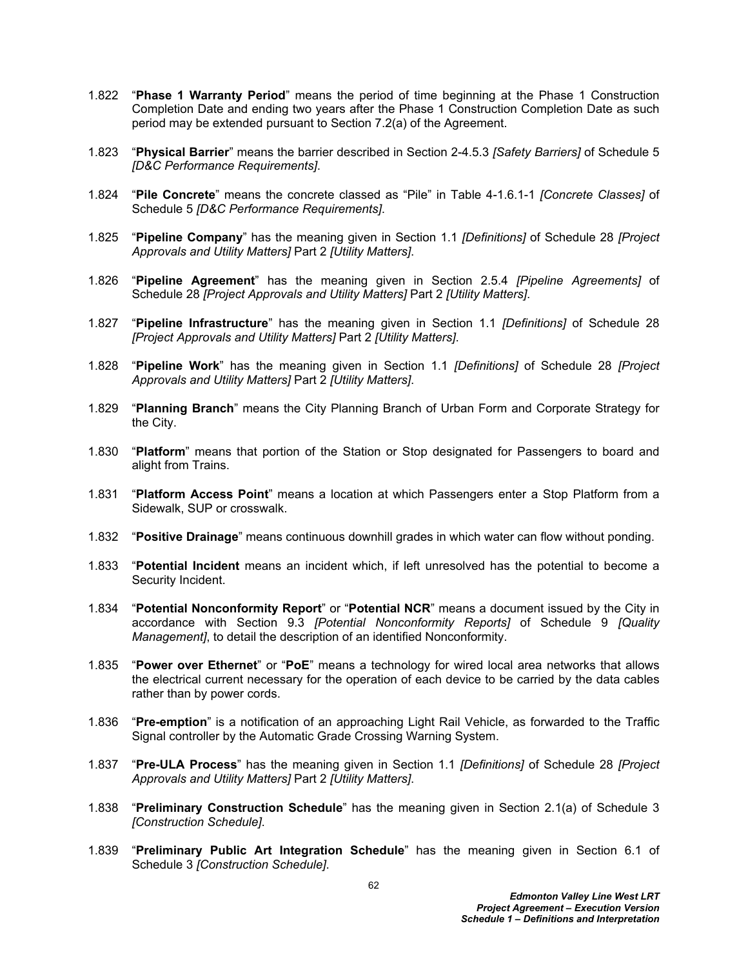- 1.822 "**Phase 1 Warranty Period**" means the period of time beginning at the Phase 1 Construction Completion Date and ending two years after the Phase 1 Construction Completion Date as such period may be extended pursuant to Section 7.2(a) of the Agreement.
- 1.823 "**Physical Barrier**" means the barrier described in Section 2-4.5.3 *[Safety Barriers]* of Schedule 5 *[D&C Performance Requirements]*.
- 1.824 "**Pile Concrete**" means the concrete classed as "Pile" in Table 4-1.6.1-1 *[Concrete Classes]* of Schedule 5 *[D&C Performance Requirements]*.
- 1.825 "**Pipeline Company**" has the meaning given in Section 1.1 *[Definitions]* of Schedule 28 *[Project Approvals and Utility Matters]* Part 2 *[Utility Matters]*.
- 1.826 "**Pipeline Agreement**" has the meaning given in Section 2.5.4 *[Pipeline Agreements]* of Schedule 28 *[Project Approvals and Utility Matters]* Part 2 *[Utility Matters]*.
- 1.827 "**Pipeline Infrastructure**" has the meaning given in Section 1.1 *[Definitions]* of Schedule 28 *[Project Approvals and Utility Matters]* Part 2 *[Utility Matters]*.
- 1.828 "**Pipeline Work**" has the meaning given in Section 1.1 *[Definitions]* of Schedule 28 *[Project Approvals and Utility Matters]* Part 2 *[Utility Matters]*.
- 1.829 "**Planning Branch**" means the City Planning Branch of Urban Form and Corporate Strategy for the City.
- 1.830 "**Platform**" means that portion of the Station or Stop designated for Passengers to board and alight from Trains.
- 1.831 "**Platform Access Point**" means a location at which Passengers enter a Stop Platform from a Sidewalk, SUP or crosswalk.
- 1.832 "**Positive Drainage**" means continuous downhill grades in which water can flow without ponding.
- 1.833 "**Potential Incident** means an incident which, if left unresolved has the potential to become a Security Incident.
- 1.834 "**Potential Nonconformity Report**" or "**Potential NCR**" means a document issued by the City in accordance with Section 9.3 *[Potential Nonconformity Reports]* of Schedule 9 *[Quality Management]*, to detail the description of an identified Nonconformity.
- 1.835 "**Power over Ethernet**" or "**PoE**" means a technology for wired local area networks that allows the electrical current necessary for the operation of each device to be carried by the data cables rather than by power cords.
- 1.836 "**Pre-emption**" is a notification of an approaching Light Rail Vehicle, as forwarded to the Traffic Signal controller by the Automatic Grade Crossing Warning System.
- 1.837 "**Pre-ULA Process**" has the meaning given in Section 1.1 *[Definitions]* of Schedule 28 *[Project Approvals and Utility Matters]* Part 2 *[Utility Matters]*.
- 1.838 "**Preliminary Construction Schedule**" has the meaning given in Section 2.1(a) of Schedule 3 *[Construction Schedule]*.
- 1.839 "**Preliminary Public Art Integration Schedule**" has the meaning given in Section 6.1 of Schedule 3 *[Construction Schedule]*.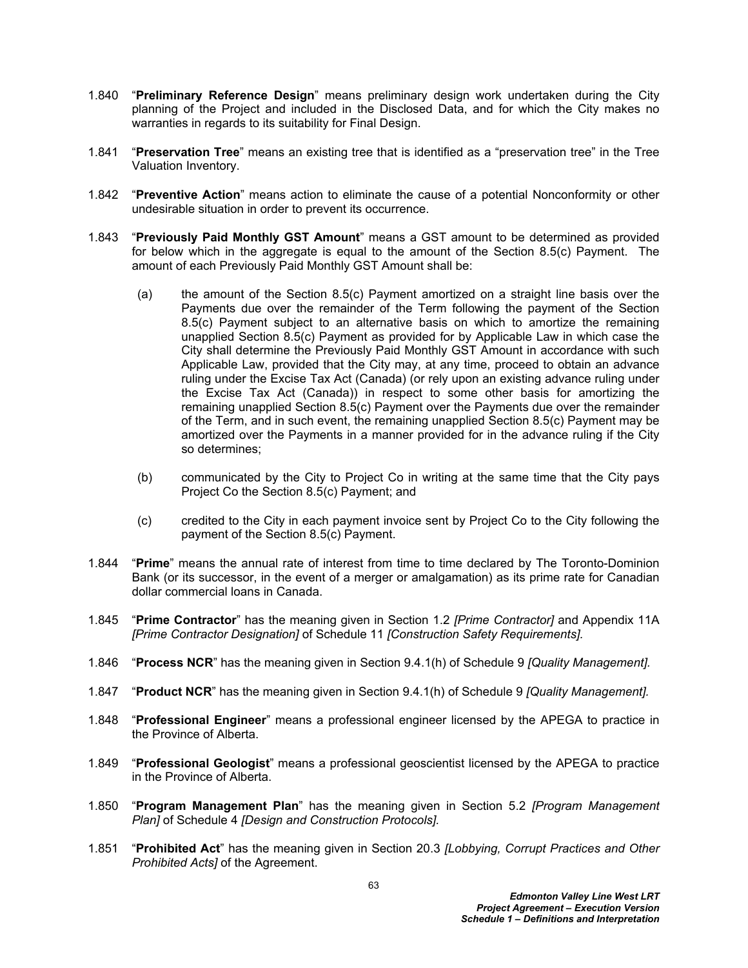- 1.840 "**Preliminary Reference Design**" means preliminary design work undertaken during the City planning of the Project and included in the Disclosed Data, and for which the City makes no warranties in regards to its suitability for Final Design.
- 1.841 "**Preservation Tree**" means an existing tree that is identified as a "preservation tree" in the Tree Valuation Inventory.
- 1.842 "**Preventive Action**" means action to eliminate the cause of a potential Nonconformity or other undesirable situation in order to prevent its occurrence.
- 1.843 "**Previously Paid Monthly GST Amount**" means a GST amount to be determined as provided for below which in the aggregate is equal to the amount of the Section 8.5(c) Payment. The amount of each Previously Paid Monthly GST Amount shall be:
	- (a) the amount of the Section 8.5(c) Payment amortized on a straight line basis over the Payments due over the remainder of the Term following the payment of the Section 8.5(c) Payment subject to an alternative basis on which to amortize the remaining unapplied Section 8.5(c) Payment as provided for by Applicable Law in which case the City shall determine the Previously Paid Monthly GST Amount in accordance with such Applicable Law, provided that the City may, at any time, proceed to obtain an advance ruling under the Excise Tax Act (Canada) (or rely upon an existing advance ruling under the Excise Tax Act (Canada)) in respect to some other basis for amortizing the remaining unapplied Section 8.5(c) Payment over the Payments due over the remainder of the Term, and in such event, the remaining unapplied Section 8.5(c) Payment may be amortized over the Payments in a manner provided for in the advance ruling if the City so determines;
	- (b) communicated by the City to Project Co in writing at the same time that the City pays Project Co the Section 8.5(c) Payment; and
	- (c) credited to the City in each payment invoice sent by Project Co to the City following the payment of the Section 8.5(c) Payment.
- 1.844 "**Prime**" means the annual rate of interest from time to time declared by The Toronto-Dominion Bank (or its successor, in the event of a merger or amalgamation) as its prime rate for Canadian dollar commercial loans in Canada.
- 1.845 "**Prime Contractor**" has the meaning given in Section 1.2 *[Prime Contractor]* and Appendix 11A *[Prime Contractor Designation]* of Schedule 11 *[Construction Safety Requirements].*
- 1.846 "**Process NCR**" has the meaning given in Section 9.4.1(h) of Schedule 9 *[Quality Management].*
- 1.847 "**Product NCR**" has the meaning given in Section 9.4.1(h) of Schedule 9 *[Quality Management].*
- 1.848 "**Professional Engineer**" means a professional engineer licensed by the APEGA to practice in the Province of Alberta.
- 1.849 "**Professional Geologist**" means a professional geoscientist licensed by the APEGA to practice in the Province of Alberta.
- 1.850 "**Program Management Plan**" has the meaning given in Section 5.2 *[Program Management Plan]* of Schedule 4 *[Design and Construction Protocols].*
- 1.851 "**Prohibited Act**" has the meaning given in Section 20.3 *[Lobbying, Corrupt Practices and Other Prohibited Acts]* of the Agreement.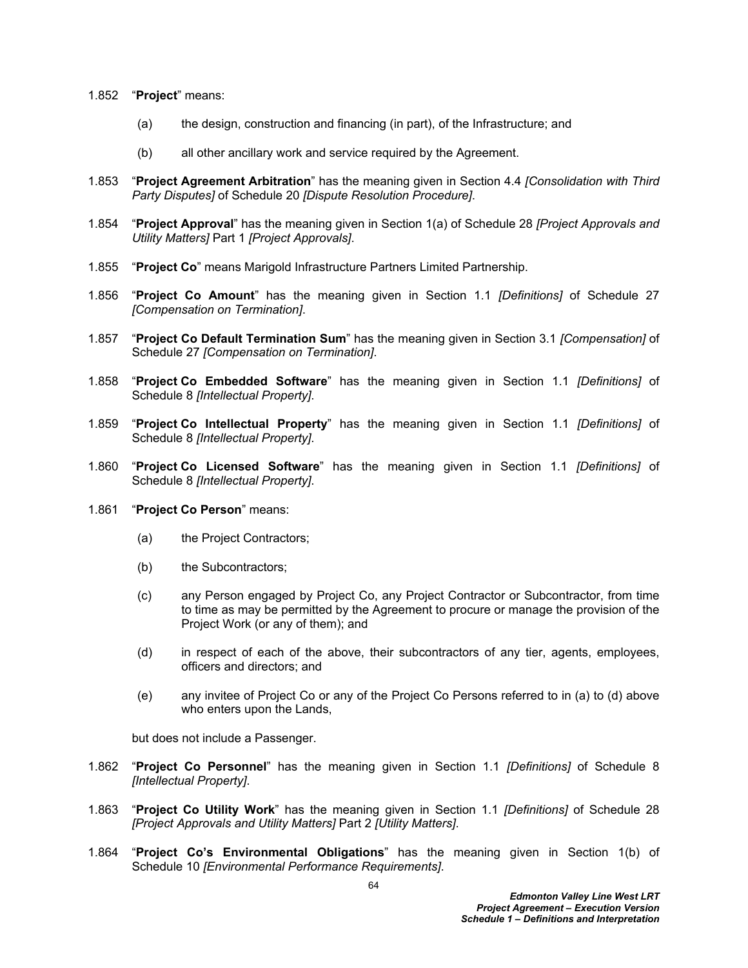- 1.852 "**Project**" means:
	- (a) the design, construction and financing (in part), of the Infrastructure; and
	- (b) all other ancillary work and service required by the Agreement.
- 1.853 "**Project Agreement Arbitration**" has the meaning given in Section 4.4 *[Consolidation with Third Party Disputes]* of Schedule 20 *[Dispute Resolution Procedure]*.
- 1.854 "**Project Approval**" has the meaning given in Section 1(a) of Schedule 28 *[Project Approvals and Utility Matters]* Part 1 *[Project Approvals]*.
- 1.855 "**Project Co**" means Marigold Infrastructure Partners Limited Partnership.
- 1.856 "**Project Co Amount**" has the meaning given in Section 1.1 *[Definitions]* of Schedule 27 *[Compensation on Termination]*.
- 1.857 "**Project Co Default Termination Sum**" has the meaning given in Section 3.1 *[Compensation]* of Schedule 27 *[Compensation on Termination]*.
- 1.858 "**Project Co Embedded Software**" has the meaning given in Section 1.1 *[Definitions]* of Schedule 8 *[Intellectual Property]*.
- 1.859 "**Project Co Intellectual Property**" has the meaning given in Section 1.1 *[Definitions]* of Schedule 8 *[Intellectual Property]*.
- 1.860 "**Project Co Licensed Software**" has the meaning given in Section 1.1 *[Definitions]* of Schedule 8 *[Intellectual Property]*.
- 1.861 "**Project Co Person**" means:
	- (a) the Project Contractors;
	- (b) the Subcontractors;
	- (c) any Person engaged by Project Co, any Project Contractor or Subcontractor, from time to time as may be permitted by the Agreement to procure or manage the provision of the Project Work (or any of them); and
	- (d) in respect of each of the above, their subcontractors of any tier, agents, employees, officers and directors; and
	- (e) any invitee of Project Co or any of the Project Co Persons referred to in (a) to (d) above who enters upon the Lands,

but does not include a Passenger.

- 1.862 "**Project Co Personnel**" has the meaning given in Section 1.1 *[Definitions]* of Schedule 8 *[Intellectual Property]*.
- 1.863 "**Project Co Utility Work**" has the meaning given in Section 1.1 *[Definitions]* of Schedule 28 *[Project Approvals and Utility Matters]* Part 2 *[Utility Matters]*.
- 1.864 "**Project Co's Environmental Obligations**" has the meaning given in Section 1(b) of Schedule 10 *[Environmental Performance Requirements]*.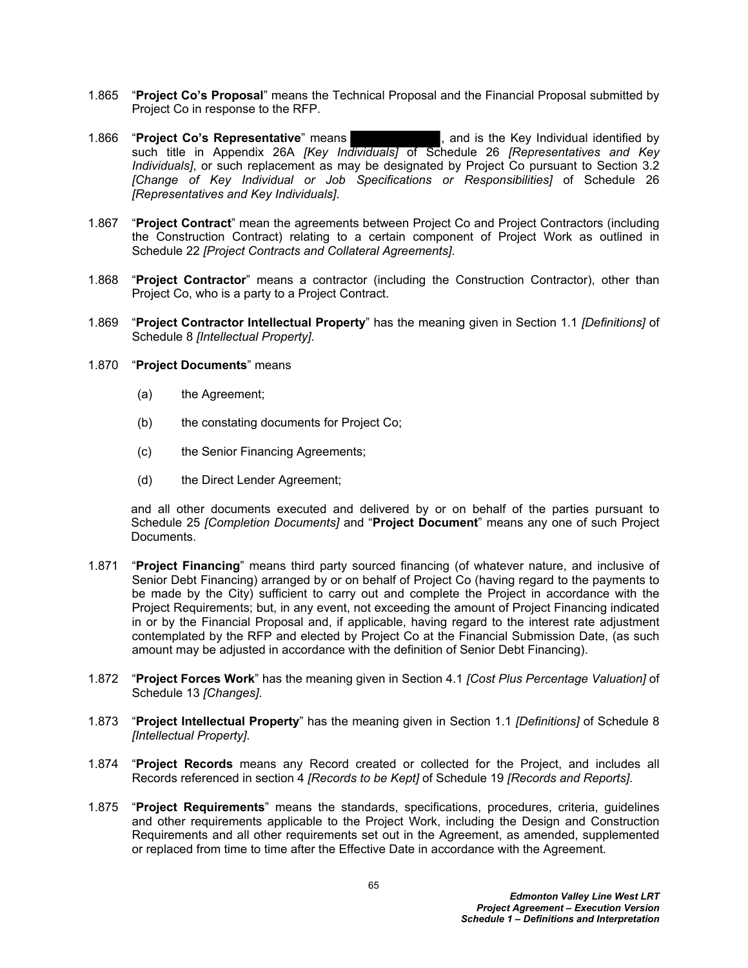- 1.865 "**Project Co's Proposal**" means the Technical Proposal and the Financial Proposal submitted by Project Co in response to the RFP.
- 1.866 "**Project Co's Representative**" means , and is the Key Individual identified by such title in Appendix 26A *[Key Individuals]* of Schedule 26 *[Representatives and Key Individuals]*, or such replacement as may be designated by Project Co pursuant to Section 3.2 *[Change of Key Individual or Job Specifications or Responsibilities]* of Schedule 26 *[Representatives and Key Individuals]*.
- 1.867 "**Project Contract**" mean the agreements between Project Co and Project Contractors (including the Construction Contract) relating to a certain component of Project Work as outlined in Schedule 22 *[Project Contracts and Collateral Agreements]*.
- 1.868 "**Project Contractor**" means a contractor (including the Construction Contractor), other than Project Co, who is a party to a Project Contract.
- 1.869 "**Project Contractor Intellectual Property**" has the meaning given in Section 1.1 *[Definitions]* of Schedule 8 *[Intellectual Property]*.

## 1.870 "**Project Documents**" means

- (a) the Agreement;
- (b) the constating documents for Project Co;
- (c) the Senior Financing Agreements;
- (d) the Direct Lender Agreement;

and all other documents executed and delivered by or on behalf of the parties pursuant to Schedule 25 *[Completion Documents]* and "**Project Document**" means any one of such Project **Documents** 

- 1.871 "**Project Financing**" means third party sourced financing (of whatever nature, and inclusive of Senior Debt Financing) arranged by or on behalf of Project Co (having regard to the payments to be made by the City) sufficient to carry out and complete the Project in accordance with the Project Requirements; but, in any event, not exceeding the amount of Project Financing indicated in or by the Financial Proposal and, if applicable, having regard to the interest rate adjustment contemplated by the RFP and elected by Project Co at the Financial Submission Date, (as such amount may be adjusted in accordance with the definition of Senior Debt Financing).
- 1.872 "**Project Forces Work**" has the meaning given in Section 4.1 *[Cost Plus Percentage Valuation]* of Schedule 13 *[Changes]*.
- 1.873 "**Project Intellectual Property**" has the meaning given in Section 1.1 *[Definitions]* of Schedule 8 *[Intellectual Property]*.
- 1.874 "**Project Records** means any Record created or collected for the Project, and includes all Records referenced in section 4 *[Records to be Kept]* of Schedule 19 *[Records and Reports]*.
- 1.875 "**Project Requirements**" means the standards, specifications, procedures, criteria, guidelines and other requirements applicable to the Project Work, including the Design and Construction Requirements and all other requirements set out in the Agreement, as amended, supplemented or replaced from time to time after the Effective Date in accordance with the Agreement*.*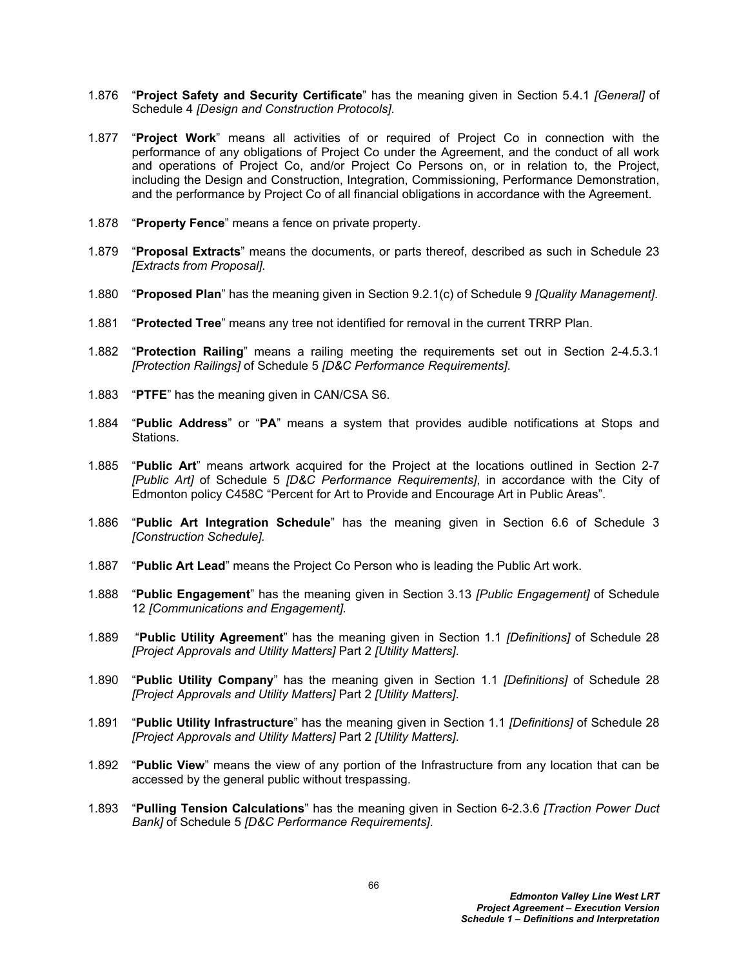- 1.876 "**Project Safety and Security Certificate**" has the meaning given in Section 5.4.1 *[General]* of Schedule 4 *[Design and Construction Protocols]*.
- 1.877 "**Project Work**" means all activities of or required of Project Co in connection with the performance of any obligations of Project Co under the Agreement, and the conduct of all work and operations of Project Co, and/or Project Co Persons on, or in relation to, the Project, including the Design and Construction, Integration, Commissioning, Performance Demonstration, and the performance by Project Co of all financial obligations in accordance with the Agreement.
- 1.878 "**Property Fence**" means a fence on private property.
- 1.879 "**Proposal Extracts**" means the documents, or parts thereof, described as such in Schedule 23 *[Extracts from Proposal].*
- 1.880 "**Proposed Plan**" has the meaning given in Section 9.2.1(c) of Schedule 9 *[Quality Management]*.
- 1.881 "**Protected Tree**" means any tree not identified for removal in the current TRRP Plan.
- 1.882 "**Protection Railing**" means a railing meeting the requirements set out in Section 2-4.5.3.1 *[Protection Railings]* of Schedule 5 *[D&C Performance Requirements]*.
- 1.883 "**PTFE**" has the meaning given in CAN/CSA S6.
- 1.884 "**Public Address**" or "**PA**" means a system that provides audible notifications at Stops and Stations.
- 1.885 "**Public Art**" means artwork acquired for the Project at the locations outlined in Section 2-7 *[Public Art]* of Schedule 5 *[D&C Performance Requirements]*, in accordance with the City of Edmonton policy C458C "Percent for Art to Provide and Encourage Art in Public Areas".
- 1.886 "**Public Art Integration Schedule**" has the meaning given in Section 6.6 of Schedule 3 *[Construction Schedule].*
- 1.887 "**Public Art Lead**" means the Project Co Person who is leading the Public Art work.
- 1.888 "**Public Engagement**" has the meaning given in Section 3.13 *[Public Engagement]* of Schedule 12 *[Communications and Engagement].*
- 1.889 "**Public Utility Agreement**" has the meaning given in Section 1.1 *[Definitions]* of Schedule 28 *[Project Approvals and Utility Matters]* Part 2 *[Utility Matters]*.
- 1.890 "**Public Utility Company**" has the meaning given in Section 1.1 *[Definitions]* of Schedule 28 *[Project Approvals and Utility Matters]* Part 2 *[Utility Matters]*.
- 1.891 "**Public Utility Infrastructure**" has the meaning given in Section 1.1 *[Definitions]* of Schedule 28 *[Project Approvals and Utility Matters]* Part 2 *[Utility Matters]*.
- 1.892 "**Public View**" means the view of any portion of the Infrastructure from any location that can be accessed by the general public without trespassing.
- 1.893 "**Pulling Tension Calculations**" has the meaning given in Section 6-2.3.6 *[Traction Power Duct Bank]* of Schedule 5 *[D&C Performance Requirements]*.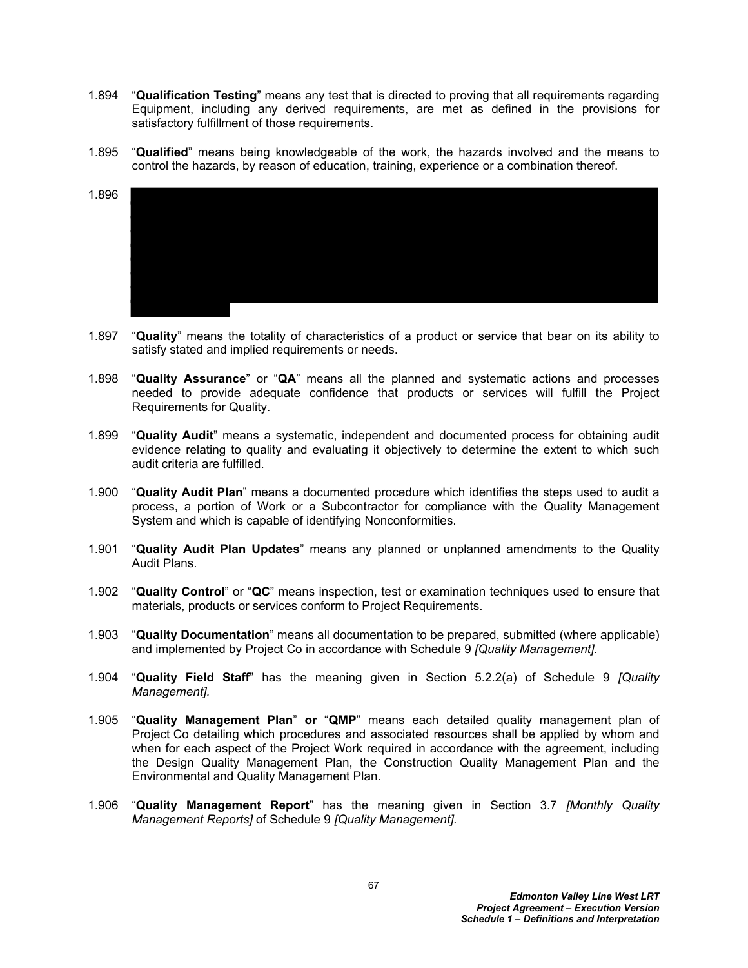- 1.894 "**Qualification Testing**" means any test that is directed to proving that all requirements regarding Equipment, including any derived requirements, are met as defined in the provisions for satisfactory fulfillment of those requirements.
- 1.895 "**Qualified**" means being knowledgeable of the work, the hazards involved and the means to control the hazards, by reason of education, training, experience or a combination thereof.
- 1.896
- 1.897 "**Quality**" means the totality of characteristics of a product or service that bear on its ability to satisfy stated and implied requirements or needs.
- 1.898 "**Quality Assurance**" or "**QA**" means all the planned and systematic actions and processes needed to provide adequate confidence that products or services will fulfill the Project Requirements for Quality.
- 1.899 "**Quality Audit**" means a systematic, independent and documented process for obtaining audit evidence relating to quality and evaluating it objectively to determine the extent to which such audit criteria are fulfilled.
- 1.900 "**Quality Audit Plan**" means a documented procedure which identifies the steps used to audit a process, a portion of Work or a Subcontractor for compliance with the Quality Management System and which is capable of identifying Nonconformities.
- 1.901 "**Quality Audit Plan Updates**" means any planned or unplanned amendments to the Quality Audit Plans.
- 1.902 "**Quality Control**" or "**QC**" means inspection, test or examination techniques used to ensure that materials, products or services conform to Project Requirements.
- 1.903 "**Quality Documentation**" means all documentation to be prepared, submitted (where applicable) and implemented by Project Co in accordance with Schedule 9 *[Quality Management].*
- 1.904 "**Quality Field Staff**" has the meaning given in Section 5.2.2(a) of Schedule 9 *[Quality Management].*
- 1.905 "**Quality Management Plan**" **or** "**QMP**" means each detailed quality management plan of Project Co detailing which procedures and associated resources shall be applied by whom and when for each aspect of the Project Work required in accordance with the agreement, including the Design Quality Management Plan, the Construction Quality Management Plan and the Environmental and Quality Management Plan.
- 1.906 "**Quality Management Report**" has the meaning given in Section 3.7 *[Monthly Quality Management Reports]* of Schedule 9 *[Quality Management].*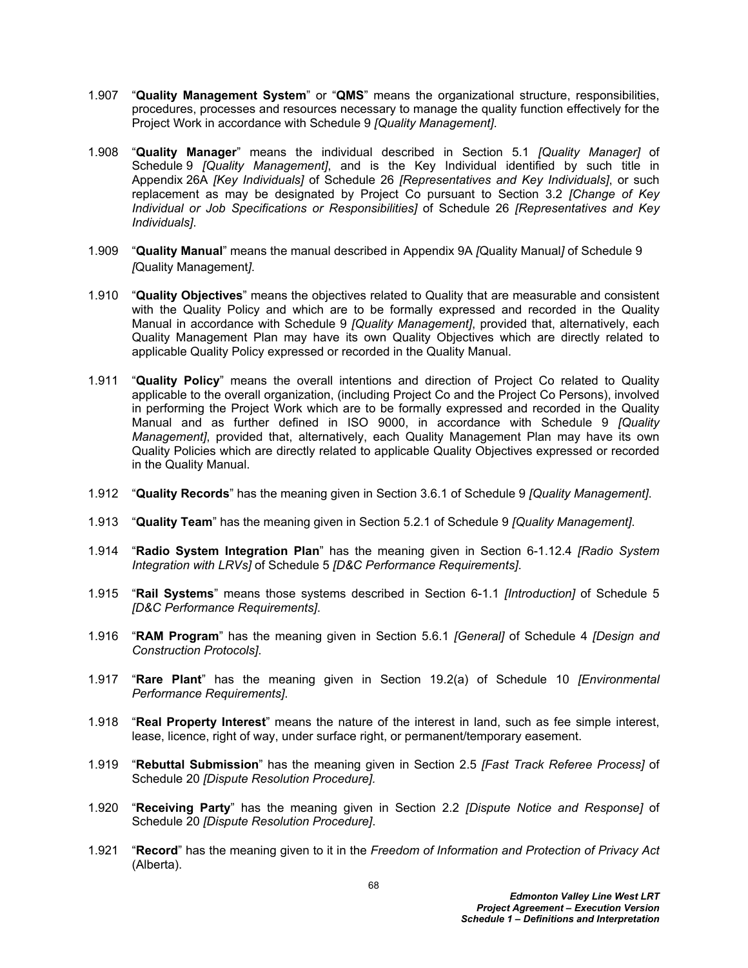- 1.907 "**Quality Management System**" or "**QMS**" means the organizational structure, responsibilities, procedures, processes and resources necessary to manage the quality function effectively for the Project Work in accordance with Schedule 9 *[Quality Management]*.
- 1.908 "**Quality Manager**" means the individual described in Section 5.1 *[Quality Manager]* of Schedule 9 *[Quality Management]*, and is the Key Individual identified by such title in Appendix 26A *[Key Individuals]* of Schedule 26 *[Representatives and Key Individuals]*, or such replacement as may be designated by Project Co pursuant to Section 3.2 *[Change of Key Individual or Job Specifications or Responsibilities]* of Schedule 26 *[Representatives and Key Individuals]*.
- 1.909 "**Quality Manual**" means the manual described in Appendix 9A *[*Quality Manual*]* of Schedule 9 *[*Quality Management*]*.
- 1.910 "**Quality Objectives**" means the objectives related to Quality that are measurable and consistent with the Quality Policy and which are to be formally expressed and recorded in the Quality Manual in accordance with Schedule 9 *[Quality Management]*, provided that, alternatively, each Quality Management Plan may have its own Quality Objectives which are directly related to applicable Quality Policy expressed or recorded in the Quality Manual.
- 1.911 "**Quality Policy**" means the overall intentions and direction of Project Co related to Quality applicable to the overall organization, (including Project Co and the Project Co Persons), involved in performing the Project Work which are to be formally expressed and recorded in the Quality Manual and as further defined in ISO 9000, in accordance with Schedule 9 *[Quality Management]*, provided that, alternatively, each Quality Management Plan may have its own Quality Policies which are directly related to applicable Quality Objectives expressed or recorded in the Quality Manual.
- 1.912 "**Quality Records**" has the meaning given in Section 3.6.1 of Schedule 9 *[Quality Management]*.
- 1.913 "**Quality Team**" has the meaning given in Section 5.2.1 of Schedule 9 *[Quality Management]*.
- 1.914 "**Radio System Integration Plan**" has the meaning given in Section 6-1.12.4 *[Radio System Integration with LRVs]* of Schedule 5 *[D&C Performance Requirements]*.
- 1.915 "**Rail Systems**" means those systems described in Section 6-1.1 *[Introduction]* of Schedule 5 *[D&C Performance Requirements]*.
- 1.916 "**RAM Program**" has the meaning given in Section 5.6.1 *[General]* of Schedule 4 *[Design and Construction Protocols]*.
- 1.917 "**Rare Plant**" has the meaning given in Section 19.2(a) of Schedule 10 *[Environmental Performance Requirements]*.
- 1.918 "**Real Property Interest**" means the nature of the interest in land, such as fee simple interest, lease, licence, right of way, under surface right, or permanent/temporary easement.
- 1.919 "**Rebuttal Submission**" has the meaning given in Section 2.5 *[Fast Track Referee Process]* of Schedule 20 *[Dispute Resolution Procedure].*
- 1.920 "**Receiving Party**" has the meaning given in Section 2.2 *[Dispute Notice and Response]* of Schedule 20 *[Dispute Resolution Procedure]*.
- 1.921 "**Record**" has the meaning given to it in the *Freedom of Information and Protection of Privacy Act* (Alberta).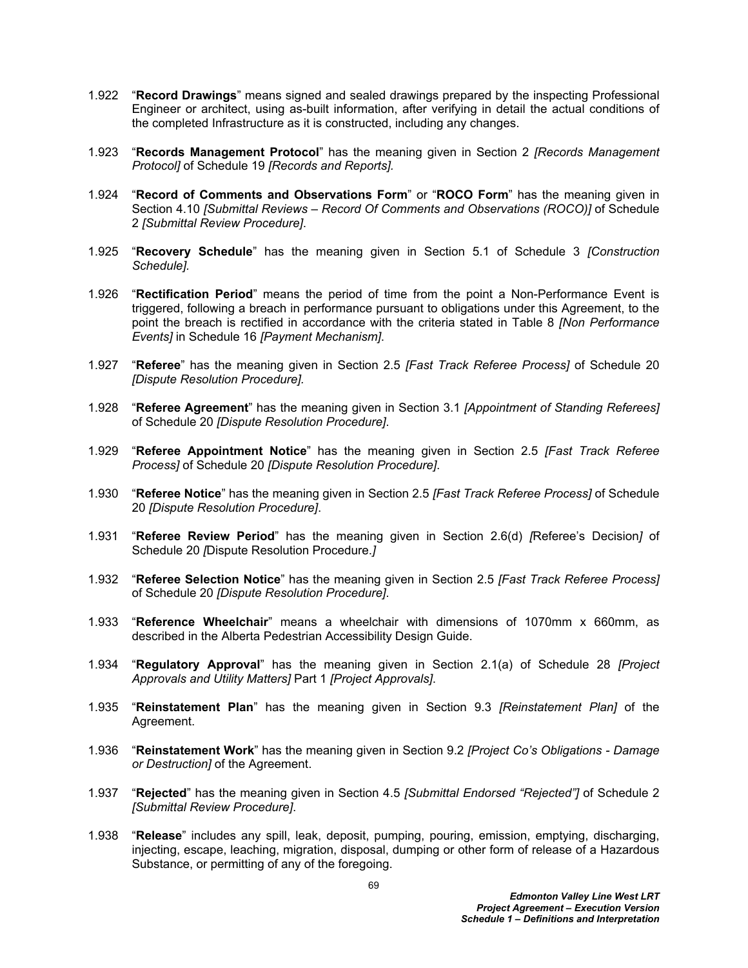- 1.922 "**Record Drawings**" means signed and sealed drawings prepared by the inspecting Professional Engineer or architect, using as-built information, after verifying in detail the actual conditions of the completed Infrastructure as it is constructed, including any changes.
- 1.923 "**Records Management Protocol**" has the meaning given in Section 2 *[Records Management Protocol]* of Schedule 19 *[Records and Reports].*
- 1.924 "**Record of Comments and Observations Form**" or "**ROCO Form**" has the meaning given in Section 4.10 *[Submittal Reviews – Record Of Comments and Observations (ROCO)]* of Schedule 2 *[Submittal Review Procedure]*.
- 1.925 "**Recovery Schedule**" has the meaning given in Section 5.1 of Schedule 3 *[Construction Schedule].*
- 1.926 "**Rectification Period**" means the period of time from the point a Non-Performance Event is triggered, following a breach in performance pursuant to obligations under this Agreement, to the point the breach is rectified in accordance with the criteria stated in Table 8 *[Non Performance Events]* in Schedule 16 *[Payment Mechanism]*.
- 1.927 "**Referee**" has the meaning given in Section 2.5 *[Fast Track Referee Process]* of Schedule 20 *[Dispute Resolution Procedure].*
- 1.928 "**Referee Agreement**" has the meaning given in Section 3.1 *[Appointment of Standing Referees]* of Schedule 20 *[Dispute Resolution Procedure]*.
- 1.929 "**Referee Appointment Notice**" has the meaning given in Section 2.5 *[Fast Track Referee Process]* of Schedule 20 *[Dispute Resolution Procedure]*.
- 1.930 "**Referee Notice**" has the meaning given in Section 2.5 *[Fast Track Referee Process]* of Schedule 20 *[Dispute Resolution Procedure]*.
- 1.931 "**Referee Review Period**" has the meaning given in Section 2.6(d) *[*Referee's Decision*]* of Schedule 20 *[*Dispute Resolution Procedure.*]*
- 1.932 "**Referee Selection Notice**" has the meaning given in Section 2.5 *[Fast Track Referee Process]*  of Schedule 20 *[Dispute Resolution Procedure]*.
- 1.933 "**Reference Wheelchair**" means a wheelchair with dimensions of 1070mm x 660mm, as described in the Alberta Pedestrian Accessibility Design Guide.
- 1.934 "**Regulatory Approval**" has the meaning given in Section 2.1(a) of Schedule 28 *[Project Approvals and Utility Matters]* Part 1 *[Project Approvals]*.
- 1.935 "**Reinstatement Plan**" has the meaning given in Section 9.3 *[Reinstatement Plan]* of the Agreement.
- 1.936 "**Reinstatement Work**" has the meaning given in Section 9.2 *[Project Co's Obligations Damage or Destruction]* of the Agreement.
- 1.937 "**Rejected**" has the meaning given in Section 4.5 *[Submittal Endorsed "Rejected"]* of Schedule 2 *[Submittal Review Procedure]*.
- 1.938 "**Release**" includes any spill, leak, deposit, pumping, pouring, emission, emptying, discharging, injecting, escape, leaching, migration, disposal, dumping or other form of release of a Hazardous Substance, or permitting of any of the foregoing.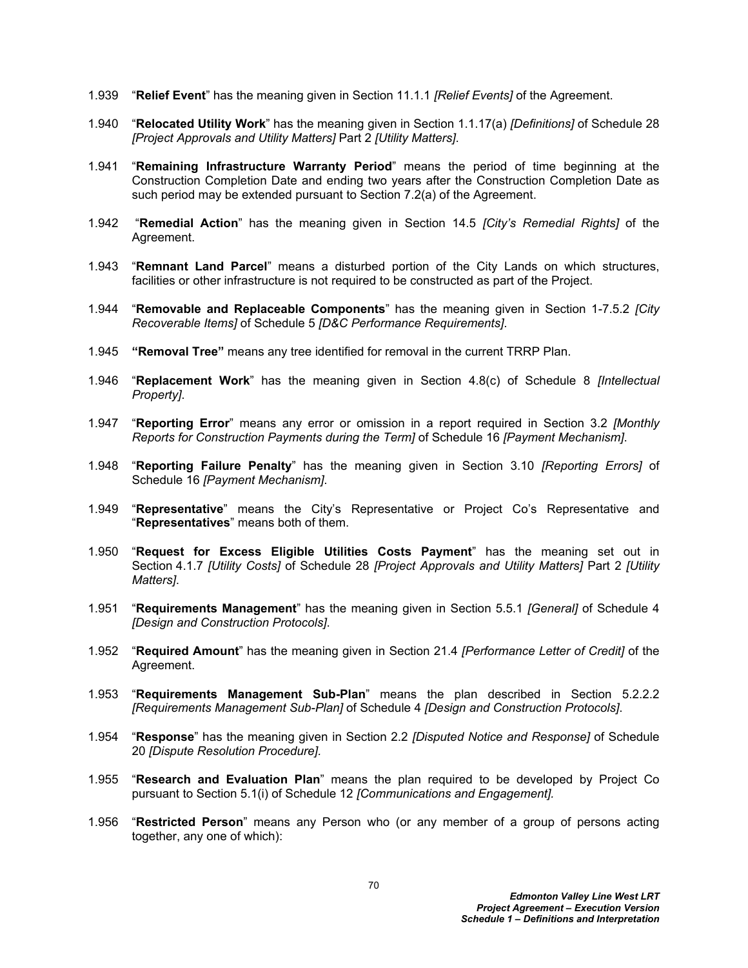- 1.939 "**Relief Event**" has the meaning given in Section 11.1.1 *[Relief Events]* of the Agreement.
- 1.940 "**Relocated Utility Work**" has the meaning given in Section 1.1.17(a) *[Definitions]* of Schedule 28 *[Project Approvals and Utility Matters]* Part 2 *[Utility Matters]*.
- 1.941 "**Remaining Infrastructure Warranty Period**" means the period of time beginning at the Construction Completion Date and ending two years after the Construction Completion Date as such period may be extended pursuant to Section 7.2(a) of the Agreement.
- 1.942 "**Remedial Action**" has the meaning given in Section 14.5 *[City's Remedial Rights]* of the Agreement.
- 1.943 "**Remnant Land Parcel**" means a disturbed portion of the City Lands on which structures, facilities or other infrastructure is not required to be constructed as part of the Project.
- 1.944 "**Removable and Replaceable Components**" has the meaning given in Section 1-7.5.2 *[City Recoverable Items]* of Schedule 5 *[D&C Performance Requirements]*.
- 1.945 **"Removal Tree"** means any tree identified for removal in the current TRRP Plan.
- 1.946 "**Replacement Work**" has the meaning given in Section 4.8(c) of Schedule 8 *[Intellectual Property]*.
- 1.947 "**Reporting Error**" means any error or omission in a report required in Section 3.2 *[Monthly Reports for Construction Payments during the Term]* of Schedule 16 *[Payment Mechanism]*.
- 1.948 "**Reporting Failure Penalty**" has the meaning given in Section 3.10 *[Reporting Errors]* of Schedule 16 *[Payment Mechanism]*.
- 1.949 "**Representative**" means the City's Representative or Project Co's Representative and "**Representatives**" means both of them.
- 1.950 "**Request for Excess Eligible Utilities Costs Payment**" has the meaning set out in Section 4.1.7 *[Utility Costs]* of Schedule 28 *[Project Approvals and Utility Matters]* Part 2 *[Utility Matters]*.
- 1.951 "**Requirements Management**" has the meaning given in Section 5.5.1 *[General]* of Schedule 4 *[Design and Construction Protocols]*.
- 1.952 "**Required Amount**" has the meaning given in Section 21.4 *[Performance Letter of Credit]* of the Agreement.
- 1.953 "**Requirements Management Sub-Plan**" means the plan described in Section 5.2.2.2 *[Requirements Management Sub-Plan]* of Schedule 4 *[Design and Construction Protocols]*.
- 1.954 "**Response**" has the meaning given in Section 2.2 *[Disputed Notice and Response]* of Schedule 20 *[Dispute Resolution Procedure].*
- 1.955 "**Research and Evaluation Plan**" means the plan required to be developed by Project Co pursuant to Section 5.1(i) of Schedule 12 *[Communications and Engagement].*
- 1.956 "**Restricted Person**" means any Person who (or any member of a group of persons acting together, any one of which):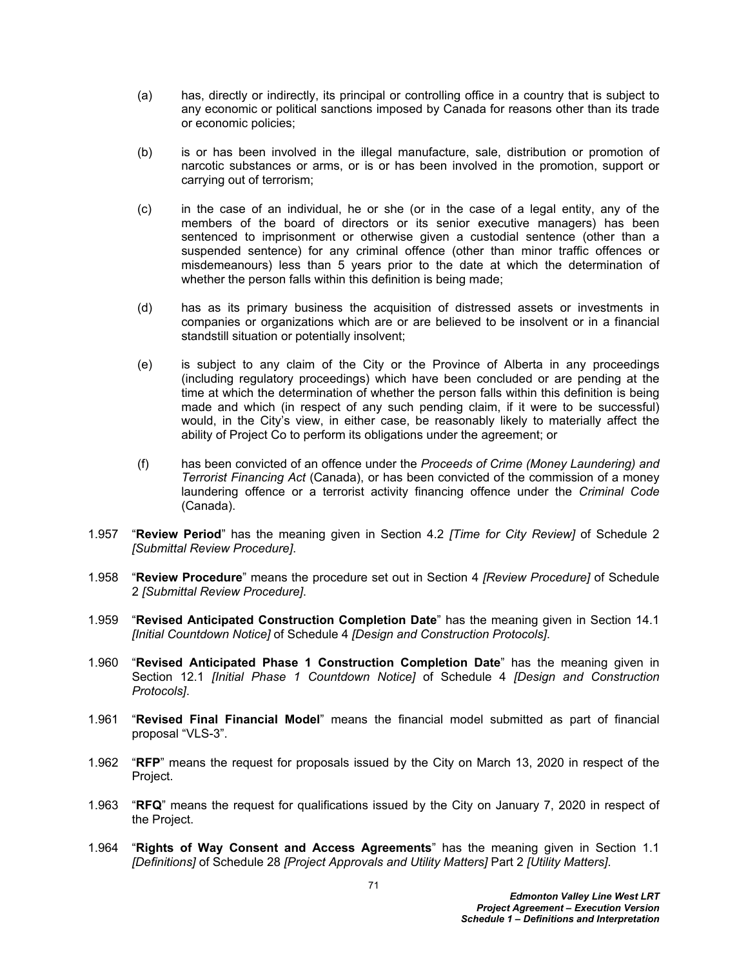- (a) has, directly or indirectly, its principal or controlling office in a country that is subject to any economic or political sanctions imposed by Canada for reasons other than its trade or economic policies;
- (b) is or has been involved in the illegal manufacture, sale, distribution or promotion of narcotic substances or arms, or is or has been involved in the promotion, support or carrying out of terrorism;
- (c) in the case of an individual, he or she (or in the case of a legal entity, any of the members of the board of directors or its senior executive managers) has been sentenced to imprisonment or otherwise given a custodial sentence (other than a suspended sentence) for any criminal offence (other than minor traffic offences or misdemeanours) less than 5 years prior to the date at which the determination of whether the person falls within this definition is being made;
- (d) has as its primary business the acquisition of distressed assets or investments in companies or organizations which are or are believed to be insolvent or in a financial standstill situation or potentially insolvent;
- (e) is subject to any claim of the City or the Province of Alberta in any proceedings (including regulatory proceedings) which have been concluded or are pending at the time at which the determination of whether the person falls within this definition is being made and which (in respect of any such pending claim, if it were to be successful) would, in the City's view, in either case, be reasonably likely to materially affect the ability of Project Co to perform its obligations under the agreement; or
- (f) has been convicted of an offence under the *Proceeds of Crime (Money Laundering) and Terrorist Financing Act* (Canada), or has been convicted of the commission of a money laundering offence or a terrorist activity financing offence under the *Criminal Code* (Canada).
- 1.957 "**Review Period**" has the meaning given in Section 4.2 *[Time for City Review]* of Schedule 2 *[Submittal Review Procedure]*.
- 1.958 "**Review Procedure**" means the procedure set out in Section 4 *[Review Procedure]* of Schedule 2 *[Submittal Review Procedure]*.
- 1.959 "**Revised Anticipated Construction Completion Date**" has the meaning given in Section 14.1 *[Initial Countdown Notice]* of Schedule 4 *[Design and Construction Protocols]*.
- 1.960 "**Revised Anticipated Phase 1 Construction Completion Date**" has the meaning given in Section 12.1 *[Initial Phase 1 Countdown Notice]* of Schedule 4 *[Design and Construction Protocols]*.
- 1.961 "**Revised Final Financial Model**" means the financial model submitted as part of financial proposal "VLS-3".
- 1.962 "**RFP**" means the request for proposals issued by the City on March 13, 2020 in respect of the Project.
- 1.963 "**RFQ**" means the request for qualifications issued by the City on January 7, 2020 in respect of the Project.
- 1.964 "**Rights of Way Consent and Access Agreements**" has the meaning given in Section 1.1 *[Definitions]* of Schedule 28 *[Project Approvals and Utility Matters]* Part 2 *[Utility Matters]*.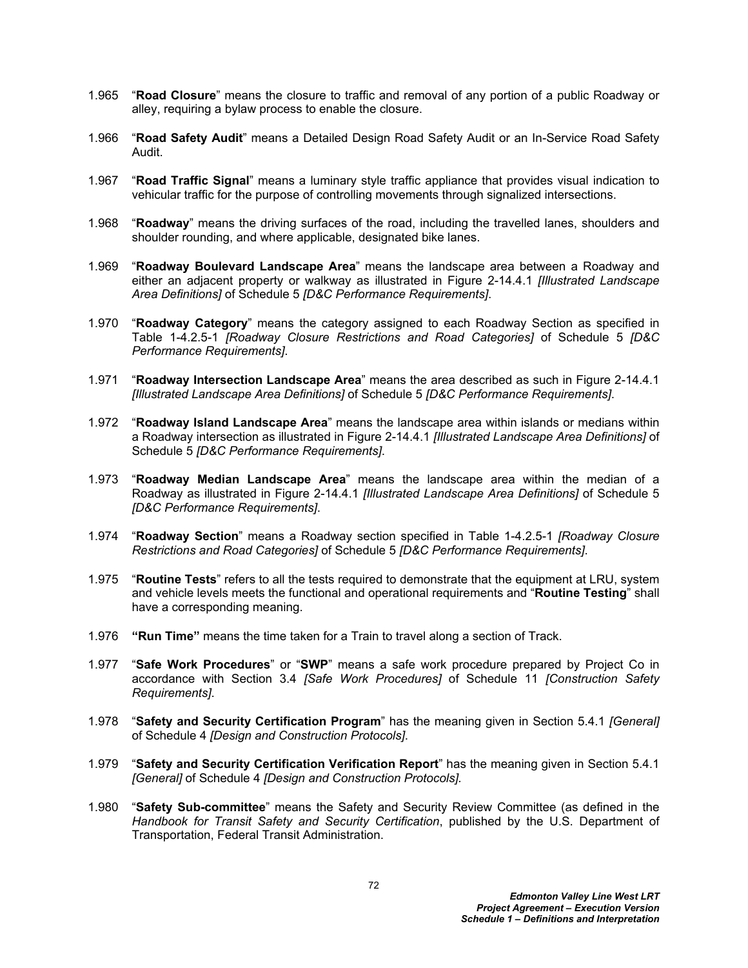- 1.965 "**Road Closure**" means the closure to traffic and removal of any portion of a public Roadway or alley, requiring a bylaw process to enable the closure.
- 1.966 "**Road Safety Audit**" means a Detailed Design Road Safety Audit or an In-Service Road Safety Audit.
- 1.967 "**Road Traffic Signal**" means a luminary style traffic appliance that provides visual indication to vehicular traffic for the purpose of controlling movements through signalized intersections.
- 1.968 "**Roadway**" means the driving surfaces of the road, including the travelled lanes, shoulders and shoulder rounding, and where applicable, designated bike lanes.
- 1.969 "**Roadway Boulevard Landscape Area**" means the landscape area between a Roadway and either an adjacent property or walkway as illustrated in Figure 2-14.4.1 *[Illustrated Landscape Area Definitions]* of Schedule 5 *[D&C Performance Requirements]*.
- 1.970 "**Roadway Category**" means the category assigned to each Roadway Section as specified in Table 1-4.2.5-1 *[Roadway Closure Restrictions and Road Categories]* of Schedule 5 *[D&C Performance Requirements]*.
- 1.971 "**Roadway Intersection Landscape Area**" means the area described as such in Figure 2-14.4.1 *[Illustrated Landscape Area Definitions]* of Schedule 5 *[D&C Performance Requirements]*.
- 1.972 "**Roadway Island Landscape Area**" means the landscape area within islands or medians within a Roadway intersection as illustrated in Figure 2-14.4.1 *[Illustrated Landscape Area Definitions]* of Schedule 5 *[D&C Performance Requirements]*.
- 1.973 "**Roadway Median Landscape Area**" means the landscape area within the median of a Roadway as illustrated in Figure 2-14.4.1 *[Illustrated Landscape Area Definitions]* of Schedule 5 *[D&C Performance Requirements]*.
- 1.974 "**Roadway Section**" means a Roadway section specified in Table 1-4.2.5-1 *[Roadway Closure Restrictions and Road Categories]* of Schedule 5 *[D&C Performance Requirements]*.
- 1.975 "**Routine Tests**" refers to all the tests required to demonstrate that the equipment at LRU, system and vehicle levels meets the functional and operational requirements and "**Routine Testing**" shall have a corresponding meaning.
- 1.976 **"Run Time"** means the time taken for a Train to travel along a section of Track.
- 1.977 "**Safe Work Procedures**" or "**SWP**" means a safe work procedure prepared by Project Co in accordance with Section 3.4 *[Safe Work Procedures]* of Schedule 11 *[Construction Safety Requirements]*.
- 1.978 "**Safety and Security Certification Program**" has the meaning given in Section 5.4.1 *[General]* of Schedule 4 *[Design and Construction Protocols]*.
- 1.979 "**Safety and Security Certification Verification Report**" has the meaning given in Section 5.4.1 *[General]* of Schedule 4 *[Design and Construction Protocols].*
- 1.980 "**Safety Sub-committee**" means the Safety and Security Review Committee (as defined in the *Handbook for Transit Safety and Security Certification*, published by the U.S. Department of Transportation, Federal Transit Administration.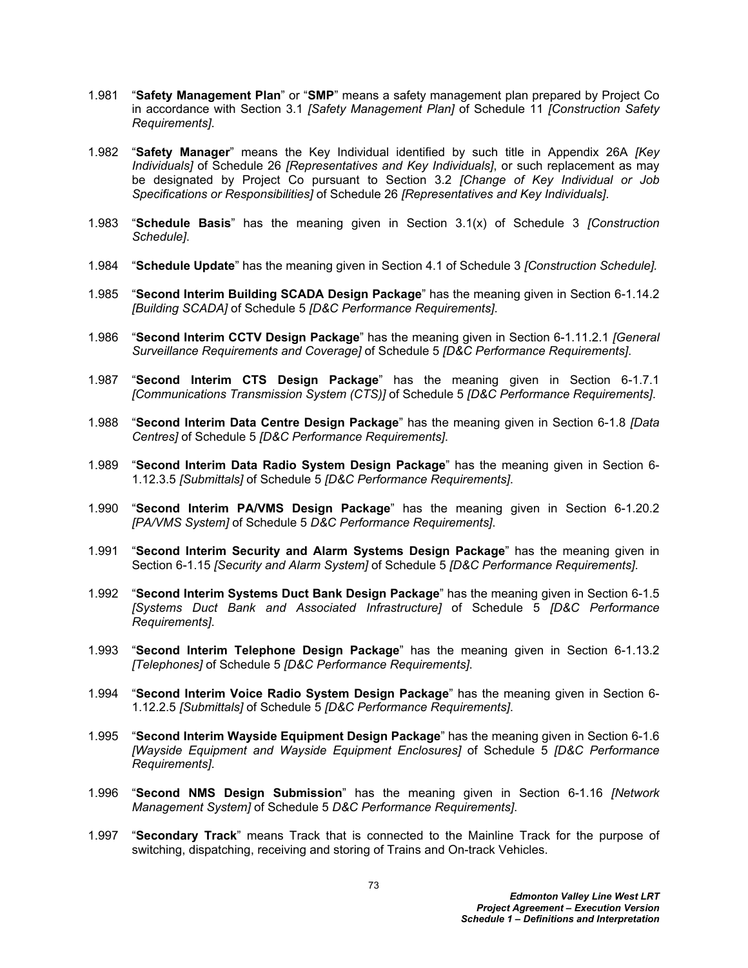- 1.981 "**Safety Management Plan**" or "**SMP**" means a safety management plan prepared by Project Co in accordance with Section 3.1 *[Safety Management Plan]* of Schedule 11 *[Construction Safety Requirements]*.
- 1.982 "**Safety Manager**" means the Key Individual identified by such title in Appendix 26A *[Key Individuals]* of Schedule 26 *[Representatives and Key Individuals]*, or such replacement as may be designated by Project Co pursuant to Section 3.2 *[Change of Key Individual or Job Specifications or Responsibilities]* of Schedule 26 *[Representatives and Key Individuals]*.
- 1.983 "**Schedule Basis**" has the meaning given in Section 3.1(x) of Schedule 3 *[Construction Schedule]*.
- 1.984 "**Schedule Update**" has the meaning given in Section 4.1 of Schedule 3 *[Construction Schedule].*
- 1.985 "**Second Interim Building SCADA Design Package**" has the meaning given in Section 6-1.14.2 *[Building SCADA]* of Schedule 5 *[D&C Performance Requirements]*.
- 1.986 "**Second Interim CCTV Design Package**" has the meaning given in Section 6-1.11.2.1 *[General Surveillance Requirements and Coverage]* of Schedule 5 *[D&C Performance Requirements]*.
- 1.987 "**Second Interim CTS Design Package**" has the meaning given in Section 6-1.7.1 *[Communications Transmission System (CTS)]* of Schedule 5 *[D&C Performance Requirements]*.
- 1.988 "**Second Interim Data Centre Design Package**" has the meaning given in Section 6-1.8 *[Data Centres]* of Schedule 5 *[D&C Performance Requirements]*.
- 1.989 "**Second Interim Data Radio System Design Package**" has the meaning given in Section 6- 1.12.3.5 *[Submittals]* of Schedule 5 *[D&C Performance Requirements]*.
- 1.990 "**Second Interim PA/VMS Design Package**" has the meaning given in Section 6-1.20.2 *[PA/VMS System]* of Schedule 5 *D&C Performance Requirements]*.
- 1.991 "**Second Interim Security and Alarm Systems Design Package**" has the meaning given in Section 6-1.15 *[Security and Alarm System]* of Schedule 5 *[D&C Performance Requirements]*.
- 1.992 "**Second Interim Systems Duct Bank Design Package**" has the meaning given in Section 6-1.5 *[Systems Duct Bank and Associated Infrastructure]* of Schedule 5 *[D&C Performance Requirements]*.
- 1.993 "**Second Interim Telephone Design Package**" has the meaning given in Section 6-1.13.2 *[Telephones]* of Schedule 5 *[D&C Performance Requirements]*.
- 1.994 "**Second Interim Voice Radio System Design Package**" has the meaning given in Section 6- 1.12.2.5 *[Submittals]* of Schedule 5 *[D&C Performance Requirements]*.
- 1.995 "**Second Interim Wayside Equipment Design Package**" has the meaning given in Section 6-1.6 *[Wayside Equipment and Wayside Equipment Enclosures]* of Schedule 5 *[D&C Performance Requirements]*.
- 1.996 "**Second NMS Design Submission**" has the meaning given in Section 6-1.16 *[Network Management System]* of Schedule 5 *D&C Performance Requirements]*.
- 1.997 "**Secondary Track**" means Track that is connected to the Mainline Track for the purpose of switching, dispatching, receiving and storing of Trains and On-track Vehicles.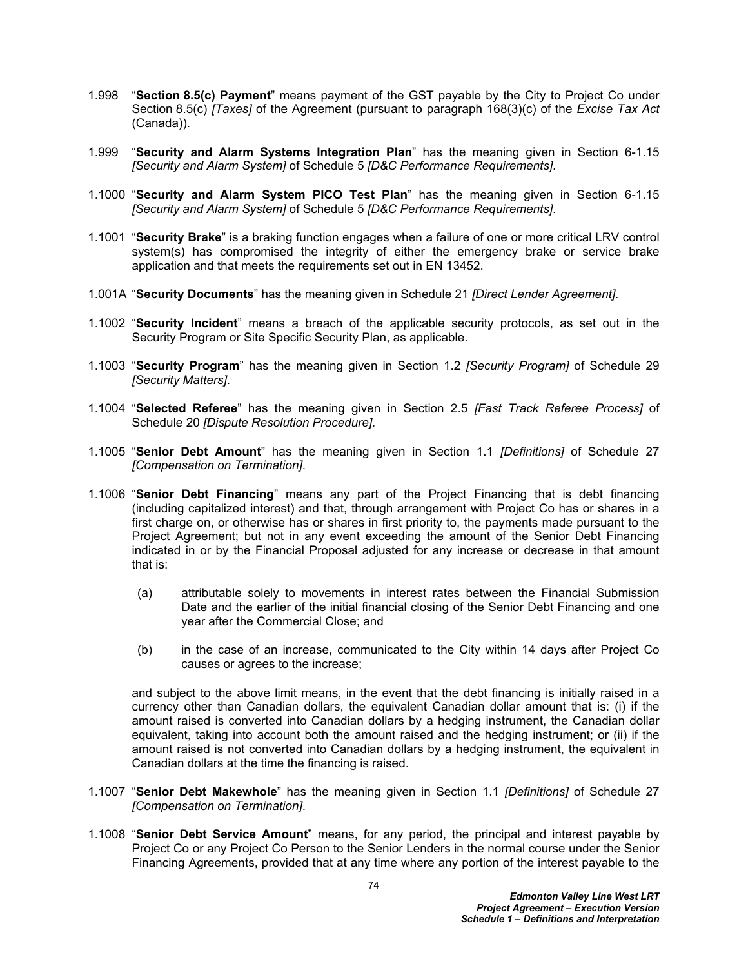- 1.998 "**Section 8.5(c) Payment**" means payment of the GST payable by the City to Project Co under Section 8.5(c) *[Taxes]* of the Agreement (pursuant to paragraph 168(3)(c) of the *Excise Tax Act* (Canada)).
- 1.999 "**Security and Alarm Systems Integration Plan**" has the meaning given in Section 6-1.15 *[Security and Alarm System]* of Schedule 5 *[D&C Performance Requirements]*.
- 1.1000 "**Security and Alarm System PICO Test Plan**" has the meaning given in Section 6-1.15 *[Security and Alarm System]* of Schedule 5 *[D&C Performance Requirements]*.
- 1.1001 "**Security Brake**" is a braking function engages when a failure of one or more critical LRV control system(s) has compromised the integrity of either the emergency brake or service brake application and that meets the requirements set out in EN 13452.
- 1.001A "**Security Documents**" has the meaning given in Schedule 21 *[Direct Lender Agreement]*.
- 1.1002 "**Security Incident**" means a breach of the applicable security protocols, as set out in the Security Program or Site Specific Security Plan, as applicable.
- 1.1003 "**Security Program**" has the meaning given in Section 1.2 *[Security Program]* of Schedule 29 *[Security Matters]*.
- 1.1004 "**Selected Referee**" has the meaning given in Section 2.5 *[Fast Track Referee Process]* of Schedule 20 *[Dispute Resolution Procedure].*
- 1.1005 "**Senior Debt Amount**" has the meaning given in Section 1.1 *[Definitions]* of Schedule 27 *[Compensation on Termination]*.
- 1.1006 "**Senior Debt Financing**" means any part of the Project Financing that is debt financing (including capitalized interest) and that, through arrangement with Project Co has or shares in a first charge on, or otherwise has or shares in first priority to, the payments made pursuant to the Project Agreement; but not in any event exceeding the amount of the Senior Debt Financing indicated in or by the Financial Proposal adjusted for any increase or decrease in that amount that is:
	- (a) attributable solely to movements in interest rates between the Financial Submission Date and the earlier of the initial financial closing of the Senior Debt Financing and one year after the Commercial Close; and
	- (b) in the case of an increase, communicated to the City within 14 days after Project Co causes or agrees to the increase;

and subject to the above limit means, in the event that the debt financing is initially raised in a currency other than Canadian dollars, the equivalent Canadian dollar amount that is: (i) if the amount raised is converted into Canadian dollars by a hedging instrument, the Canadian dollar equivalent, taking into account both the amount raised and the hedging instrument; or (ii) if the amount raised is not converted into Canadian dollars by a hedging instrument, the equivalent in Canadian dollars at the time the financing is raised.

- 1.1007 "**Senior Debt Makewhole**" has the meaning given in Section 1.1 *[Definitions]* of Schedule 27 *[Compensation on Termination]*.
- 1.1008 "**Senior Debt Service Amount**" means, for any period, the principal and interest payable by Project Co or any Project Co Person to the Senior Lenders in the normal course under the Senior Financing Agreements, provided that at any time where any portion of the interest payable to the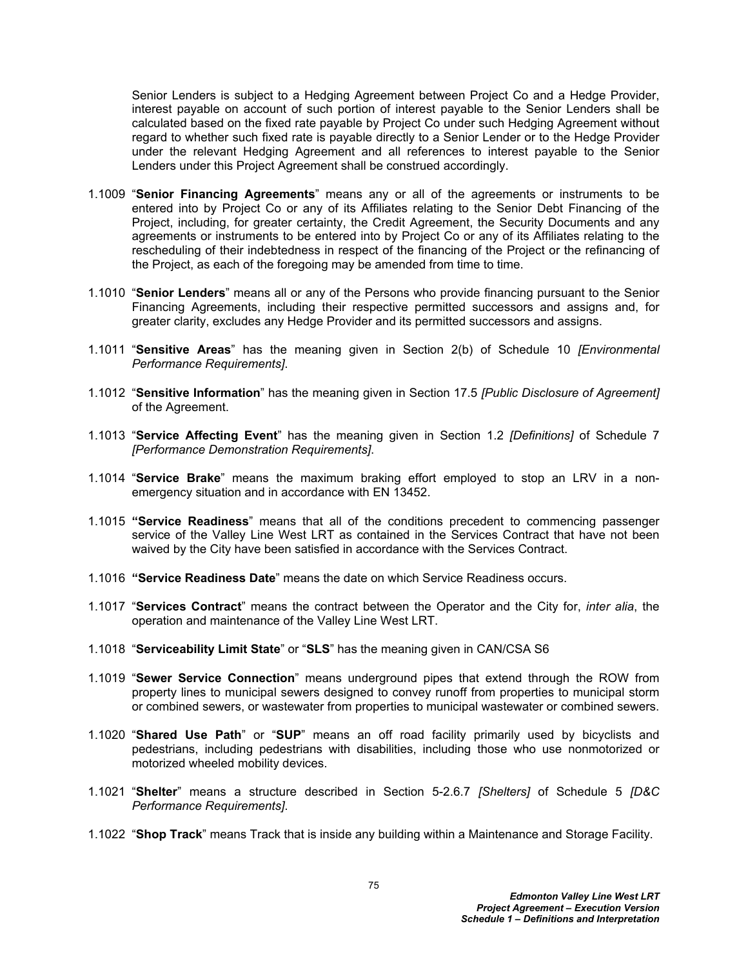Senior Lenders is subject to a Hedging Agreement between Project Co and a Hedge Provider, interest payable on account of such portion of interest payable to the Senior Lenders shall be calculated based on the fixed rate payable by Project Co under such Hedging Agreement without regard to whether such fixed rate is payable directly to a Senior Lender or to the Hedge Provider under the relevant Hedging Agreement and all references to interest payable to the Senior Lenders under this Project Agreement shall be construed accordingly.

- 1.1009 "**Senior Financing Agreements**" means any or all of the agreements or instruments to be entered into by Project Co or any of its Affiliates relating to the Senior Debt Financing of the Project, including, for greater certainty, the Credit Agreement, the Security Documents and any agreements or instruments to be entered into by Project Co or any of its Affiliates relating to the rescheduling of their indebtedness in respect of the financing of the Project or the refinancing of the Project, as each of the foregoing may be amended from time to time.
- 1.1010 "**Senior Lenders**" means all or any of the Persons who provide financing pursuant to the Senior Financing Agreements, including their respective permitted successors and assigns and, for greater clarity, excludes any Hedge Provider and its permitted successors and assigns.
- 1.1011 "**Sensitive Areas**" has the meaning given in Section 2(b) of Schedule 10 *[Environmental Performance Requirements]*.
- 1.1012 "**Sensitive Information**" has the meaning given in Section 17.5 *[Public Disclosure of Agreement]* of the Agreement.
- 1.1013 "**Service Affecting Event**" has the meaning given in Section 1.2 *[Definitions]* of Schedule 7 *[Performance Demonstration Requirements]*.
- 1.1014 "**Service Brake**" means the maximum braking effort employed to stop an LRV in a nonemergency situation and in accordance with EN 13452.
- 1.1015 **"Service Readiness**" means that all of the conditions precedent to commencing passenger service of the Valley Line West LRT as contained in the Services Contract that have not been waived by the City have been satisfied in accordance with the Services Contract.
- 1.1016 **"Service Readiness Date**" means the date on which Service Readiness occurs.
- 1.1017 "**Services Contract**" means the contract between the Operator and the City for, *inter alia*, the operation and maintenance of the Valley Line West LRT.
- 1.1018 "**Serviceability Limit State**" or "**SLS**" has the meaning given in CAN/CSA S6
- 1.1019 "**Sewer Service Connection**" means underground pipes that extend through the ROW from property lines to municipal sewers designed to convey runoff from properties to municipal storm or combined sewers, or wastewater from properties to municipal wastewater or combined sewers.
- 1.1020 "**Shared Use Path**" or "**SUP**" means an off road facility primarily used by bicyclists and pedestrians, including pedestrians with disabilities, including those who use nonmotorized or motorized wheeled mobility devices.
- 1.1021 "**Shelter**" means a structure described in Section 5-2.6.7 *[Shelters]* of Schedule 5 *[D&C Performance Requirements]*.
- 1.1022 "**Shop Track**" means Track that is inside any building within a Maintenance and Storage Facility.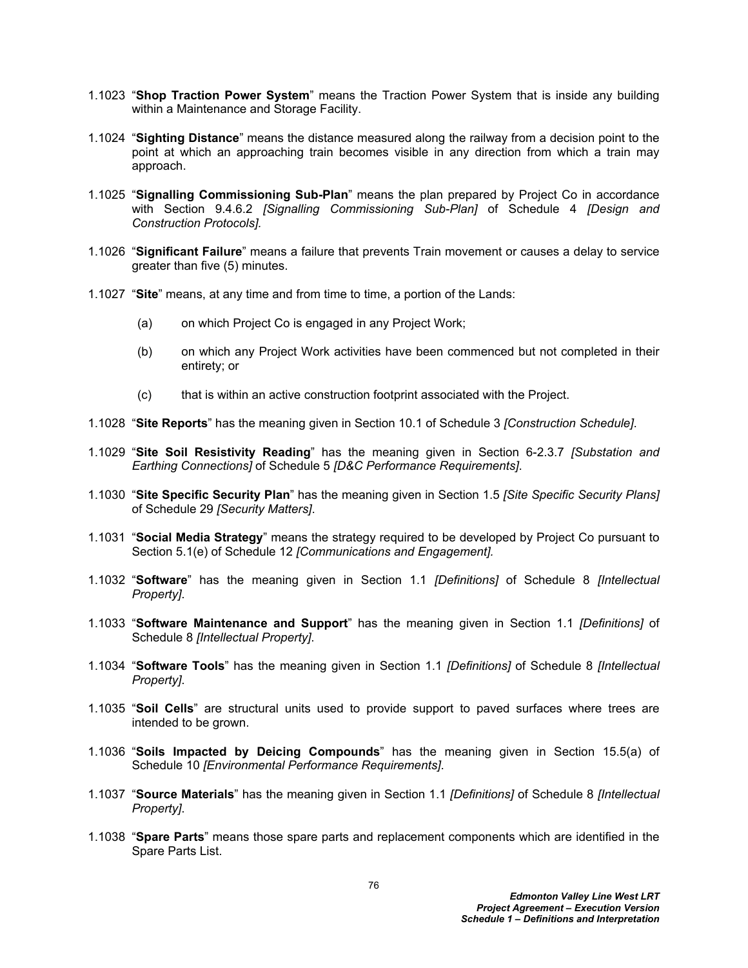- 1.1023 "**Shop Traction Power System**" means the Traction Power System that is inside any building within a Maintenance and Storage Facility.
- 1.1024 "**Sighting Distance**" means the distance measured along the railway from a decision point to the point at which an approaching train becomes visible in any direction from which a train may approach.
- 1.1025 "**Signalling Commissioning Sub-Plan**" means the plan prepared by Project Co in accordance with Section 9.4.6.2 *[Signalling Commissioning Sub-Plan]* of Schedule 4 *[Design and Construction Protocols].*
- 1.1026 "**Significant Failure**" means a failure that prevents Train movement or causes a delay to service greater than five (5) minutes.
- 1.1027 "**Site**" means, at any time and from time to time, a portion of the Lands:
	- (a) on which Project Co is engaged in any Project Work;
	- (b) on which any Project Work activities have been commenced but not completed in their entirety; or
	- (c) that is within an active construction footprint associated with the Project.
- 1.1028 "**Site Reports**" has the meaning given in Section 10.1 of Schedule 3 *[Construction Schedule]*.
- 1.1029 "**Site Soil Resistivity Reading**" has the meaning given in Section 6-2.3.7 *[Substation and Earthing Connections]* of Schedule 5 *[D&C Performance Requirements]*.
- 1.1030 "**Site Specific Security Plan**" has the meaning given in Section 1.5 *[Site Specific Security Plans]* of Schedule 29 *[Security Matters]*.
- 1.1031 "**Social Media Strategy**" means the strategy required to be developed by Project Co pursuant to Section 5.1(e) of Schedule 12 *[Communications and Engagement].*
- 1.1032 "**Software**" has the meaning given in Section 1.1 *[Definitions]* of Schedule 8 *[Intellectual Property]*.
- 1.1033 "**Software Maintenance and Support**" has the meaning given in Section 1.1 *[Definitions]* of Schedule 8 *[Intellectual Property]*.
- 1.1034 "**Software Tools**" has the meaning given in Section 1.1 *[Definitions]* of Schedule 8 *[Intellectual Property]*.
- 1.1035 "**Soil Cells**" are structural units used to provide support to paved surfaces where trees are intended to be grown.
- 1.1036 "**Soils Impacted by Deicing Compounds**" has the meaning given in Section 15.5(a) of Schedule 10 *[Environmental Performance Requirements]*.
- 1.1037 "**Source Materials**" has the meaning given in Section 1.1 *[Definitions]* of Schedule 8 *[Intellectual Property]*.
- 1.1038 "**Spare Parts**" means those spare parts and replacement components which are identified in the Spare Parts List.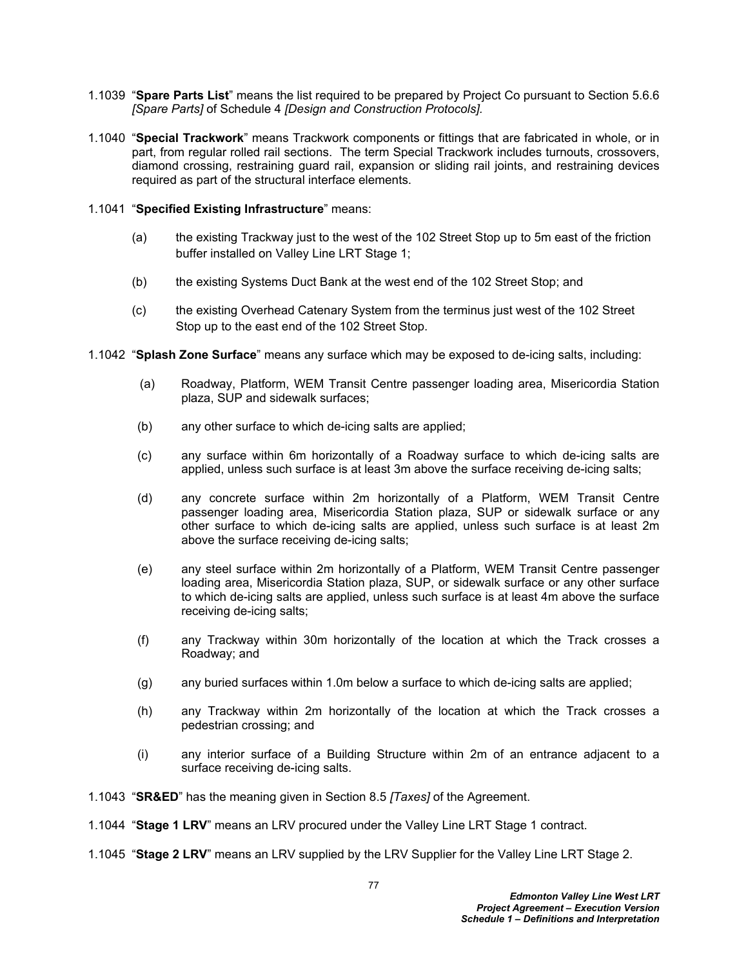- 1.1039 "**Spare Parts List**" means the list required to be prepared by Project Co pursuant to Section 5.6.6 *[Spare Parts]* of Schedule 4 *[Design and Construction Protocols].*
- 1.1040 "**Special Trackwork**" means Trackwork components or fittings that are fabricated in whole, or in part, from regular rolled rail sections. The term Special Trackwork includes turnouts, crossovers, diamond crossing, restraining guard rail, expansion or sliding rail joints, and restraining devices required as part of the structural interface elements.
- 1.1041 "**Specified Existing Infrastructure**" means:
	- (a) the existing Trackway just to the west of the 102 Street Stop up to 5m east of the friction buffer installed on Valley Line LRT Stage 1;
	- (b) the existing Systems Duct Bank at the west end of the 102 Street Stop; and
	- (c) the existing Overhead Catenary System from the terminus just west of the 102 Street Stop up to the east end of the 102 Street Stop.
- 1.1042 "**Splash Zone Surface**" means any surface which may be exposed to de-icing salts, including:
	- (a) Roadway, Platform, WEM Transit Centre passenger loading area, Misericordia Station plaza, SUP and sidewalk surfaces;
	- (b) any other surface to which de-icing salts are applied;
	- (c) any surface within 6m horizontally of a Roadway surface to which de-icing salts are applied, unless such surface is at least 3m above the surface receiving de-icing salts;
	- (d) any concrete surface within 2m horizontally of a Platform, WEM Transit Centre passenger loading area, Misericordia Station plaza, SUP or sidewalk surface or any other surface to which de-icing salts are applied, unless such surface is at least 2m above the surface receiving de-icing salts;
	- (e) any steel surface within 2m horizontally of a Platform, WEM Transit Centre passenger loading area, Misericordia Station plaza, SUP, or sidewalk surface or any other surface to which de-icing salts are applied, unless such surface is at least 4m above the surface receiving de-icing salts;
	- (f) any Trackway within 30m horizontally of the location at which the Track crosses a Roadway; and
	- (g) any buried surfaces within 1.0m below a surface to which de-icing salts are applied;
	- (h) any Trackway within 2m horizontally of the location at which the Track crosses a pedestrian crossing; and
	- (i) any interior surface of a Building Structure within 2m of an entrance adjacent to a surface receiving de-icing salts.
- 1.1043 "**SR&ED**" has the meaning given in Section 8.5 *[Taxes]* of the Agreement.
- 1.1044 "**Stage 1 LRV**" means an LRV procured under the Valley Line LRT Stage 1 contract.
- 1.1045 "**Stage 2 LRV**" means an LRV supplied by the LRV Supplier for the Valley Line LRT Stage 2.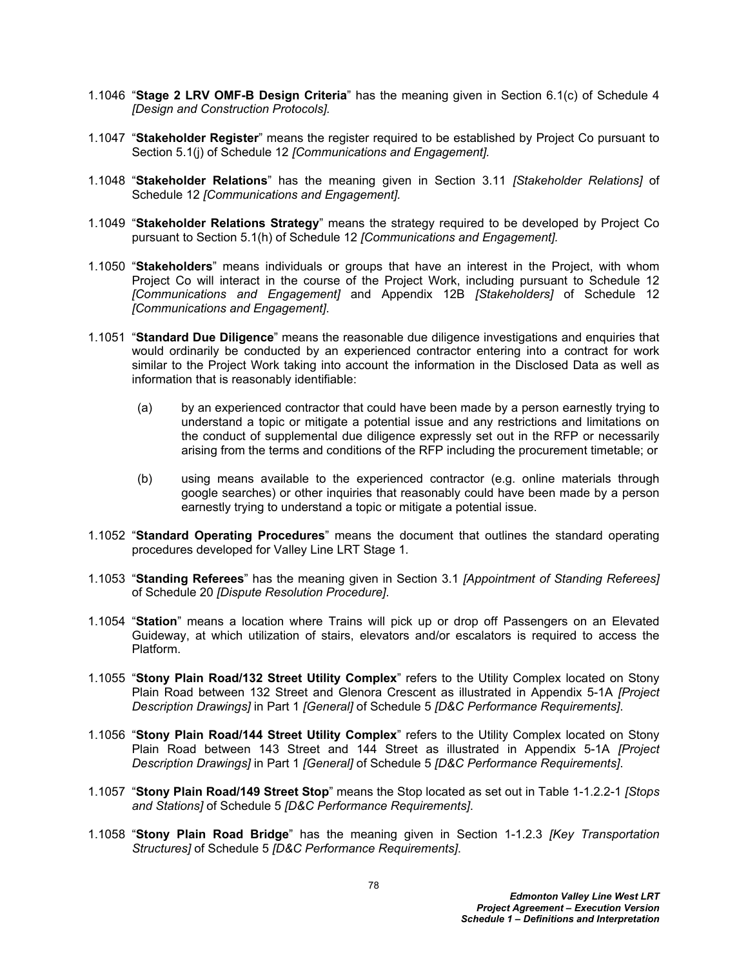- 1.1046 "**Stage 2 LRV OMF-B Design Criteria**" has the meaning given in Section 6.1(c) of Schedule 4 *[Design and Construction Protocols].*
- 1.1047 "**Stakeholder Register**" means the register required to be established by Project Co pursuant to Section 5.1(j) of Schedule 12 *[Communications and Engagement].*
- 1.1048 "**Stakeholder Relations**" has the meaning given in Section 3.11 *[Stakeholder Relations]* of Schedule 12 *[Communications and Engagement].*
- 1.1049 "**Stakeholder Relations Strategy**" means the strategy required to be developed by Project Co pursuant to Section 5.1(h) of Schedule 12 *[Communications and Engagement].*
- 1.1050 "**Stakeholders**" means individuals or groups that have an interest in the Project, with whom Project Co will interact in the course of the Project Work, including pursuant to Schedule 12 *[Communications and Engagement]* and Appendix 12B *[Stakeholders]* of Schedule 12 *[Communications and Engagement]*.
- 1.1051 "**Standard Due Diligence**" means the reasonable due diligence investigations and enquiries that would ordinarily be conducted by an experienced contractor entering into a contract for work similar to the Project Work taking into account the information in the Disclosed Data as well as information that is reasonably identifiable:
	- (a) by an experienced contractor that could have been made by a person earnestly trying to understand a topic or mitigate a potential issue and any restrictions and limitations on the conduct of supplemental due diligence expressly set out in the RFP or necessarily arising from the terms and conditions of the RFP including the procurement timetable; or
	- (b) using means available to the experienced contractor (e.g. online materials through google searches) or other inquiries that reasonably could have been made by a person earnestly trying to understand a topic or mitigate a potential issue.
- 1.1052 "**Standard Operating Procedures**" means the document that outlines the standard operating procedures developed for Valley Line LRT Stage 1*.*
- 1.1053 "**Standing Referees**" has the meaning given in Section 3.1 *[Appointment of Standing Referees]* of Schedule 20 *[Dispute Resolution Procedure]*.
- 1.1054 "**Station**" means a location where Trains will pick up or drop off Passengers on an Elevated Guideway, at which utilization of stairs, elevators and/or escalators is required to access the Platform.
- 1.1055 "**Stony Plain Road/132 Street Utility Complex**" refers to the Utility Complex located on Stony Plain Road between 132 Street and Glenora Crescent as illustrated in Appendix 5-1A *[Project Description Drawings]* in Part 1 *[General]* of Schedule 5 *[D&C Performance Requirements]*.
- 1.1056 "**Stony Plain Road/144 Street Utility Complex**" refers to the Utility Complex located on Stony Plain Road between 143 Street and 144 Street as illustrated in Appendix 5-1A *[Project Description Drawings]* in Part 1 *[General]* of Schedule 5 *[D&C Performance Requirements]*.
- 1.1057 "**Stony Plain Road/149 Street Stop**" means the Stop located as set out in Table 1-1.2.2-1 *[Stops and Stations]* of Schedule 5 *[D&C Performance Requirements]*.
- 1.1058 "**Stony Plain Road Bridge**" has the meaning given in Section 1-1.2.3 *[Key Transportation Structures]* of Schedule 5 *[D&C Performance Requirements]*.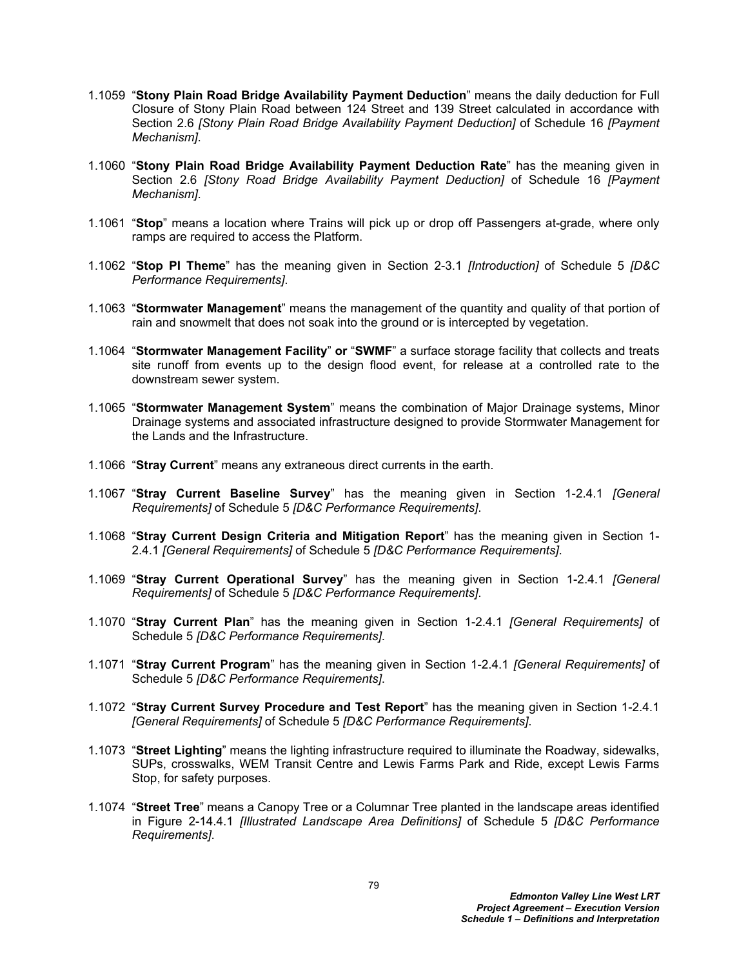- 1.1059 "**Stony Plain Road Bridge Availability Payment Deduction**" means the daily deduction for Full Closure of Stony Plain Road between 124 Street and 139 Street calculated in accordance with Section 2.6 *[Stony Plain Road Bridge Availability Payment Deduction]* of Schedule 16 *[Payment Mechanism]*.
- 1.1060 "**Stony Plain Road Bridge Availability Payment Deduction Rate**" has the meaning given in Section 2.6 *[Stony Road Bridge Availability Payment Deduction]* of Schedule 16 *[Payment Mechanism]*.
- 1.1061 "**Stop**" means a location where Trains will pick up or drop off Passengers at-grade, where only ramps are required to access the Platform.
- 1.1062 "**Stop PI Theme**" has the meaning given in Section 2-3.1 *[Introduction]* of Schedule 5 *[D&C Performance Requirements]*.
- 1.1063 "**Stormwater Management**" means the management of the quantity and quality of that portion of rain and snowmelt that does not soak into the ground or is intercepted by vegetation.
- 1.1064 "**Stormwater Management Facility**" **or** "**SWMF**" a surface storage facility that collects and treats site runoff from events up to the design flood event, for release at a controlled rate to the downstream sewer system.
- 1.1065 "**Stormwater Management System**" means the combination of Major Drainage systems, Minor Drainage systems and associated infrastructure designed to provide Stormwater Management for the Lands and the Infrastructure.
- 1.1066 "**Stray Current**" means any extraneous direct currents in the earth.
- 1.1067 "**Stray Current Baseline Survey**" has the meaning given in Section 1-2.4.1 *[General Requirements]* of Schedule 5 *[D&C Performance Requirements]*.
- 1.1068 "**Stray Current Design Criteria and Mitigation Report**" has the meaning given in Section 1- 2.4.1 *[General Requirements]* of Schedule 5 *[D&C Performance Requirements]*.
- 1.1069 "**Stray Current Operational Survey**" has the meaning given in Section 1-2.4.1 *[General Requirements]* of Schedule 5 *[D&C Performance Requirements]*.
- 1.1070 "**Stray Current Plan**" has the meaning given in Section 1-2.4.1 *[General Requirements]* of Schedule 5 *[D&C Performance Requirements]*.
- 1.1071 "**Stray Current Program**" has the meaning given in Section 1-2.4.1 *[General Requirements]* of Schedule 5 *[D&C Performance Requirements]*.
- 1.1072 "**Stray Current Survey Procedure and Test Report**" has the meaning given in Section 1-2.4.1 *[General Requirements]* of Schedule 5 *[D&C Performance Requirements]*.
- 1.1073 "**Street Lighting**" means the lighting infrastructure required to illuminate the Roadway, sidewalks, SUPs, crosswalks, WEM Transit Centre and Lewis Farms Park and Ride, except Lewis Farms Stop, for safety purposes.
- 1.1074 "**Street Tree**" means a Canopy Tree or a Columnar Tree planted in the landscape areas identified in Figure 2-14.4.1 *[Illustrated Landscape Area Definitions]* of Schedule 5 *[D&C Performance Requirements]*.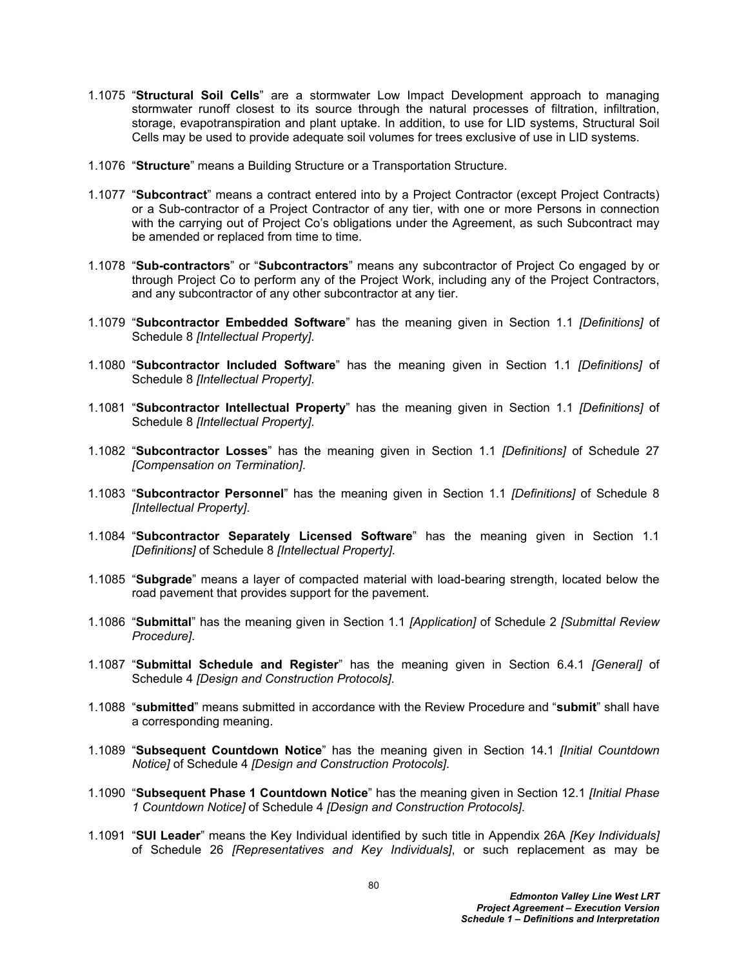- 1.1075 "**Structural Soil Cells**" are a stormwater Low Impact Development approach to managing stormwater runoff closest to its source through the natural processes of filtration, infiltration, storage, evapotranspiration and plant uptake. In addition, to use for LID systems, Structural Soil Cells may be used to provide adequate soil volumes for trees exclusive of use in LID systems.
- 1.1076 "**Structure**" means a Building Structure or a Transportation Structure.
- 1.1077 "**Subcontract**" means a contract entered into by a Project Contractor (except Project Contracts) or a Sub-contractor of a Project Contractor of any tier, with one or more Persons in connection with the carrying out of Project Co's obligations under the Agreement, as such Subcontract may be amended or replaced from time to time.
- 1.1078 "**Sub-contractors**" or "**Subcontractors**" means any subcontractor of Project Co engaged by or through Project Co to perform any of the Project Work, including any of the Project Contractors, and any subcontractor of any other subcontractor at any tier.
- 1.1079 "**Subcontractor Embedded Software**" has the meaning given in Section 1.1 *[Definitions]* of Schedule 8 *[Intellectual Property]*.
- 1.1080 "**Subcontractor Included Software**" has the meaning given in Section 1.1 *[Definitions]* of Schedule 8 *[Intellectual Property]*.
- 1.1081 "**Subcontractor Intellectual Property**" has the meaning given in Section 1.1 *[Definitions]* of Schedule 8 *[Intellectual Property]*.
- 1.1082 "**Subcontractor Losses**" has the meaning given in Section 1.1 *[Definitions]* of Schedule 27 *[Compensation on Termination]*.
- 1.1083 "**Subcontractor Personnel**" has the meaning given in Section 1.1 *[Definitions]* of Schedule 8 *[Intellectual Property]*.
- 1.1084 "**Subcontractor Separately Licensed Software**" has the meaning given in Section 1.1 *[Definitions]* of Schedule 8 *[Intellectual Property]*.
- 1.1085 "**Subgrade**" means a layer of compacted material with load-bearing strength, located below the road pavement that provides support for the pavement.
- 1.1086 "**Submittal**" has the meaning given in Section 1.1 *[Application]* of Schedule 2 *[Submittal Review Procedure]*.
- 1.1087 "**Submittal Schedule and Register**" has the meaning given in Section 6.4.1 *[General]* of Schedule 4 *[Design and Construction Protocols]*.
- 1.1088 "**submitted**" means submitted in accordance with the Review Procedure and "**submit**" shall have a corresponding meaning.
- 1.1089 "**Subsequent Countdown Notice**" has the meaning given in Section 14.1 *[Initial Countdown Notice]* of Schedule 4 *[Design and Construction Protocols]*.
- 1.1090 "**Subsequent Phase 1 Countdown Notice**" has the meaning given in Section 12.1 *[Initial Phase 1 Countdown Notice]* of Schedule 4 *[Design and Construction Protocols]*.
- 1.1091 "**SUI Leader**" means the Key Individual identified by such title in Appendix 26A *[Key Individuals]*  of Schedule 26 *[Representatives and Key Individuals]*, or such replacement as may be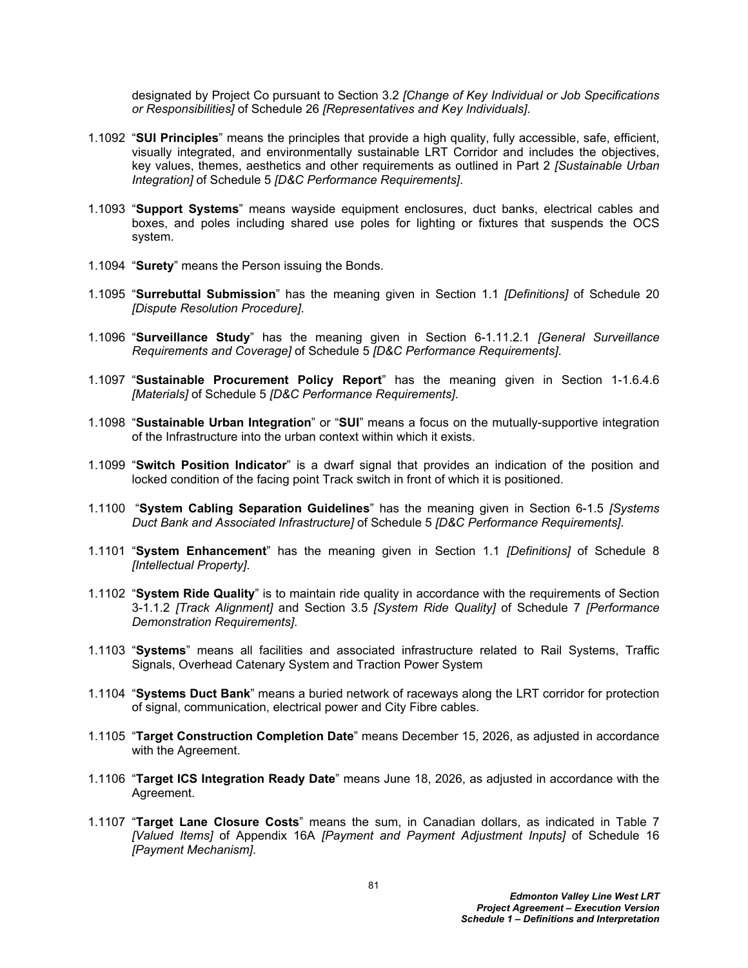designated by Project Co pursuant to Section 3.2 *[Change of Key Individual or Job Specifications or Responsibilities]* of Schedule 26 *[Representatives and Key Individuals]*.

- 1.1092 "**SUI Principles**" means the principles that provide a high quality, fully accessible, safe, efficient, visually integrated, and environmentally sustainable LRT Corridor and includes the objectives, key values, themes, aesthetics and other requirements as outlined in Part 2 *[Sustainable Urban Integration]* of Schedule 5 *[D&C Performance Requirements]*.
- 1.1093 "**Support Systems**" means wayside equipment enclosures, duct banks, electrical cables and boxes, and poles including shared use poles for lighting or fixtures that suspends the OCS system.
- 1.1094 "**Surety**" means the Person issuing the Bonds.
- 1.1095 "**Surrebuttal Submission**" has the meaning given in Section 1.1 *[Definitions]* of Schedule 20 *[Dispute Resolution Procedure]*.
- 1.1096 "**Surveillance Study**" has the meaning given in Section 6-1.11.2.1 *[General Surveillance Requirements and Coverage]* of Schedule 5 *[D&C Performance Requirements]*.
- 1.1097 "**Sustainable Procurement Policy Report**" has the meaning given in Section 1-1.6.4.6 *[Materials]* of Schedule 5 *[D&C Performance Requirements]*.
- 1.1098 "**Sustainable Urban Integration**" or "**SUI**" means a focus on the mutually-supportive integration of the Infrastructure into the urban context within which it exists.
- 1.1099 "**Switch Position Indicator**" is a dwarf signal that provides an indication of the position and locked condition of the facing point Track switch in front of which it is positioned.
- 1.1100 "**System Cabling Separation Guidelines**" has the meaning given in Section 6-1.5 *[Systems Duct Bank and Associated Infrastructure]* of Schedule 5 *[D&C Performance Requirements]*.
- 1.1101 "**System Enhancement**" has the meaning given in Section 1.1 *[Definitions]* of Schedule 8 *[Intellectual Property]*.
- 1.1102 "**System Ride Quality**" is to maintain ride quality in accordance with the requirements of Section 3-1.1.2 *[Track Alignment]* and Section 3.5 *[System Ride Quality]* of Schedule 7 *[Performance Demonstration Requirements]*.
- 1.1103 "**Systems**" means all facilities and associated infrastructure related to Rail Systems, Traffic Signals, Overhead Catenary System and Traction Power System
- 1.1104 "**Systems Duct Bank**" means a buried network of raceways along the LRT corridor for protection of signal, communication, electrical power and City Fibre cables.
- 1.1105 "**Target Construction Completion Date**" means December 15, 2026, as adjusted in accordance with the Agreement.
- 1.1106 "**Target ICS Integration Ready Date**" means June 18, 2026, as adjusted in accordance with the Agreement.
- 1.1107 "**Target Lane Closure Costs**" means the sum, in Canadian dollars, as indicated in Table 7 *[Valued Items]* of Appendix 16A *[Payment and Payment Adjustment Inputs]* of Schedule 16 *[Payment Mechanism]*.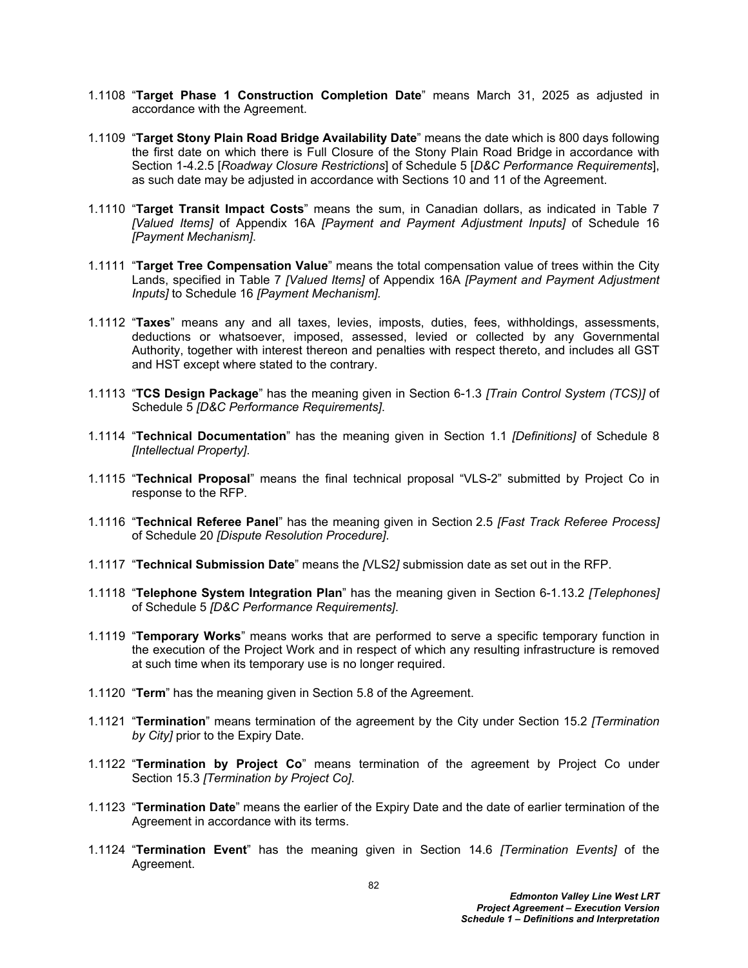- 1.1108 "**Target Phase 1 Construction Completion Date**" means March 31, 2025 as adjusted in accordance with the Agreement.
- 1.1109 "**Target Stony Plain Road Bridge Availability Date**" means the date which is 800 days following the first date on which there is Full Closure of the Stony Plain Road Bridge in accordance with Section 1-4.2.5 [*Roadway Closure Restrictions*] of Schedule 5 [*D&C Performance Requirements*], as such date may be adjusted in accordance with Sections 10 and 11 of the Agreement.
- 1.1110 "**Target Transit Impact Costs**" means the sum, in Canadian dollars, as indicated in Table 7 *[Valued Items]* of Appendix 16A *[Payment and Payment Adjustment Inputs]* of Schedule 16 *[Payment Mechanism]*.
- 1.1111 "**Target Tree Compensation Value**" means the total compensation value of trees within the City Lands, specified in Table 7 *[Valued Items]* of Appendix 16A *[Payment and Payment Adjustment Inputs]* to Schedule 16 *[Payment Mechanism].*
- 1.1112 "**Taxes**" means any and all taxes, levies, imposts, duties, fees, withholdings, assessments, deductions or whatsoever, imposed, assessed, levied or collected by any Governmental Authority, together with interest thereon and penalties with respect thereto, and includes all GST and HST except where stated to the contrary.
- 1.1113 "**TCS Design Package**" has the meaning given in Section 6-1.3 *[Train Control System (TCS)]* of Schedule 5 *[D&C Performance Requirements]*.
- 1.1114 "**Technical Documentation**" has the meaning given in Section 1.1 *[Definitions]* of Schedule 8 *[Intellectual Property]*.
- 1.1115 "**Technical Proposal**" means the final technical proposal "VLS-2" submitted by Project Co in response to the RFP.
- 1.1116 "**Technical Referee Panel**" has the meaning given in Section 2.5 *[Fast Track Referee Process]* of Schedule 20 *[Dispute Resolution Procedure]*.
- 1.1117 "**Technical Submission Date**" means the *[*VLS2*]* submission date as set out in the RFP.
- 1.1118 "**Telephone System Integration Plan**" has the meaning given in Section 6-1.13.2 *[Telephones]*  of Schedule 5 *[D&C Performance Requirements]*.
- 1.1119 "**Temporary Works**" means works that are performed to serve a specific temporary function in the execution of the Project Work and in respect of which any resulting infrastructure is removed at such time when its temporary use is no longer required.
- 1.1120 "**Term**" has the meaning given in Section 5.8 of the Agreement.
- 1.1121 "**Termination**" means termination of the agreement by the City under Section 15.2 *[Termination by City]* prior to the Expiry Date.
- 1.1122 "**Termination by Project Co**" means termination of the agreement by Project Co under Section 15.3 *[Termination by Project Co]*.
- 1.1123 "**Termination Date**" means the earlier of the Expiry Date and the date of earlier termination of the Agreement in accordance with its terms.
- 1.1124 "**Termination Event**" has the meaning given in Section 14.6 *[Termination Events]* of the Agreement.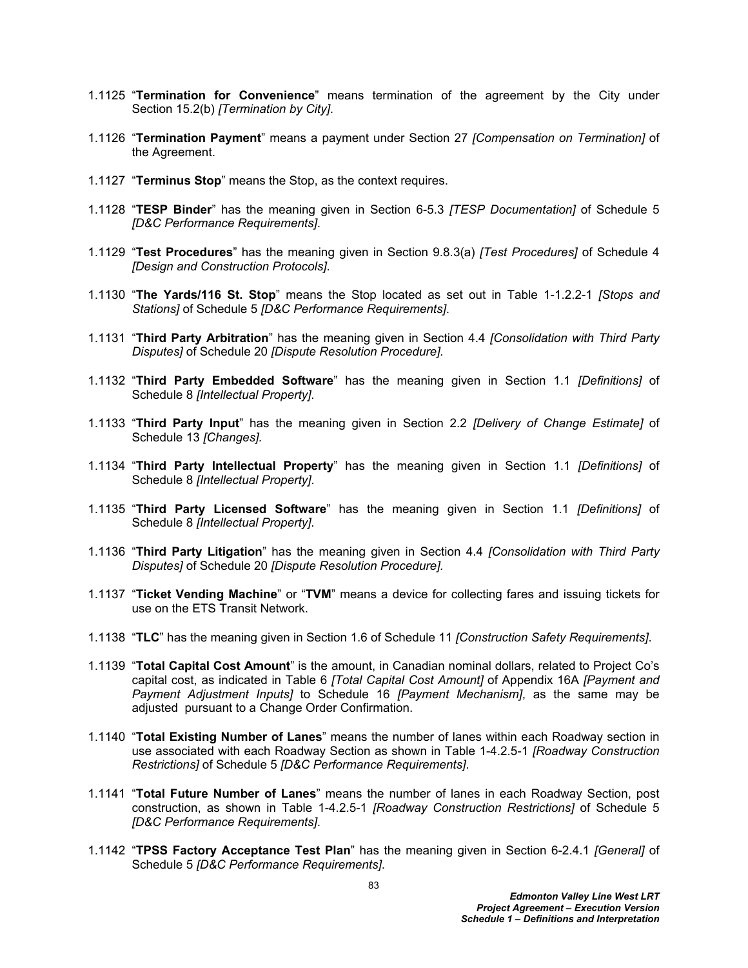- 1.1125 "**Termination for Convenience**" means termination of the agreement by the City under Section 15.2(b) *[Termination by City]*.
- 1.1126 "**Termination Payment**" means a payment under Section 27 *[Compensation on Termination]* of the Agreement.
- 1.1127 "**Terminus Stop**" means the Stop, as the context requires.
- 1.1128 "**TESP Binder**" has the meaning given in Section 6-5.3 *[TESP Documentation]* of Schedule 5 *[D&C Performance Requirements]*.
- 1.1129 "**Test Procedures**" has the meaning given in Section 9.8.3(a) *[Test Procedures]* of Schedule 4 *[Design and Construction Protocols]*.
- 1.1130 "**The Yards/116 St. Stop**" means the Stop located as set out in Table 1-1.2.2-1 *[Stops and Stations]* of Schedule 5 *[D&C Performance Requirements]*.
- 1.1131 "**Third Party Arbitration**" has the meaning given in Section 4.4 *[Consolidation with Third Party Disputes]* of Schedule 20 *[Dispute Resolution Procedure].*
- 1.1132 "**Third Party Embedded Software**" has the meaning given in Section 1.1 *[Definitions]* of Schedule 8 *[Intellectual Property]*.
- 1.1133 "**Third Party Input**" has the meaning given in Section 2.2 *[Delivery of Change Estimate]* of Schedule 13 *[Changes].*
- 1.1134 "**Third Party Intellectual Property**" has the meaning given in Section 1.1 *[Definitions]* of Schedule 8 *[Intellectual Property]*.
- 1.1135 "**Third Party Licensed Software**" has the meaning given in Section 1.1 *[Definitions]* of Schedule 8 *[Intellectual Property]*.
- 1.1136 "**Third Party Litigation**" has the meaning given in Section 4.4 *[Consolidation with Third Party Disputes]* of Schedule 20 *[Dispute Resolution Procedure].*
- 1.1137 "**Ticket Vending Machine**" or "**TVM**" means a device for collecting fares and issuing tickets for use on the ETS Transit Network.
- 1.1138 "**TLC**" has the meaning given in Section 1.6 of Schedule 11 *[Construction Safety Requirements]*.
- 1.1139 "**Total Capital Cost Amount**" is the amount, in Canadian nominal dollars, related to Project Co's capital cost, as indicated in Table 6 *[Total Capital Cost Amount]* of Appendix 16A *[Payment and Payment Adjustment Inputs]* to Schedule 16 *[Payment Mechanism]*, as the same may be adjusted pursuant to a Change Order Confirmation.
- 1.1140 "**Total Existing Number of Lanes**" means the number of lanes within each Roadway section in use associated with each Roadway Section as shown in Table 1-4.2.5-1 *[Roadway Construction Restrictions]* of Schedule 5 *[D&C Performance Requirements]*.
- 1.1141 "**Total Future Number of Lanes**" means the number of lanes in each Roadway Section, post construction, as shown in Table 1-4.2.5-1 *[Roadway Construction Restrictions]* of Schedule 5 *[D&C Performance Requirements]*.
- 1.1142 "**TPSS Factory Acceptance Test Plan**" has the meaning given in Section 6-2.4.1 *[General]* of Schedule 5 *[D&C Performance Requirements]*.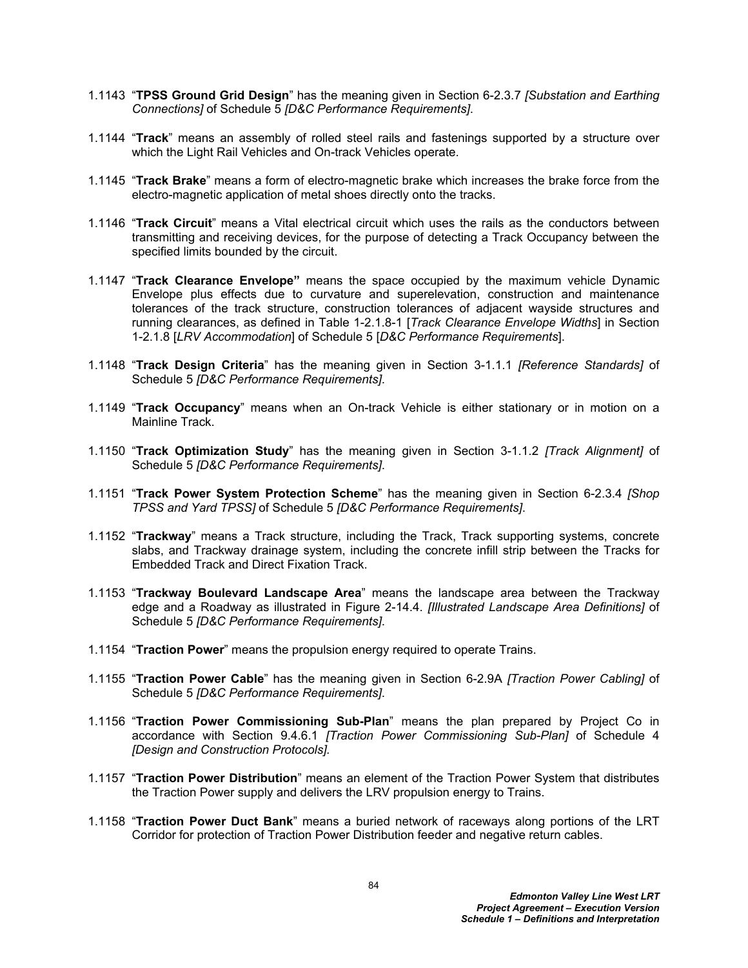- 1.1143 "**TPSS Ground Grid Design**" has the meaning given in Section 6-2.3.7 *[Substation and Earthing Connections]* of Schedule 5 *[D&C Performance Requirements]*.
- 1.1144 "**Track**" means an assembly of rolled steel rails and fastenings supported by a structure over which the Light Rail Vehicles and On-track Vehicles operate.
- 1.1145 "**Track Brake**" means a form of electro-magnetic brake which increases the brake force from the electro-magnetic application of metal shoes directly onto the tracks.
- 1.1146 "**Track Circuit**" means a Vital electrical circuit which uses the rails as the conductors between transmitting and receiving devices, for the purpose of detecting a Track Occupancy between the specified limits bounded by the circuit.
- 1.1147 "**Track Clearance Envelope"** means the space occupied by the maximum vehicle Dynamic Envelope plus effects due to curvature and superelevation, construction and maintenance tolerances of the track structure, construction tolerances of adjacent wayside structures and running clearances, as defined in Table 1-2.1.8-1 [*Track Clearance Envelope Widths*] in Section 1-2.1.8 [*LRV Accommodation*] of Schedule 5 [*D&C Performance Requirements*].
- 1.1148 "**Track Design Criteria**" has the meaning given in Section 3-1.1.1 *[Reference Standards]* of Schedule 5 *[D&C Performance Requirements]*.
- 1.1149 "**Track Occupancy**" means when an On-track Vehicle is either stationary or in motion on a Mainline Track.
- 1.1150 "**Track Optimization Study**" has the meaning given in Section 3-1.1.2 *[Track Alignment]* of Schedule 5 *[D&C Performance Requirements]*.
- 1.1151 "**Track Power System Protection Scheme**" has the meaning given in Section 6-2.3.4 *[Shop TPSS and Yard TPSS]* of Schedule 5 *[D&C Performance Requirements]*.
- 1.1152 "**Trackway**" means a Track structure, including the Track, Track supporting systems, concrete slabs, and Trackway drainage system, including the concrete infill strip between the Tracks for Embedded Track and Direct Fixation Track.
- 1.1153 "**Trackway Boulevard Landscape Area**" means the landscape area between the Trackway edge and a Roadway as illustrated in Figure 2-14.4. *[Illustrated Landscape Area Definitions]* of Schedule 5 *[D&C Performance Requirements]*.
- 1.1154 "**Traction Power**" means the propulsion energy required to operate Trains.
- 1.1155 "**Traction Power Cable**" has the meaning given in Section 6-2.9A *[Traction Power Cabling]* of Schedule 5 *[D&C Performance Requirements]*.
- 1.1156 "**Traction Power Commissioning Sub-Plan**" means the plan prepared by Project Co in accordance with Section 9.4.6.1 *[Traction Power Commissioning Sub-Plan]* of Schedule 4 *[Design and Construction Protocols].*
- 1.1157 "**Traction Power Distribution**" means an element of the Traction Power System that distributes the Traction Power supply and delivers the LRV propulsion energy to Trains.
- 1.1158 "**Traction Power Duct Bank**" means a buried network of raceways along portions of the LRT Corridor for protection of Traction Power Distribution feeder and negative return cables.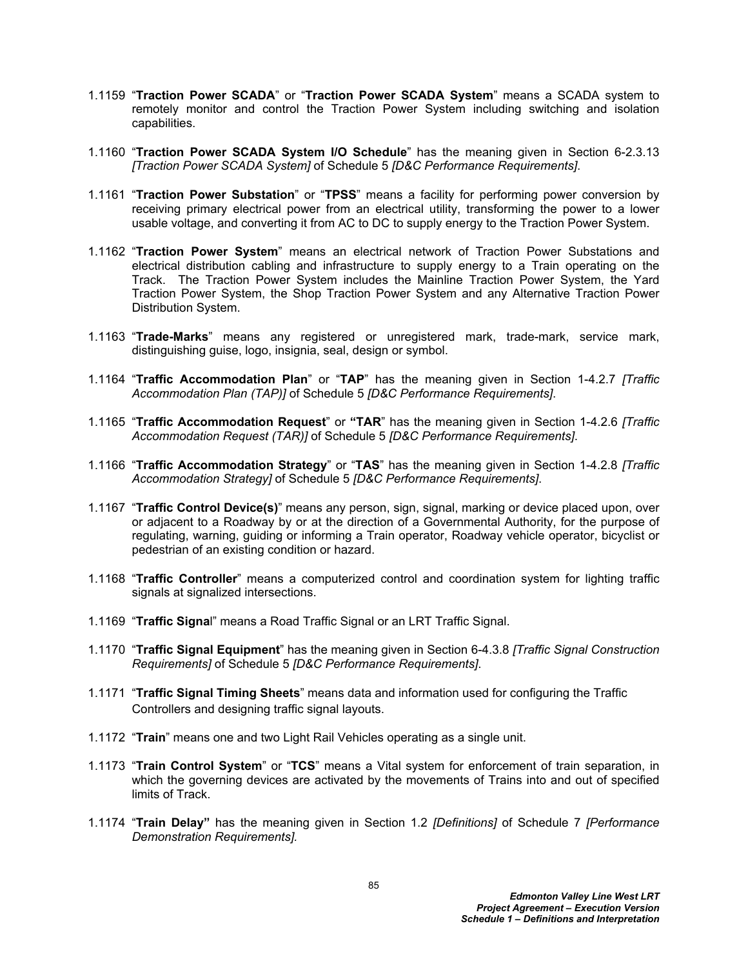- 1.1159 "**Traction Power SCADA**" or "**Traction Power SCADA System**" means a SCADA system to remotely monitor and control the Traction Power System including switching and isolation capabilities.
- 1.1160 "**Traction Power SCADA System I/O Schedule**" has the meaning given in Section 6-2.3.13 *[Traction Power SCADA System]* of Schedule 5 *[D&C Performance Requirements]*.
- 1.1161 "**Traction Power Substation**" or "**TPSS**" means a facility for performing power conversion by receiving primary electrical power from an electrical utility, transforming the power to a lower usable voltage, and converting it from AC to DC to supply energy to the Traction Power System.
- 1.1162 "**Traction Power System**" means an electrical network of Traction Power Substations and electrical distribution cabling and infrastructure to supply energy to a Train operating on the Track. The Traction Power System includes the Mainline Traction Power System, the Yard Traction Power System, the Shop Traction Power System and any Alternative Traction Power Distribution System.
- 1.1163 "**Trade-Marks**" means any registered or unregistered mark, trade-mark, service mark, distinguishing guise, logo, insignia, seal, design or symbol.
- 1.1164 "**Traffic Accommodation Plan**" or "**TAP**" has the meaning given in Section 1-4.2.7 *[Traffic Accommodation Plan (TAP)]* of Schedule 5 *[D&C Performance Requirements]*.
- 1.1165 "**Traffic Accommodation Request**" or **"TAR**" has the meaning given in Section 1-4.2.6 *[Traffic Accommodation Request (TAR)]* of Schedule 5 *[D&C Performance Requirements]*.
- 1.1166 "**Traffic Accommodation Strategy**" or "**TAS**" has the meaning given in Section 1-4.2.8 *[Traffic Accommodation Strategy]* of Schedule 5 *[D&C Performance Requirements]*.
- 1.1167 "**Traffic Control Device(s)**" means any person, sign, signal, marking or device placed upon, over or adjacent to a Roadway by or at the direction of a Governmental Authority, for the purpose of regulating, warning, guiding or informing a Train operator, Roadway vehicle operator, bicyclist or pedestrian of an existing condition or hazard.
- 1.1168 "**Traffic Controller**" means a computerized control and coordination system for lighting traffic signals at signalized intersections.
- 1.1169 "**Traffic Signa**l" means a Road Traffic Signal or an LRT Traffic Signal.
- 1.1170 "**Traffic Signal Equipment**" has the meaning given in Section 6-4.3.8 *[Traffic Signal Construction Requirements]* of Schedule 5 *[D&C Performance Requirements]*.
- 1.1171 "**Traffic Signal Timing Sheets**" means data and information used for configuring the Traffic Controllers and designing traffic signal layouts.
- 1.1172 "**Train**" means one and two Light Rail Vehicles operating as a single unit.
- 1.1173 "**Train Control System**" or "**TCS**" means a Vital system for enforcement of train separation, in which the governing devices are activated by the movements of Trains into and out of specified limits of Track.
- 1.1174 "**Train Delay"** has the meaning given in Section 1.2 *[Definitions]* of Schedule 7 *[Performance Demonstration Requirements].*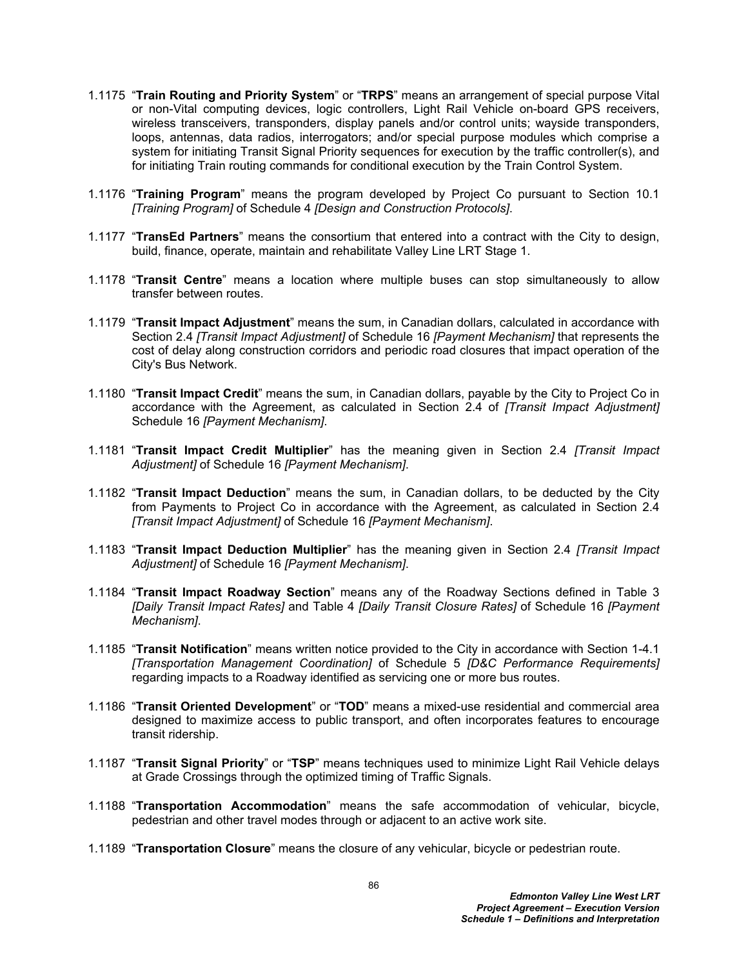- 1.1175 "**Train Routing and Priority System**" or "**TRPS**" means an arrangement of special purpose Vital or non-Vital computing devices, logic controllers, Light Rail Vehicle on-board GPS receivers, wireless transceivers, transponders, display panels and/or control units; wayside transponders, loops, antennas, data radios, interrogators; and/or special purpose modules which comprise a system for initiating Transit Signal Priority sequences for execution by the traffic controller(s), and for initiating Train routing commands for conditional execution by the Train Control System.
- 1.1176 "**Training Program**" means the program developed by Project Co pursuant to Section 10.1 *[Training Program]* of Schedule 4 *[Design and Construction Protocols]*.
- 1.1177 "**TransEd Partners**" means the consortium that entered into a contract with the City to design, build, finance, operate, maintain and rehabilitate Valley Line LRT Stage 1.
- 1.1178 "**Transit Centre**" means a location where multiple buses can stop simultaneously to allow transfer between routes.
- 1.1179 "**Transit Impact Adjustment**" means the sum, in Canadian dollars, calculated in accordance with Section 2.4 *[Transit Impact Adjustment]* of Schedule 16 *[Payment Mechanism]* that represents the cost of delay along construction corridors and periodic road closures that impact operation of the City's Bus Network.
- 1.1180 "**Transit Impact Credit**" means the sum, in Canadian dollars, payable by the City to Project Co in accordance with the Agreement, as calculated in Section 2.4 of *[Transit Impact Adjustment]* Schedule 16 *[Payment Mechanism]*.
- 1.1181 "**Transit Impact Credit Multiplier**" has the meaning given in Section 2.4 *[Transit Impact Adjustment]* of Schedule 16 *[Payment Mechanism]*.
- 1.1182 "**Transit Impact Deduction**" means the sum, in Canadian dollars, to be deducted by the City from Payments to Project Co in accordance with the Agreement, as calculated in Section 2.4 *[Transit Impact Adjustment]* of Schedule 16 *[Payment Mechanism]*.
- 1.1183 "**Transit Impact Deduction Multiplier**" has the meaning given in Section 2.4 *[Transit Impact Adjustment]* of Schedule 16 *[Payment Mechanism]*.
- 1.1184 "**Transit Impact Roadway Section**" means any of the Roadway Sections defined in Table 3 *[Daily Transit Impact Rates]* and Table 4 *[Daily Transit Closure Rates]* of Schedule 16 *[Payment Mechanism]*.
- 1.1185 "**Transit Notification**" means written notice provided to the City in accordance with Section 1-4.1 *[Transportation Management Coordination]* of Schedule 5 *[D&C Performance Requirements]* regarding impacts to a Roadway identified as servicing one or more bus routes.
- 1.1186 "**Transit Oriented Development**" or "**TOD**" means a mixed-use residential and commercial area designed to maximize access to public transport, and often incorporates features to encourage transit ridership.
- 1.1187 "**Transit Signal Priority**" or "**TSP**" means techniques used to minimize Light Rail Vehicle delays at Grade Crossings through the optimized timing of Traffic Signals.
- 1.1188 "**Transportation Accommodation**" means the safe accommodation of vehicular, bicycle, pedestrian and other travel modes through or adjacent to an active work site.
- 1.1189 "**Transportation Closure**" means the closure of any vehicular, bicycle or pedestrian route.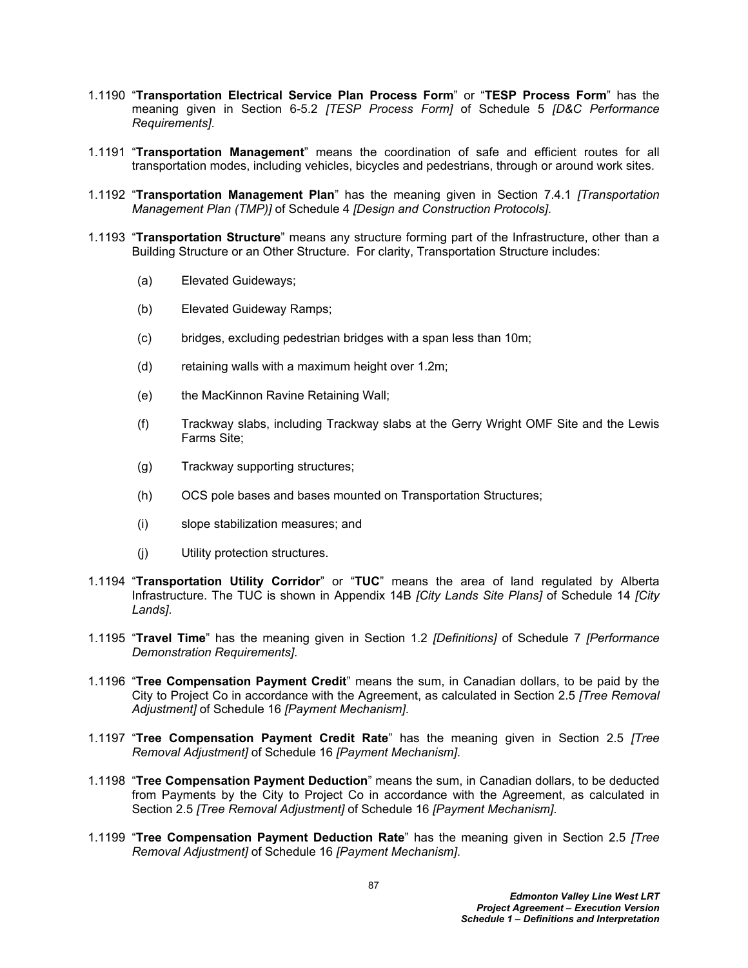- 1.1190 "**Transportation Electrical Service Plan Process Form**" or "**TESP Process Form**" has the meaning given in Section 6-5.2 *[TESP Process Form]* of Schedule 5 *[D&C Performance Requirements]*.
- 1.1191 "**Transportation Management**" means the coordination of safe and efficient routes for all transportation modes, including vehicles, bicycles and pedestrians, through or around work sites.
- 1.1192 "**Transportation Management Plan**" has the meaning given in Section 7.4.1 *[Transportation Management Plan (TMP)]* of Schedule 4 *[Design and Construction Protocols]*.
- 1.1193 "**Transportation Structure**" means any structure forming part of the Infrastructure, other than a Building Structure or an Other Structure. For clarity, Transportation Structure includes:
	- (a) Elevated Guideways;
	- (b) Elevated Guideway Ramps;
	- (c) bridges, excluding pedestrian bridges with a span less than 10m;
	- (d) retaining walls with a maximum height over 1.2m;
	- (e) the MacKinnon Ravine Retaining Wall;
	- (f) Trackway slabs, including Trackway slabs at the Gerry Wright OMF Site and the Lewis Farms Site;
	- (g) Trackway supporting structures;
	- (h) OCS pole bases and bases mounted on Transportation Structures;
	- (i) slope stabilization measures; and
	- (j) Utility protection structures.
- 1.1194 "**Transportation Utility Corridor**" or "**TUC**" means the area of land regulated by Alberta Infrastructure. The TUC is shown in Appendix 14B *[City Lands Site Plans]* of Schedule 14 *[City Lands]*.
- 1.1195 "**Travel Time**" has the meaning given in Section 1.2 *[Definitions]* of Schedule 7 *[Performance Demonstration Requirements]*.
- 1.1196 "**Tree Compensation Payment Credit**" means the sum, in Canadian dollars, to be paid by the City to Project Co in accordance with the Agreement, as calculated in Section 2.5 *[Tree Removal Adjustment]* of Schedule 16 *[Payment Mechanism]*.
- 1.1197 "**Tree Compensation Payment Credit Rate**" has the meaning given in Section 2.5 *[Tree Removal Adjustment]* of Schedule 16 *[Payment Mechanism]*.
- 1.1198 "**Tree Compensation Payment Deduction**" means the sum, in Canadian dollars, to be deducted from Payments by the City to Project Co in accordance with the Agreement, as calculated in Section 2.5 *[Tree Removal Adjustment]* of Schedule 16 *[Payment Mechanism]*.
- 1.1199 "**Tree Compensation Payment Deduction Rate**" has the meaning given in Section 2.5 *[Tree Removal Adjustment]* of Schedule 16 *[Payment Mechanism]*.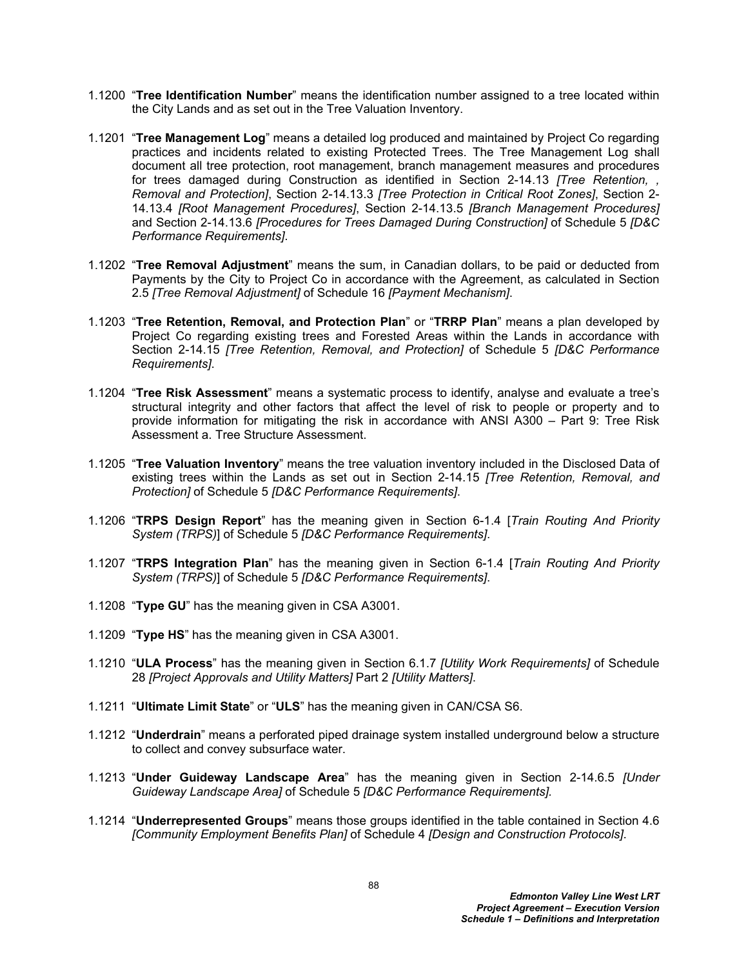- 1.1200 "**Tree Identification Number**" means the identification number assigned to a tree located within the City Lands and as set out in the Tree Valuation Inventory.
- 1.1201 "**Tree Management Log**" means a detailed log produced and maintained by Project Co regarding practices and incidents related to existing Protected Trees. The Tree Management Log shall document all tree protection, root management, branch management measures and procedures for trees damaged during Construction as identified in Section 2-14.13 *[Tree Retention, Removal and Protection]*, Section 2-14.13.3 *[Tree Protection in Critical Root Zones]*, Section 2- 14.13.4 *[Root Management Procedures]*, Section 2-14.13.5 *[Branch Management Procedures]* and Section 2-14.13.6 *[Procedures for Trees Damaged During Construction]* of Schedule 5 *[D&C Performance Requirements]*.
- 1.1202 "**Tree Removal Adjustment**" means the sum, in Canadian dollars, to be paid or deducted from Payments by the City to Project Co in accordance with the Agreement, as calculated in Section 2.5 *[Tree Removal Adjustment]* of Schedule 16 *[Payment Mechanism]*.
- 1.1203 "**Tree Retention, Removal, and Protection Plan**" or "**TRRP Plan**" means a plan developed by Project Co regarding existing trees and Forested Areas within the Lands in accordance with Section 2-14.15 *[Tree Retention, Removal, and Protection]* of Schedule 5 *[D&C Performance Requirements]*.
- 1.1204 "**Tree Risk Assessment**" means a systematic process to identify, analyse and evaluate a tree's structural integrity and other factors that affect the level of risk to people or property and to provide information for mitigating the risk in accordance with ANSI A300 – Part 9: Tree Risk Assessment a. Tree Structure Assessment.
- 1.1205 "**Tree Valuation Inventory**" means the tree valuation inventory included in the Disclosed Data of existing trees within the Lands as set out in Section 2-14.15 *[Tree Retention, Removal, and Protection]* of Schedule 5 *[D&C Performance Requirements]*.
- 1.1206 "**TRPS Design Report**" has the meaning given in Section 6-1.4 [*Train Routing And Priority System (TRPS)*] of Schedule 5 *[D&C Performance Requirements]*.
- 1.1207 "**TRPS Integration Plan**" has the meaning given in Section 6-1.4 [*Train Routing And Priority System (TRPS)*] of Schedule 5 *[D&C Performance Requirements]*.
- 1.1208 "**Type GU**" has the meaning given in CSA A3001.
- 1.1209 "**Type HS**" has the meaning given in CSA A3001.
- 1.1210 "**ULA Process**" has the meaning given in Section 6.1.7 *[Utility Work Requirements]* of Schedule 28 *[Project Approvals and Utility Matters]* Part 2 *[Utility Matters]*.
- 1.1211 "**Ultimate Limit State**" or "**ULS**" has the meaning given in CAN/CSA S6.
- 1.1212 "**Underdrain**" means a perforated piped drainage system installed underground below a structure to collect and convey subsurface water.
- 1.1213 "**Under Guideway Landscape Area**" has the meaning given in Section 2-14.6.5 *[Under Guideway Landscape Area]* of Schedule 5 *[D&C Performance Requirements].*
- 1.1214 "**Underrepresented Groups**" means those groups identified in the table contained in Section 4.6 *[Community Employment Benefits Plan]* of Schedule 4 *[Design and Construction Protocols]*.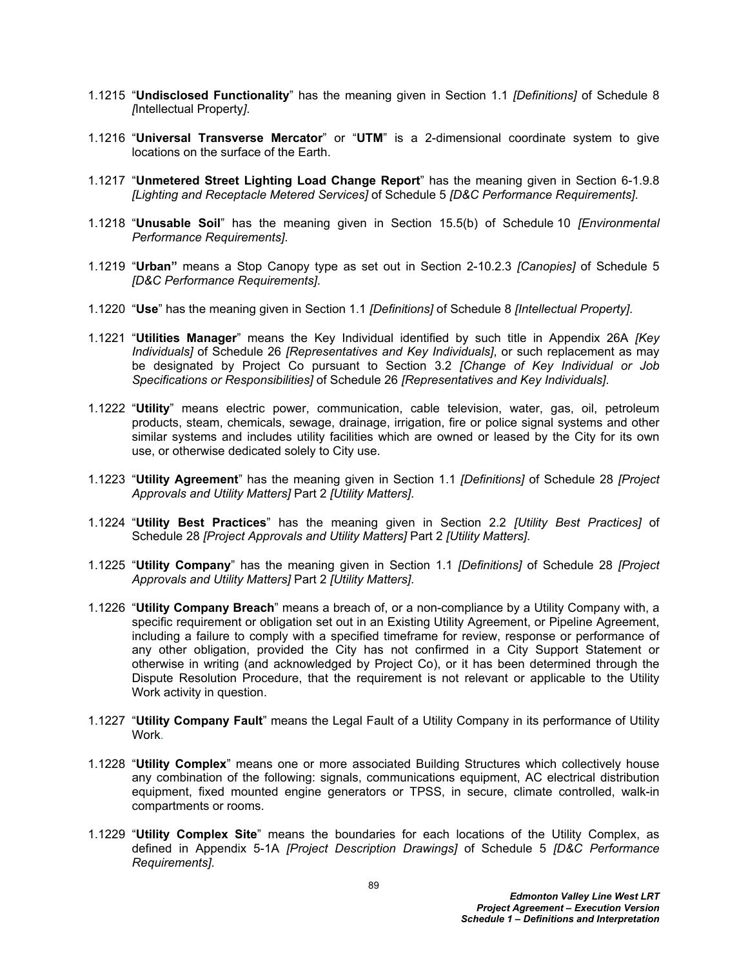- 1.1215 "**Undisclosed Functionality**" has the meaning given in Section 1.1 *[Definitions]* of Schedule 8 *[*Intellectual Property*]*.
- 1.1216 "**Universal Transverse Mercator**" or "**UTM**" is a 2-dimensional coordinate system to give locations on the surface of the Earth.
- 1.1217 "**Unmetered Street Lighting Load Change Report**" has the meaning given in Section 6-1.9.8 *[Lighting and Receptacle Metered Services]* of Schedule 5 *[D&C Performance Requirements]*.
- 1.1218 "**Unusable Soil**" has the meaning given in Section 15.5(b) of Schedule 10 *[Environmental Performance Requirements]*.
- 1.1219 "**Urban"** means a Stop Canopy type as set out in Section 2-10.2.3 *[Canopies]* of Schedule 5 *[D&C Performance Requirements]*.
- 1.1220 "**Use**" has the meaning given in Section 1.1 *[Definitions]* of Schedule 8 *[Intellectual Property]*.
- 1.1221 "**Utilities Manager**" means the Key Individual identified by such title in Appendix 26A *[Key Individuals]* of Schedule 26 *[Representatives and Key Individuals]*, or such replacement as may be designated by Project Co pursuant to Section 3.2 *[Change of Key Individual or Job Specifications or Responsibilities]* of Schedule 26 *[Representatives and Key Individuals]*.
- 1.1222 "**Utility**" means electric power, communication, cable television, water, gas, oil, petroleum products, steam, chemicals, sewage, drainage, irrigation, fire or police signal systems and other similar systems and includes utility facilities which are owned or leased by the City for its own use, or otherwise dedicated solely to City use.
- 1.1223 "**Utility Agreement**" has the meaning given in Section 1.1 *[Definitions]* of Schedule 28 *[Project Approvals and Utility Matters]* Part 2 *[Utility Matters]*.
- 1.1224 "**Utility Best Practices**" has the meaning given in Section 2.2 *[Utility Best Practices]* of Schedule 28 *[Project Approvals and Utility Matters]* Part 2 *[Utility Matters]*.
- 1.1225 "**Utility Company**" has the meaning given in Section 1.1 *[Definitions]* of Schedule 28 *[Project Approvals and Utility Matters]* Part 2 *[Utility Matters]*.
- 1.1226 "**Utility Company Breach**" means a breach of, or a non-compliance by a Utility Company with, a specific requirement or obligation set out in an Existing Utility Agreement, or Pipeline Agreement, including a failure to comply with a specified timeframe for review, response or performance of any other obligation, provided the City has not confirmed in a City Support Statement or otherwise in writing (and acknowledged by Project Co), or it has been determined through the Dispute Resolution Procedure, that the requirement is not relevant or applicable to the Utility Work activity in question.
- 1.1227 "**Utility Company Fault**" means the Legal Fault of a Utility Company in its performance of Utility Work.
- 1.1228 "**Utility Complex**" means one or more associated Building Structures which collectively house any combination of the following: signals, communications equipment, AC electrical distribution equipment, fixed mounted engine generators or TPSS, in secure, climate controlled, walk-in compartments or rooms.
- 1.1229 "**Utility Complex Site**" means the boundaries for each locations of the Utility Complex, as defined in Appendix 5-1A *[Project Description Drawings]* of Schedule 5 *[D&C Performance Requirements]*.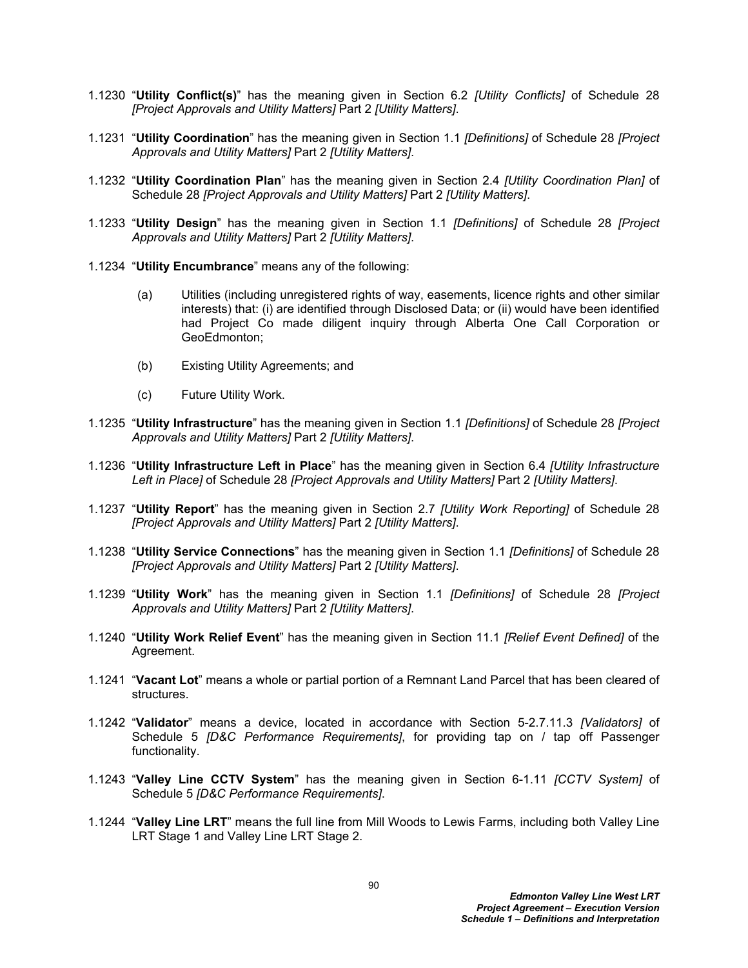- 1.1230 "**Utility Conflict(s)**" has the meaning given in Section 6.2 *[Utility Conflicts]* of Schedule 28 *[Project Approvals and Utility Matters]* Part 2 *[Utility Matters]*.
- 1.1231 "**Utility Coordination**" has the meaning given in Section 1.1 *[Definitions]* of Schedule 28 *[Project Approvals and Utility Matters]* Part 2 *[Utility Matters]*.
- 1.1232 "**Utility Coordination Plan**" has the meaning given in Section 2.4 *[Utility Coordination Plan]* of Schedule 28 *[Project Approvals and Utility Matters]* Part 2 *[Utility Matters]*.
- 1.1233 "**Utility Design**" has the meaning given in Section 1.1 *[Definitions]* of Schedule 28 *[Project Approvals and Utility Matters]* Part 2 *[Utility Matters]*.
- 1.1234 "**Utility Encumbrance**" means any of the following:
	- (a) Utilities (including unregistered rights of way, easements, licence rights and other similar interests) that: (i) are identified through Disclosed Data; or (ii) would have been identified had Project Co made diligent inquiry through Alberta One Call Corporation or GeoEdmonton;
	- (b) Existing Utility Agreements; and
	- (c) Future Utility Work.
- 1.1235 "**Utility Infrastructure**" has the meaning given in Section 1.1 *[Definitions]* of Schedule 28 *[Project Approvals and Utility Matters]* Part 2 *[Utility Matters]*.
- 1.1236 "**Utility Infrastructure Left in Place**" has the meaning given in Section 6.4 *[Utility Infrastructure Left in Place]* of Schedule 28 *[Project Approvals and Utility Matters]* Part 2 *[Utility Matters]*.
- 1.1237 "**Utility Report**" has the meaning given in Section 2.7 *[Utility Work Reporting]* of Schedule 28 *[Project Approvals and Utility Matters]* Part 2 *[Utility Matters]*.
- 1.1238 "**Utility Service Connections**" has the meaning given in Section 1.1 *[Definitions]* of Schedule 28 *[Project Approvals and Utility Matters]* Part 2 *[Utility Matters]*.
- 1.1239 "**Utility Work**" has the meaning given in Section 1.1 *[Definitions]* of Schedule 28 *[Project Approvals and Utility Matters]* Part 2 *[Utility Matters]*.
- 1.1240 "**Utility Work Relief Event**" has the meaning given in Section 11.1 *[Relief Event Defined]* of the Agreement.
- 1.1241 "**Vacant Lot**" means a whole or partial portion of a Remnant Land Parcel that has been cleared of structures.
- 1.1242 "**Validator**" means a device, located in accordance with Section 5-2.7.11.3 *[Validators]* of Schedule 5 *[D&C Performance Requirements]*, for providing tap on / tap off Passenger functionality.
- 1.1243 "**Valley Line CCTV System**" has the meaning given in Section 6-1.11 *[CCTV System]* of Schedule 5 *[D&C Performance Requirements]*.
- 1.1244 "**Valley Line LRT**" means the full line from Mill Woods to Lewis Farms, including both Valley Line LRT Stage 1 and Valley Line LRT Stage 2.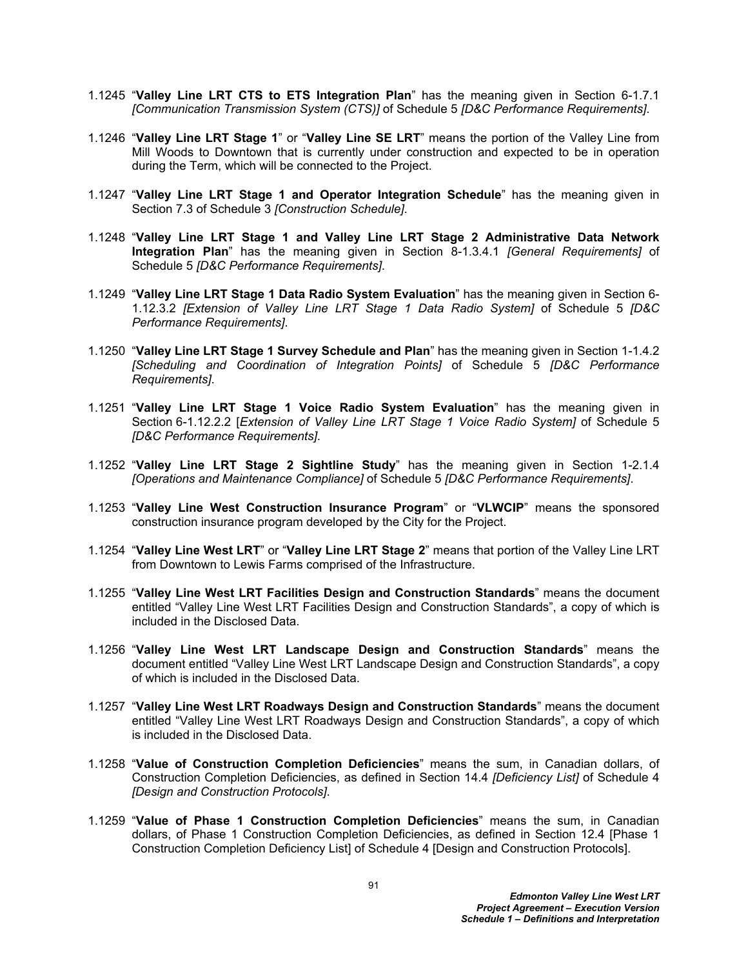- 1.1245 "**Valley Line LRT CTS to ETS Integration Plan**" has the meaning given in Section 6-1.7.1 *[Communication Transmission System (CTS)]* of Schedule 5 *[D&C Performance Requirements]*.
- 1.1246 "**Valley Line LRT Stage 1**" or "**Valley Line SE LRT**" means the portion of the Valley Line from Mill Woods to Downtown that is currently under construction and expected to be in operation during the Term, which will be connected to the Project.
- 1.1247 "**Valley Line LRT Stage 1 and Operator Integration Schedule**" has the meaning given in Section 7.3 of Schedule 3 *[Construction Schedule]*.
- 1.1248 "**Valley Line LRT Stage 1 and Valley Line LRT Stage 2 Administrative Data Network Integration Plan**" has the meaning given in Section 8-1.3.4.1 *[General Requirements]* of Schedule 5 *[D&C Performance Requirements]*.
- 1.1249 "**Valley Line LRT Stage 1 Data Radio System Evaluation**" has the meaning given in Section 6- 1.12.3.2 *[Extension of Valley Line LRT Stage 1 Data Radio System]* of Schedule 5 *[D&C Performance Requirements]*.
- 1.1250 "**Valley Line LRT Stage 1 Survey Schedule and Plan**" has the meaning given in Section 1-1.4.2 *[Scheduling and Coordination of Integration Points]* of Schedule 5 *[D&C Performance Requirements]*.
- 1.1251 "**Valley Line LRT Stage 1 Voice Radio System Evaluation**" has the meaning given in Section 6-1.12.2.2 [*Extension of Valley Line LRT Stage 1 Voice Radio System]* of Schedule 5 *[D&C Performance Requirements]*.
- 1.1252 "**Valley Line LRT Stage 2 Sightline Study**" has the meaning given in Section 1-2.1.4 *[Operations and Maintenance Compliance]* of Schedule 5 *[D&C Performance Requirements]*.
- 1.1253 "**Valley Line West Construction Insurance Program**" or "**VLWCIP**" means the sponsored construction insurance program developed by the City for the Project.
- 1.1254 "**Valley Line West LRT**" or "**Valley Line LRT Stage 2**" means that portion of the Valley Line LRT from Downtown to Lewis Farms comprised of the Infrastructure.
- 1.1255 "**Valley Line West LRT Facilities Design and Construction Standards**" means the document entitled "Valley Line West LRT Facilities Design and Construction Standards", a copy of which is included in the Disclosed Data.
- 1.1256 "**Valley Line West LRT Landscape Design and Construction Standards**" means the document entitled "Valley Line West LRT Landscape Design and Construction Standards", a copy of which is included in the Disclosed Data.
- 1.1257 "**Valley Line West LRT Roadways Design and Construction Standards**" means the document entitled "Valley Line West LRT Roadways Design and Construction Standards", a copy of which is included in the Disclosed Data.
- 1.1258 "**Value of Construction Completion Deficiencies**" means the sum, in Canadian dollars, of Construction Completion Deficiencies, as defined in Section 14.4 *[Deficiency List]* of Schedule 4 *[Design and Construction Protocols]*.
- 1.1259 "**Value of Phase 1 Construction Completion Deficiencies**" means the sum, in Canadian dollars, of Phase 1 Construction Completion Deficiencies, as defined in Section 12.4 [Phase 1 Construction Completion Deficiency List] of Schedule 4 [Design and Construction Protocols].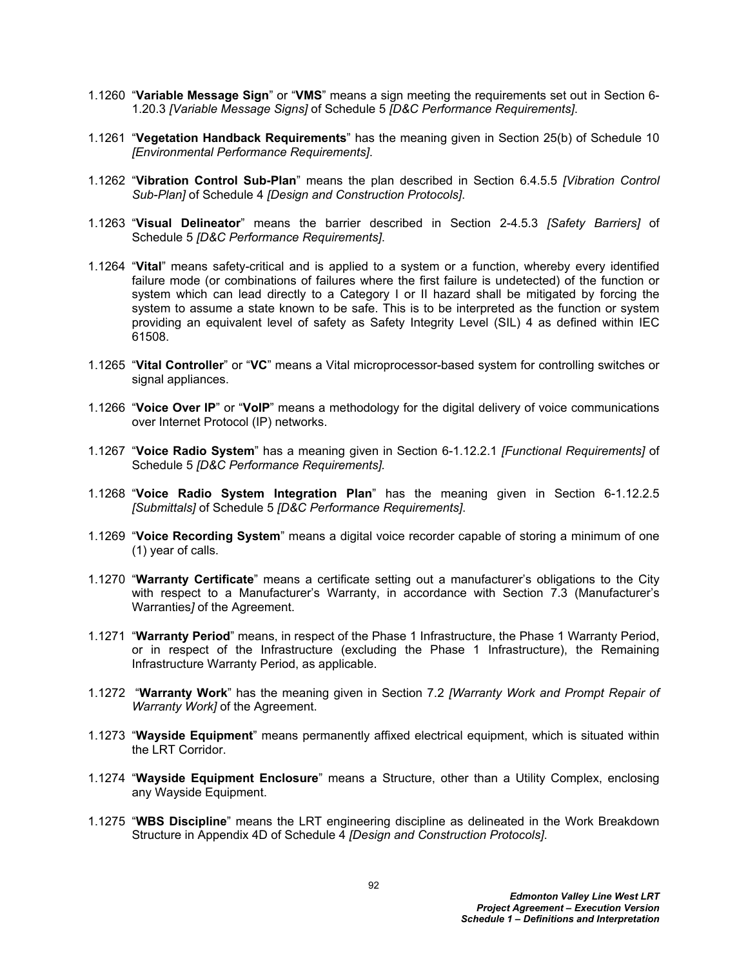- 1.1260 "**Variable Message Sign**" or "**VMS**" means a sign meeting the requirements set out in Section 6- 1.20.3 *[Variable Message Signs]* of Schedule 5 *[D&C Performance Requirements]*.
- 1.1261 "**Vegetation Handback Requirements**" has the meaning given in Section 25(b) of Schedule 10 *[Environmental Performance Requirements]*.
- 1.1262 "**Vibration Control Sub-Plan**" means the plan described in Section 6.4.5.5 *[Vibration Control Sub-Plan]* of Schedule 4 *[Design and Construction Protocols]*.
- 1.1263 "**Visual Delineator**" means the barrier described in Section 2-4.5.3 *[Safety Barriers]* of Schedule 5 *[D&C Performance Requirements]*.
- 1.1264 "**Vital**" means safety-critical and is applied to a system or a function, whereby every identified failure mode (or combinations of failures where the first failure is undetected) of the function or system which can lead directly to a Category I or II hazard shall be mitigated by forcing the system to assume a state known to be safe. This is to be interpreted as the function or system providing an equivalent level of safety as Safety Integrity Level (SIL) 4 as defined within IEC 61508.
- 1.1265 "**Vital Controller**" or "**VC**" means a Vital microprocessor-based system for controlling switches or signal appliances.
- 1.1266 "**Voice Over IP**" or "**VoIP**" means a methodology for the digital delivery of voice communications over Internet Protocol (IP) networks.
- 1.1267 "**Voice Radio System**" has a meaning given in Section 6-1.12.2.1 *[Functional Requirements]* of Schedule 5 *[D&C Performance Requirements].*
- 1.1268 "**Voice Radio System Integration Plan**" has the meaning given in Section 6-1.12.2.5 *[Submittals]* of Schedule 5 *[D&C Performance Requirements]*.
- 1.1269 "**Voice Recording System**" means a digital voice recorder capable of storing a minimum of one (1) year of calls.
- 1.1270 "**Warranty Certificate**" means a certificate setting out a manufacturer's obligations to the City with respect to a Manufacturer's Warranty, in accordance with Section 7.3 (Manufacturer's Warranties*]* of the Agreement.
- 1.1271 "**Warranty Period**" means, in respect of the Phase 1 Infrastructure, the Phase 1 Warranty Period, or in respect of the Infrastructure (excluding the Phase 1 Infrastructure), the Remaining Infrastructure Warranty Period, as applicable.
- 1.1272 "**Warranty Work**" has the meaning given in Section 7.2 *[Warranty Work and Prompt Repair of Warranty Work]* of the Agreement.
- 1.1273 "**Wayside Equipment**" means permanently affixed electrical equipment, which is situated within the LRT Corridor.
- 1.1274 "**Wayside Equipment Enclosure**" means a Structure, other than a Utility Complex, enclosing any Wayside Equipment.
- 1.1275 "**WBS Discipline**" means the LRT engineering discipline as delineated in the Work Breakdown Structure in Appendix 4D of Schedule 4 *[Design and Construction Protocols]*.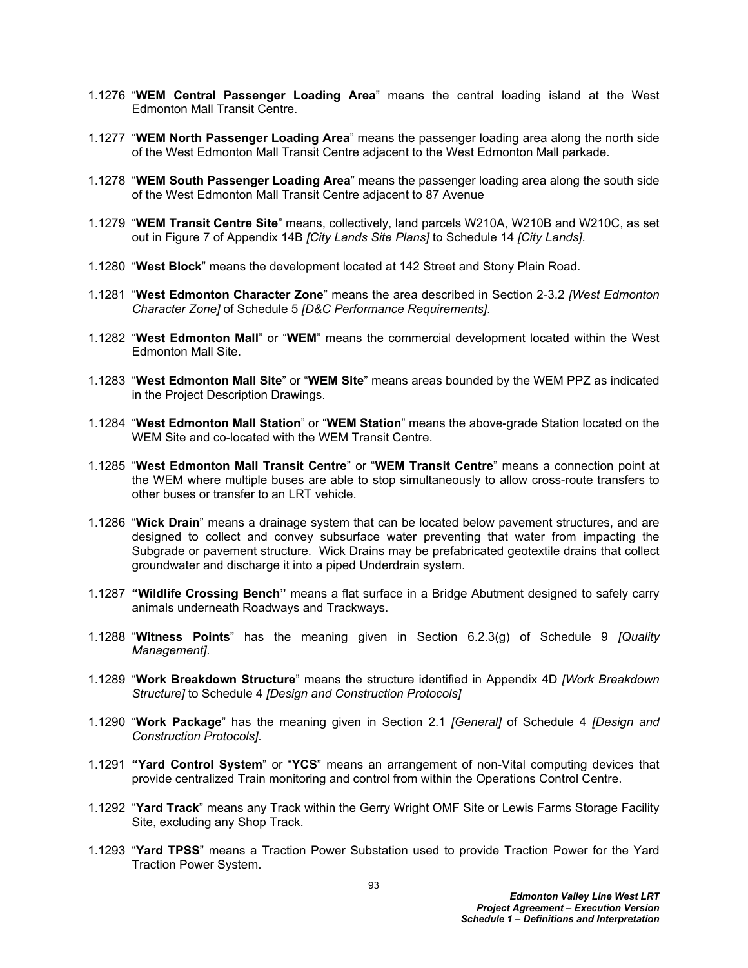- 1.1276 "**WEM Central Passenger Loading Area**" means the central loading island at the West Edmonton Mall Transit Centre.
- 1.1277 "**WEM North Passenger Loading Area**" means the passenger loading area along the north side of the West Edmonton Mall Transit Centre adjacent to the West Edmonton Mall parkade.
- 1.1278 "**WEM South Passenger Loading Area**" means the passenger loading area along the south side of the West Edmonton Mall Transit Centre adjacent to 87 Avenue
- 1.1279 "**WEM Transit Centre Site**" means, collectively, land parcels W210A, W210B and W210C, as set out in Figure 7 of Appendix 14B *[City Lands Site Plans]* to Schedule 14 *[City Lands]*.
- 1.1280 "**West Block**" means the development located at 142 Street and Stony Plain Road.
- 1.1281 "**West Edmonton Character Zone**" means the area described in Section 2-3.2 *[West Edmonton Character Zone]* of Schedule 5 *[D&C Performance Requirements]*.
- 1.1282 "**West Edmonton Mall**" or "**WEM**" means the commercial development located within the West Edmonton Mall Site.
- 1.1283 "**West Edmonton Mall Site**" or "**WEM Site**" means areas bounded by the WEM PPZ as indicated in the Project Description Drawings.
- 1.1284 "**West Edmonton Mall Station**" or "**WEM Station**" means the above-grade Station located on the WEM Site and co-located with the WEM Transit Centre.
- 1.1285 "**West Edmonton Mall Transit Centre**" or "**WEM Transit Centre**" means a connection point at the WEM where multiple buses are able to stop simultaneously to allow cross-route transfers to other buses or transfer to an LRT vehicle.
- 1.1286 "**Wick Drain**" means a drainage system that can be located below pavement structures, and are designed to collect and convey subsurface water preventing that water from impacting the Subgrade or pavement structure. Wick Drains may be prefabricated geotextile drains that collect groundwater and discharge it into a piped Underdrain system.
- 1.1287 **"Wildlife Crossing Bench"** means a flat surface in a Bridge Abutment designed to safely carry animals underneath Roadways and Trackways.
- 1.1288 "**Witness Points**" has the meaning given in Section 6.2.3(g) of Schedule 9 *[Quality Management]*.
- 1.1289 "**Work Breakdown Structure**" means the structure identified in Appendix 4D *[Work Breakdown Structure]* to Schedule 4 *[Design and Construction Protocols]*
- 1.1290 "**Work Package**" has the meaning given in Section 2.1 *[General]* of Schedule 4 *[Design and Construction Protocols]*.
- 1.1291 **"Yard Control System**" or "**YCS**" means an arrangement of non-Vital computing devices that provide centralized Train monitoring and control from within the Operations Control Centre.
- 1.1292 "**Yard Track**" means any Track within the Gerry Wright OMF Site or Lewis Farms Storage Facility Site, excluding any Shop Track.
- 1.1293 "**Yard TPSS**" means a Traction Power Substation used to provide Traction Power for the Yard Traction Power System.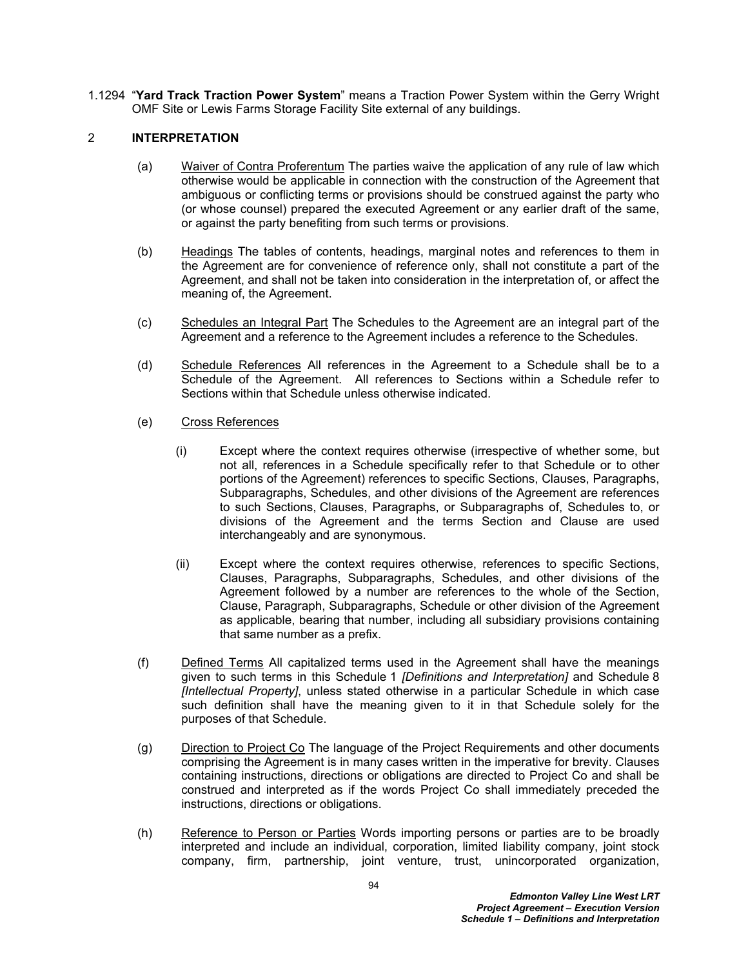1.1294 "**Yard Track Traction Power System**" means a Traction Power System within the Gerry Wright OMF Site or Lewis Farms Storage Facility Site external of any buildings.

## 2 **INTERPRETATION**

- (a) Waiver of Contra Proferentum The parties waive the application of any rule of law which otherwise would be applicable in connection with the construction of the Agreement that ambiguous or conflicting terms or provisions should be construed against the party who (or whose counsel) prepared the executed Agreement or any earlier draft of the same, or against the party benefiting from such terms or provisions.
- (b) Headings The tables of contents, headings, marginal notes and references to them in the Agreement are for convenience of reference only, shall not constitute a part of the Agreement, and shall not be taken into consideration in the interpretation of, or affect the meaning of, the Agreement.
- (c) Schedules an Integral Part The Schedules to the Agreement are an integral part of the Agreement and a reference to the Agreement includes a reference to the Schedules.
- (d) Schedule References All references in the Agreement to a Schedule shall be to a Schedule of the Agreement. All references to Sections within a Schedule refer to Sections within that Schedule unless otherwise indicated.
- (e) Cross References
	- (i) Except where the context requires otherwise (irrespective of whether some, but not all, references in a Schedule specifically refer to that Schedule or to other portions of the Agreement) references to specific Sections, Clauses, Paragraphs, Subparagraphs, Schedules, and other divisions of the Agreement are references to such Sections, Clauses, Paragraphs, or Subparagraphs of, Schedules to, or divisions of the Agreement and the terms Section and Clause are used interchangeably and are synonymous.
	- (ii) Except where the context requires otherwise, references to specific Sections, Clauses, Paragraphs, Subparagraphs, Schedules, and other divisions of the Agreement followed by a number are references to the whole of the Section, Clause, Paragraph, Subparagraphs, Schedule or other division of the Agreement as applicable, bearing that number, including all subsidiary provisions containing that same number as a prefix.
- (f) Defined Terms All capitalized terms used in the Agreement shall have the meanings given to such terms in this Schedule 1 *[Definitions and Interpretation]* and Schedule 8 *[Intellectual Property]*, unless stated otherwise in a particular Schedule in which case such definition shall have the meaning given to it in that Schedule solely for the purposes of that Schedule.
- (g) Direction to Project Co The language of the Project Requirements and other documents comprising the Agreement is in many cases written in the imperative for brevity. Clauses containing instructions, directions or obligations are directed to Project Co and shall be construed and interpreted as if the words Project Co shall immediately preceded the instructions, directions or obligations.
- (h) Reference to Person or Parties Words importing persons or parties are to be broadly interpreted and include an individual, corporation, limited liability company, joint stock company, firm, partnership, joint venture, trust, unincorporated organization,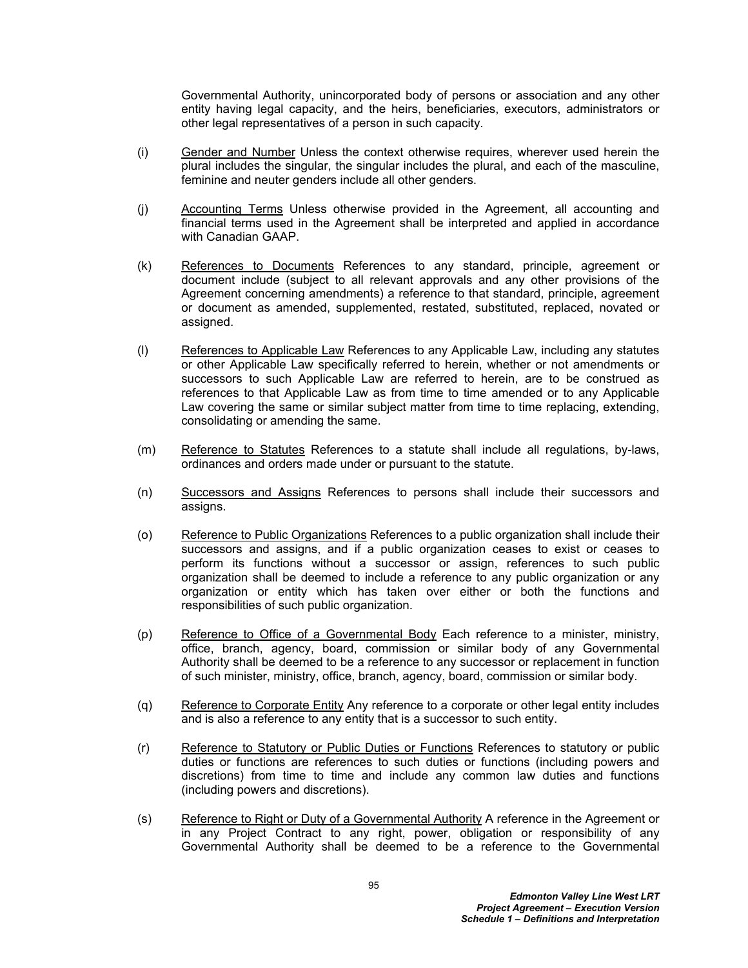Governmental Authority, unincorporated body of persons or association and any other entity having legal capacity, and the heirs, beneficiaries, executors, administrators or other legal representatives of a person in such capacity.

- (i) Gender and Number Unless the context otherwise requires, wherever used herein the plural includes the singular, the singular includes the plural, and each of the masculine, feminine and neuter genders include all other genders.
- (j) Accounting Terms Unless otherwise provided in the Agreement, all accounting and financial terms used in the Agreement shall be interpreted and applied in accordance with Canadian GAAP.
- (k) References to Documents References to any standard, principle, agreement or document include (subject to all relevant approvals and any other provisions of the Agreement concerning amendments) a reference to that standard, principle, agreement or document as amended, supplemented, restated, substituted, replaced, novated or assigned.
- (l) References to Applicable Law References to any Applicable Law, including any statutes or other Applicable Law specifically referred to herein, whether or not amendments or successors to such Applicable Law are referred to herein, are to be construed as references to that Applicable Law as from time to time amended or to any Applicable Law covering the same or similar subject matter from time to time replacing, extending, consolidating or amending the same.
- (m) Reference to Statutes References to a statute shall include all regulations, by-laws, ordinances and orders made under or pursuant to the statute.
- (n) Successors and Assigns References to persons shall include their successors and assigns.
- (o) Reference to Public Organizations References to a public organization shall include their successors and assigns, and if a public organization ceases to exist or ceases to perform its functions without a successor or assign, references to such public organization shall be deemed to include a reference to any public organization or any organization or entity which has taken over either or both the functions and responsibilities of such public organization.
- (p) Reference to Office of a Governmental Body Each reference to a minister, ministry, office, branch, agency, board, commission or similar body of any Governmental Authority shall be deemed to be a reference to any successor or replacement in function of such minister, ministry, office, branch, agency, board, commission or similar body.
- (q) Reference to Corporate Entity Any reference to a corporate or other legal entity includes and is also a reference to any entity that is a successor to such entity.
- (r) Reference to Statutory or Public Duties or Functions References to statutory or public duties or functions are references to such duties or functions (including powers and discretions) from time to time and include any common law duties and functions (including powers and discretions).
- (s) Reference to Right or Duty of a Governmental Authority A reference in the Agreement or in any Project Contract to any right, power, obligation or responsibility of any Governmental Authority shall be deemed to be a reference to the Governmental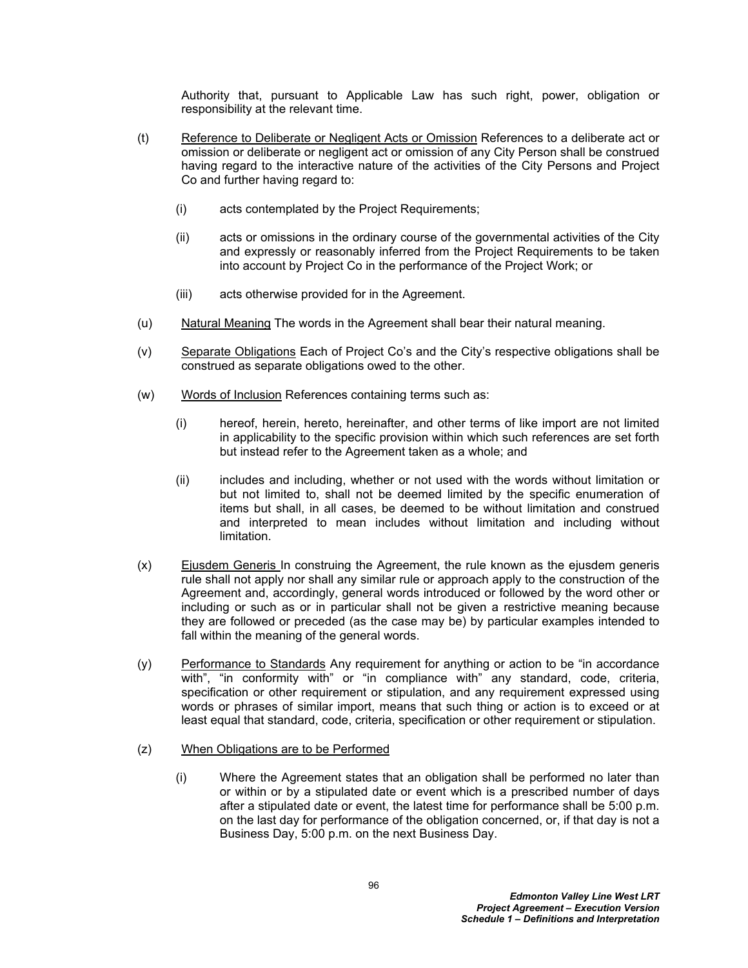Authority that, pursuant to Applicable Law has such right, power, obligation or responsibility at the relevant time.

- (t) Reference to Deliberate or Negligent Acts or Omission References to a deliberate act or omission or deliberate or negligent act or omission of any City Person shall be construed having regard to the interactive nature of the activities of the City Persons and Project Co and further having regard to:
	- (i) acts contemplated by the Project Requirements;
	- (ii) acts or omissions in the ordinary course of the governmental activities of the City and expressly or reasonably inferred from the Project Requirements to be taken into account by Project Co in the performance of the Project Work; or
	- (iii) acts otherwise provided for in the Agreement.
- (u) Natural Meaning The words in the Agreement shall bear their natural meaning.
- (v) Separate Obligations Each of Project Co's and the City's respective obligations shall be construed as separate obligations owed to the other.
- (w) Words of Inclusion References containing terms such as:
	- (i) hereof, herein, hereto, hereinafter, and other terms of like import are not limited in applicability to the specific provision within which such references are set forth but instead refer to the Agreement taken as a whole; and
	- (ii) includes and including, whether or not used with the words without limitation or but not limited to, shall not be deemed limited by the specific enumeration of items but shall, in all cases, be deemed to be without limitation and construed and interpreted to mean includes without limitation and including without limitation.
- (x) Ejusdem Generis In construing the Agreement, the rule known as the ejusdem generis rule shall not apply nor shall any similar rule or approach apply to the construction of the Agreement and, accordingly, general words introduced or followed by the word other or including or such as or in particular shall not be given a restrictive meaning because they are followed or preceded (as the case may be) by particular examples intended to fall within the meaning of the general words.
- (y) Performance to Standards Any requirement for anything or action to be "in accordance with", "in conformity with" or "in compliance with" any standard, code, criteria, specification or other requirement or stipulation, and any requirement expressed using words or phrases of similar import, means that such thing or action is to exceed or at least equal that standard, code, criteria, specification or other requirement or stipulation.
- (z) When Obligations are to be Performed
	- (i) Where the Agreement states that an obligation shall be performed no later than or within or by a stipulated date or event which is a prescribed number of days after a stipulated date or event, the latest time for performance shall be 5:00 p.m. on the last day for performance of the obligation concerned, or, if that day is not a Business Day, 5:00 p.m. on the next Business Day.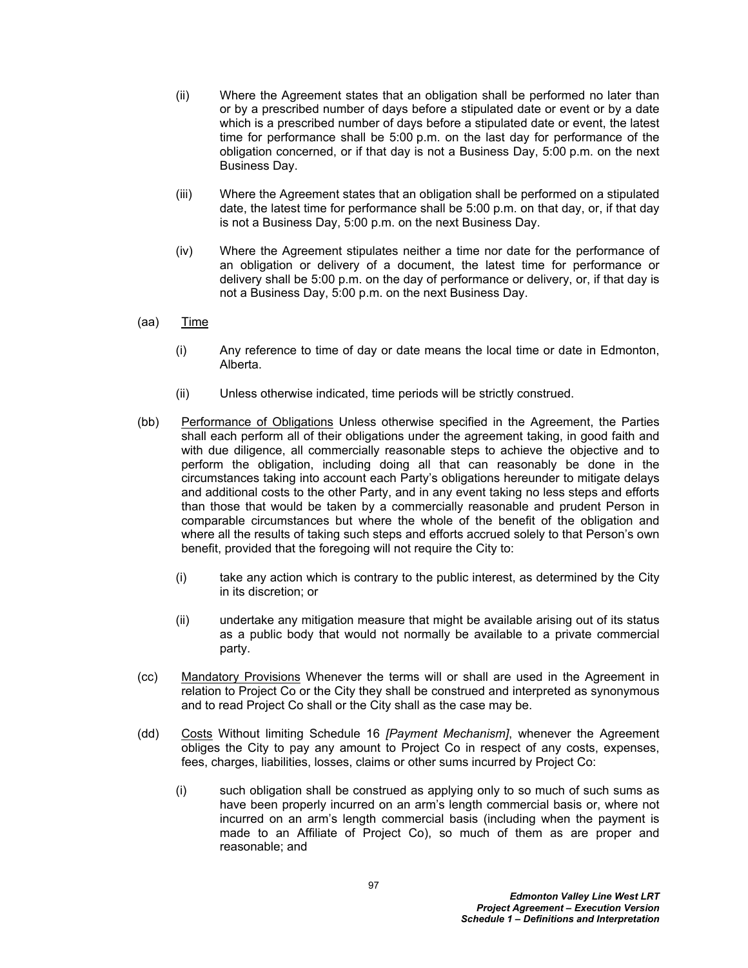- (ii) Where the Agreement states that an obligation shall be performed no later than or by a prescribed number of days before a stipulated date or event or by a date which is a prescribed number of days before a stipulated date or event, the latest time for performance shall be 5:00 p.m. on the last day for performance of the obligation concerned, or if that day is not a Business Day, 5:00 p.m. on the next Business Day.
- (iii) Where the Agreement states that an obligation shall be performed on a stipulated date, the latest time for performance shall be 5:00 p.m. on that day, or, if that day is not a Business Day, 5:00 p.m. on the next Business Day.
- (iv) Where the Agreement stipulates neither a time nor date for the performance of an obligation or delivery of a document, the latest time for performance or delivery shall be 5:00 p.m. on the day of performance or delivery, or, if that day is not a Business Day, 5:00 p.m. on the next Business Day.
- (aa) Time
	- (i) Any reference to time of day or date means the local time or date in Edmonton, Alberta.
	- (ii) Unless otherwise indicated, time periods will be strictly construed.
- (bb) Performance of Obligations Unless otherwise specified in the Agreement, the Parties shall each perform all of their obligations under the agreement taking, in good faith and with due diligence, all commercially reasonable steps to achieve the objective and to perform the obligation, including doing all that can reasonably be done in the circumstances taking into account each Party's obligations hereunder to mitigate delays and additional costs to the other Party, and in any event taking no less steps and efforts than those that would be taken by a commercially reasonable and prudent Person in comparable circumstances but where the whole of the benefit of the obligation and where all the results of taking such steps and efforts accrued solely to that Person's own benefit, provided that the foregoing will not require the City to:
	- (i) take any action which is contrary to the public interest, as determined by the City in its discretion; or
	- (ii) undertake any mitigation measure that might be available arising out of its status as a public body that would not normally be available to a private commercial party.
- (cc) Mandatory Provisions Whenever the terms will or shall are used in the Agreement in relation to Project Co or the City they shall be construed and interpreted as synonymous and to read Project Co shall or the City shall as the case may be.
- (dd) Costs Without limiting Schedule 16 *[Payment Mechanism]*, whenever the Agreement obliges the City to pay any amount to Project Co in respect of any costs, expenses, fees, charges, liabilities, losses, claims or other sums incurred by Project Co:
	- (i) such obligation shall be construed as applying only to so much of such sums as have been properly incurred on an arm's length commercial basis or, where not incurred on an arm's length commercial basis (including when the payment is made to an Affiliate of Project Co), so much of them as are proper and reasonable; and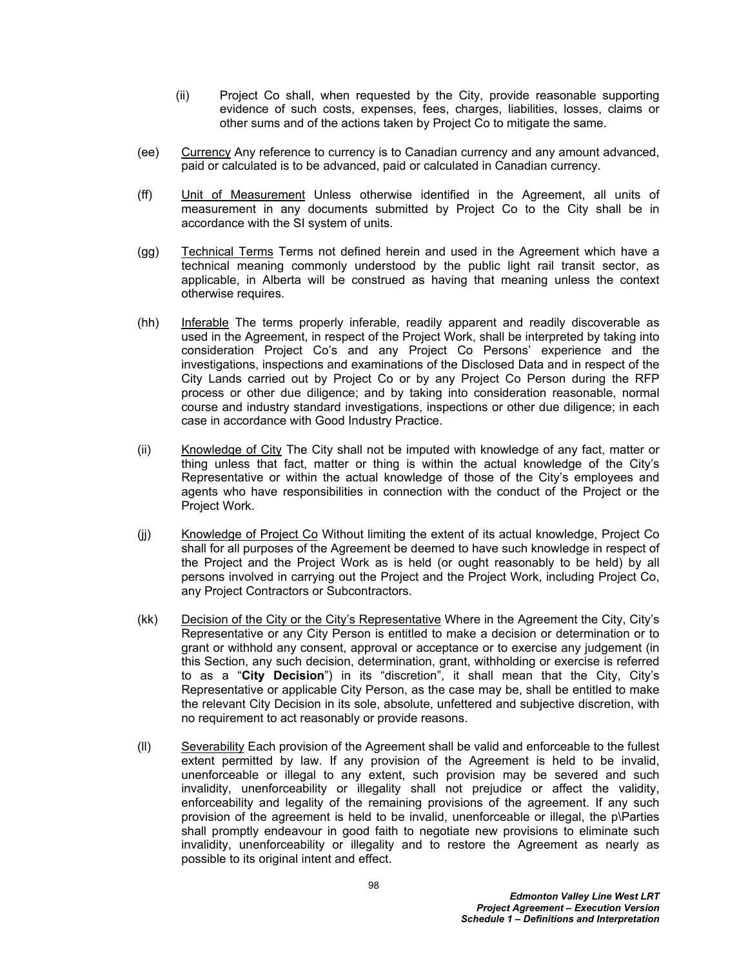- (ii) Project Co shall, when requested by the City, provide reasonable supporting evidence of such costs, expenses, fees, charges, liabilities, losses, claims or other sums and of the actions taken by Project Co to mitigate the same.
- (ee) Currency Any reference to currency is to Canadian currency and any amount advanced, paid or calculated is to be advanced, paid or calculated in Canadian currency.
- (ff) Unit of Measurement Unless otherwise identified in the Agreement, all units of measurement in any documents submitted by Project Co to the City shall be in accordance with the SI system of units.
- (gg) Technical Terms Terms not defined herein and used in the Agreement which have a technical meaning commonly understood by the public light rail transit sector, as applicable, in Alberta will be construed as having that meaning unless the context otherwise requires.
- (hh) Inferable The terms properly inferable, readily apparent and readily discoverable as used in the Agreement, in respect of the Project Work, shall be interpreted by taking into consideration Project Co's and any Project Co Persons' experience and the investigations, inspections and examinations of the Disclosed Data and in respect of the City Lands carried out by Project Co or by any Project Co Person during the RFP process or other due diligence; and by taking into consideration reasonable, normal course and industry standard investigations, inspections or other due diligence; in each case in accordance with Good Industry Practice.
- (ii) Knowledge of City The City shall not be imputed with knowledge of any fact, matter or thing unless that fact, matter or thing is within the actual knowledge of the City's Representative or within the actual knowledge of those of the City's employees and agents who have responsibilities in connection with the conduct of the Project or the Project Work.
- (jj) Knowledge of Project Co Without limiting the extent of its actual knowledge, Project Co shall for all purposes of the Agreement be deemed to have such knowledge in respect of the Project and the Project Work as is held (or ought reasonably to be held) by all persons involved in carrying out the Project and the Project Work, including Project Co, any Project Contractors or Subcontractors.
- (kk) Decision of the City or the City's Representative Where in the Agreement the City, City's Representative or any City Person is entitled to make a decision or determination or to grant or withhold any consent, approval or acceptance or to exercise any judgement (in this Section, any such decision, determination, grant, withholding or exercise is referred to as a "**City Decision**") in its "discretion", it shall mean that the City, City's Representative or applicable City Person, as the case may be, shall be entitled to make the relevant City Decision in its sole, absolute, unfettered and subjective discretion, with no requirement to act reasonably or provide reasons.
- (ll) Severability Each provision of the Agreement shall be valid and enforceable to the fullest extent permitted by law. If any provision of the Agreement is held to be invalid, unenforceable or illegal to any extent, such provision may be severed and such invalidity, unenforceability or illegality shall not prejudice or affect the validity, enforceability and legality of the remaining provisions of the agreement. If any such provision of the agreement is held to be invalid, unenforceable or illegal, the p\Parties shall promptly endeavour in good faith to negotiate new provisions to eliminate such invalidity, unenforceability or illegality and to restore the Agreement as nearly as possible to its original intent and effect.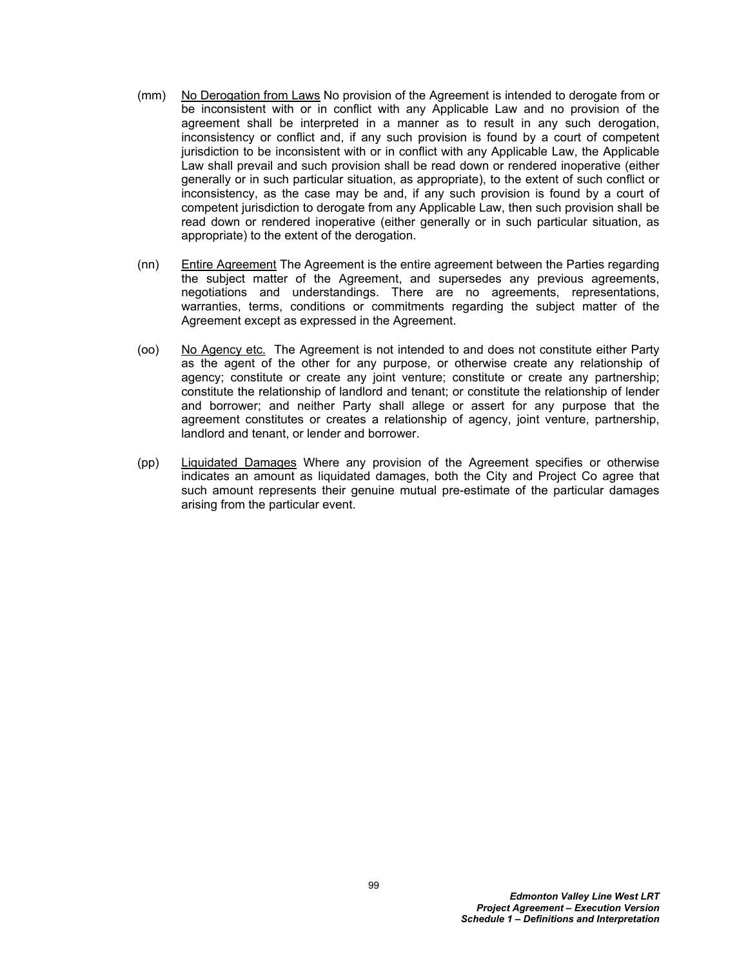- (mm) No Derogation from Laws No provision of the Agreement is intended to derogate from or be inconsistent with or in conflict with any Applicable Law and no provision of the agreement shall be interpreted in a manner as to result in any such derogation, inconsistency or conflict and, if any such provision is found by a court of competent jurisdiction to be inconsistent with or in conflict with any Applicable Law, the Applicable Law shall prevail and such provision shall be read down or rendered inoperative (either generally or in such particular situation, as appropriate), to the extent of such conflict or inconsistency, as the case may be and, if any such provision is found by a court of competent jurisdiction to derogate from any Applicable Law, then such provision shall be read down or rendered inoperative (either generally or in such particular situation, as appropriate) to the extent of the derogation.
- (nn) Entire Agreement The Agreement is the entire agreement between the Parties regarding the subject matter of the Agreement, and supersedes any previous agreements, negotiations and understandings. There are no agreements, representations, warranties, terms, conditions or commitments regarding the subject matter of the Agreement except as expressed in the Agreement.
- (oo) No Agency etc. The Agreement is not intended to and does not constitute either Party as the agent of the other for any purpose, or otherwise create any relationship of agency; constitute or create any joint venture; constitute or create any partnership; constitute the relationship of landlord and tenant; or constitute the relationship of lender and borrower; and neither Party shall allege or assert for any purpose that the agreement constitutes or creates a relationship of agency, joint venture, partnership, landlord and tenant, or lender and borrower.
- (pp) Liquidated Damages Where any provision of the Agreement specifies or otherwise indicates an amount as liquidated damages, both the City and Project Co agree that such amount represents their genuine mutual pre-estimate of the particular damages arising from the particular event.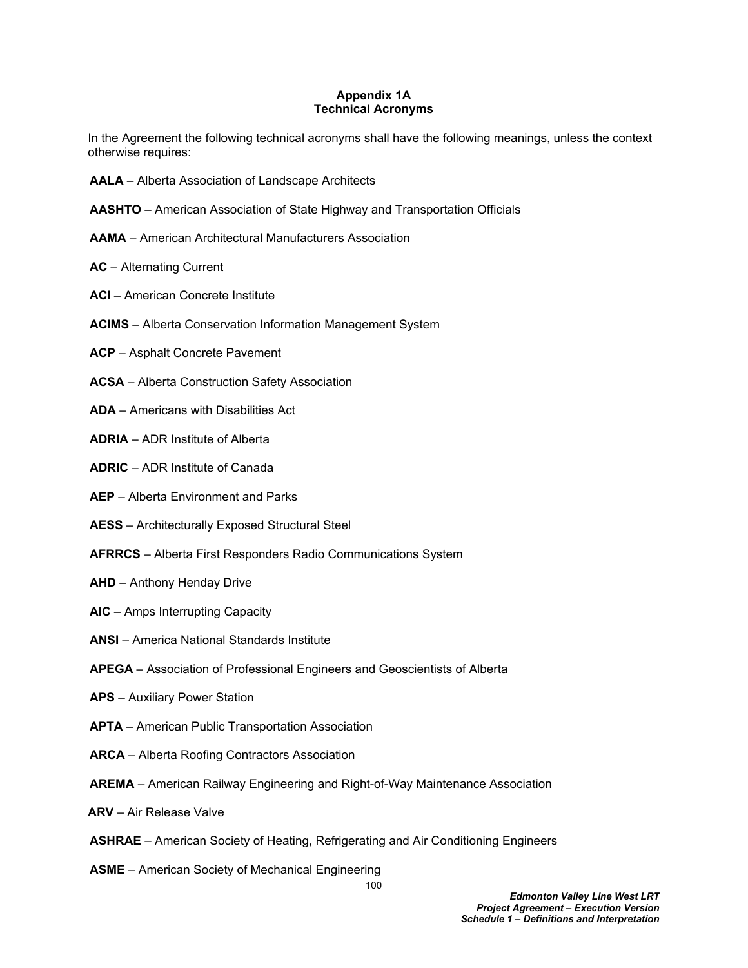## **Appendix 1A Technical Acronyms**

In the Agreement the following technical acronyms shall have the following meanings, unless the context otherwise requires:

- **AALA**  Alberta Association of Landscape Architects
- **AASHTO** American Association of State Highway and Transportation Officials
- **AAMA** American Architectural Manufacturers Association
- **AC**  Alternating Current
- **ACI** American Concrete Institute
- **ACIMS**  Alberta Conservation Information Management System
- **ACP** Asphalt Concrete Pavement
- **ACSA** Alberta Construction Safety Association
- **ADA**  Americans with Disabilities Act
- **ADRIA**  ADR Institute of Alberta
- **ADRIC** ADR Institute of Canada
- **AEP**  Alberta Environment and Parks
- **AESS** Architecturally Exposed Structural Steel
- **AFRRCS** Alberta First Responders Radio Communications System
- **AHD**  Anthony Henday Drive
- **AIC** Amps Interrupting Capacity
- **ANSI** America National Standards Institute
- **APEGA** Association of Professional Engineers and Geoscientists of Alberta
- **APS** Auxiliary Power Station
- **APTA** American Public Transportation Association
- **ARCA** Alberta Roofing Contractors Association
- **AREMA** American Railway Engineering and Right-of-Way Maintenance Association
- **ARV** Air Release Valve
- **ASHRAE** American Society of Heating, Refrigerating and Air Conditioning Engineers
- **ASME** American Society of Mechanical Engineering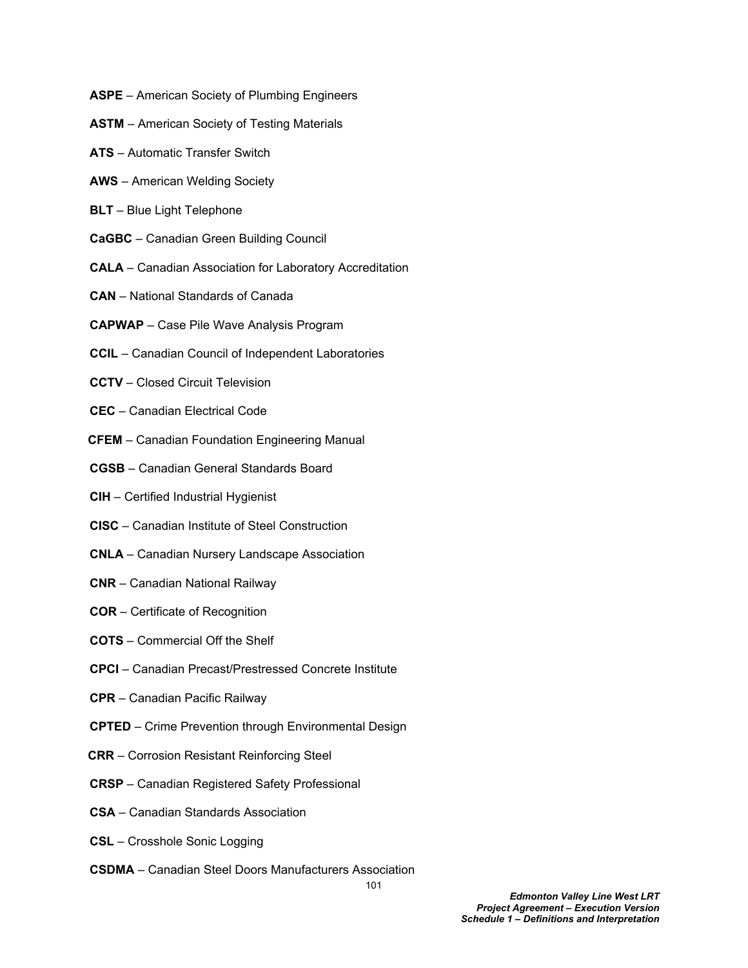- **ASPE** American Society of Plumbing Engineers
- **ASTM** American Society of Testing Materials
- **ATS**  Automatic Transfer Switch
- **AWS** American Welding Society
- **BLT** Blue Light Telephone
- **CaGBC** Canadian Green Building Council
- **CALA**  Canadian Association for Laboratory Accreditation
- **CAN** National Standards of Canada
- **CAPWAP**  Case Pile Wave Analysis Program
- **CCIL**  Canadian Council of Independent Laboratories
- **CCTV** Closed Circuit Television
- **CEC** Canadian Electrical Code
- **CFEM**  Canadian Foundation Engineering Manual
- **CGSB**  Canadian General Standards Board
- **CIH** Certified Industrial Hygienist
- **CISC** Canadian Institute of Steel Construction
- **CNLA** Canadian Nursery Landscape Association
- **CNR** Canadian National Railway
- **COR**  Certificate of Recognition
- **COTS**  Commercial Off the Shelf
- **CPCI** Canadian Precast/Prestressed Concrete Institute
- **CPR** Canadian Pacific Railway
- **CPTED** Crime Prevention through Environmental Design
- **CRR** Corrosion Resistant Reinforcing Steel
- **CRSP**  Canadian Registered Safety Professional
- **CSA** Canadian Standards Association
- **CSL** Crosshole Sonic Logging
- **CSDMA** Canadian Steel Doors Manufacturers Association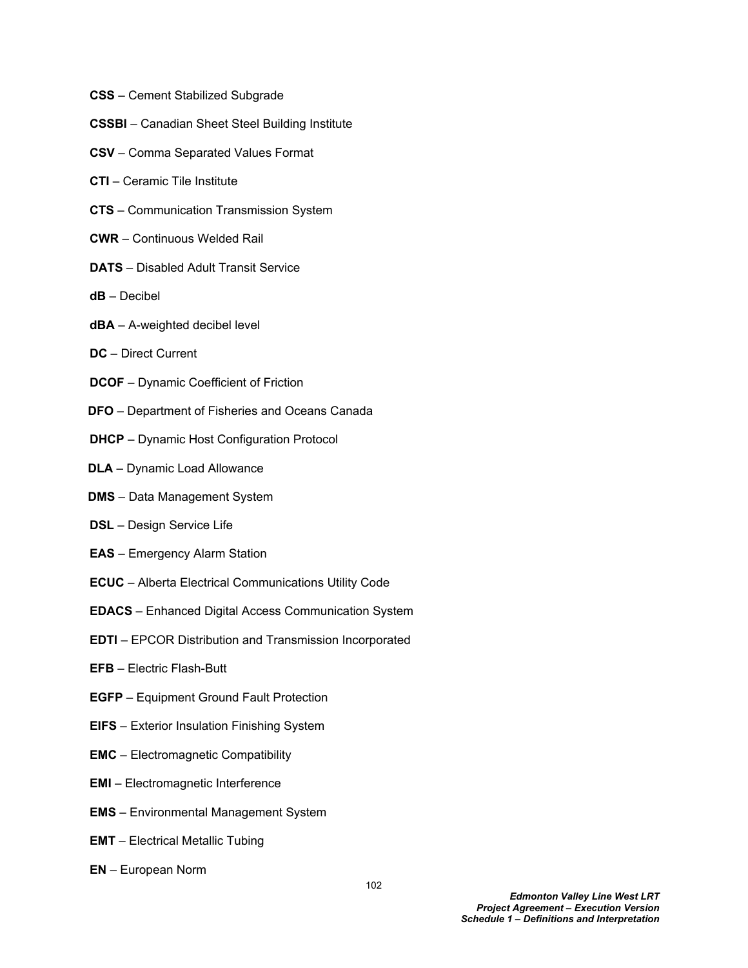- **CSS** Cement Stabilized Subgrade
- **CSSBI** Canadian Sheet Steel Building Institute
- **CSV** Comma Separated Values Format
- **CTI** Ceramic Tile Institute
- **CTS**  Communication Transmission System
- **CWR** Continuous Welded Rail
- **DATS** Disabled Adult Transit Service
- **dB** Decibel
- **dBA** A-weighted decibel level
- **DC** Direct Current
- **DCOF** Dynamic Coefficient of Friction
- **DFO** Department of Fisheries and Oceans Canada
- **DHCP** Dynamic Host Configuration Protocol
- **DLA** Dynamic Load Allowance
- **DMS** Data Management System
- **DSL** Design Service Life
- **EAS** Emergency Alarm Station
- **ECUC** Alberta Electrical Communications Utility Code
- **EDACS** Enhanced Digital Access Communication System
- **EDTI**  EPCOR Distribution and Transmission Incorporated
- **EFB**  Electric Flash-Butt
- **EGFP** Equipment Ground Fault Protection
- **EIFS** Exterior Insulation Finishing System
- **EMC** Electromagnetic Compatibility
- **EMI** Electromagnetic Interference
- **EMS** Environmental Management System
- **EMT**  Electrical Metallic Tubing
- **EN**  European Norm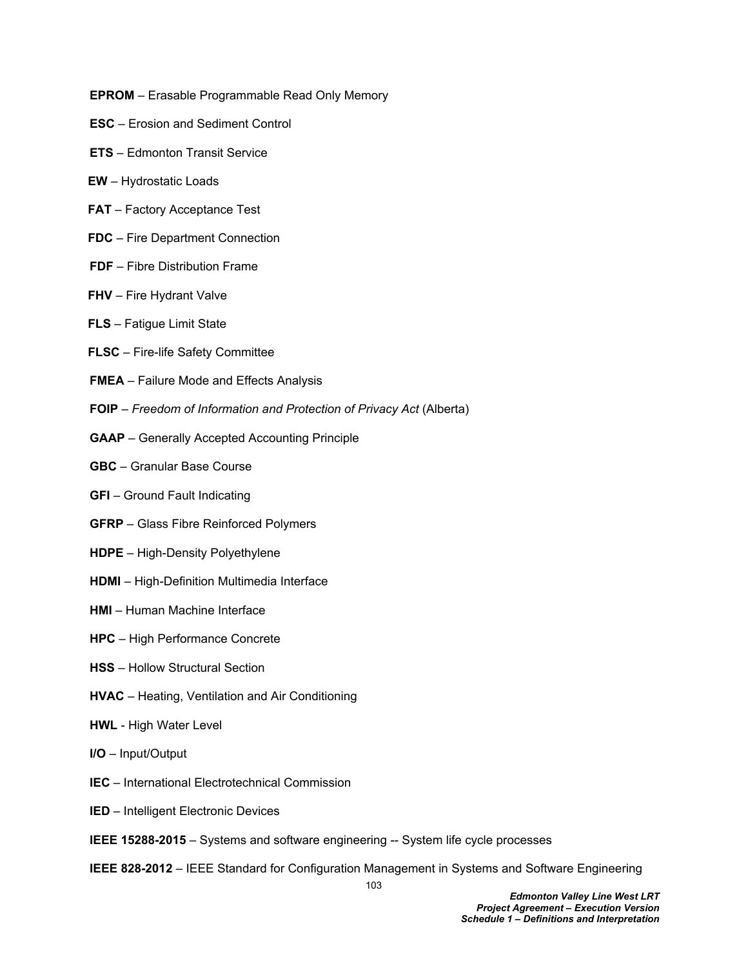- **EPROM** Erasable Programmable Read Only Memory
- **ESC** Erosion and Sediment Control
- **ETS**  Edmonton Transit Service
- **EW**  Hydrostatic Loads
- **FAT** Factory Acceptance Test
- **FDC** Fire Department Connection
- **FDF** Fibre Distribution Frame
- **FHV**  Fire Hydrant Valve
- **FLS** Fatigue Limit State
- **FLSC** Fire-life Safety Committee
- **FMEA** Failure Mode and Effects Analysis
- **FOIP** *Freedom of Information and Protection of Privacy Act* (Alberta)
- **GAAP** Generally Accepted Accounting Principle
- **GBC** Granular Base Course
- **GFI** Ground Fault Indicating
- **GFRP** Glass Fibre Reinforced Polymers
- **HDPE** High-Density Polyethylene
- **HDMI** High-Definition Multimedia Interface
- **HMI** Human Machine Interface
- **HPC** High Performance Concrete
- **HSS** Hollow Structural Section
- **HVAC**  Heating, Ventilation and Air Conditioning
- **HWL** High Water Level
- **I/O** Input/Output
- **IEC** International Electrotechnical Commission
- **IED**  Intelligent Electronic Devices
- **IEEE 15288-2015**  Systems and software engineering -- System life cycle processes
- **IEEE 828-2012** IEEE Standard for Configuration Management in Systems and Software Engineering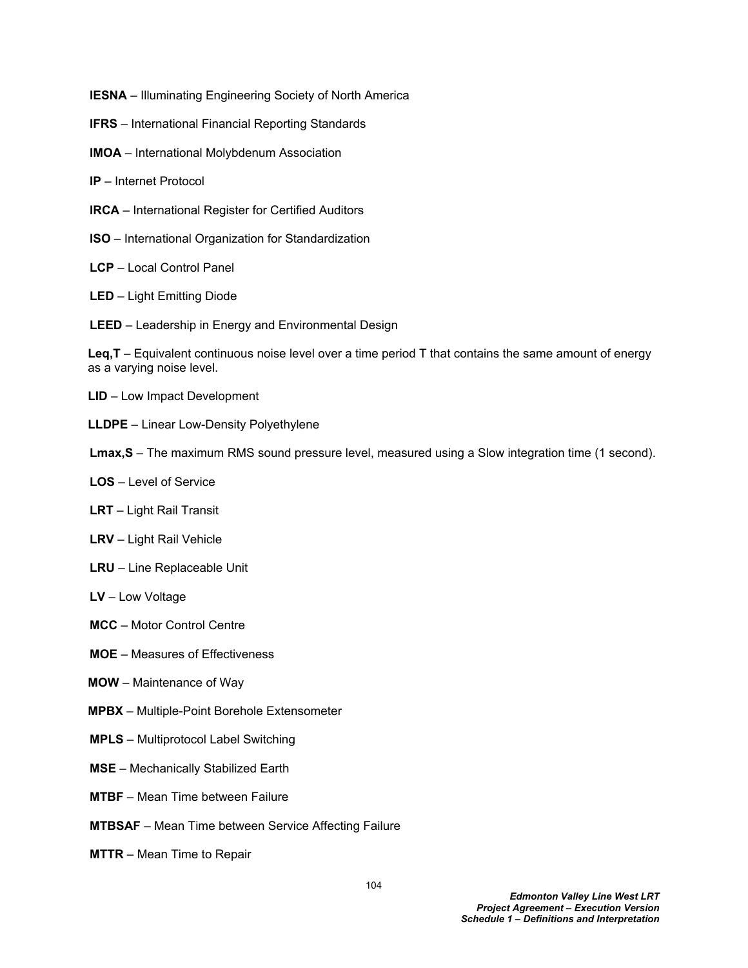- **IESNA** Illuminating Engineering Society of North America
- **IFRS** International Financial Reporting Standards
- **IMOA** International Molybdenum Association
- **IP** Internet Protocol
- **IRCA**  International Register for Certified Auditors
- **ISO**  International Organization for Standardization
- **LCP**  Local Control Panel
- **LED** Light Emitting Diode
- **LEED** Leadership in Energy and Environmental Design

**Leq,T** – Equivalent continuous noise level over a time period T that contains the same amount of energy as a varying noise level.

- **LID**  Low Impact Development
- **LLDPE** Linear Low-Density Polyethylene
- **Lmax,S** The maximum RMS sound pressure level, measured using a Slow integration time (1 second).
- **LOS** Level of Service
- **LRT**  Light Rail Transit
- **LRV** Light Rail Vehicle
- **LRU** Line Replaceable Unit
- **LV** Low Voltage
- **MCC** Motor Control Centre
- **MOE** Measures of Effectiveness
- **MOW**  Maintenance of Way
- **MPBX**  Multiple-Point Borehole Extensometer
- **MPLS**  Multiprotocol Label Switching
- **MSE** Mechanically Stabilized Earth
- **MTBF**  Mean Time between Failure
- **MTBSAF**  Mean Time between Service Affecting Failure
- **MTTR**  Mean Time to Repair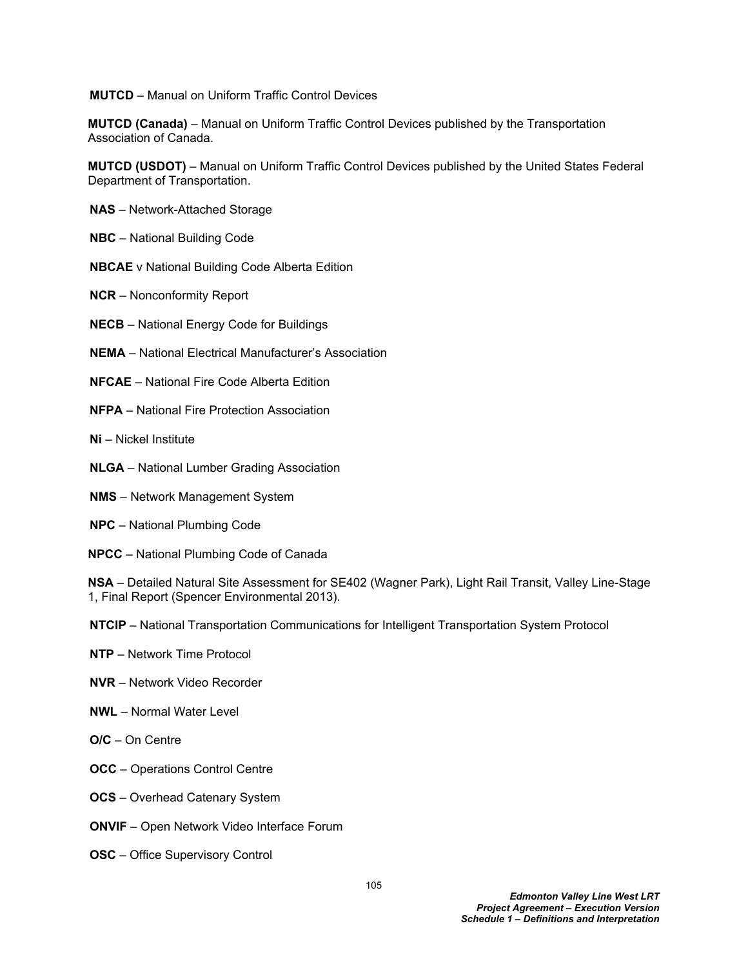**MUTCD** – Manual on Uniform Traffic Control Devices

**MUTCD (Canada)** – Manual on Uniform Traffic Control Devices published by the Transportation Association of Canada.

**MUTCD (USDOT)** – Manual on Uniform Traffic Control Devices published by the United States Federal Department of Transportation.

- **NAS** Network-Attached Storage
- **NBC** National Building Code
- **NBCAE** v National Building Code Alberta Edition
- **NCR** Nonconformity Report
- **NECB** National Energy Code for Buildings
- **NEMA** National Electrical Manufacturer's Association
- **NFCAE** National Fire Code Alberta Edition
- **NFPA** National Fire Protection Association
- **Ni** Nickel Institute
- **NLGA** National Lumber Grading Association
- **NMS** Network Management System
- **NPC**  National Plumbing Code
- **NPCC** National Plumbing Code of Canada

**NSA** – Detailed Natural Site Assessment for SE402 (Wagner Park), Light Rail Transit, Valley Line-Stage 1, Final Report (Spencer Environmental 2013).

**NTCIP** – National Transportation Communications for Intelligent Transportation System Protocol

- **NTP** Network Time Protocol
- **NVR** Network Video Recorder
- **NWL** Normal Water Level
- **O/C** On Centre
- **OCC** Operations Control Centre
- **OCS** Overhead Catenary System
- **ONVIF**  Open Network Video Interface Forum
- **OSC** Office Supervisory Control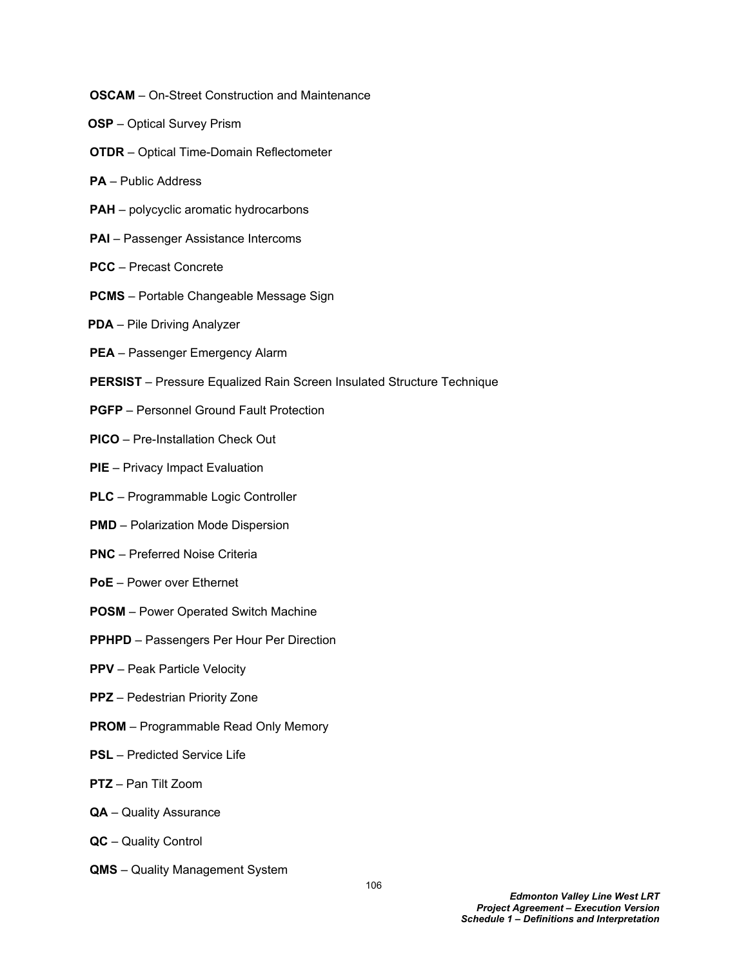- **OSCAM** On-Street Construction and Maintenance
- **OSP** Optical Survey Prism
- **OTDR** Optical Time-Domain Reflectometer
- **PA**  Public Address
- **PAH**  polycyclic aromatic hydrocarbons
- **PAI** Passenger Assistance Intercoms
- **PCC** Precast Concrete
- **PCMS**  Portable Changeable Message Sign
- **PDA** Pile Driving Analyzer
- **PEA** Passenger Emergency Alarm
- **PERSIST** Pressure Equalized Rain Screen Insulated Structure Technique
- **PGFP** Personnel Ground Fault Protection
- **PICO**  Pre-Installation Check Out
- **PIE** Privacy Impact Evaluation
- **PLC**  Programmable Logic Controller
- **PMD** Polarization Mode Dispersion
- **PNC**  Preferred Noise Criteria
- **PoE** Power over Ethernet
- **POSM** Power Operated Switch Machine
- **PPHPD** Passengers Per Hour Per Direction
- **PPV** Peak Particle Velocity
- **PPZ** Pedestrian Priority Zone
- **PROM**  Programmable Read Only Memory
- **PSL** Predicted Service Life
- **PTZ** Pan Tilt Zoom
- **QA** Quality Assurance
- **QC** Quality Control
- **QMS** Quality Management System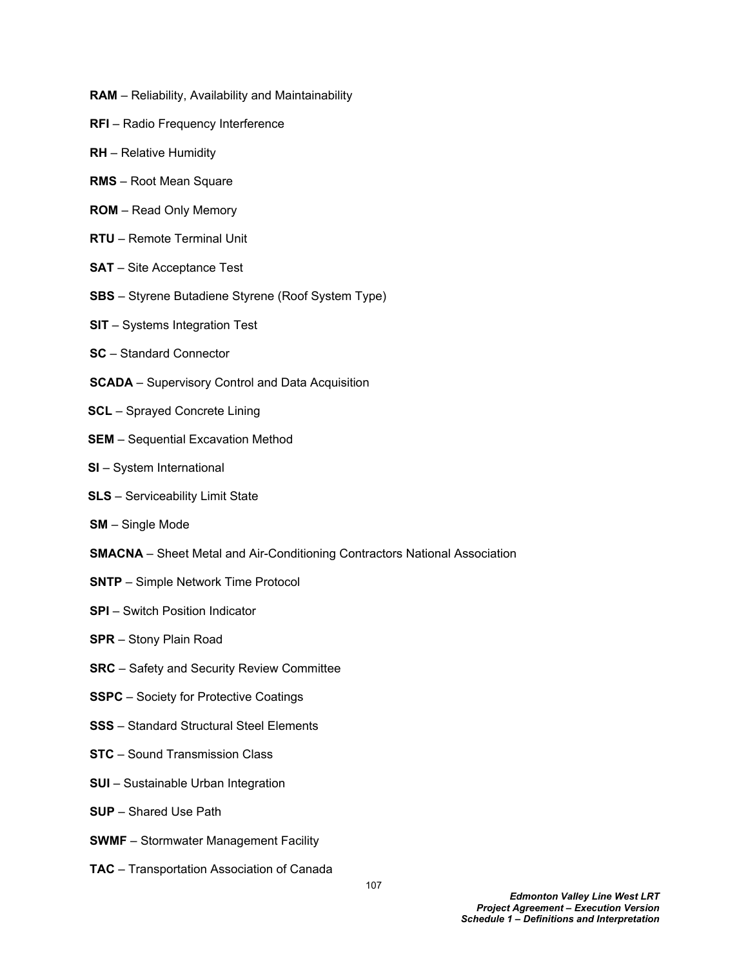- **RAM** Reliability, Availability and Maintainability
- **RFI**  Radio Frequency Interference
- **RH**  Relative Humidity
- **RMS**  Root Mean Square
- **ROM**  Read Only Memory
- **RTU** Remote Terminal Unit
- **SAT** Site Acceptance Test
- **SBS** Styrene Butadiene Styrene (Roof System Type)
- **SIT**  Systems Integration Test
- **SC**  Standard Connector
- **SCADA**  Supervisory Control and Data Acquisition
- **SCL** Sprayed Concrete Lining
- **SEM** Sequential Excavation Method
- **SI** System International
- **SLS** Serviceability Limit State
- **SM**  Single Mode
- **SMACNA** Sheet Metal and Air-Conditioning Contractors National Association
- **SNTP** Simple Network Time Protocol
- **SPI** Switch Position Indicator
- **SPR**  Stony Plain Road
- **SRC**  Safety and Security Review Committee
- **SSPC** Society for Protective Coatings
- **SSS** Standard Structural Steel Elements
- **STC** Sound Transmission Class
- **SUI** Sustainable Urban Integration
- **SUP** Shared Use Path
- **SWMF** Stormwater Management Facility
- **TAC** Transportation Association of Canada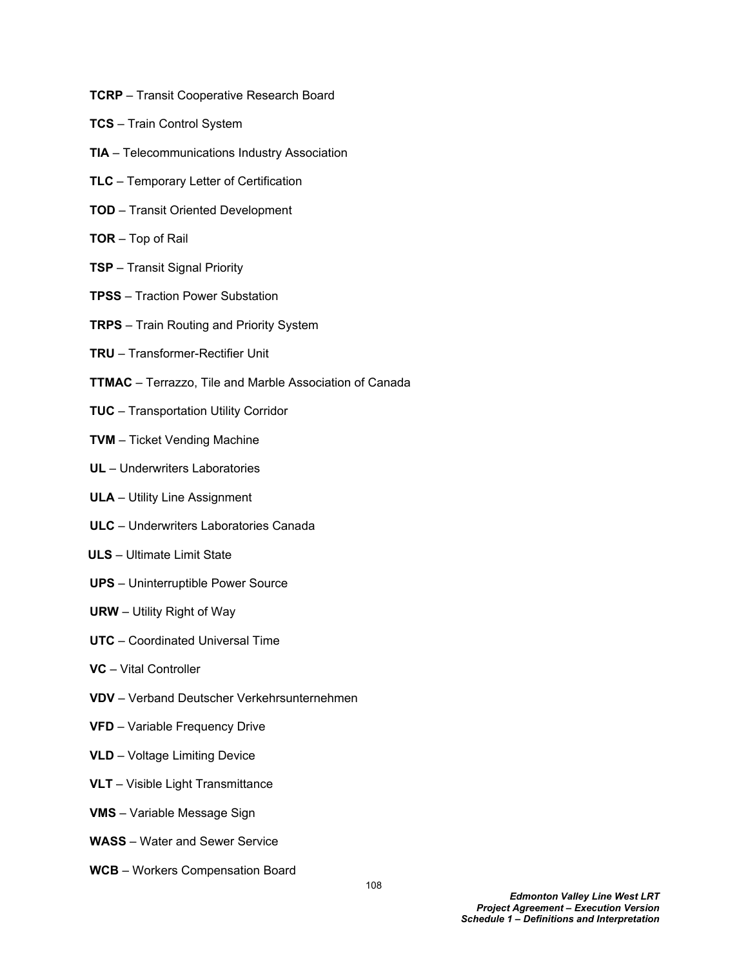- **TCRP** Transit Cooperative Research Board
- **TCS** Train Control System
- **TIA** Telecommunications Industry Association
- **TLC**  Temporary Letter of Certification
- **TOD** Transit Oriented Development
- **TOR** Top of Rail
- **TSP** Transit Signal Priority
- **TPSS**  Traction Power Substation
- **TRPS** Train Routing and Priority System
- **TRU** Transformer-Rectifier Unit
- **TTMAC** Terrazzo, Tile and Marble Association of Canada
- **TUC**  Transportation Utility Corridor
- **TVM** Ticket Vending Machine
- **UL** Underwriters Laboratories
- **ULA** Utility Line Assignment
- **ULC** Underwriters Laboratories Canada
- **ULS** Ultimate Limit State
- **UPS** Uninterruptible Power Source
- **URW** Utility Right of Way
- **UTC** Coordinated Universal Time
- **VC** Vital Controller
- **VDV**  Verband Deutscher Verkehrsunternehmen
- **VFD** Variable Frequency Drive
- **VLD**  Voltage Limiting Device
- **VLT** Visible Light Transmittance
- **VMS** Variable Message Sign
- **WASS**  Water and Sewer Service
- **WCB** Workers Compensation Board